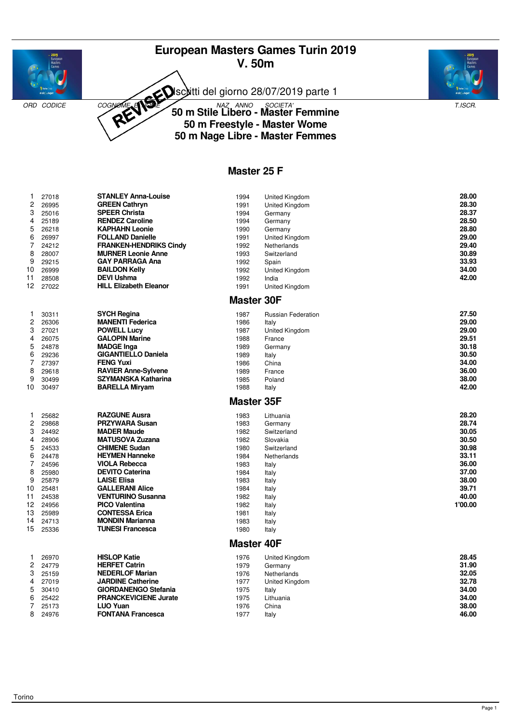# **European Masters Games Turin 2019 V. 50m**



Isciitti del giorno 28/07/2019 parte 1

ORD CODICE COGNOME **SOCIETA' 50 m Stile Libero - Master Femmine** T.ISCR. **50 m Freestyle - Master Wome 50 m Nage Libre - Master Femmes**

#### **Master 25 F**

| 1              | 27018 | <b>STANLEY Anna-Louise</b>    | 1994              | United Kingdom            | 28.00   |
|----------------|-------|-------------------------------|-------------------|---------------------------|---------|
| $\overline{c}$ | 26995 | <b>GREEN Cathryn</b>          | 1991              | United Kingdom            | 28.30   |
| 3              | 25016 | <b>SPEER Christa</b>          | 1994              | Germany                   | 28.37   |
| 4              | 25189 | <b>RENDEZ Caroline</b>        | 1994              | Germany                   | 28.50   |
| 5              | 26218 | <b>KAPHAHN Leonie</b>         | 1990              | Germany                   | 28.80   |
| 6              | 26997 | <b>FOLLAND Danielle</b>       | 1991              | United Kingdom            | 29.00   |
| 7              | 24212 | <b>FRANKEN-HENDRIKS Cindy</b> | 1992              | Netherlands               | 29.40   |
| 8              | 28007 | <b>MURNER Leonie Anne</b>     | 1993              | Switzerland               | 30.89   |
| 9              | 29215 | <b>GAY PARRAGA Ana</b>        | 1992              | Spain                     | 33.93   |
| 10             | 26999 | <b>BAILDON Kelly</b>          | 1992              | United Kingdom            | 34.00   |
| 11             | 28508 | <b>DEVI Ushma</b>             | 1992              | India                     | 42.00   |
| 12.            | 27022 | <b>HILL Elizabeth Eleanor</b> | 1991              | United Kingdom            |         |
|                |       |                               | <b>Master 30F</b> |                           |         |
| 1              | 30311 | <b>SYCH Regina</b>            | 1987              | <b>Russian Federation</b> | 27.50   |
| $\overline{c}$ | 26306 | <b>MANENTI Federica</b>       | 1986              | Italy                     | 29.00   |
| 3              | 27021 | <b>POWELL Lucy</b>            | 1987              | United Kingdom            | 29.00   |
| 4              | 26075 | <b>GALOPIN Marine</b>         | 1988              | France                    | 29.51   |
| 5              | 24878 | <b>MADGE Inga</b>             | 1989              | Germany                   | 30.18   |
| 6              | 29236 | <b>GIGANTIELLO Daniela</b>    | 1989              | Italy                     | 30.50   |
| 7              | 27397 | <b>FENG Yuxi</b>              | 1986              | China                     | 34.00   |
| 8              | 29618 | <b>RAVIER Anne-Sylvene</b>    | 1989              | France                    | 36.00   |
| 9              | 30499 | <b>SZYMANSKA Katharina</b>    | 1985              | Poland                    | 38.00   |
| 10             | 30497 | <b>BARELLA Miryam</b>         | 1988              | Italy                     | 42.00   |
|                |       |                               | <b>Master 35F</b> |                           |         |
| 1              | 25682 | <b>RAZGUNE Ausra</b>          | 1983              | Lithuania                 | 28.20   |
| 2              | 29868 | <b>PRZYWARA Susan</b>         | 1983              | Germany                   | 28.74   |
| 3              | 24492 | <b>MADER Maude</b>            | 1982              | Switzerland               | 30.05   |
| 4              | 28906 | <b>MATUSOVA Zuzana</b>        | 1982              | Slovakia                  | 30.50   |
| 5              | 24533 | <b>CHIMENE Sudan</b>          | 1980              | Switzerland               | 30.98   |
| 6              | 24478 | <b>HEYMEN Hanneke</b>         | 1984              | Netherlands               | 33.11   |
| 7              | 24596 | <b>VIOLA Rebecca</b>          | 1983              | Italy                     | 36.00   |
| 8              | 25980 | <b>DEVITO Caterina</b>        | 1984              | Italy                     | 37.00   |
| 9              | 25879 | <b>LAISE Elisa</b>            | 1983              | Italy                     | 38.00   |
| 10             | 25481 | <b>GALLERANI Alice</b>        | 1984              | Italy                     | 39.71   |
| 11             | 24538 | <b>VENTURINO Susanna</b>      | 1982              | Italy                     | 40.00   |
| 12.            | 24956 | <b>PICO Valentina</b>         | 1982              | Italy                     | 1'00.00 |
| 13             | 25989 | <b>CONTESSA Erica</b>         | 1981              | Italy                     |         |
| 14             | 24713 | <b>MONDIN Marianna</b>        | 1983              | Italy                     |         |
| 15             | 25336 | <b>TUNESI Francesca</b>       | 1980              | Italy                     |         |
|                |       |                               | <b>Master 40F</b> |                           |         |
| 1              | 26970 | <b>HISLOP Katie</b>           | 1976              | United Kingdom            | 28.45   |
| $\overline{c}$ | 24779 | <b>HERFET Catrin</b>          | 1979              | Germany                   | 31.90   |
| 3              | 25159 | <b>NEDERLOF Marian</b>        | 1976              | Netherlands               | 32.05   |
| 4              | 27019 | <b>JARDINE Catherine</b>      | 1977              | United Kingdom            | 32.78   |
| 5              | 30410 | <b>GIORDANENGO Stefania</b>   | 1975              | Italy                     | 34.00   |
| 6              | 25422 | <b>PRANCKEVICIENE Jurate</b>  | 1975              | Lithuania                 | 34.00   |
| 7              | 25173 | <b>LUO Yuan</b>               | 1976              | China                     | 38.00   |
| 8              | 24976 | <b>FONTANA Francesca</b>      | 1977              |                           | 46.00   |
|                |       |                               |                   | Italy                     |         |

Torino

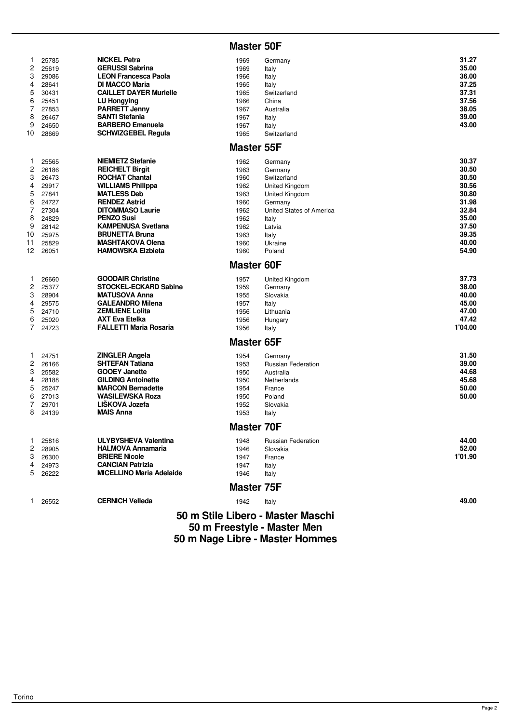|                                                                    |                                                                                                 |                                                                                                                                                                                                                                                                                        | <b>Master 50F</b>                                                                    |                                                                                                                                                     |                                                                                                 |
|--------------------------------------------------------------------|-------------------------------------------------------------------------------------------------|----------------------------------------------------------------------------------------------------------------------------------------------------------------------------------------------------------------------------------------------------------------------------------------|--------------------------------------------------------------------------------------|-----------------------------------------------------------------------------------------------------------------------------------------------------|-------------------------------------------------------------------------------------------------|
| 1<br>$\overline{c}$<br>3<br>4<br>5<br>6<br>7<br>8<br>9<br>10       | 25785<br>25619<br>29086<br>28641<br>30431<br>25451<br>27853<br>26467<br>24650<br>28669          | <b>NICKEL Petra</b><br><b>GERUSSI Sabrina</b><br><b>LEON Francesca Paola</b><br><b>DI MACCO Maria</b><br><b>CAILLET DAYER Murielle</b><br><b>LU Hongying</b><br><b>PARRETT Jenny</b><br><b>SANTI Stefania</b><br><b>BARBERO Emanuela</b><br><b>SCHWIZGEBEL Regula</b>                  | 1969<br>1969<br>1966<br>1965<br>1965<br>1966<br>1967<br>1967<br>1967<br>1965         | Germany<br>Italy<br>Italy<br>Italy<br>Switzerland<br>China<br>Australia<br>Italy<br>Italy<br>Switzerland                                            | 31.27<br>35.00<br>36.00<br>37.25<br>37.31<br>37.56<br>38.05<br>39.00<br>43.00                   |
|                                                                    |                                                                                                 |                                                                                                                                                                                                                                                                                        | <b>Master 55F</b>                                                                    |                                                                                                                                                     |                                                                                                 |
| 1<br>$\overline{c}$<br>3<br>4<br>5<br>6<br>7<br>8<br>9<br>10<br>11 | 25565<br>26186<br>26473<br>29917<br>27841<br>24727<br>27304<br>24829<br>28142<br>25975<br>25829 | <b>NIEMIETZ Stefanie</b><br><b>REICHELT Birgit</b><br><b>ROCHAT Chantal</b><br><b>WILLIAMS Philippa</b><br><b>MATLESS Deb</b><br><b>RENDEZ Astrid</b><br><b>DITOMMASO Laurie</b><br><b>PENZO Susi</b><br><b>KAMPENUSA Svetlana</b><br><b>BRUNETTA Bruna</b><br><b>MASHTAKOVA Olena</b> | 1962<br>1963<br>1960<br>1962<br>1963<br>1960<br>1962<br>1962<br>1962<br>1963<br>1960 | Germany<br>Germany<br>Switzerland<br>United Kingdom<br>United Kingdom<br>Germany<br>United States of America<br>Italy<br>Latvia<br>Italy<br>Ukraine | 30.37<br>30.50<br>30.50<br>30.56<br>30.80<br>31.98<br>32.84<br>35.00<br>37.50<br>39.35<br>40.00 |
| 12                                                                 | 26051                                                                                           | <b>HAMOWSKA Elzbieta</b>                                                                                                                                                                                                                                                               | 1960<br><b>Master 60F</b>                                                            | Poland                                                                                                                                              | 54.90                                                                                           |
| 1<br>$\overline{c}$<br>3<br>4<br>5<br>6<br>7                       | 26660<br>25377<br>28904<br>29575<br>24710<br>25020<br>24723                                     | <b>GOODAIR Christine</b><br><b>STOCKEL-ECKARD Sabine</b><br><b>MATUSOVA Anna</b><br><b>GALEANDRO Milena</b><br><b>ZEMLIENE Lolita</b><br><b>AXT Eva Etelka</b><br><b>FALLETTI Maria Rosaria</b>                                                                                        | 1957<br>1959<br>1955<br>1957<br>1956<br>1956<br>1956                                 | <b>United Kingdom</b><br>Germany<br>Slovakia<br>Italy<br>Lithuania<br>Hungary<br>Italy                                                              | 37.73<br>38.00<br>40.00<br>45.00<br>47.00<br>47.42<br>1'04.00                                   |
|                                                                    |                                                                                                 |                                                                                                                                                                                                                                                                                        | <b>Master 65F</b>                                                                    |                                                                                                                                                     |                                                                                                 |
| 1<br>2<br>3<br>4<br>5<br>6<br>7<br>8                               | 24751<br>26166<br>25582<br>28188<br>25247<br>27013<br>29701<br>24139                            | <b>ZINGLER Angela</b><br><b>SHTEFAN Tatiana</b><br><b>GOOEY Janette</b><br><b>GILDING Antoinette</b><br><b>MARCON Bernadette</b><br><b>WASILEWSKA Roza</b><br>LIŠKOVA Jozefa<br><b>MAIS Anna</b>                                                                                       | 1954<br>1953<br>1950<br>1950<br>1954<br>1950<br>1952<br>1953                         | Germany<br><b>Russian Federation</b><br>Australia<br>Netherlands<br>France<br>Poland<br>Slovakia<br>Italy                                           | 31.50<br>39.00<br>44.68<br>45.68<br>50.00<br>50.00                                              |
|                                                                    |                                                                                                 |                                                                                                                                                                                                                                                                                        | <b>Master 70F</b>                                                                    |                                                                                                                                                     |                                                                                                 |
| 1<br>2<br>3<br>4<br>5                                              | 25816<br>28905<br>26300<br>24973<br>26222                                                       | <b>ULYBYSHEVA Valentina</b><br><b>HALMOVA Annamaria</b><br><b>BRIERE Nicole</b><br><b>CANCIAN Patrizia</b><br><b>MICELLINO Maria Adelaide</b>                                                                                                                                          | 1948<br>1946<br>1947<br>1947<br>1946                                                 | <b>Russian Federation</b><br>Slovakia<br>France<br>Italy<br>Italy                                                                                   | 44.00<br>52.00<br>1'01.90                                                                       |
|                                                                    |                                                                                                 |                                                                                                                                                                                                                                                                                        | <b>Master 75F</b>                                                                    |                                                                                                                                                     |                                                                                                 |
| 1                                                                  | 26552                                                                                           | <b>CERNICH Velleda</b>                                                                                                                                                                                                                                                                 | 1942                                                                                 | Italy                                                                                                                                               | 49.00                                                                                           |
|                                                                    |                                                                                                 |                                                                                                                                                                                                                                                                                        |                                                                                      | 50 m Stile Libero - Master Maschi                                                                                                                   |                                                                                                 |

**50 m Freestyle - Master Men 50 m Nage Libre - Master Hommes**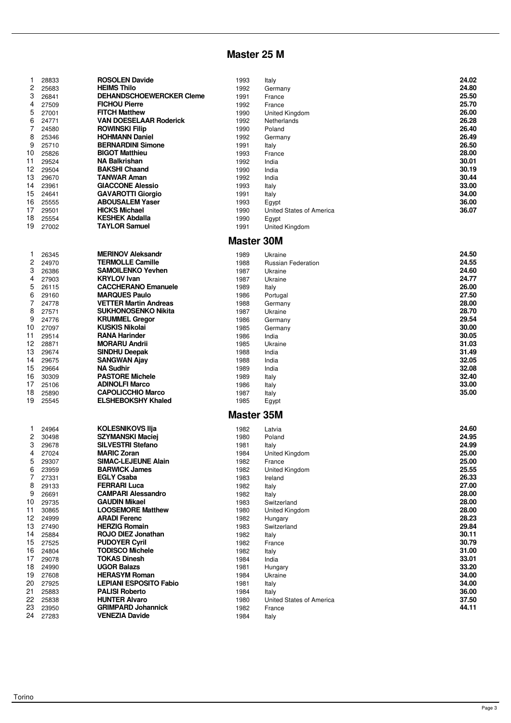# **Master 25 M**

| 1  | 28833 | <b>ROSOLEN Davide</b>           | 1993              | Italy                    | 24.02 |
|----|-------|---------------------------------|-------------------|--------------------------|-------|
| 2  | 25683 | <b>HEIMS Thilo</b>              | 1992              | Germany                  | 24.80 |
| 3  | 26841 | <b>DEHANDSCHOEWERCKER Cleme</b> | 1991              | France                   | 25.50 |
| 4  | 27509 | <b>FICHOU Pierre</b>            | 1992              | France                   | 25.70 |
| 5  | 27001 | <b>FITCH Matthew</b>            | 1990              | United Kingdom           | 26.00 |
| 6  | 24771 | <b>VAN DOESELAAR Roderick</b>   | 1992              | Netherlands              | 26.28 |
| 7  | 24580 | <b>ROWINSKI Filip</b>           | 1990              | Poland                   | 26.40 |
| 8  | 25346 | <b>HOHMANN Daniel</b>           | 1992              | Germany                  | 26.49 |
| 9  | 25710 | <b>BERNARDINI Simone</b>        | 1991              | Italy                    | 26.50 |
| 10 | 25826 | <b>BIGOT Matthieu</b>           | 1993              | France                   | 28.00 |
| 11 | 29524 | NA Balkrishan                   | 1992              | India                    | 30.01 |
| 12 | 29504 | <b>BAKSHI Chaand</b>            | 1990              | India                    | 30.19 |
| 13 | 29670 | <b>TANWAR Aman</b>              | 1992              | India                    | 30.44 |
| 14 | 23961 | <b>GIACCONE Alessio</b>         | 1993              | Italy                    | 33.00 |
| 15 | 24641 | <b>GAVAROTTI Giorgio</b>        | 1991              | Italy                    | 34.00 |
| 16 | 25555 | <b>ABOUSALEM Yaser</b>          | 1993              | Egypt                    | 36.00 |
| 17 | 29501 | <b>HICKS Michael</b>            | 1990              | United States of America | 36.07 |
| 18 | 25554 | <b>KESHEK Abdalla</b>           | 1990              | Egypt                    |       |
| 19 | 27002 | <b>TAYLOR Samuel</b>            | 1991              | United Kingdom           |       |
|    |       |                                 |                   |                          |       |
|    |       |                                 | <b>Master 30M</b> |                          |       |
| 1  | 26345 | <b>MERINOV Aleksandr</b>        | 1989              | Ukraine                  | 24.50 |
| 2  | 24970 | <b>TERMOLLE Camille</b>         | 1988              | Russian Federation       | 24.55 |
| 3  | 26386 | <b>SAMOILENKO Yevhen</b>        | 1987              | Ukraine                  | 24.60 |
| 4  | 27903 | <b>KRYLOV Ivan</b>              | 1987              | Ukraine                  | 24.77 |
| 5  | 26115 | <b>CACCHERANO Emanuele</b>      | 1989              | Italy                    | 26.00 |
| 6  | 29160 | <b>MARQUES Paulo</b>            | 1986              | Portugal                 | 27.50 |
| 7  | 24778 | <b>VETTER Martin Andreas</b>    | 1988              | Germany                  | 28.00 |
| 8  | 27571 | <b>SUKHONOSENKO Nikita</b>      | 1987              | Ukraine                  | 28.70 |
| 9  | 24776 | <b>KRUMMEL Gregor</b>           | 1986              | Germany                  | 29.54 |
| 10 | 27097 | <b>KUSKIS Nikolai</b>           | 1985              | Germany                  | 30.00 |
| 11 | 29514 | <b>RANA Harinder</b>            | 1986              | India                    | 30.05 |
| 12 | 28871 | <b>MORARU Andrii</b>            | 1985              | Ukraine                  | 31.03 |
| 13 | 29674 | <b>SINDHU Deepak</b>            | 1988              | India                    | 31.49 |
| 14 | 29675 | <b>SANGWAN Ajay</b>             | 1988              | India                    | 32.05 |
| 15 | 29664 | <b>NA Sudhir</b>                | 1989              | India                    | 32.08 |
| 16 | 30309 | <b>PASTORE Michele</b>          | 1989              | Italy                    | 32.40 |
| 17 | 25106 | <b>ADINOLFI Marco</b>           | 1986              | Italy                    | 33.00 |
| 18 | 25890 | <b>CAPOLICCHIO Marco</b>        | 1987              | Italy                    | 35.00 |
| 19 | 25545 | <b>ELSHEBOKSHY Khaled</b>       | 1985              | Egypt                    |       |
|    |       |                                 | <b>Master 35M</b> |                          |       |
|    |       |                                 |                   |                          |       |
| 1  | 24964 | <b>KOLESNIKOVS IIja</b>         | 1982              | Latvia                   | 24.60 |
| 2  | 30498 | <b>SZYMANSKI Maciej</b>         | 1980              | Poland                   | 24.95 |
| 3  | 29678 | <b>SILVESTRI Stefano</b>        | 1981              | Italy                    | 24.99 |
| 4  | 27024 | <b>MARIC Zoran</b>              | 1984              | United Kingdom           | 25.00 |
| 5  | 29307 | <b>SIMAC-LEJEUNE Alain</b>      | 1982              | France                   | 25.00 |
| 6  | 23959 | <b>BARWICK James</b>            | 1982              | United Kingdom           | 25.55 |
| 7  | 27331 | <b>EGLY Csaba</b>               | 1983              | Ireland                  | 26.33 |
| 8  | 29133 | <b>FERRARI Luca</b>             | 1982              | Italy                    | 27.00 |
| 9  | 26691 | <b>CAMPARI Alessandro</b>       | 1982              | Italy                    | 28.00 |
| 10 | 29735 | <b>GAUDIN Mikael</b>            | 1983              | Switzerland              | 28.00 |
| 11 | 30865 | <b>LOOSEMORE Matthew</b>        | 1980              | United Kingdom           | 28.00 |
| 12 | 24999 | <b>ARADI Ferenc</b>             | 1982              | Hungary                  | 28.23 |
| 13 | 27490 | <b>HERZIG Romain</b>            | 1983              | Switzerland              | 29.84 |
| 14 | 25884 | <b>ROJO DIEZ Jonathan</b>       | 1982              | Italy                    | 30.11 |
| 15 | 27525 | <b>PUDOYER Cyril</b>            | 1982              | France                   | 30.79 |
| 16 | 24804 | <b>TODISCO Michele</b>          | 1982              | Italy                    | 31.00 |
| 17 | 29078 | <b>TOKAS Dinesh</b>             | 1984              | India                    | 33.01 |
| 18 | 24990 | <b>UGOR Balazs</b>              | 1981              | Hungary                  | 33.20 |
| 19 | 27608 | <b>HERASYM Roman</b>            | 1984              | Ukraine                  | 34.00 |
| 20 | 27925 | <b>LEPIANI ESPOSITO Fabio</b>   | 1981              | Italy                    | 34.00 |
| 21 | 25883 | <b>PALISI Roberto</b>           | 1984              | Italy                    | 36.00 |
| 22 | 25838 | <b>HUNTER Alvaro</b>            | 1980              | United States of America | 37.50 |
| 23 | 23950 | <b>GRIMPARD Johannick</b>       | 1982              | France                   | 44.11 |
| 24 | 27283 | <b>VENEZIA Davide</b>           | 1984              | Italy                    |       |
|    |       |                                 |                   |                          |       |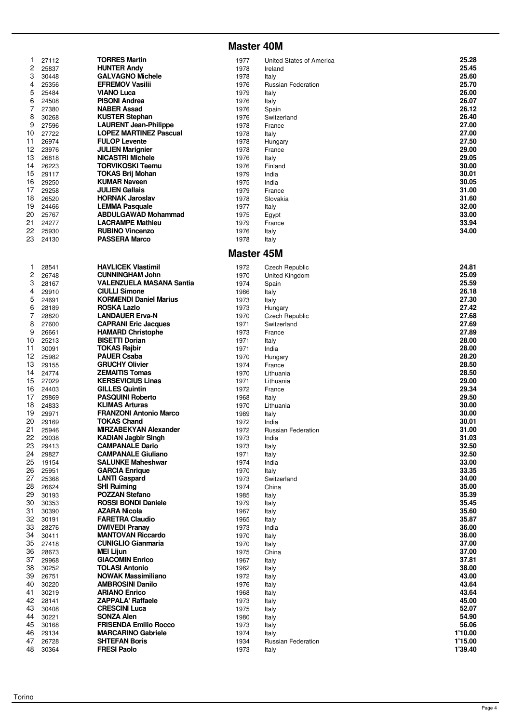#### **Master 40M**

| 1              | 27112 | <b>TORRES Martin</b>          | 1977              | United States of America  | 25.28   |
|----------------|-------|-------------------------------|-------------------|---------------------------|---------|
| 2              | 25837 | <b>HUNTER Andy</b>            | 1978              | Ireland                   | 25.45   |
| 3              | 30448 | <b>GALVAGNO Michele</b>       | 1978              |                           | 25.60   |
|                |       |                               |                   | Italy                     | 25.70   |
| 4              | 25356 | <b>EFREMOV Vasilii</b>        | 1976              | <b>Russian Federation</b> |         |
| 5              | 25484 | <b>VIANO Luca</b>             | 1979              | Italy                     | 26.00   |
| 6              | 24508 | <b>PISONI Andrea</b>          | 1976              | Italy                     | 26.07   |
| 7              | 27380 | <b>NABER Assad</b>            | 1976              | Spain                     | 26.12   |
| 8              | 30268 | <b>KUSTER Stephan</b>         | 1976              | Switzerland               | 26.40   |
| 9              | 27596 | <b>LAURENT Jean-Philippe</b>  | 1978              | France                    | 27.00   |
| 10             | 27722 | <b>LOPEZ MARTINEZ Pascual</b> | 1978              | Italy                     | 27.00   |
| 11             | 26974 | <b>FULOP Levente</b>          | 1978              | Hungary                   | 27.50   |
| 12             | 23976 | <b>JULIEN Marignier</b>       | 1978              |                           | 29.00   |
|                |       | <b>NICASTRI Michele</b>       |                   | France                    | 29.05   |
| 13             | 26818 |                               | 1976              | Italy                     |         |
| 14             | 26223 | <b>TORVIKOSKI Teemu</b>       | 1976              | Finland                   | 30.00   |
| 15             | 29117 | TOKAS Brij Mohan              | 1979              | India                     | 30.01   |
| 16             | 29250 | <b>KUMAR Naveen</b>           | 1975              | India                     | 30.05   |
| 17             | 29258 | <b>JULIEN Gallais</b>         | 1979              | France                    | 31.00   |
| 18             | 26520 | <b>HORNAK Jaroslav</b>        | 1978              | Slovakia                  | 31.60   |
| 19             | 24466 | <b>LEMMA Pasquale</b>         | 1977              | Italy                     | 32.00   |
| 20             | 25767 | <b>ABDULGAWAD Mohammad</b>    | 1975              | Egypt                     | 33.00   |
| 21             | 24277 | <b>LACRAMPE Mathieu</b>       | 1979              | France                    | 33.94   |
|                |       |                               |                   |                           | 34.00   |
| 22             | 25930 | <b>RUBINO Vincenzo</b>        | 1976              | Italy                     |         |
| 23             | 24130 | <b>PASSERA Marco</b>          | 1978              | Italy                     |         |
|                |       |                               | <b>Master 45M</b> |                           |         |
|                |       |                               |                   |                           |         |
| 1              | 28541 | <b>HAVLICEK Vlastimil</b>     | 1972              | Czech Republic            | 24.81   |
| 2              | 26748 | <b>CUNNINGHAM John</b>        | 1970              | United Kingdom            | 25.09   |
| 3              | 28167 | VALENZUELA MASANA Santia      | 1974              | Spain                     | 25.59   |
| 4              | 29910 | <b>CIULLI Simone</b>          | 1986              | Italy                     | 26.18   |
| 5              | 24691 | <b>KORMENDI Daniel Marius</b> | 1973              | Italy                     | 27.30   |
| 6              | 28189 | ROSKA Lazlo                   | 1973              | Hungary                   | 27.42   |
| $\overline{7}$ | 28820 | <b>LANDAUER Erva-N</b>        | 1970              | <b>Czech Republic</b>     | 27.68   |
|                |       |                               |                   |                           |         |
| 8              | 27600 | <b>CAPRANI Eric Jacques</b>   | 1971              | Switzerland               | 27.69   |
| 9              | 26661 | <b>HAMARD Christophe</b>      | 1973              | France                    | 27.89   |
| 10             | 25213 | <b>BISETTI Dorian</b>         | 1971              | Italy                     | 28.00   |
| 11             | 30091 | <b>TOKAS Rajbir</b>           | 1971              | India                     | 28.00   |
| 12             | 25982 | <b>PAUER Csaba</b>            | 1970              | Hungary                   | 28.20   |
| 13             | 29155 | <b>GRUCHY Olivier</b>         | 1974              | France                    | 28.50   |
| 14             | 24774 | <b>ZEMAITIS Tomas</b>         | 1970              | Lithuania                 | 28.50   |
| 15             | 27029 | <b>KERSEVICIUS Linas</b>      | 1971              | Lithuania                 | 29.00   |
| 16             | 24403 | <b>GILLES Quintin</b>         |                   |                           | 29.34   |
|                |       |                               | 1972              | France                    |         |
| 17             | 29869 | <b>PASQUINI Roberto</b>       | 1968              | Italy                     | 29.50   |
| 18             | 24833 | <b>KLIMAS Arturas</b>         | 1970              | Lithuania                 | 30.00   |
| 19             | 29971 | <b>FRANZONI Antonio Marco</b> | 1989              | Italy                     | 30.00   |
| 20             | 29169 | <b>TOKAS Chand</b>            | 1972              | India                     | 30.01   |
| 21             | 25946 | <b>MIRZABEKYAN Alexander</b>  | 1972              | <b>Russian Federation</b> | 31.00   |
| 22             | 29038 | <b>KADIAN Jagbir Singh</b>    | 1973              | India                     | 31.03   |
| 23             | 29413 | <b>CAMPANALE Dario</b>        | 1973              | Italy                     | 32.50   |
| 24             | 29827 | <b>CAMPANALE Giuliano</b>     | 1971              | Italy                     | 32.50   |
| 25             | 19154 | <b>SALUNKE Maheshwar</b>      | 1974              | India                     | 33.00   |
| 26             | 25951 | <b>GARCIA Enrique</b>         | 1970              |                           | 33.35   |
|                |       |                               |                   | Italy                     |         |
| 27             | 25368 | <b>LANTI Gaspard</b>          | 1973              | Switzerland               | 34.00   |
| 28             | 26624 | <b>SHI Ruiming</b>            | 1974              | China                     | 35.00   |
| 29             | 30193 | <b>POZZAN Stefano</b>         | 1985              | Italy                     | 35.39   |
| 30             | 30353 | <b>ROSSI BONDI Daniele</b>    | 1979              | Italy                     | 35.45   |
| 31             | 30390 | <b>AZARA Nicola</b>           | 1967              | Italy                     | 35.60   |
| 32             | 30191 | <b>FARETRA Claudio</b>        | 1965              | Italy                     | 35.87   |
| 33             | 28276 | <b>DWIVEDI Pranav</b>         | 1973              | India                     | 36.00   |
| 34             | 30411 | <b>MANTOVAN Riccardo</b>      | 1970              | Italy                     | 36.00   |
| 35             | 27418 | <b>CUNIGLIO Gianmaria</b>     | 1970              | Italy                     | 37.00   |
| 36             | 28673 | <b>MEI Lijun</b>              | 1975              |                           | 37.00   |
|                |       |                               |                   | China                     |         |
| 37             | 29968 | <b>GIACOMIN Enrico</b>        | 1967              | Italy                     | 37.81   |
| 38             | 30252 | <b>TOLASI Antonio</b>         | 1962              | Italy                     | 38.00   |
| 39             | 26751 | <b>NOWAK Massimiliano</b>     | 1972              | Italy                     | 43.00   |
| 40             | 30220 | <b>AMBROSINI Danilo</b>       | 1976              | Italy                     | 43.64   |
| 41             | 30219 | <b>ARIANO Enrico</b>          | 1968              | Italy                     | 43.64   |
| 42             | 28141 | <b>ZAPPALA' Raffaele</b>      | 1973              | Italy                     | 45.00   |
| 43             | 30408 | <b>CRESCINI Luca</b>          | 1975              | Italy                     | 52.07   |
| 44             | 30221 | <b>SONZA Alen</b>             | 1980              | Italy                     | 54.90   |
| 45             |       | <b>FRISENDA Emilio Rocco</b>  |                   |                           | 56.06   |
|                | 30168 |                               | 1973              | Italy                     |         |
| 46             | 29134 | <b>MARCARINO Gabriele</b>     | 1974              | Italy                     | 1'10.00 |
| 47             | 26728 | <b>SHTEFAN Boris</b>          | 1934              | Russian Federation        | 1'15.00 |
| 48             | 30364 | <b>FRESI Paolo</b>            | 1973              | Italy                     | 1'39.40 |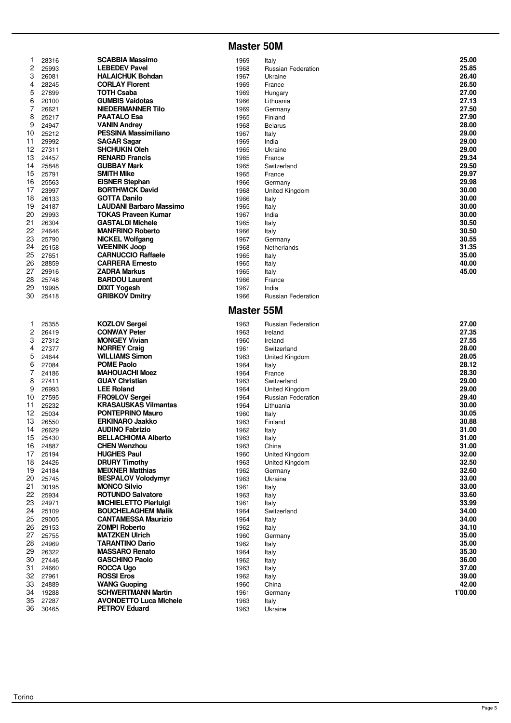#### **Master 50M**

| 1        | 28316          | SCABBIA Massimo                                            | 1969              | Italy                     | 25.00   |
|----------|----------------|------------------------------------------------------------|-------------------|---------------------------|---------|
| 2        | 25993          | <b>LEBEDEV Pavel</b>                                       | 1968              | Russian Federation        | 25.85   |
| 3        | 26081          | <b>HALAICHUK Bohdan</b>                                    | 1967              | Ukraine                   | 26.40   |
| 4        | 28245          | <b>CORLAY Florent</b>                                      | 1969              | France                    | 26.50   |
| 5        | 27899          | <b>TOTH Csaba</b>                                          | 1969              | Hungary                   | 27.00   |
| 6        | 20100          | <b>GUMBIS Vaidotas</b>                                     | 1966              | Lithuania                 | 27.13   |
| 7        | 26621          | <b>NIEDERMANNER Tilo</b>                                   | 1969              | Germany                   | 27.50   |
| 8        | 25217          | <b>PAATALO Esa</b>                                         | 1965              | Finland                   | 27.90   |
| 9        | 24947          | <b>VANIN Andrey</b>                                        | 1968              | <b>Belarus</b>            | 28.00   |
| 10       | 25212          | <b>PESSINA Massimiliano</b>                                | 1967              | Italy                     | 29.00   |
| 11       | 29992          | SAGAR Sagar                                                | 1969              | India                     | 29.00   |
| 12       | 27311          | <b>SHCHUKIN Oleh</b>                                       | 1965              | Ukraine                   | 29.00   |
| 13       | 24457          | <b>RENARD Francis</b>                                      | 1965              | France                    | 29.34   |
| 14       | 25848          | <b>GUBBAY Mark</b>                                         | 1965              | Switzerland               | 29.50   |
| 15       | 25791          | <b>SMITH Mike</b>                                          | 1965              | France                    | 29.97   |
| 16       | 25563          | <b>EISNER Stephan</b>                                      | 1966              | Germany                   | 29.98   |
| 17       | 23997          | <b>BORTHWICK David</b>                                     | 1968              | United Kingdom            | 30.00   |
| 18       | 26133          | <b>GOTTA Danilo</b>                                        | 1966              | Italy                     | 30.00   |
| 19       | 24187          | <b>LAUDANI Barbaro Massimo</b>                             | 1965              | Italy                     | 30.00   |
| 20       | 29993          | <b>TOKAS Praveen Kumar</b>                                 | 1967              | India                     | 30.00   |
| 21       | 26304          | <b>GASTALDI Michele</b>                                    | 1965              | Italy                     | 30.50   |
| 22       | 24646          | <b>MANFRINO Roberto</b>                                    | 1966              | Italy                     | 30.50   |
| 23       | 25790          | <b>NICKEL Wolfgang</b>                                     | 1967              | Germany                   | 30.55   |
| 24       | 25158          | <b>WEENINK Joop</b>                                        | 1968              | Netherlands               | 31.35   |
| 25       | 27651          | <b>CARNUCCIO Raffaele</b>                                  | 1965              | Italy                     | 35.00   |
| 26       | 28859          | <b>CARRERA Ernesto</b>                                     | 1965              | Italy                     | 40.00   |
| 27       | 29916          | <b>ZADRA Markus</b>                                        | 1965              | Italy                     | 45.00   |
| 28       | 25748          | <b>BARDOU Laurent</b>                                      | 1966              | France                    |         |
| 29       | 19995          | <b>DIXIT Yogesh</b>                                        | 1967              | India                     |         |
| 30       | 25418          | <b>GRIBKOV Dmitry</b>                                      | 1966              | <b>Russian Federation</b> |         |
|          |                |                                                            |                   |                           |         |
|          |                |                                                            | <b>Master 55M</b> |                           |         |
| 1        | 25355          | <b>KOZLOV Sergei</b>                                       | 1963              | Russian Federation        | 27.00   |
| 2        | 26419          | <b>CONWAY Peter</b>                                        | 1963              | Ireland                   | 27.35   |
| 3        | 27312          | <b>MONGEY Vivian</b>                                       | 1960              | Ireland                   | 27.55   |
| 4        | 27377          | <b>NORREY Craig</b>                                        | 1961              | Switzerland               | 28.00   |
| 5        | 24644          | <b>WILLIAMS Simon</b>                                      | 1963              | United Kingdom            | 28.05   |
| 6        | 27084          | <b>POME Paolo</b>                                          | 1964              | Italy                     | 28.12   |
| 7        | 24186          | <b>MAHOUACHI Moez</b>                                      | 1964              | France                    | 28.30   |
| 8        | 27411          | <b>GUAY Christian</b>                                      | 1963              | Switzerland               | 29.00   |
| 9        | 26993          | <b>LEE Roland</b>                                          | 1964              | United Kingdom            | 29.00   |
| 10       | 27595          | <b>FRO9LOV Sergei</b>                                      | 1964              | Russian Federation        | 29.40   |
| 11       | 25232          | <b>KRASAUSKAS Vilmantas</b>                                | 1964              | Lithuania                 | 30.00   |
| 12       | 25034          | <b>PONTEPRINO Mauro</b>                                    | 1960              | Italy                     | 30.05   |
| 13       | 26550          | <b>ERKINARO Jaakko</b>                                     | 1963              | Finland                   | 30.88   |
| 14       | 26629          | <b>AUDINO Fabrizio</b>                                     | 1962              | Italy                     | 31.00   |
| 15       | 25430          | <b>BELLACHIOMA Alberto</b>                                 | 1963              | Italy                     | 31.00   |
| 16       | 24887          | <b>CHEN Wenzhou</b>                                        | 1963              | China                     | 31.00   |
| 17       | 25194          | <b>HUGHES Paul</b>                                         | 1960              | United Kingdom            | 32.00   |
| 18       | 24426          | <b>DRURY Timothy</b>                                       | 1963              | United Kingdom            | 32.50   |
| 19       | 24184          | <b>MEIXNER Matthias</b>                                    | 1962              | Germany                   | 32.60   |
| 20       | 25745          | <b>BESPALOV Volodymyr</b>                                  | 1963              | Ukraine                   | 33.00   |
| 21       | 30195          | <b>MONCO Silvio</b>                                        | 1961              | Italy                     | 33.00   |
| 22       | 25934          | <b>ROTUNDO Salvatore</b>                                   | 1963              | Italy                     | 33.60   |
| 23       | 24971          | <b>MICHIELETTO Pierluigi</b>                               | 1961              | Italy                     | 33.99   |
| 24       | 25109          | <b>BOUCHELAGHEM Malik</b>                                  | 1964              | Switzerland               | 34.00   |
| 25       | 29005          | <b>CANTAMESSA Maurizio</b>                                 | 1964              | Italy                     | 34.00   |
| 26       | 29153          | <b>ZOMPI Roberto</b>                                       | 1962              | Italy                     | 34.10   |
| 27       | 25755          | <b>MATZKEN Ulrich</b>                                      | 1960              | Germany                   | 35.00   |
| 28       | 24969          | <b>TARANTINO Dario</b>                                     | 1962              | Italy                     | 35.00   |
| 29       | 26322          | <b>MASSARO Renato</b>                                      | 1964              | Italy                     | 35.30   |
| 30       | 27446          | <b>GASCHINO Paolo</b>                                      | 1962              | Italy                     | 36.00   |
| 31       | 24660          | <b>ROCCA Ugo</b>                                           | 1963              | Italy                     | 37.00   |
| 32       | 27961          | <b>ROSSI Eros</b>                                          | 1962              | Italy                     | 39.00   |
| 33       | 24889          | <b>WANG Guoping</b>                                        | 1960              | China                     | 42.00   |
| 34       | 19288          | <b>SCHWERTMANN Martin</b><br><b>AVONDETTO Luca Michele</b> | 1961              | Germany                   | 1'00.00 |
| 35<br>36 | 27287<br>30465 | <b>PETROV Eduard</b>                                       | 1963<br>1963      | Italy<br>Ukraine          |         |
|          |                |                                                            |                   |                           |         |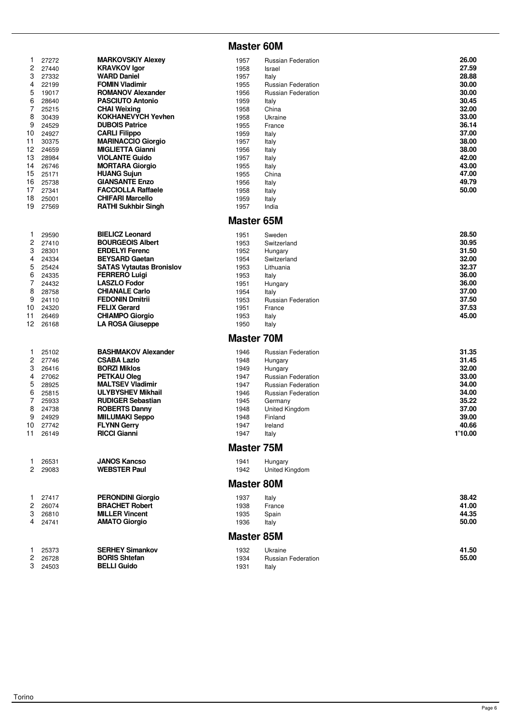#### **Master 60M**

| 1            | 27272          | <b>MARKOVSKIY Alexev</b>                   | 1957              | <b>Russian Federation</b>          | 26.00   |
|--------------|----------------|--------------------------------------------|-------------------|------------------------------------|---------|
| 2            | 27440          | <b>KRAVKOV Igor</b>                        | 1958              | Israel                             | 27.59   |
|              |                |                                            |                   |                                    |         |
| 3            | 27332          | <b>WARD Daniel</b>                         | 1957              | Italy                              | 28.88   |
| 4            | 22199          | <b>FOMIN Vladimir</b>                      | 1955              | <b>Russian Federation</b>          | 30.00   |
| 5            | 19017          | <b>ROMANOV Alexander</b>                   | 1956              | <b>Russian Federation</b>          | 30.00   |
| 6            | 28640          | <b>PASCIUTO Antonio</b>                    | 1959              | Italy                              | 30.45   |
| 7            | 25215          | <b>CHAI Weixing</b>                        | 1958              | China                              | 32.00   |
| 8            | 30439          | <b>KOKHANEVYCH Yevhen</b>                  | 1958              | Ukraine                            | 33.00   |
| 9            | 24529          | <b>DUBOIS Patrice</b>                      | 1955              | France                             | 36.14   |
|              |                |                                            |                   |                                    |         |
| 10           | 24927          | <b>CARLI Filippo</b>                       | 1959              | Italy                              | 37.00   |
| 11           | 30375          | <b>MARINACCIO Giorgio</b>                  | 1957              | Italy                              | 38.00   |
| 12           | 24659          | <b>MIGLIETTA Gianni</b>                    | 1956              | Italy                              | 38.00   |
| 13           | 28984          | <b>VIOLANTE Guido</b>                      | 1957              | Italy                              | 42.00   |
| 14           | 26746          | <b>MORTARA Giorgio</b>                     | 1955              | Italy                              | 43.00   |
| 15           | 25171          | <b>HUANG Sujun</b>                         | 1955              | China                              | 47.00   |
|              |                |                                            |                   |                                    |         |
| 16           | 25738          | <b>GIANSANTE Enzo</b>                      | 1956              | Italy                              | 49.79   |
| 17           | 27341          | <b>FACCIOLLA Raffaele</b>                  | 1958              | Italy                              | 50.00   |
| 18           | 25001          | <b>CHIFARI Marcello</b>                    | 1959              | Italy                              |         |
| 19           | 27569          | <b>RATHI Sukhbir Singh</b>                 | 1957              | India                              |         |
|              |                |                                            |                   |                                    |         |
|              |                |                                            | <b>Master 65M</b> |                                    |         |
|              |                |                                            |                   |                                    |         |
| 1            | 29590          | <b>BIELICZ Leonard</b>                     | 1951              | Sweden                             | 28.50   |
| 2            | 27410          | <b>BOURGEOIS Albert</b>                    | 1953              | Switzerland                        | 30.95   |
| 3            | 28301          | <b>ERDELYI Ferenc</b>                      | 1952              | Hungary                            | 31.50   |
| 4            | 24334          | <b>BEYSARD Gaetan</b>                      | 1954              | Switzerland                        | 32.00   |
|              |                |                                            |                   |                                    |         |
| 5            | 25424          | <b>SATAS Vytautas Bronislov</b>            | 1953              | Lithuania                          | 32.37   |
| 6            | 24335          | <b>FERRERO Luigi</b>                       | 1953              | Italy                              | 36.00   |
| 7            | 24432          | <b>LASZLO Fodor</b>                        | 1951              | Hungary                            | 36.00   |
| 8            | 28758          | <b>CHIANALE Carlo</b>                      | 1954              | Italy                              | 37.00   |
| 9            | 24110          | <b>FEDONIN Dmitrii</b>                     | 1953              | <b>Russian Federation</b>          | 37.50   |
| 10           | 24320          | <b>FELIX Gerard</b>                        | 1951              | France                             | 37.53   |
|              |                |                                            |                   |                                    |         |
| 11           | 26469          | <b>CHIAMPO Giorgio</b>                     | 1953              | Italy                              | 45.00   |
| 12           | 26168          | <b>LA ROSA Giuseppe</b>                    | 1950              | Italy                              |         |
|              |                |                                            | <b>Master 70M</b> |                                    |         |
|              |                |                                            |                   |                                    |         |
| 1            | 25102          | <b>BASHMAKOV Alexander</b>                 | 1946              | <b>Russian Federation</b>          | 31.35   |
| 2            | 27746          | <b>CSABA Lazio</b>                         | 1948              | Hungary                            | 31.45   |
| 3            | 26416          | <b>BORZI Miklos</b>                        | 1949              | Hungary                            | 32.00   |
| 4            | 27062          | <b>PETKAU Oleg</b>                         | 1947              | <b>Russian Federation</b>          | 33.00   |
| 5            | 28925          | <b>MALTSEV Vladimir</b>                    | 1947              | <b>Russian Federation</b>          | 34.00   |
|              |                |                                            |                   |                                    |         |
| 6            | 25815          | <b>ULYBYSHEV Mikhail</b>                   | 1946              | <b>Russian Federation</b>          | 34.00   |
| 7            | 25933          | <b>RUDIGER Sebastian</b>                   | 1945              | Germany                            | 35.22   |
| 8            | 24738          | <b>ROBERTS Danny</b>                       | 1948              | United Kingdom                     | 37.00   |
| 9            | 24929          | <b>MIILUMAKI Seppo</b>                     | 1948              | Finland                            | 39.00   |
| 10           | 27742          | <b>FLYNN Gerry</b>                         | 1947              | Ireland                            | 40.66   |
| 11           | 26149          | <b>RICCI Gianni</b>                        | 1947              | Italy                              | 1'10.00 |
|              |                |                                            |                   |                                    |         |
|              |                |                                            | <b>Master 75M</b> |                                    |         |
| 1            | 26531          | <b>JANOS Kancso</b>                        | 1941              | Hungary                            |         |
| $\mathbf{2}$ | 29083          | <b>WEBSTER Paul</b>                        | 1942              |                                    |         |
|              |                |                                            |                   | United Kingdom                     |         |
|              |                |                                            | <b>Master 80M</b> |                                    |         |
|              |                |                                            |                   |                                    |         |
| 1.           | 27417          | <b>PERONDINI Giorgio</b>                   | 1937              | Italy                              | 38.42   |
| 2            | 26074          | <b>BRACHET Robert</b>                      | 1938              | France                             | 41.00   |
| 3            | 26810          | <b>MILLER Vincent</b>                      | 1935              | Spain                              | 44.35   |
| 4            | 24741          | <b>AMATO Giorgio</b>                       | 1936              | Italy                              | 50.00   |
|              |                |                                            |                   |                                    |         |
|              |                |                                            | <b>Master 85M</b> |                                    |         |
|              |                |                                            |                   |                                    |         |
| 1            |                | <b>SERHEY Simankov</b>                     | 1932              | Ukraine                            | 41.50   |
|              | 25373          |                                            |                   |                                    |         |
| 2<br>3       | 26728<br>24503 | <b>BORIS Shtefan</b><br><b>BELLI Guido</b> | 1934<br>1931      | <b>Russian Federation</b><br>Italy | 55.00   |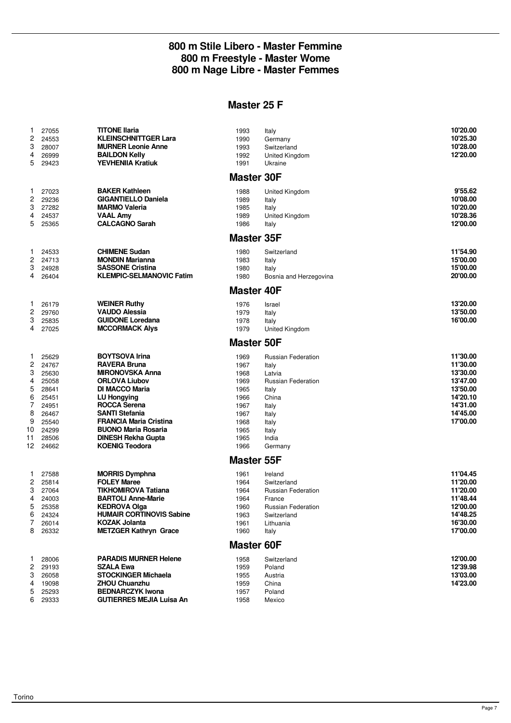#### **800 m Stile Libero - Master Femmine 800 m Freestyle - Master Wome 800 m Nage Libre - Master Femmes**

## **Master 25 F**

| 1<br>2<br>3<br>4<br>5                                                               | 27055<br>24553<br>28007<br>26999<br>29423                                                                | <b>TITONE Ilaria</b><br><b>KLEINSCHNITTGER Lara</b><br><b>MURNER Leonie Anne</b><br><b>BAILDON Kelly</b><br><b>YEVHENIIA Kratiuk</b>                                                                                                                                                                        | 1993<br>1990<br>1993<br>1992<br>1991                                                         | Italy<br>Germany<br>Switzerland<br>United Kingdom<br>Ukraine                                                                                        | 10'20.00<br>10'25.30<br>10'28.00<br>12'20.00                                                             |
|-------------------------------------------------------------------------------------|----------------------------------------------------------------------------------------------------------|-------------------------------------------------------------------------------------------------------------------------------------------------------------------------------------------------------------------------------------------------------------------------------------------------------------|----------------------------------------------------------------------------------------------|-----------------------------------------------------------------------------------------------------------------------------------------------------|----------------------------------------------------------------------------------------------------------|
|                                                                                     |                                                                                                          |                                                                                                                                                                                                                                                                                                             | <b>Master 30F</b>                                                                            |                                                                                                                                                     |                                                                                                          |
| 1<br>2<br>3<br>4<br>5                                                               | 27023<br>29236<br>27282<br>24537<br>25365                                                                | <b>BAKER Kathleen</b><br><b>GIGANTIELLO Daniela</b><br><b>MARMO Valeria</b><br><b>VAAL Amy</b><br><b>CALCAGNO Sarah</b>                                                                                                                                                                                     | 1988<br>1989<br>1985<br>1989<br>1986                                                         | United Kingdom<br>Italy<br>Italy<br><b>United Kingdom</b><br>Italy                                                                                  | 9'55.62<br>10'08.00<br>10'20.00<br>10'28.36<br>12'00.00                                                  |
|                                                                                     |                                                                                                          |                                                                                                                                                                                                                                                                                                             | <b>Master 35F</b>                                                                            |                                                                                                                                                     |                                                                                                          |
| 1<br>2<br>3<br>4                                                                    | 24533<br>24713<br>24928<br>26404                                                                         | <b>CHIMENE Sudan</b><br><b>MONDIN Marianna</b><br><b>SASSONE Cristina</b><br><b>KLEMPIC-SELMANOVIC Fatim</b>                                                                                                                                                                                                | 1980<br>1983<br>1980<br>1980                                                                 | Switzerland<br>Italy<br>Italy<br>Bosnia and Herzegovina                                                                                             | 11'54.90<br>15'00.00<br>15'00.00<br>20'00.00                                                             |
|                                                                                     |                                                                                                          |                                                                                                                                                                                                                                                                                                             | <b>Master 40F</b>                                                                            |                                                                                                                                                     |                                                                                                          |
| 1<br>2<br>3<br>4                                                                    | 26179<br>29760<br>25835<br>27025                                                                         | <b>WEINER Ruthy</b><br><b>VAUDO Alessia</b><br><b>GUIDONE Loredana</b><br><b>MCCORMACK Alys</b>                                                                                                                                                                                                             | 1976<br>1979<br>1978<br>1979                                                                 | Israel<br>Italy<br>Italy<br>United Kingdom                                                                                                          | 13'20.00<br>13'50.00<br>16'00.00                                                                         |
|                                                                                     |                                                                                                          |                                                                                                                                                                                                                                                                                                             | <b>Master 50F</b>                                                                            |                                                                                                                                                     |                                                                                                          |
| $\mathbf{1}$<br>2<br>3<br>4<br>5<br>6<br>$\overline{7}$<br>8<br>9<br>10<br>11<br>12 | 25629<br>24767<br>25630<br>25058<br>28641<br>25451<br>24951<br>26467<br>25540<br>24299<br>28506<br>24662 | <b>BOYTSOVA Irina</b><br><b>RAVERA Bruna</b><br><b>MIRONOVSKA Anna</b><br><b>ORLOVA Liubov</b><br><b>DI MACCO Maria</b><br>LU Hongying<br><b>ROCCA Serena</b><br><b>SANTI Stefania</b><br><b>FRANCIA Maria Cristina</b><br><b>BUONO Maria Rosaria</b><br><b>DINESH Rekha Gupta</b><br><b>KOENIG Teodora</b> | 1969<br>1967<br>1968<br>1969<br>1965<br>1966<br>1967<br>1967<br>1968<br>1965<br>1965<br>1966 | <b>Russian Federation</b><br>Italy<br>Latvia<br><b>Russian Federation</b><br>Italy<br>China<br>Italy<br>Italy<br>Italy<br>Italy<br>India<br>Germany | 11'30.00<br>11'30.00<br>13'30.00<br>13'47.00<br>13'50.00<br>14'20.10<br>14'31.00<br>14'45.00<br>17'00.00 |
|                                                                                     |                                                                                                          |                                                                                                                                                                                                                                                                                                             | <b>Master 55F</b>                                                                            |                                                                                                                                                     |                                                                                                          |
| 1<br>2<br>3<br>4<br>5<br>6<br>7<br>8                                                | 27588<br>25814<br>27064<br>24003<br>25358<br>24324<br>26014<br>26332                                     | <b>MORRIS Dymphna</b><br><b>FOLEY Maree</b><br><b>TIKHOMIROVA Tatiana</b><br><b>BARTOLI Anne-Marie</b><br><b>KEDROVA Olga</b><br><b>HUMAIR CORTINOVIS Sabine</b><br><b>KOZAK Jolanta</b><br><b>METZGER Kathryn Grace</b>                                                                                    | 1961<br>1964<br>1964<br>1964<br>1960<br>1963<br>1961<br>1960                                 | Ireland<br>Switzerland<br><b>Russian Federation</b><br>France<br>Russian Federation<br>Switzerland<br>Lithuania<br>Italy                            | 11'04.45<br>11'20.00<br>11'20.00<br>11'48.44<br>12'00.00<br>14'48.25<br>16'30.00<br>17'00.00             |
|                                                                                     |                                                                                                          |                                                                                                                                                                                                                                                                                                             | <b>Master 60F</b>                                                                            |                                                                                                                                                     |                                                                                                          |
| 1<br>2<br>3<br>4<br>5<br>6                                                          | 28006<br>29193<br>26058<br>19098<br>25293<br>29333                                                       | <b>PARADIS MURNER Helene</b><br><b>SZALA Ewa</b><br><b>STOCKINGER Michaela</b><br><b>ZHOU Chuanzhu</b><br><b>BEDNARCZYK Iwona</b><br><b>GUTIERRES MEJIA Luisa An</b>                                                                                                                                        | 1958<br>1959<br>1955<br>1959<br>1957<br>1958                                                 | Switzerland<br>Poland<br>Austria<br>China<br>Poland<br>Mexico                                                                                       | 12'00.00<br>12'39.98<br>13'03.00<br>14'23.00                                                             |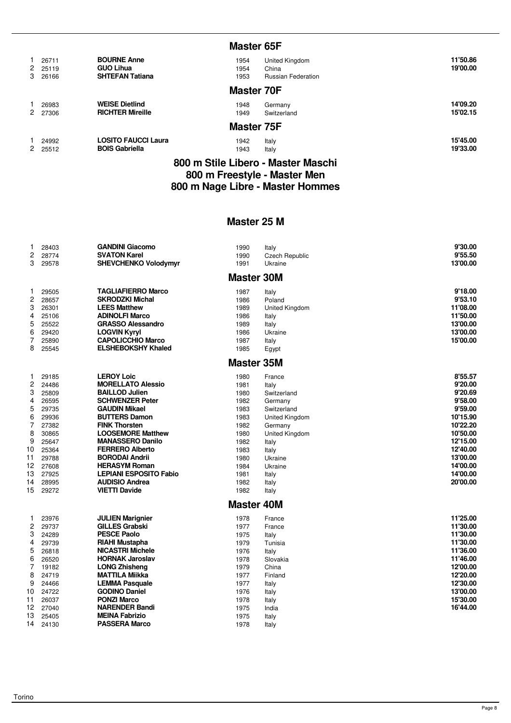|                             |                                                                  | <b>Master 65F</b>    |                                                             |                      |
|-----------------------------|------------------------------------------------------------------|----------------------|-------------------------------------------------------------|----------------------|
| 26711<br>2 25119<br>3 26166 | <b>BOURNE Anne</b><br><b>GUO Lihua</b><br><b>SHTEFAN Tatiana</b> | 1954<br>1954<br>1953 | <b>United Kingdom</b><br>China<br><b>Russian Federation</b> | 11'50.86<br>19'00.00 |
|                             |                                                                  | <b>Master 70F</b>    |                                                             |                      |
| 26983<br>2 27306            | <b>WEISE Dietlind</b><br><b>RICHTER Mireille</b>                 | 1948<br>1949         | Germany<br>Switzerland                                      | 14'09.20<br>15'02.15 |
|                             |                                                                  | <b>Master 75F</b>    |                                                             |                      |
| 24992<br>2 25512            | <b>LOSITO FAUCCI Laura</b><br><b>BOIS Gabriella</b>              | 1942<br>1943         | Italy<br>Italy                                              | 15'45.00<br>19'33.00 |
|                             |                                                                  |                      | 800 m Stile Libero - Master Maschi                          |                      |

#### **800 m Stile Libero - Master Maschi 800 m Freestyle - Master Men 800 m Nage Libre - Master Hommes**

## **Master 25 M**

| 1<br>2          | 28403<br>28774 | <b>GANDINI Giacomo</b><br><b>SVATON Karel</b> | 1990<br>1990      | Italy<br><b>Czech Republic</b> | 9'30.00<br>9'55.50   |
|-----------------|----------------|-----------------------------------------------|-------------------|--------------------------------|----------------------|
| 3               | 29578          | <b>SHEVCHENKO Volodymyr</b>                   | 1991              | Ukraine                        | 13'00.00             |
|                 |                |                                               | <b>Master 30M</b> |                                |                      |
| 1.              | 29505          | <b>TAGLIAFIERRO Marco</b>                     | 1987              | Italy                          | 9'18.00              |
| 2               | 28657          | <b>SKRODZKI Michal</b>                        | 1986              | Poland                         | 9'53.10              |
| 3               | 26301          | <b>LEES Matthew</b>                           | 1989              | United Kingdom                 | 11'08.00             |
| 4               | 25106          | <b>ADINOLFI Marco</b>                         | 1986              | Italy                          | 11'50.00             |
| 5               | 25522          | <b>GRASSO Alessandro</b>                      | 1989              | Italy                          | 13'00.00             |
| 6               | 29420          | <b>LOGVIN Kyryl</b>                           | 1986              | Ukraine                        | 13'00.00             |
| 7               | 25890          | <b>CAPOLICCHIO Marco</b>                      | 1987              | Italy                          | 15'00.00             |
| 8               | 25545          | <b>ELSHEBOKSHY Khaled</b>                     | 1985              | Egypt                          |                      |
|                 |                |                                               | <b>Master 35M</b> |                                |                      |
| 1               | 29185          | <b>LEROY Loic</b>                             | 1980              | France                         | 8'55.57              |
| 2               | 24486          | <b>MORELLATO Alessio</b>                      | 1981              | Italy                          | 9'20.00              |
| 3               | 25809          | <b>BAILLOD Julien</b>                         | 1980              | Switzerland                    | 9'20.69              |
| 4               | 26595          | <b>SCHWENZER Peter</b>                        | 1982              | Germany                        | 9'58.00              |
| 5               | 29735          | <b>GAUDIN Mikael</b>                          | 1983              | Switzerland                    | 9'59.00              |
| 6               | 29936          | <b>BUTTERS Damon</b>                          | 1983              | <b>United Kingdom</b>          | 10'15.90             |
| 7               | 27382          | <b>FINK Thorsten</b>                          | 1982              | Germany                        | 10'22.20             |
| 8               | 30865          | <b>LOOSEMORE Matthew</b>                      | 1980              | <b>United Kingdom</b>          | 10'50.00             |
| 9               | 25647          | <b>MANASSERO Danilo</b>                       | 1982              | Italy                          | 12'15.00             |
| 10              | 25364          | <b>FERRERO Alberto</b>                        | 1983              | Italy                          | 12'40.00             |
| 11              | 29788          | <b>BORODAI Andrii</b>                         | 1980              | Ukraine                        | 13'00.00             |
| 12 <sup>2</sup> | 27608          | <b>HERASYM Roman</b>                          | 1984              | Ukraine                        | 14'00.00             |
| 13              | 27925          | <b>LEPIANI ESPOSITO Fabio</b>                 | 1981              | Italy                          | 14'00.00             |
| 14<br>15        | 28995          | <b>AUDISIO Andrea</b>                         | 1982              | Italy                          | 20'00.00             |
|                 | 29272          | <b>VIETTI Davide</b>                          | 1982              | Italy                          |                      |
|                 |                |                                               | <b>Master 40M</b> |                                |                      |
| 1.              | 23976          | <b>JULIEN Marignier</b>                       | 1978              | France                         | 11'25.00             |
| 2               | 29737          | <b>GILLES Grabski</b>                         | 1977              | France                         | 11'30.00             |
| 3               | 24289          | <b>PESCE Paolo</b>                            | 1975              | Italy                          | 11'30.00             |
| 4               | 29739          | RIAHI Mustapha                                | 1979              | Tunisia                        | 11'30.00             |
| 5               | 26818          | <b>NICASTRI Michele</b>                       | 1976              | Italy                          | 11'36.00             |
| 6               | 26520          | <b>HORNAK Jaroslav</b>                        | 1978              | Slovakia                       | 11'46.00             |
| 7               | 19182          | <b>LONG Zhisheng</b>                          | 1979              | China                          | 12'00.00             |
| 8               | 24719          | <b>MATTILA Miikka</b>                         | 1977              | Finland                        | 12'20.00             |
| 9               | 24466          | <b>LEMMA Pasquale</b>                         | 1977              | Italy                          | 12'30.00<br>13'00.00 |
| 10<br>11        | 24722          | <b>GODINO Daniel</b><br><b>PONZI Marco</b>    | 1976              | Italy                          | 15'30.00             |
| 12              | 26037<br>27040 | <b>NARENDER Bandi</b>                         | 1978<br>1975      | Italy                          | 16'44.00             |
| 13              | 25405          | <b>MEINA Fabrizio</b>                         | 1975              | India                          |                      |
| 14              | 24130          | <b>PASSERA Marco</b>                          | 1978              | Italy                          |                      |
|                 |                |                                               |                   | Italy                          |                      |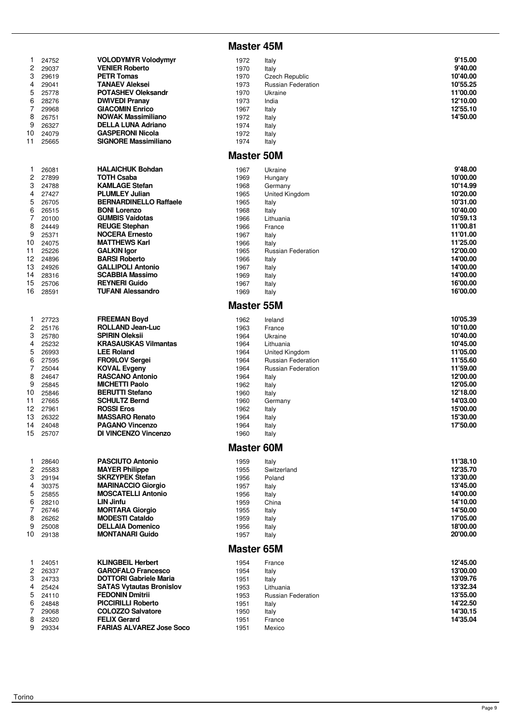#### **Master 45M**

| $\mathbf{1}$ | 24752 | <b>VOLODYMYR Volodymyr</b>      | 1972              |                           | 9'15.00  |
|--------------|-------|---------------------------------|-------------------|---------------------------|----------|
|              |       |                                 |                   | Italy                     |          |
| 2            | 29037 | <b>VENIER Roberto</b>           | 1970              | Italy                     | 9'40.00  |
| 3            | 29619 | <b>PETR Tomas</b>               | 1970              | <b>Czech Republic</b>     | 10'40.00 |
| 4            | 29041 | <b>TANAEV Aleksei</b>           | 1973              | Russian Federation        | 10'55.25 |
| 5            | 25778 | <b>POTASHEV Oleksandr</b>       | 1970              | Ukraine                   | 11'00.00 |
| 6            | 28276 | <b>DWIVEDI Pranay</b>           | 1973              | India                     | 12'10.00 |
| 7            | 29968 | <b>GIACOMIN Enrico</b>          | 1967              | Italy                     | 12'55.10 |
| 8            | 26751 | <b>NOWAK Massimiliano</b>       | 1972              |                           | 14'50.00 |
|              |       |                                 |                   | Italy                     |          |
| 9            | 26327 | <b>DELLA LUNA Adriano</b>       | 1974              | Italy                     |          |
| 10           | 24079 | <b>GASPERONI Nicola</b>         | 1972              | Italy                     |          |
| 11           | 25665 | <b>SIGNORE Massimiliano</b>     | 1974              | Italy                     |          |
|              |       |                                 |                   |                           |          |
|              |       |                                 | <b>Master 50M</b> |                           |          |
| $\mathbf{1}$ | 26081 | <b>HALAICHUK Bohdan</b>         | 1967              | Ukraine                   | 9'48.00  |
| 2            | 27899 | <b>TOTH Csaba</b>               | 1969              | Hungary                   | 10'00.00 |
| 3            | 24788 | <b>KAMLAGE Stefan</b>           | 1968              |                           | 10'14.99 |
|              |       |                                 |                   | Germany                   |          |
| 4            | 27427 | <b>PLUMLEY Julian</b>           | 1965              | United Kingdom            | 10'20.00 |
| 5            | 26705 | <b>BERNARDINELLO Raffaele</b>   | 1965              | Italy                     | 10'31.00 |
| 6            | 26515 | <b>BONI Lorenzo</b>             | 1968              | Italy                     | 10'40.00 |
| 7            | 20100 | <b>GUMBIS Vaidotas</b>          | 1966              | Lithuania                 | 10'59.13 |
| 8            | 24449 | <b>REUGE Stephan</b>            | 1966              | France                    | 11'00.81 |
| 9            |       | <b>NOCERA Ernesto</b>           |                   |                           | 11'01.00 |
|              | 25371 |                                 | 1967              | Italy                     |          |
| 10           | 24075 | <b>MATTHEWS Karl</b>            | 1966              | Italy                     | 11'25.00 |
| 11           | 25226 | <b>GALKIN Igor</b>              | 1965              | <b>Russian Federation</b> | 12'00.00 |
| 12           | 24896 | <b>BARSI Roberto</b>            | 1966              | Italy                     | 14'00.00 |
| 13           | 24926 | <b>GALLIPOLI Antonio</b>        | 1967              | Italy                     | 14'00.00 |
| 14           | 28316 | <b>SCABBIA Massimo</b>          |                   |                           | 14'00.00 |
|              |       |                                 | 1969              | Italy                     |          |
| 15           | 25706 | <b>REYNERI Guido</b>            | 1967              | Italy                     | 16'00.00 |
| 16           | 28591 | <b>TUFANI Alessandro</b>        | 1969              | Italy                     | 16'00.00 |
|              |       |                                 | <b>Master 55M</b> |                           |          |
|              |       |                                 |                   |                           |          |
| 1            | 27723 | <b>FREEMAN Boyd</b>             | 1962              | Ireland                   | 10'05.39 |
| 2            | 25176 | <b>ROLLAND Jean-Luc</b>         | 1963              | France                    | 10'10.00 |
| 3            | 25780 | <b>SPIRIN Oleksii</b>           | 1964              | Ukraine                   | 10'40.00 |
| 4            | 25232 | <b>KRASAUSKAS Vilmantas</b>     | 1964              | Lithuania                 | 10'45.00 |
| 5            | 26993 | <b>LEE Roland</b>               | 1964              | United Kingdom            | 11'05.00 |
|              |       |                                 |                   |                           | 11'55.60 |
| 6            | 27595 | <b>FRO9LOV Sergei</b>           | 1964              | Russian Federation        |          |
| 7            | 25044 | <b>KOVAL Evgeny</b>             | 1964              | <b>Russian Federation</b> | 11'59.00 |
| 8            | 24647 | <b>RASCANO Antonio</b>          | 1964              | Italy                     | 12'00.00 |
| 9            | 25845 | <b>MICHETTI Paolo</b>           | 1962              | Italy                     | 12'05.00 |
| 10           | 25846 | <b>BERUTTI Stefano</b>          | 1960              | Italy                     | 12'18.00 |
| 11           | 27665 | <b>SCHULTZ Bernd</b>            | 1960              |                           | 14'03.00 |
|              |       |                                 |                   | Germany                   |          |
| 12           | 27961 | <b>ROSSI Eros</b>               | 1962              | Italy                     | 15'00.00 |
| 13           | 26322 | <b>MASSARO Renato</b>           | 1964              | Italy                     | 15'30.00 |
| 14           | 24048 | <b>PAGANO Vincenzo</b>          | 1964              | Italy                     | 17'50.00 |
| 15           | 25707 | DI VINCENZO Vincenzo            | 1960              | Italy                     |          |
|              |       |                                 |                   |                           |          |
|              |       |                                 | <b>Master 60M</b> |                           |          |
| 1            | 28640 | <b>PASCIUTO Antonio</b>         | 1959              | Italy                     | 11'38.10 |
| 2            | 25583 | <b>MAYER Philippe</b>           | 1955              | Switzerland               | 12'35.70 |
|              |       |                                 |                   |                           |          |
| 3            | 29194 | <b>SKRZYPEK Stefan</b>          | 1956              | Poland                    | 13'30.00 |
| 4            | 30375 | <b>MARINACCIO Giorgio</b>       | 1957              | Italy                     | 13'45.00 |
| 5            | 25855 | <b>MOSCATELLI Antonio</b>       | 1956              | Italy                     | 14'00.00 |
| 6            | 28210 | <b>LIN Jinfu</b>                | 1959              | China                     | 14'10.00 |
| 7            | 26746 | <b>MORTARA Giorgio</b>          | 1955              | Italy                     | 14'50.00 |
| 8            | 26262 | <b>MODESTI Cataldo</b>          | 1959              | Italy                     | 17'05.00 |
|              |       |                                 |                   |                           |          |
| 9            | 25008 | <b>DELLAIA Domenico</b>         | 1956              | Italy                     | 18'00.00 |
| 10           | 29138 | <b>MONTANARI Guido</b>          | 1957              | Italy                     | 20'00.00 |
|              |       |                                 | <b>Master 65M</b> |                           |          |
| 1            |       | <b>KLINGBEIL Herbert</b>        | 1954              |                           | 12'45.00 |
|              | 24051 |                                 |                   | France                    |          |
| 2            | 26337 | <b>GAROFALO Francesco</b>       | 1954              | Italy                     | 13'00.00 |
| 3            | 24733 | <b>DOTTORI Gabriele Maria</b>   | 1951              | Italy                     | 13'09.76 |
| 4            | 25424 | <b>SATAS Vytautas Bronislov</b> | 1953              | Lithuania                 | 13'32.34 |
| 5            | 24110 | <b>FEDONIN Dmitrii</b>          | 1953              | <b>Russian Federation</b> | 13'55.00 |
| 6            | 24848 | <b>PICCIRILLI Roberto</b>       | 1951              | Italy                     | 14'22.50 |
|              |       |                                 |                   |                           |          |
| 7            | 29068 | <b>COLOZZO Salvatore</b>        | 1950              | Italy                     | 14'30.15 |
| 8            | 24320 | <b>FELIX Gerard</b>             | 1951              | France                    | 14'35.04 |
| 9            | 29334 | <b>FARIAS ALVAREZ Jose Soco</b> | 1951              | Mexico                    |          |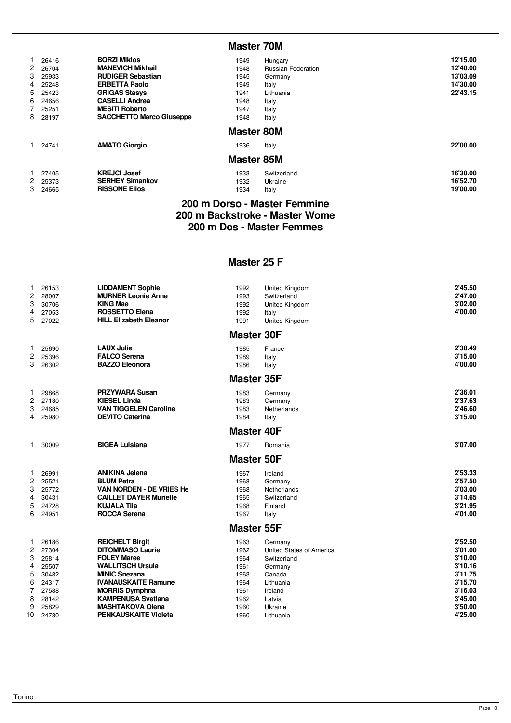#### **Master 70M**

| 4<br>6 | 26416<br>2 26704<br>3 25933<br>25248<br>5 25423<br>24656<br>25251<br>8 28197 | <b>BORZI Miklos</b><br><b>MANEVICH Mikhail</b><br><b>RUDIGER Sebastian</b><br><b>ERBETTA Paolo</b><br><b>GRIGAS Stasys</b><br><b>CASELLI Andrea</b><br><b>MESITI Roberto</b><br><b>SACCHETTO Marco Giuseppe</b> | 1949<br>1948<br>1945<br>1949<br>1941<br>1948<br>1947<br>1948 | Hungary<br><b>Russian Federation</b><br>Germany<br>Italy<br>Lithuania<br>Italy<br>Italy<br>Italy | 12'15.00<br>12'40.00<br>13'03.09<br>14'30.00<br>22'43.15 |
|--------|------------------------------------------------------------------------------|-----------------------------------------------------------------------------------------------------------------------------------------------------------------------------------------------------------------|--------------------------------------------------------------|--------------------------------------------------------------------------------------------------|----------------------------------------------------------|
|        | 1 24741                                                                      | <b>AMATO Giorgio</b>                                                                                                                                                                                            | <b>Master 80M</b><br>1936<br><b>Master 85M</b>               | Italy                                                                                            | 22'00.00                                                 |
|        | 27405<br>2 25373<br>3 24665                                                  | <b>KREJCI Josef</b><br><b>SERHEY Simankov</b><br><b>RISSONE Elios</b>                                                                                                                                           | 1933<br>1932<br>1934                                         | Switzerland<br>Ukraine<br>Italy                                                                  | 16'30.00<br>16'52.70<br>19'00.00                         |

#### **200 m Dorso - Master Femmine 200 m Backstroke - Master Wome 200 m Dos - Master Femmes**

#### **Master 25 F**

| 1<br>$\overline{2}$<br>3<br>4<br>5                                        | 26153<br>28007<br>30706<br>27053<br>27022                                              | <b>LIDDAMENT Sophie</b><br><b>MURNER Leonie Anne</b><br><b>KING Mae</b><br><b>ROSSETTO Elena</b><br><b>HILL Elizabeth Eleanor</b>                                                                                                                                        | 1992<br>1993<br>1992<br>1992<br>1991                                         | United Kingdom<br>Switzerland<br><b>United Kingdom</b><br>Italy<br>United Kingdom                                                 | 2'45.50<br>2'47.00<br>3'02.00<br>4'00.00                                                                   |
|---------------------------------------------------------------------------|----------------------------------------------------------------------------------------|--------------------------------------------------------------------------------------------------------------------------------------------------------------------------------------------------------------------------------------------------------------------------|------------------------------------------------------------------------------|-----------------------------------------------------------------------------------------------------------------------------------|------------------------------------------------------------------------------------------------------------|
|                                                                           |                                                                                        |                                                                                                                                                                                                                                                                          | <b>Master 30F</b>                                                            |                                                                                                                                   |                                                                                                            |
| 1<br>$\mathbf{2}$<br>3                                                    | 25690<br>25396<br>26302                                                                | <b>LAUX Julie</b><br><b>FALCO Serena</b><br><b>BAZZO Eleonora</b>                                                                                                                                                                                                        | 1985<br>1989<br>1986                                                         | France<br>Italy<br>Italy                                                                                                          | 2'30.49<br>3'15.00<br>4'00.00                                                                              |
|                                                                           |                                                                                        |                                                                                                                                                                                                                                                                          | <b>Master 35F</b>                                                            |                                                                                                                                   |                                                                                                            |
| 1<br>$\overline{c}$<br>3<br>4                                             | 29868<br>27180<br>24685<br>25980                                                       | <b>PRZYWARA Susan</b><br><b>KIESEL Linda</b><br><b>VAN TIGGELEN Caroline</b><br><b>DEVITO Caterina</b>                                                                                                                                                                   | 1983<br>1983<br>1983<br>1984                                                 | Germany<br>Germany<br>Netherlands<br>Italy                                                                                        | 2'36.01<br>2'37.63<br>2'46.60<br>3'15.00                                                                   |
|                                                                           |                                                                                        |                                                                                                                                                                                                                                                                          | <b>Master 40F</b>                                                            |                                                                                                                                   |                                                                                                            |
| 1                                                                         | 30009                                                                                  | <b>BIGEA Luisiana</b>                                                                                                                                                                                                                                                    | 1977                                                                         | Romania                                                                                                                           | 3'07.00                                                                                                    |
|                                                                           |                                                                                        |                                                                                                                                                                                                                                                                          | <b>Master 50F</b>                                                            |                                                                                                                                   |                                                                                                            |
| 1<br>2<br>3<br>4<br>5<br>6                                                | 26991<br>25521<br>25772<br>30431<br>24728<br>24951                                     | <b>ANIKINA Jelena</b><br><b>BLUM Petra</b><br>VAN NORDEN - DE VRIES He<br><b>CAILLET DAYER Murielle</b><br><b>KUJALA Tija</b><br><b>ROCCA Serena</b>                                                                                                                     | 1967<br>1968<br>1968<br>1965<br>1968<br>1967                                 | Ireland<br>Germany<br>Netherlands<br>Switzerland<br>Finland<br>Italy                                                              | 2'53.33<br>2'57.50<br>3'03.00<br>3'14.65<br>3'21.95<br>4'01.00                                             |
|                                                                           |                                                                                        |                                                                                                                                                                                                                                                                          | <b>Master 55F</b>                                                            |                                                                                                                                   |                                                                                                            |
| 1<br>$\overline{c}$<br>3<br>4<br>5<br>6<br>$\overline{7}$<br>8<br>9<br>10 | 26186<br>27304<br>25814<br>25507<br>30482<br>24317<br>27588<br>28142<br>25829<br>24780 | <b>REICHELT Birgit</b><br><b>DITOMMASO Laurie</b><br><b>FOLEY Maree</b><br><b>WALLITSCH Ursula</b><br><b>MINIC Snezana</b><br><b>IVANAUSKAITE Ramune</b><br><b>MORRIS Dymphna</b><br><b>KAMPENUSA Svetlana</b><br><b>MASHTAKOVA Olena</b><br><b>PENKAUSKAITE Violeta</b> | 1963<br>1962<br>1964<br>1961<br>1963<br>1964<br>1961<br>1962<br>1960<br>1960 | Germany<br>United States of America<br>Switzerland<br>Germany<br>Canada<br>Lithuania<br>Ireland<br>Latvia<br>Ukraine<br>Lithuania | 2'52.50<br>3'01.00<br>3'10.00<br>3'10.16<br>3'11.75<br>3'15.70<br>3'16.03<br>3'45.00<br>3'50.00<br>4'25.00 |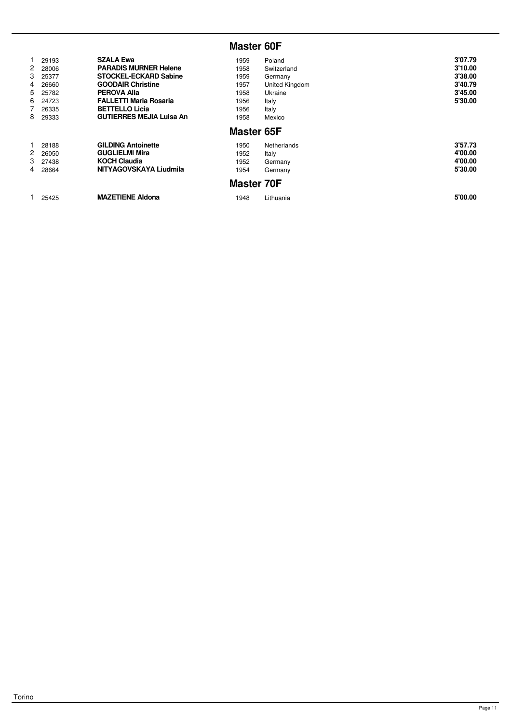# **Master 60F**

| $\mathbf{2}$<br>3<br>4<br>5<br>6<br>8 | 29193<br>28006<br>25377<br>26660<br>25782<br>24723<br>26335<br>29333 | <b>SZALA Ewa</b><br><b>PARADIS MURNER Helene</b><br><b>STOCKEL-ECKARD Sabine</b><br><b>GOODAIR Christine</b><br><b>PEROVA Alla</b><br><b>FALLETTI Maria Rosaria</b><br><b>BETTELLO Licia</b><br><b>GUTIERRES MEJIA Luisa An</b> | 1959<br>1958<br>1959<br>1957<br>1958<br>1956<br>1956<br>1958<br><b>Master 65F</b> | Poland<br>Switzerland<br>Germany<br>United Kingdom<br>Ukraine<br>Italy<br>Italy<br>Mexico | 3'07.79<br>3'10.00<br>3'38.00<br>3'40.79<br>3'45.00<br>5'30.00 |
|---------------------------------------|----------------------------------------------------------------------|---------------------------------------------------------------------------------------------------------------------------------------------------------------------------------------------------------------------------------|-----------------------------------------------------------------------------------|-------------------------------------------------------------------------------------------|----------------------------------------------------------------|
| $\mathbf{2}$<br>4                     | 28188<br>26050<br>3 27438<br>28664                                   | <b>GILDING Antoinette</b><br><b>GUGLIELMI Mira</b><br><b>KOCH Claudia</b><br>NITYAGOVSKAYA Liudmila                                                                                                                             | 1950<br>1952<br>1952<br>1954<br><b>Master 70F</b>                                 | <b>Netherlands</b><br>Italy<br>Germany<br>Germany                                         | 3'57.73<br>4'00.00<br>4'00.00<br>5'30.00                       |
|                                       | 25425                                                                | <b>MAZETIENE Aldona</b>                                                                                                                                                                                                         | 1948                                                                              | Lithuania                                                                                 | 5'00.00                                                        |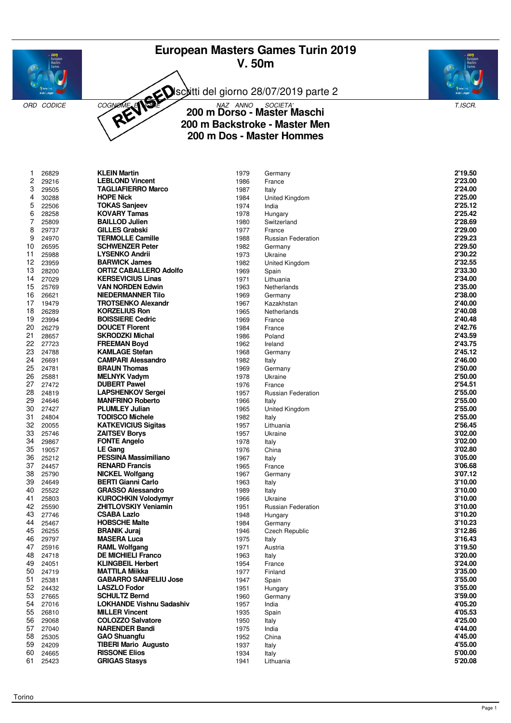# **European Masters Games Turin 2019 V. 50m**



Isciitti del giorno 28/07/2019 parte 2





# ORD CODICE COGNOME **ANDE** 200 m NAZ ANNO SOCIETA' **NASCIE E ANDE ANDE COLORE ANDE COGNOME AND E DE CONVENTION DOTSO - MASTER MASCHI 200 m Backstroke - Master Men 200 m Dos - Master Hommes**

| 1  | 26829 | <b>KLEIN Martin</b>             | 1979 | Germany                   | 2'19.50 |
|----|-------|---------------------------------|------|---------------------------|---------|
| 2  | 29216 | <b>LEBLOND Vincent</b>          | 1986 | France                    | 2'23.00 |
| 3  | 29505 | <b>TAGLIAFIERRO Marco</b>       | 1987 | Italy                     | 2'24.00 |
| 4  | 30288 | <b>HOPE Nick</b>                | 1984 | United Kingdom            | 2'25.00 |
| 5  | 22506 | <b>TOKAS Sanjeev</b>            | 1974 | India                     | 2'25.12 |
| 6  | 28258 | <b>KOVARY Tamas</b>             | 1978 | Hungary                   | 2'25.42 |
| 7  | 25809 | <b>BAILLOD Julien</b>           | 1980 | Switzerland               | 2'28.69 |
| 8  | 29737 | <b>GILLES Grabski</b>           | 1977 | France                    | 2'29.00 |
| 9  | 24970 | <b>TERMOLLE Camille</b>         | 1988 | <b>Russian Federation</b> | 2'29.23 |
| 10 | 26595 | <b>SCHWENZER Peter</b>          | 1982 | Germany                   | 2'29.50 |
| 11 | 25988 | <b>LYSENKO Andrii</b>           | 1973 | Ukraine                   | 2'30.22 |
| 12 | 23959 | <b>BARWICK James</b>            | 1982 | United Kingdom            | 2'32.55 |
| 13 | 28200 | <b>ORTIZ CABALLERO Adolfo</b>   | 1969 | Spain                     | 2'33.30 |
| 14 | 27029 | <b>KERSEVICIUS Linas</b>        | 1971 | Lithuania                 | 2'34.00 |
| 15 | 25769 | <b>VAN NORDEN Edwin</b>         | 1963 | Netherlands               | 2'35.00 |
| 16 | 26621 | <b>NIEDERMANNER Tilo</b>        | 1969 | Germany                   | 2'38.00 |
| 17 | 19479 | <b>TROTSENKO Alexandr</b>       | 1967 | Kazakhstan                | 2'40.00 |
| 18 | 26289 | <b>KORZELIUS Ron</b>            | 1965 | Netherlands               | 2'40.08 |
| 19 | 23994 | <b>BOISSIERE Cedric</b>         | 1969 | France                    | 2'40.48 |
| 20 | 26279 | <b>DOUCET Florent</b>           | 1984 | France                    | 2'42.76 |
| 21 | 28657 | <b>SKRODZKI Michal</b>          | 1986 | Poland                    | 2'43.59 |
| 22 | 27723 | <b>FREEMAN Boyd</b>             | 1962 | Ireland                   | 2'43.75 |
| 23 | 24788 | <b>KAMLAGE Stefan</b>           | 1968 | Germany                   | 2'45.12 |
| 24 | 26691 | <b>CAMPARI Alessandro</b>       | 1982 | Italy                     | 2'46.00 |
| 25 | 24781 | <b>BRAUN Thomas</b>             | 1969 | Germany                   | 2'50.00 |
| 26 | 25881 | <b>MELNYK Vadym</b>             | 1978 | Ukraine                   | 2'50.00 |
| 27 | 27472 | <b>DUBERT Pawel</b>             | 1976 | France                    | 2'54.51 |
| 28 | 24819 | <b>LAPSHENKOV Sergei</b>        | 1957 | <b>Russian Federation</b> | 2'55.00 |
| 29 | 24646 | <b>MANFRINO Roberto</b>         | 1966 | Italy                     | 2'55.00 |
| 30 | 27427 | <b>PLUMLEY Julian</b>           | 1965 | United Kingdom            | 2'55.00 |
| 31 | 24804 | <b>TODISCO Michele</b>          | 1982 | Italy                     | 2'55.00 |
| 32 | 20055 | <b>KATKEVICIUS Sigitas</b>      | 1957 | Lithuania                 | 2'56.45 |
| 33 | 25746 | <b>ZAITSEV Borys</b>            | 1957 | Ukraine                   | 3'02.00 |
| 34 | 29867 | <b>FONTE Angelo</b>             | 1978 | Italy                     | 3'02.00 |
| 35 | 19057 | <b>LE Gang</b>                  | 1976 | China                     | 3'02.80 |
| 36 | 25212 | <b>PESSINA Massimiliano</b>     | 1967 | Italy                     | 3'05.00 |
| 37 | 24457 | <b>RENARD Francis</b>           | 1965 | France                    | 3'06.68 |
| 38 | 25790 | <b>NICKEL Wolfgang</b>          | 1967 | Germany                   | 3'07.12 |
| 39 | 24649 | <b>BERTI Gianni Carlo</b>       | 1963 | Italy                     | 3'10.00 |
| 40 | 25522 | <b>GRASSO Alessandro</b>        | 1989 | Italy                     | 3'10.00 |
| 41 | 25803 | <b>KUROCHKIN Volodymyr</b>      | 1966 | Ukraine                   | 3'10.00 |
| 42 | 25590 | <b>ZHITLOVSKIY Veniamin</b>     | 1951 | Russian Federation        | 3'10.00 |
| 43 | 27746 | <b>CSABA Lazlo</b>              | 1948 | Hungary                   | 3'10.20 |
| 44 | 25467 | <b>HOBSCHE Malte</b>            | 1984 | Germany                   | 3'10.23 |
| 45 | 26255 | <b>BRANIK Juraj</b>             | 1946 | <b>Czech Republic</b>     | 3'12.86 |
| 46 | 29797 | <b>MASERA Luca</b>              | 1975 | Italy                     | 3'16.43 |
| 47 | 25916 | <b>RAML Wolfgang</b>            | 1971 | Austria                   | 3'19.50 |
| 48 | 24718 | <b>DE MICHIELI Franco</b>       | 1963 | Italy                     | 3'20.00 |
| 49 | 24051 | <b>KLINGBEIL Herbert</b>        | 1954 | France                    | 3'24.00 |
| 50 | 24719 | <b>MATTILA Miikka</b>           | 1977 | Finland                   | 3'35.00 |
| 51 | 25381 | <b>GABARRO SANFELIU Jose</b>    | 1947 | Spain                     | 3'55.00 |
| 52 | 24432 | <b>LASZLO Fodor</b>             | 1951 | Hungary                   | 3'55.00 |
| 53 | 27665 | <b>SCHULTZ Bernd</b>            | 1960 | Germany                   | 3'59.00 |
| 54 | 27016 | <b>LOKHANDE Vishnu Sadashiv</b> | 1957 | India                     | 4'05.20 |
| 55 | 26810 | <b>MILLER Vincent</b>           | 1935 | Spain                     | 4'05.53 |
| 56 | 29068 | <b>COLOZZO Salvatore</b>        | 1950 | Italy                     | 4'25.00 |
| 57 | 27040 | <b>NARENDER Bandi</b>           | 1975 | India                     | 4'44.00 |
| 58 | 25305 | <b>GAO Shuangfu</b>             | 1952 | China                     | 4'45.00 |
| 59 | 24209 | <b>TIBERI Mario Augusto</b>     | 1937 | Italy                     | 4'55.00 |
| 60 | 24665 | <b>RISSONE Elios</b>            | 1934 | Italy                     | 5'00.00 |
| 61 | 25423 | <b>GRIGAS Stasys</b>            | 1941 | Lithuania                 | 5'20.08 |
|    |       |                                 |      |                           |         |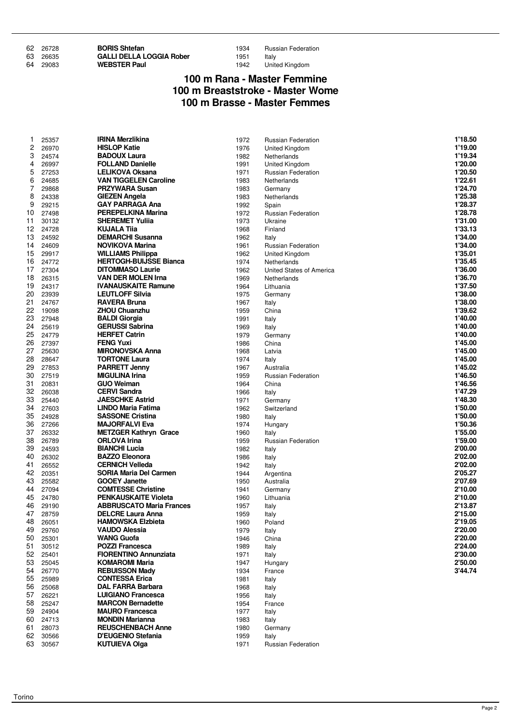| 62 26728 | <b>BORIS Shtefan</b>            | 1934 | <b>Russian Federation</b> |
|----------|---------------------------------|------|---------------------------|
| 63 26635 | <b>GALLI DELLA LOGGIA Rober</b> | 1951 | Italy                     |
| 64 29083 | <b>WEBSTER Paul</b>             | 1942 | United Kingdom            |

#### 1942 United Kingdom

#### **100 m Rana - Master Femmine 100 m Breaststroke - Master Wome 100 m Brasse - Master Femmes**

| 1        | 25357          | <b>IRINA Merzlikina</b>                             | 1972         | Russian Federation        | 1'18.50            |
|----------|----------------|-----------------------------------------------------|--------------|---------------------------|--------------------|
| 2        | 26970          | <b>HISLOP Katie</b>                                 | 1976         | United Kingdom            | 1'19.00            |
| 3        | 24574          | <b>BADOUX Laura</b>                                 | 1982         | Netherlands               | 1'19.34            |
| 4        | 26997          | <b>FOLLAND Danielle</b>                             | 1991         | United Kingdom            | 1'20.00            |
| 5        | 27253          | LELIKOVA Oksana                                     | 1971         | Russian Federation        | 1'20.50            |
| 6        | 24685          | <b>VAN TIGGELEN Caroline</b>                        | 1983         | Netherlands               | 1'22.61            |
| 7        | 29868          | <b>PRZYWARA Susan</b>                               | 1983         | Germany                   | 1'24.70            |
| 8        | 24338          | <b>GIEZEN Angela</b>                                | 1983         | Netherlands               | 1'25.38            |
| 9        | 29215          | <b>GAY PARRAGA Ana</b>                              | 1992         | Spain                     | 1'28.37            |
| 10       | 27498          | <b>PEREPELKINA Marina</b>                           | 1972         | Russian Federation        | 1'28.78            |
| 11       | 30132          | <b>SHEREMET Yuliia</b>                              | 1973         | Ukraine                   | 1'31.00            |
| 12       | 24728          | KUJALA Tiia                                         | 1968         | Finland                   | 1'33.13            |
| 13       | 24592          | <b>DEMARCHI Susanna</b>                             | 1962         | Italy                     | 1'34.00            |
| 14       | 24609          | <b>NOVIKOVA Marina</b>                              | 1961         | Russian Federation        | 1'34.00            |
| 15       | 29917          | <b>WILLIAMS Philippa</b>                            | 1962         | United Kingdom            | 1'35.01            |
| 16       | 24772          | <b>HERTOGH-BUIJSSE Bianca</b>                       | 1974         | Netherlands               | 1'35.45            |
| 17       | 27304          | <b>DITOMMASO Laurie</b>                             | 1962         | United States of America  | 1'36.00            |
| 18       | 26315          | <b>VAN DER MOLEN Irna</b>                           | 1969         | Netherlands               | 1'36.70            |
| 19       | 24317          | <b>IVANAUSKAITE Ramune</b>                          | 1964         | Lithuania                 | 1'37.50            |
| 20       | 23939          | <b>LEUTLOFF Silvia</b>                              | 1975         | Germany                   | 1'38.00            |
| 21       | 24767          | <b>RAVERA Bruna</b>                                 | 1967         | Italy                     | 1'38.00            |
| 22       | 19098          | <b>ZHOU Chuanzhu</b>                                | 1959         | China                     | 1'39.62            |
| 23       | 27948          | <b>BALDI Giorgia</b>                                | 1991         | Italy                     | 1'40.00            |
| 24       | 25619          | <b>GERUSSI Sabrina</b>                              | 1969         | Italy                     | 1'40.00            |
| 25       | 24779          | <b>HERFET Catrin</b>                                | 1979         | Germany                   | 1'40.00            |
| 26       | 27397          | <b>FENG Yuxi</b>                                    | 1986         | China                     | 1'45.00            |
| 27       | 25630          | <b>MIRONOVSKA Anna</b>                              | 1968         | Latvia                    | 1'45.00            |
| 28       | 28647          | <b>TORTONE Laura</b>                                | 1974         | Italy                     | 1'45.00            |
| 29       | 27853          | <b>PARRETT Jenny</b>                                | 1967         | Australia                 | 1'45.02            |
| 30       | 27519          | <b>MIGULINA Irina</b>                               | 1959         | <b>Russian Federation</b> | 1'46.50            |
| 31       | 20831          | <b>GUO Weiman</b>                                   | 1964         | China                     | 1'46.56            |
| 32       | 26038          | <b>CERVI Sandra</b>                                 | 1966         | Italy                     | 1'47.29            |
| 33       | 25440          | <b>JAESCHKE Astrid</b>                              | 1971         | Germany                   | 1'48.30            |
| 34       | 27603          | <b>LINDO Maria Fatima</b>                           | 1962         | Switzerland               | 1'50.00            |
| 35<br>36 | 24928          | <b>SASSONE Cristina</b>                             | 1980         | Italy                     | 1'50.00            |
| 37       | 27266<br>26332 | <b>MAJORFALVI Eva</b>                               | 1974<br>1960 | Hungary                   | 1'50.36<br>1'55.00 |
| 38       | 26789          | <b>METZGER Kathryn Grace</b><br><b>ORLOVA Irina</b> |              | Italy                     | 1'59.00            |
| 39       | 24593          | <b>BIANCHI Lucia</b>                                | 1959<br>1982 | Russian Federation        | 2'00.00            |
| 40       | 26302          | <b>BAZZO Eleonora</b>                               | 1986         | Italy                     | 2'02.00            |
| 41       | 26552          | <b>CERNICH Velleda</b>                              | 1942         | Italy                     | 2'02.00            |
| 42       | 20351          | SORIA Maria Del Carmen                              | 1944         | Italy<br>Argentina        | 2'05.27            |
| 43       | 25582          | <b>GOOEY Janette</b>                                | 1950         | Australia                 | 2'07.69            |
| 44       | 27094          | <b>COMTESSE Christine</b>                           | 1941         | Germany                   | 2'10.00            |
| 45       | 24780          | <b>PENKAUSKAITE Violeta</b>                         | 1960         | Lithuania                 | 2'10.00            |
| 46       | 29190          | <b>ABBRUSCATO Maria Frances</b>                     | 1957         | Italy                     | 2'13.87            |
| 47       | 28759          | <b>DELCRE Laura Anna</b>                            | 1959         | Italy                     | 2'15.00            |
| 48       | 26051          | <b>HAMOWSKA Elzbieta</b>                            | 1960         | Poland                    | 2'19.05            |
| 49       | 29760          | <b>VAUDO Alessia</b>                                | 1979         | Italy                     | 2'20.00            |
| 50       | 25301          | <b>WANG Guofa</b>                                   | 1946         | China                     | 2'20.00            |
| 51       | 30512          | <b>POZZI Francesca</b>                              | 1989         | Italy                     | 2'24.00            |
| 52       | 25401          | <b>FIORENTINO Annunziata</b>                        | 1971         | Italy                     | 2'30.00            |
| 53       | 25045          | <b>KOMAROMI Maria</b>                               | 1947         | Hungary                   | 2'50.00            |
| 54       | 26770          | <b>REBUISSON Mady</b>                               | 1934         | France                    | 3'44.74            |
| 55       | 25989          | <b>CONTESSA Erica</b>                               | 1981         | Italy                     |                    |
| 56       | 25068          | <b>DAL FARRA Barbara</b>                            | 1968         | Italy                     |                    |
| 57       | 26221          | <b>LUIGIANO Francesca</b>                           | 1956         | Italy                     |                    |
| 58       | 25247          | <b>MARCON Bernadette</b>                            | 1954         | France                    |                    |
| 59       | 24904          | <b>MAURO Francesca</b>                              | 1977         | Italy                     |                    |
| 60       | 24713          | <b>MONDIN Marianna</b>                              | 1983         | Italy                     |                    |
| 61       | 28073          | <b>REUSCHENBACH Anne</b>                            | 1980         | Germany                   |                    |
| 62       | 30566          | D'EUGENIO Stefania                                  | 1959         | Italy                     |                    |
| 63       | 30567          | <b>KUTUIEVA Olga</b>                                | 1971         | Russian Federation        |                    |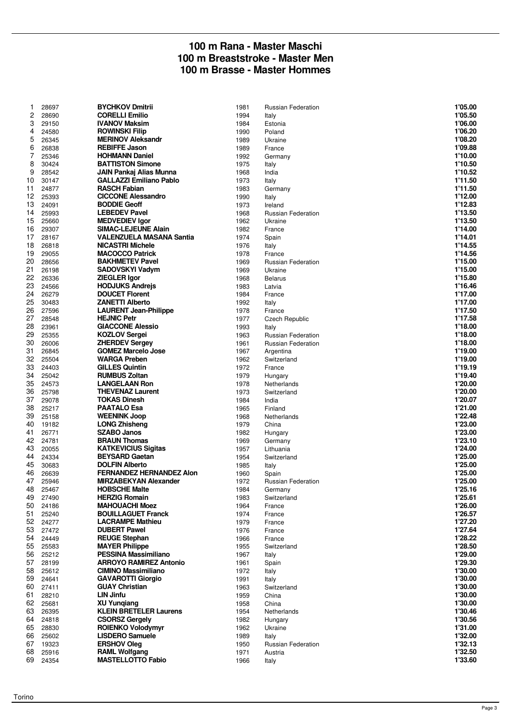#### **100 m Rana - Master Maschi 100 m Breaststroke - Master Men 100 m Brasse - Master Hommes**

|    |       | <b>BYCHKOV Dmitrii</b>          |      |                           | 1'05.00 |
|----|-------|---------------------------------|------|---------------------------|---------|
| 1  | 28697 |                                 | 1981 | Russian Federation        |         |
| 2  | 28690 | <b>CORELLI Emilio</b>           | 1994 | Italy                     | 1'05.50 |
| 3  | 29150 | <b>IVANOV Maksim</b>            | 1984 | Estonia                   | 1'06.00 |
| 4  | 24580 | <b>ROWINSKI Filip</b>           | 1990 | Poland                    | 1'06.20 |
| 5  | 26345 | <b>MERINOV Aleksandr</b>        | 1989 | Ukraine                   | 1'08.20 |
|    |       | <b>REBIFFE Jason</b>            |      |                           |         |
| 6  | 26838 |                                 | 1989 | France                    | 1'09.88 |
| 7  | 25346 | <b>HOHMANN Daniel</b>           | 1992 | Germany                   | 1'10.00 |
| 8  | 30424 | <b>BATTISTON Simone</b>         | 1975 | Italy                     | 1'10.50 |
| 9  | 28542 | JAIN Pankaj Alias Munna         | 1968 | India                     | 1'10.52 |
| 10 | 30147 | <b>GALLAZZI Emiliano Pablo</b>  | 1973 | Italy                     | 1'11.50 |
| 11 |       | <b>RASCH Fabian</b>             |      |                           | 1'11.50 |
|    | 24877 |                                 | 1983 | Germany                   |         |
| 12 | 25393 | <b>CICCONE Alessandro</b>       | 1990 | Italy                     | 1'12.00 |
| 13 | 24091 | <b>BODDIE Geoff</b>             | 1973 | Ireland                   | 1'12.83 |
| 14 | 25993 | <b>LEBEDEV Pavel</b>            | 1968 | <b>Russian Federation</b> | 1'13.50 |
| 15 | 25660 | <b>MEDVEDIEV Igor</b>           | 1962 | Ukraine                   | 1'13.50 |
| 16 | 29307 | <b>SIMAC-LEJEUNE Alain</b>      | 1982 | France                    | 1'14.00 |
|    |       |                                 |      |                           |         |
| 17 | 28167 | <b>VALENZUELA MASANA Santia</b> | 1974 | Spain                     | 1'14.01 |
| 18 | 26818 | <b>NICASTRI Michele</b>         | 1976 | Italy                     | 1'14.55 |
| 19 | 29055 | <b>MACOCCO Patrick</b>          | 1978 | France                    | 1'14.56 |
| 20 | 28656 | <b>BAKHMETEV Pavel</b>          | 1969 | <b>Russian Federation</b> | 1'15.00 |
| 21 | 26198 | <b>SADOVSKYI Vadym</b>          | 1969 | Ukraine                   | 1'15.00 |
|    |       |                                 |      |                           |         |
| 22 | 26336 | <b>ZIEGLER Igor</b>             | 1968 | <b>Belarus</b>            | 1'15.80 |
| 23 | 24566 | <b>HODJUKS Andrejs</b>          | 1983 | Latvia                    | 1'16.46 |
| 24 | 26279 | <b>DOUCET Florent</b>           | 1984 | France                    | 1'17.00 |
| 25 | 30483 | <b>ZANETTI Alberto</b>          | 1992 | Italy                     | 1'17.00 |
| 26 | 27596 | <b>LAURENT Jean-Philippe</b>    | 1978 | France                    | 1'17.50 |
| 27 | 28548 | <b>HEJNIC Petr</b>              | 1977 | Czech Republic            | 1'17.58 |
|    |       |                                 |      |                           |         |
| 28 | 23961 | <b>GIACCONE Alessio</b>         | 1993 | Italy                     | 1'18.00 |
| 29 | 25355 | <b>KOZLOV Sergei</b>            | 1963 | <b>Russian Federation</b> | 1'18.00 |
| 30 | 26006 | <b>ZHERDEV Sergey</b>           | 1961 | Russian Federation        | 1'18.00 |
| 31 | 26845 | <b>GOMEZ Marcelo Jose</b>       | 1967 | Argentina                 | 1'19.00 |
| 32 | 25504 | <b>WARGA Preben</b>             | 1962 | Switzerland               | 1'19.00 |
|    |       |                                 |      |                           |         |
| 33 | 24403 | <b>GILLES Quintin</b>           | 1972 | France                    | 1'19.19 |
| 34 | 25042 | <b>RUMBUS Zoltan</b>            | 1979 | Hungary                   | 1'19.40 |
| 35 | 24573 | <b>LANGELAAN Ron</b>            | 1978 | Netherlands               | 1'20.00 |
| 36 | 25798 | <b>THEVENAZ Laurent</b>         | 1973 | Switzerland               | 1'20.00 |
| 37 | 29078 | <b>TOKAS Dinesh</b>             | 1984 | India                     | 1'20.07 |
| 38 | 25217 | <b>PAATALO Esa</b>              | 1965 | Finland                   | 1'21.00 |
|    |       |                                 |      |                           |         |
| 39 | 25158 | <b>WEENINK Joop</b>             | 1968 | Netherlands               | 1'22.48 |
| 40 | 19182 | <b>LONG Zhisheng</b>            | 1979 | China                     | 1'23.00 |
| 41 | 26771 | <b>SZABO Janos</b>              | 1982 | Hungary                   | 1'23.00 |
| 42 | 24781 | <b>BRAUN Thomas</b>             | 1969 | Germany                   | 1'23.10 |
| 43 | 20055 | <b>KATKEVICIUS Sigitas</b>      | 1957 | Lithuania                 | 1'24.00 |
|    |       | <b>BEYSARD Gaetan</b>           |      |                           | 1'25.00 |
| 44 | 24334 |                                 | 1954 | Switzerland               |         |
| 45 | 30683 | <b>DOLFIN Alberto</b>           | 1985 | Italy                     | 1'25.00 |
| 46 | 26639 | <b>FERNANDEZ HERNANDEZ Alon</b> | 1960 | Spain                     | 1'25.00 |
| 47 | 25946 | <b>MIRZABEKYAN Alexander</b>    | 1972 | <b>Russian Federation</b> | 1'25.00 |
| 48 | 25467 | <b>HOBSCHE Malte</b>            | 1984 | Germany                   | 1'25.16 |
| 49 | 27490 | <b>HERZIG Romain</b>            | 1983 | Switzerland               | 1'25.61 |
|    |       |                                 |      |                           | 1'26.00 |
| 50 | 24186 | <b>MAHOUACHI Moez</b>           | 1964 | France                    |         |
| 51 | 25240 | <b>BOUILLAGUET Franck</b>       | 1974 | France                    | 1'26.57 |
| 52 | 24277 | <b>LACRAMPE Mathieu</b>         | 1979 | France                    | 1'27.20 |
| 53 | 27472 | <b>DUBERT Pawel</b>             | 1976 | France                    | 1'27.64 |
| 54 | 24449 | <b>REUGE Stephan</b>            | 1966 | France                    | 1'28.22 |
| 55 | 25583 | <b>MAYER Philippe</b>           | 1955 | Switzerland               | 1'28.50 |
|    |       | <b>PESSINA Massimiliano</b>     |      |                           |         |
| 56 | 25212 |                                 | 1967 | Italy                     | 1'29.00 |
| 57 | 28199 | <b>ARROYO RAMIREZ Antonio</b>   | 1961 | Spain                     | 1'29.30 |
| 58 | 25612 | <b>CIMINO Massimiliano</b>      | 1972 | Italy                     | 1'30.00 |
| 59 | 24641 | <b>GAVAROTTI Giorgio</b>        | 1991 | Italy                     | 1'30.00 |
| 60 | 27411 | <b>GUAY Christian</b>           | 1963 | Switzerland               | 1'30.00 |
| 61 |       | <b>LIN Jinfu</b>                |      |                           | 1'30.00 |
|    | 28210 |                                 | 1959 | China                     |         |
| 62 | 25681 | <b>XU Yungiang</b>              | 1958 | China                     | 1'30.00 |
| 63 | 26395 | <b>KLEIN BRETELER Laurens</b>   | 1954 | Netherlands               | 1'30.46 |
| 64 | 24818 | <b>CSORSZ Gergely</b>           | 1982 | Hungary                   | 1'30.56 |
| 65 | 28830 | <b>ROIENKO Volodymyr</b>        | 1962 | Ukraine                   | 1'31.00 |
| 66 | 25602 | <b>LISDERO Samuele</b>          | 1989 | Italy                     | 1'32.00 |
|    |       |                                 |      |                           |         |
| 67 | 19323 | <b>ERSHOV Oleg</b>              | 1950 | <b>Russian Federation</b> | 1'32.13 |
| 68 | 25916 | <b>RAML Wolfgang</b>            | 1971 | Austria                   | 1'32.50 |
| 69 | 24354 | <b>MASTELLOTTO Fabio</b>        | 1966 | Italy                     | 1'33.60 |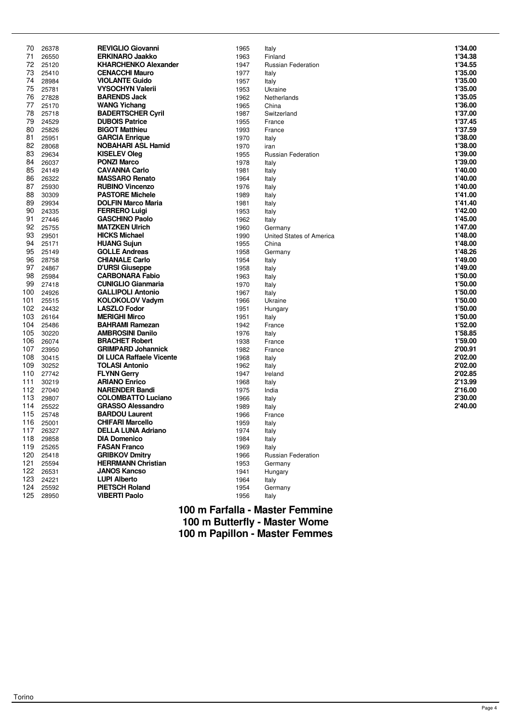| <b>REVIGLIO Giovanni</b><br>70<br>26378<br>1965<br>Italy<br>71<br><b>ERKINARO Jaakko</b><br>26550<br>1963<br>Finland<br>72<br>25120<br><b>KHARCHENKO Alexander</b><br>1947<br>Russian Federation<br>73<br>25410<br><b>CENACCHI Mauro</b><br>1977<br>Italy<br>74<br>28984<br><b>VIOLANTE Guido</b><br>1957<br>Italy<br>75<br>25781<br><b>VYSOCHYN Valerii</b><br>1953<br>Ukraine<br>76<br>27828<br><b>BARENDS Jack</b><br>1962<br>Netherlands<br>77<br>25170<br><b>WANG Yichang</b><br>1965<br>China<br><b>BADERTSCHER Cyril</b><br>78<br>25718<br>1987<br>Switzerland<br>79<br>24529<br><b>DUBOIS Patrice</b><br>1955<br>France<br>80<br><b>BIGOT Matthieu</b><br>25826<br>1993<br>France<br>81<br>25951<br><b>GARCIA Enrique</b><br>1970<br>Italy<br>82<br><b>NOBAHARI ASL Hamid</b><br>28068<br>1970<br>iran<br>83<br><b>KISELEV Oleg</b><br>29634<br>1955<br><b>Russian Federation</b><br><b>PONZI Marco</b><br>84<br>26037<br>1978<br>Italy<br>85<br>24149<br><b>CAVANNA Carlo</b><br>1981<br>Italy<br><b>MASSARO Renato</b><br>86<br>26322<br>1964<br>Italy<br>87<br>25930<br><b>RUBINO Vincenzo</b><br>1976<br>Italy<br>88<br>30309<br><b>PASTORE Michele</b><br>1989<br>Italy<br>89<br><b>DOLFIN Marco Maria</b><br>29934<br>1981<br>Italy<br>90<br><b>FERRERO Luigi</b><br>24335<br>1953<br>Italy<br><b>GASCHINO Paolo</b><br>1962<br>91<br>27446<br>Italy<br>92<br>25755<br><b>MATZKEN Ulrich</b><br>1960<br>Germany<br>93<br><b>HICKS Michael</b><br>29501<br>1990<br>United States of America<br>94<br>25171<br><b>HUANG Sujun</b><br>1955<br>China<br>95<br>25149<br><b>GOLLE Andreas</b><br>1958<br>Germany<br>28758<br>96<br><b>CHIANALE Carlo</b><br>1954<br>Italy<br>97<br>24867<br><b>D'URSI Giuseppe</b><br>1958<br>Italy<br><b>CARBONARA Fabio</b><br>98<br>25984<br>1963<br>Italy<br>99<br>27418<br><b>CUNIGLIO Gianmaria</b><br>1970<br>Italy<br>24926<br><b>GALLIPOLI Antonio</b><br>100<br>1967<br>Italy<br>101<br><b>KOLOKOLOV Vadym</b><br>25515<br>1966<br>Ukraine<br>102<br><b>LASZLO Fodor</b><br>24432<br>1951<br>Hungary<br>103<br>26164<br><b>MERIGHI Mirco</b><br>1951<br>Italy<br>104<br>25486<br><b>BAHRAMI Ramezan</b><br>1942<br>France<br>105<br><b>AMBROSINI Danilo</b><br>30220<br>1976<br>Italy<br>106<br>26074<br><b>BRACHET Robert</b><br>1938<br>France<br>107<br>23950<br><b>GRIMPARD Johannick</b><br>1982<br>France<br>108<br><b>DI LUCA Raffaele Vicente</b><br>30415<br>1968<br>Italy<br>109<br><b>TOLASI Antonio</b><br>30252<br>1962<br>Italy<br>110<br>27742<br><b>FLYNN Gerry</b><br>1947<br>Ireland<br>111<br>30219<br><b>ARIANO Enrico</b><br>1968<br>Italy<br>112<br><b>NARENDER Bandi</b><br>27040<br>1975<br>India<br>113<br><b>COLOMBATTO Luciano</b><br>29807<br>1966<br>Italy<br>114<br><b>GRASSO Alessandro</b><br>25522<br>1989<br>Italy<br>115<br>25748<br><b>BARDOU Laurent</b><br>1966<br>France<br><b>CHIFARI Marcello</b><br>116<br>25001<br>1959<br>Italy<br>117<br>26327<br><b>DELLA LUNA Adriano</b><br>1974<br>Italy<br>118<br>1984<br>29858<br><b>DIA Domenico</b><br>Italy<br>119<br><b>FASAN Franco</b><br>25265<br>1969<br>Italy<br>120<br><b>GRIBKOV Dmitry</b><br>25418<br>1966<br>Russian Federation<br>121<br><b>HERRMANN Christian</b><br>25594<br>1953<br>Germany<br>122<br><b>JANOS Kancso</b><br>26531<br>1941<br>Hungary<br>123<br><b>LUPI Alberto</b><br>24221<br>1964<br>Italy<br>124<br><b>PIETSCH Roland</b><br>25592<br>1954<br>Germany | 1'34.00 |
|----------------------------------------------------------------------------------------------------------------------------------------------------------------------------------------------------------------------------------------------------------------------------------------------------------------------------------------------------------------------------------------------------------------------------------------------------------------------------------------------------------------------------------------------------------------------------------------------------------------------------------------------------------------------------------------------------------------------------------------------------------------------------------------------------------------------------------------------------------------------------------------------------------------------------------------------------------------------------------------------------------------------------------------------------------------------------------------------------------------------------------------------------------------------------------------------------------------------------------------------------------------------------------------------------------------------------------------------------------------------------------------------------------------------------------------------------------------------------------------------------------------------------------------------------------------------------------------------------------------------------------------------------------------------------------------------------------------------------------------------------------------------------------------------------------------------------------------------------------------------------------------------------------------------------------------------------------------------------------------------------------------------------------------------------------------------------------------------------------------------------------------------------------------------------------------------------------------------------------------------------------------------------------------------------------------------------------------------------------------------------------------------------------------------------------------------------------------------------------------------------------------------------------------------------------------------------------------------------------------------------------------------------------------------------------------------------------------------------------------------------------------------------------------------------------------------------------------------------------------------------------------------------------------------------------------------------------------------------------------------------------------------------------------------------------------------------------------------------------------------------------------------------------------------------------------------------------------------------------------------------------------------------------------------------------------------------------------------------------------------------------------------------------------------------------|---------|
|                                                                                                                                                                                                                                                                                                                                                                                                                                                                                                                                                                                                                                                                                                                                                                                                                                                                                                                                                                                                                                                                                                                                                                                                                                                                                                                                                                                                                                                                                                                                                                                                                                                                                                                                                                                                                                                                                                                                                                                                                                                                                                                                                                                                                                                                                                                                                                                                                                                                                                                                                                                                                                                                                                                                                                                                                                                                                                                                                                                                                                                                                                                                                                                                                                                                                                                                                                                                                                  | 1'34.38 |
|                                                                                                                                                                                                                                                                                                                                                                                                                                                                                                                                                                                                                                                                                                                                                                                                                                                                                                                                                                                                                                                                                                                                                                                                                                                                                                                                                                                                                                                                                                                                                                                                                                                                                                                                                                                                                                                                                                                                                                                                                                                                                                                                                                                                                                                                                                                                                                                                                                                                                                                                                                                                                                                                                                                                                                                                                                                                                                                                                                                                                                                                                                                                                                                                                                                                                                                                                                                                                                  |         |
|                                                                                                                                                                                                                                                                                                                                                                                                                                                                                                                                                                                                                                                                                                                                                                                                                                                                                                                                                                                                                                                                                                                                                                                                                                                                                                                                                                                                                                                                                                                                                                                                                                                                                                                                                                                                                                                                                                                                                                                                                                                                                                                                                                                                                                                                                                                                                                                                                                                                                                                                                                                                                                                                                                                                                                                                                                                                                                                                                                                                                                                                                                                                                                                                                                                                                                                                                                                                                                  | 1'34.55 |
|                                                                                                                                                                                                                                                                                                                                                                                                                                                                                                                                                                                                                                                                                                                                                                                                                                                                                                                                                                                                                                                                                                                                                                                                                                                                                                                                                                                                                                                                                                                                                                                                                                                                                                                                                                                                                                                                                                                                                                                                                                                                                                                                                                                                                                                                                                                                                                                                                                                                                                                                                                                                                                                                                                                                                                                                                                                                                                                                                                                                                                                                                                                                                                                                                                                                                                                                                                                                                                  | 1'35.00 |
|                                                                                                                                                                                                                                                                                                                                                                                                                                                                                                                                                                                                                                                                                                                                                                                                                                                                                                                                                                                                                                                                                                                                                                                                                                                                                                                                                                                                                                                                                                                                                                                                                                                                                                                                                                                                                                                                                                                                                                                                                                                                                                                                                                                                                                                                                                                                                                                                                                                                                                                                                                                                                                                                                                                                                                                                                                                                                                                                                                                                                                                                                                                                                                                                                                                                                                                                                                                                                                  | 1'35.00 |
|                                                                                                                                                                                                                                                                                                                                                                                                                                                                                                                                                                                                                                                                                                                                                                                                                                                                                                                                                                                                                                                                                                                                                                                                                                                                                                                                                                                                                                                                                                                                                                                                                                                                                                                                                                                                                                                                                                                                                                                                                                                                                                                                                                                                                                                                                                                                                                                                                                                                                                                                                                                                                                                                                                                                                                                                                                                                                                                                                                                                                                                                                                                                                                                                                                                                                                                                                                                                                                  | 1'35.00 |
|                                                                                                                                                                                                                                                                                                                                                                                                                                                                                                                                                                                                                                                                                                                                                                                                                                                                                                                                                                                                                                                                                                                                                                                                                                                                                                                                                                                                                                                                                                                                                                                                                                                                                                                                                                                                                                                                                                                                                                                                                                                                                                                                                                                                                                                                                                                                                                                                                                                                                                                                                                                                                                                                                                                                                                                                                                                                                                                                                                                                                                                                                                                                                                                                                                                                                                                                                                                                                                  | 1'35.05 |
|                                                                                                                                                                                                                                                                                                                                                                                                                                                                                                                                                                                                                                                                                                                                                                                                                                                                                                                                                                                                                                                                                                                                                                                                                                                                                                                                                                                                                                                                                                                                                                                                                                                                                                                                                                                                                                                                                                                                                                                                                                                                                                                                                                                                                                                                                                                                                                                                                                                                                                                                                                                                                                                                                                                                                                                                                                                                                                                                                                                                                                                                                                                                                                                                                                                                                                                                                                                                                                  | 1'36.00 |
|                                                                                                                                                                                                                                                                                                                                                                                                                                                                                                                                                                                                                                                                                                                                                                                                                                                                                                                                                                                                                                                                                                                                                                                                                                                                                                                                                                                                                                                                                                                                                                                                                                                                                                                                                                                                                                                                                                                                                                                                                                                                                                                                                                                                                                                                                                                                                                                                                                                                                                                                                                                                                                                                                                                                                                                                                                                                                                                                                                                                                                                                                                                                                                                                                                                                                                                                                                                                                                  | 1'37.00 |
|                                                                                                                                                                                                                                                                                                                                                                                                                                                                                                                                                                                                                                                                                                                                                                                                                                                                                                                                                                                                                                                                                                                                                                                                                                                                                                                                                                                                                                                                                                                                                                                                                                                                                                                                                                                                                                                                                                                                                                                                                                                                                                                                                                                                                                                                                                                                                                                                                                                                                                                                                                                                                                                                                                                                                                                                                                                                                                                                                                                                                                                                                                                                                                                                                                                                                                                                                                                                                                  | 1'37.45 |
|                                                                                                                                                                                                                                                                                                                                                                                                                                                                                                                                                                                                                                                                                                                                                                                                                                                                                                                                                                                                                                                                                                                                                                                                                                                                                                                                                                                                                                                                                                                                                                                                                                                                                                                                                                                                                                                                                                                                                                                                                                                                                                                                                                                                                                                                                                                                                                                                                                                                                                                                                                                                                                                                                                                                                                                                                                                                                                                                                                                                                                                                                                                                                                                                                                                                                                                                                                                                                                  | 1'37.59 |
|                                                                                                                                                                                                                                                                                                                                                                                                                                                                                                                                                                                                                                                                                                                                                                                                                                                                                                                                                                                                                                                                                                                                                                                                                                                                                                                                                                                                                                                                                                                                                                                                                                                                                                                                                                                                                                                                                                                                                                                                                                                                                                                                                                                                                                                                                                                                                                                                                                                                                                                                                                                                                                                                                                                                                                                                                                                                                                                                                                                                                                                                                                                                                                                                                                                                                                                                                                                                                                  | 1'38.00 |
|                                                                                                                                                                                                                                                                                                                                                                                                                                                                                                                                                                                                                                                                                                                                                                                                                                                                                                                                                                                                                                                                                                                                                                                                                                                                                                                                                                                                                                                                                                                                                                                                                                                                                                                                                                                                                                                                                                                                                                                                                                                                                                                                                                                                                                                                                                                                                                                                                                                                                                                                                                                                                                                                                                                                                                                                                                                                                                                                                                                                                                                                                                                                                                                                                                                                                                                                                                                                                                  | 1'38.00 |
|                                                                                                                                                                                                                                                                                                                                                                                                                                                                                                                                                                                                                                                                                                                                                                                                                                                                                                                                                                                                                                                                                                                                                                                                                                                                                                                                                                                                                                                                                                                                                                                                                                                                                                                                                                                                                                                                                                                                                                                                                                                                                                                                                                                                                                                                                                                                                                                                                                                                                                                                                                                                                                                                                                                                                                                                                                                                                                                                                                                                                                                                                                                                                                                                                                                                                                                                                                                                                                  | 1'39.00 |
|                                                                                                                                                                                                                                                                                                                                                                                                                                                                                                                                                                                                                                                                                                                                                                                                                                                                                                                                                                                                                                                                                                                                                                                                                                                                                                                                                                                                                                                                                                                                                                                                                                                                                                                                                                                                                                                                                                                                                                                                                                                                                                                                                                                                                                                                                                                                                                                                                                                                                                                                                                                                                                                                                                                                                                                                                                                                                                                                                                                                                                                                                                                                                                                                                                                                                                                                                                                                                                  | 1'39.00 |
|                                                                                                                                                                                                                                                                                                                                                                                                                                                                                                                                                                                                                                                                                                                                                                                                                                                                                                                                                                                                                                                                                                                                                                                                                                                                                                                                                                                                                                                                                                                                                                                                                                                                                                                                                                                                                                                                                                                                                                                                                                                                                                                                                                                                                                                                                                                                                                                                                                                                                                                                                                                                                                                                                                                                                                                                                                                                                                                                                                                                                                                                                                                                                                                                                                                                                                                                                                                                                                  |         |
|                                                                                                                                                                                                                                                                                                                                                                                                                                                                                                                                                                                                                                                                                                                                                                                                                                                                                                                                                                                                                                                                                                                                                                                                                                                                                                                                                                                                                                                                                                                                                                                                                                                                                                                                                                                                                                                                                                                                                                                                                                                                                                                                                                                                                                                                                                                                                                                                                                                                                                                                                                                                                                                                                                                                                                                                                                                                                                                                                                                                                                                                                                                                                                                                                                                                                                                                                                                                                                  | 1'40.00 |
|                                                                                                                                                                                                                                                                                                                                                                                                                                                                                                                                                                                                                                                                                                                                                                                                                                                                                                                                                                                                                                                                                                                                                                                                                                                                                                                                                                                                                                                                                                                                                                                                                                                                                                                                                                                                                                                                                                                                                                                                                                                                                                                                                                                                                                                                                                                                                                                                                                                                                                                                                                                                                                                                                                                                                                                                                                                                                                                                                                                                                                                                                                                                                                                                                                                                                                                                                                                                                                  | 1'40.00 |
|                                                                                                                                                                                                                                                                                                                                                                                                                                                                                                                                                                                                                                                                                                                                                                                                                                                                                                                                                                                                                                                                                                                                                                                                                                                                                                                                                                                                                                                                                                                                                                                                                                                                                                                                                                                                                                                                                                                                                                                                                                                                                                                                                                                                                                                                                                                                                                                                                                                                                                                                                                                                                                                                                                                                                                                                                                                                                                                                                                                                                                                                                                                                                                                                                                                                                                                                                                                                                                  | 1'40.00 |
|                                                                                                                                                                                                                                                                                                                                                                                                                                                                                                                                                                                                                                                                                                                                                                                                                                                                                                                                                                                                                                                                                                                                                                                                                                                                                                                                                                                                                                                                                                                                                                                                                                                                                                                                                                                                                                                                                                                                                                                                                                                                                                                                                                                                                                                                                                                                                                                                                                                                                                                                                                                                                                                                                                                                                                                                                                                                                                                                                                                                                                                                                                                                                                                                                                                                                                                                                                                                                                  | 1'41.00 |
|                                                                                                                                                                                                                                                                                                                                                                                                                                                                                                                                                                                                                                                                                                                                                                                                                                                                                                                                                                                                                                                                                                                                                                                                                                                                                                                                                                                                                                                                                                                                                                                                                                                                                                                                                                                                                                                                                                                                                                                                                                                                                                                                                                                                                                                                                                                                                                                                                                                                                                                                                                                                                                                                                                                                                                                                                                                                                                                                                                                                                                                                                                                                                                                                                                                                                                                                                                                                                                  | 1'41.40 |
|                                                                                                                                                                                                                                                                                                                                                                                                                                                                                                                                                                                                                                                                                                                                                                                                                                                                                                                                                                                                                                                                                                                                                                                                                                                                                                                                                                                                                                                                                                                                                                                                                                                                                                                                                                                                                                                                                                                                                                                                                                                                                                                                                                                                                                                                                                                                                                                                                                                                                                                                                                                                                                                                                                                                                                                                                                                                                                                                                                                                                                                                                                                                                                                                                                                                                                                                                                                                                                  | 1'42.00 |
|                                                                                                                                                                                                                                                                                                                                                                                                                                                                                                                                                                                                                                                                                                                                                                                                                                                                                                                                                                                                                                                                                                                                                                                                                                                                                                                                                                                                                                                                                                                                                                                                                                                                                                                                                                                                                                                                                                                                                                                                                                                                                                                                                                                                                                                                                                                                                                                                                                                                                                                                                                                                                                                                                                                                                                                                                                                                                                                                                                                                                                                                                                                                                                                                                                                                                                                                                                                                                                  | 1'45.00 |
|                                                                                                                                                                                                                                                                                                                                                                                                                                                                                                                                                                                                                                                                                                                                                                                                                                                                                                                                                                                                                                                                                                                                                                                                                                                                                                                                                                                                                                                                                                                                                                                                                                                                                                                                                                                                                                                                                                                                                                                                                                                                                                                                                                                                                                                                                                                                                                                                                                                                                                                                                                                                                                                                                                                                                                                                                                                                                                                                                                                                                                                                                                                                                                                                                                                                                                                                                                                                                                  | 1'47.00 |
|                                                                                                                                                                                                                                                                                                                                                                                                                                                                                                                                                                                                                                                                                                                                                                                                                                                                                                                                                                                                                                                                                                                                                                                                                                                                                                                                                                                                                                                                                                                                                                                                                                                                                                                                                                                                                                                                                                                                                                                                                                                                                                                                                                                                                                                                                                                                                                                                                                                                                                                                                                                                                                                                                                                                                                                                                                                                                                                                                                                                                                                                                                                                                                                                                                                                                                                                                                                                                                  | 1'48.00 |
|                                                                                                                                                                                                                                                                                                                                                                                                                                                                                                                                                                                                                                                                                                                                                                                                                                                                                                                                                                                                                                                                                                                                                                                                                                                                                                                                                                                                                                                                                                                                                                                                                                                                                                                                                                                                                                                                                                                                                                                                                                                                                                                                                                                                                                                                                                                                                                                                                                                                                                                                                                                                                                                                                                                                                                                                                                                                                                                                                                                                                                                                                                                                                                                                                                                                                                                                                                                                                                  | 1'48.00 |
|                                                                                                                                                                                                                                                                                                                                                                                                                                                                                                                                                                                                                                                                                                                                                                                                                                                                                                                                                                                                                                                                                                                                                                                                                                                                                                                                                                                                                                                                                                                                                                                                                                                                                                                                                                                                                                                                                                                                                                                                                                                                                                                                                                                                                                                                                                                                                                                                                                                                                                                                                                                                                                                                                                                                                                                                                                                                                                                                                                                                                                                                                                                                                                                                                                                                                                                                                                                                                                  | 1'48.26 |
|                                                                                                                                                                                                                                                                                                                                                                                                                                                                                                                                                                                                                                                                                                                                                                                                                                                                                                                                                                                                                                                                                                                                                                                                                                                                                                                                                                                                                                                                                                                                                                                                                                                                                                                                                                                                                                                                                                                                                                                                                                                                                                                                                                                                                                                                                                                                                                                                                                                                                                                                                                                                                                                                                                                                                                                                                                                                                                                                                                                                                                                                                                                                                                                                                                                                                                                                                                                                                                  | 1'49.00 |
|                                                                                                                                                                                                                                                                                                                                                                                                                                                                                                                                                                                                                                                                                                                                                                                                                                                                                                                                                                                                                                                                                                                                                                                                                                                                                                                                                                                                                                                                                                                                                                                                                                                                                                                                                                                                                                                                                                                                                                                                                                                                                                                                                                                                                                                                                                                                                                                                                                                                                                                                                                                                                                                                                                                                                                                                                                                                                                                                                                                                                                                                                                                                                                                                                                                                                                                                                                                                                                  | 1'49.00 |
|                                                                                                                                                                                                                                                                                                                                                                                                                                                                                                                                                                                                                                                                                                                                                                                                                                                                                                                                                                                                                                                                                                                                                                                                                                                                                                                                                                                                                                                                                                                                                                                                                                                                                                                                                                                                                                                                                                                                                                                                                                                                                                                                                                                                                                                                                                                                                                                                                                                                                                                                                                                                                                                                                                                                                                                                                                                                                                                                                                                                                                                                                                                                                                                                                                                                                                                                                                                                                                  | 1'50.00 |
|                                                                                                                                                                                                                                                                                                                                                                                                                                                                                                                                                                                                                                                                                                                                                                                                                                                                                                                                                                                                                                                                                                                                                                                                                                                                                                                                                                                                                                                                                                                                                                                                                                                                                                                                                                                                                                                                                                                                                                                                                                                                                                                                                                                                                                                                                                                                                                                                                                                                                                                                                                                                                                                                                                                                                                                                                                                                                                                                                                                                                                                                                                                                                                                                                                                                                                                                                                                                                                  | 1'50.00 |
|                                                                                                                                                                                                                                                                                                                                                                                                                                                                                                                                                                                                                                                                                                                                                                                                                                                                                                                                                                                                                                                                                                                                                                                                                                                                                                                                                                                                                                                                                                                                                                                                                                                                                                                                                                                                                                                                                                                                                                                                                                                                                                                                                                                                                                                                                                                                                                                                                                                                                                                                                                                                                                                                                                                                                                                                                                                                                                                                                                                                                                                                                                                                                                                                                                                                                                                                                                                                                                  | 1'50.00 |
|                                                                                                                                                                                                                                                                                                                                                                                                                                                                                                                                                                                                                                                                                                                                                                                                                                                                                                                                                                                                                                                                                                                                                                                                                                                                                                                                                                                                                                                                                                                                                                                                                                                                                                                                                                                                                                                                                                                                                                                                                                                                                                                                                                                                                                                                                                                                                                                                                                                                                                                                                                                                                                                                                                                                                                                                                                                                                                                                                                                                                                                                                                                                                                                                                                                                                                                                                                                                                                  | 1'50.00 |
|                                                                                                                                                                                                                                                                                                                                                                                                                                                                                                                                                                                                                                                                                                                                                                                                                                                                                                                                                                                                                                                                                                                                                                                                                                                                                                                                                                                                                                                                                                                                                                                                                                                                                                                                                                                                                                                                                                                                                                                                                                                                                                                                                                                                                                                                                                                                                                                                                                                                                                                                                                                                                                                                                                                                                                                                                                                                                                                                                                                                                                                                                                                                                                                                                                                                                                                                                                                                                                  | 1'50.00 |
|                                                                                                                                                                                                                                                                                                                                                                                                                                                                                                                                                                                                                                                                                                                                                                                                                                                                                                                                                                                                                                                                                                                                                                                                                                                                                                                                                                                                                                                                                                                                                                                                                                                                                                                                                                                                                                                                                                                                                                                                                                                                                                                                                                                                                                                                                                                                                                                                                                                                                                                                                                                                                                                                                                                                                                                                                                                                                                                                                                                                                                                                                                                                                                                                                                                                                                                                                                                                                                  | 1'50.00 |
|                                                                                                                                                                                                                                                                                                                                                                                                                                                                                                                                                                                                                                                                                                                                                                                                                                                                                                                                                                                                                                                                                                                                                                                                                                                                                                                                                                                                                                                                                                                                                                                                                                                                                                                                                                                                                                                                                                                                                                                                                                                                                                                                                                                                                                                                                                                                                                                                                                                                                                                                                                                                                                                                                                                                                                                                                                                                                                                                                                                                                                                                                                                                                                                                                                                                                                                                                                                                                                  | 1'52.00 |
|                                                                                                                                                                                                                                                                                                                                                                                                                                                                                                                                                                                                                                                                                                                                                                                                                                                                                                                                                                                                                                                                                                                                                                                                                                                                                                                                                                                                                                                                                                                                                                                                                                                                                                                                                                                                                                                                                                                                                                                                                                                                                                                                                                                                                                                                                                                                                                                                                                                                                                                                                                                                                                                                                                                                                                                                                                                                                                                                                                                                                                                                                                                                                                                                                                                                                                                                                                                                                                  | 1'58.85 |
|                                                                                                                                                                                                                                                                                                                                                                                                                                                                                                                                                                                                                                                                                                                                                                                                                                                                                                                                                                                                                                                                                                                                                                                                                                                                                                                                                                                                                                                                                                                                                                                                                                                                                                                                                                                                                                                                                                                                                                                                                                                                                                                                                                                                                                                                                                                                                                                                                                                                                                                                                                                                                                                                                                                                                                                                                                                                                                                                                                                                                                                                                                                                                                                                                                                                                                                                                                                                                                  | 1'59.00 |
|                                                                                                                                                                                                                                                                                                                                                                                                                                                                                                                                                                                                                                                                                                                                                                                                                                                                                                                                                                                                                                                                                                                                                                                                                                                                                                                                                                                                                                                                                                                                                                                                                                                                                                                                                                                                                                                                                                                                                                                                                                                                                                                                                                                                                                                                                                                                                                                                                                                                                                                                                                                                                                                                                                                                                                                                                                                                                                                                                                                                                                                                                                                                                                                                                                                                                                                                                                                                                                  | 2'00.91 |
|                                                                                                                                                                                                                                                                                                                                                                                                                                                                                                                                                                                                                                                                                                                                                                                                                                                                                                                                                                                                                                                                                                                                                                                                                                                                                                                                                                                                                                                                                                                                                                                                                                                                                                                                                                                                                                                                                                                                                                                                                                                                                                                                                                                                                                                                                                                                                                                                                                                                                                                                                                                                                                                                                                                                                                                                                                                                                                                                                                                                                                                                                                                                                                                                                                                                                                                                                                                                                                  | 2'02.00 |
|                                                                                                                                                                                                                                                                                                                                                                                                                                                                                                                                                                                                                                                                                                                                                                                                                                                                                                                                                                                                                                                                                                                                                                                                                                                                                                                                                                                                                                                                                                                                                                                                                                                                                                                                                                                                                                                                                                                                                                                                                                                                                                                                                                                                                                                                                                                                                                                                                                                                                                                                                                                                                                                                                                                                                                                                                                                                                                                                                                                                                                                                                                                                                                                                                                                                                                                                                                                                                                  | 2'02.00 |
|                                                                                                                                                                                                                                                                                                                                                                                                                                                                                                                                                                                                                                                                                                                                                                                                                                                                                                                                                                                                                                                                                                                                                                                                                                                                                                                                                                                                                                                                                                                                                                                                                                                                                                                                                                                                                                                                                                                                                                                                                                                                                                                                                                                                                                                                                                                                                                                                                                                                                                                                                                                                                                                                                                                                                                                                                                                                                                                                                                                                                                                                                                                                                                                                                                                                                                                                                                                                                                  | 2'02.85 |
|                                                                                                                                                                                                                                                                                                                                                                                                                                                                                                                                                                                                                                                                                                                                                                                                                                                                                                                                                                                                                                                                                                                                                                                                                                                                                                                                                                                                                                                                                                                                                                                                                                                                                                                                                                                                                                                                                                                                                                                                                                                                                                                                                                                                                                                                                                                                                                                                                                                                                                                                                                                                                                                                                                                                                                                                                                                                                                                                                                                                                                                                                                                                                                                                                                                                                                                                                                                                                                  |         |
|                                                                                                                                                                                                                                                                                                                                                                                                                                                                                                                                                                                                                                                                                                                                                                                                                                                                                                                                                                                                                                                                                                                                                                                                                                                                                                                                                                                                                                                                                                                                                                                                                                                                                                                                                                                                                                                                                                                                                                                                                                                                                                                                                                                                                                                                                                                                                                                                                                                                                                                                                                                                                                                                                                                                                                                                                                                                                                                                                                                                                                                                                                                                                                                                                                                                                                                                                                                                                                  | 2'13.99 |
|                                                                                                                                                                                                                                                                                                                                                                                                                                                                                                                                                                                                                                                                                                                                                                                                                                                                                                                                                                                                                                                                                                                                                                                                                                                                                                                                                                                                                                                                                                                                                                                                                                                                                                                                                                                                                                                                                                                                                                                                                                                                                                                                                                                                                                                                                                                                                                                                                                                                                                                                                                                                                                                                                                                                                                                                                                                                                                                                                                                                                                                                                                                                                                                                                                                                                                                                                                                                                                  | 2'16.00 |
|                                                                                                                                                                                                                                                                                                                                                                                                                                                                                                                                                                                                                                                                                                                                                                                                                                                                                                                                                                                                                                                                                                                                                                                                                                                                                                                                                                                                                                                                                                                                                                                                                                                                                                                                                                                                                                                                                                                                                                                                                                                                                                                                                                                                                                                                                                                                                                                                                                                                                                                                                                                                                                                                                                                                                                                                                                                                                                                                                                                                                                                                                                                                                                                                                                                                                                                                                                                                                                  | 2'30.00 |
|                                                                                                                                                                                                                                                                                                                                                                                                                                                                                                                                                                                                                                                                                                                                                                                                                                                                                                                                                                                                                                                                                                                                                                                                                                                                                                                                                                                                                                                                                                                                                                                                                                                                                                                                                                                                                                                                                                                                                                                                                                                                                                                                                                                                                                                                                                                                                                                                                                                                                                                                                                                                                                                                                                                                                                                                                                                                                                                                                                                                                                                                                                                                                                                                                                                                                                                                                                                                                                  | 2'40.00 |
|                                                                                                                                                                                                                                                                                                                                                                                                                                                                                                                                                                                                                                                                                                                                                                                                                                                                                                                                                                                                                                                                                                                                                                                                                                                                                                                                                                                                                                                                                                                                                                                                                                                                                                                                                                                                                                                                                                                                                                                                                                                                                                                                                                                                                                                                                                                                                                                                                                                                                                                                                                                                                                                                                                                                                                                                                                                                                                                                                                                                                                                                                                                                                                                                                                                                                                                                                                                                                                  |         |
|                                                                                                                                                                                                                                                                                                                                                                                                                                                                                                                                                                                                                                                                                                                                                                                                                                                                                                                                                                                                                                                                                                                                                                                                                                                                                                                                                                                                                                                                                                                                                                                                                                                                                                                                                                                                                                                                                                                                                                                                                                                                                                                                                                                                                                                                                                                                                                                                                                                                                                                                                                                                                                                                                                                                                                                                                                                                                                                                                                                                                                                                                                                                                                                                                                                                                                                                                                                                                                  |         |
|                                                                                                                                                                                                                                                                                                                                                                                                                                                                                                                                                                                                                                                                                                                                                                                                                                                                                                                                                                                                                                                                                                                                                                                                                                                                                                                                                                                                                                                                                                                                                                                                                                                                                                                                                                                                                                                                                                                                                                                                                                                                                                                                                                                                                                                                                                                                                                                                                                                                                                                                                                                                                                                                                                                                                                                                                                                                                                                                                                                                                                                                                                                                                                                                                                                                                                                                                                                                                                  |         |
|                                                                                                                                                                                                                                                                                                                                                                                                                                                                                                                                                                                                                                                                                                                                                                                                                                                                                                                                                                                                                                                                                                                                                                                                                                                                                                                                                                                                                                                                                                                                                                                                                                                                                                                                                                                                                                                                                                                                                                                                                                                                                                                                                                                                                                                                                                                                                                                                                                                                                                                                                                                                                                                                                                                                                                                                                                                                                                                                                                                                                                                                                                                                                                                                                                                                                                                                                                                                                                  |         |
|                                                                                                                                                                                                                                                                                                                                                                                                                                                                                                                                                                                                                                                                                                                                                                                                                                                                                                                                                                                                                                                                                                                                                                                                                                                                                                                                                                                                                                                                                                                                                                                                                                                                                                                                                                                                                                                                                                                                                                                                                                                                                                                                                                                                                                                                                                                                                                                                                                                                                                                                                                                                                                                                                                                                                                                                                                                                                                                                                                                                                                                                                                                                                                                                                                                                                                                                                                                                                                  |         |
|                                                                                                                                                                                                                                                                                                                                                                                                                                                                                                                                                                                                                                                                                                                                                                                                                                                                                                                                                                                                                                                                                                                                                                                                                                                                                                                                                                                                                                                                                                                                                                                                                                                                                                                                                                                                                                                                                                                                                                                                                                                                                                                                                                                                                                                                                                                                                                                                                                                                                                                                                                                                                                                                                                                                                                                                                                                                                                                                                                                                                                                                                                                                                                                                                                                                                                                                                                                                                                  |         |
|                                                                                                                                                                                                                                                                                                                                                                                                                                                                                                                                                                                                                                                                                                                                                                                                                                                                                                                                                                                                                                                                                                                                                                                                                                                                                                                                                                                                                                                                                                                                                                                                                                                                                                                                                                                                                                                                                                                                                                                                                                                                                                                                                                                                                                                                                                                                                                                                                                                                                                                                                                                                                                                                                                                                                                                                                                                                                                                                                                                                                                                                                                                                                                                                                                                                                                                                                                                                                                  |         |
|                                                                                                                                                                                                                                                                                                                                                                                                                                                                                                                                                                                                                                                                                                                                                                                                                                                                                                                                                                                                                                                                                                                                                                                                                                                                                                                                                                                                                                                                                                                                                                                                                                                                                                                                                                                                                                                                                                                                                                                                                                                                                                                                                                                                                                                                                                                                                                                                                                                                                                                                                                                                                                                                                                                                                                                                                                                                                                                                                                                                                                                                                                                                                                                                                                                                                                                                                                                                                                  |         |
|                                                                                                                                                                                                                                                                                                                                                                                                                                                                                                                                                                                                                                                                                                                                                                                                                                                                                                                                                                                                                                                                                                                                                                                                                                                                                                                                                                                                                                                                                                                                                                                                                                                                                                                                                                                                                                                                                                                                                                                                                                                                                                                                                                                                                                                                                                                                                                                                                                                                                                                                                                                                                                                                                                                                                                                                                                                                                                                                                                                                                                                                                                                                                                                                                                                                                                                                                                                                                                  |         |
|                                                                                                                                                                                                                                                                                                                                                                                                                                                                                                                                                                                                                                                                                                                                                                                                                                                                                                                                                                                                                                                                                                                                                                                                                                                                                                                                                                                                                                                                                                                                                                                                                                                                                                                                                                                                                                                                                                                                                                                                                                                                                                                                                                                                                                                                                                                                                                                                                                                                                                                                                                                                                                                                                                                                                                                                                                                                                                                                                                                                                                                                                                                                                                                                                                                                                                                                                                                                                                  |         |
| 125<br><b>VIBERTI Paolo</b><br>28950<br>1956<br>Italy                                                                                                                                                                                                                                                                                                                                                                                                                                                                                                                                                                                                                                                                                                                                                                                                                                                                                                                                                                                                                                                                                                                                                                                                                                                                                                                                                                                                                                                                                                                                                                                                                                                                                                                                                                                                                                                                                                                                                                                                                                                                                                                                                                                                                                                                                                                                                                                                                                                                                                                                                                                                                                                                                                                                                                                                                                                                                                                                                                                                                                                                                                                                                                                                                                                                                                                                                                            |         |

**100 m Farfalla - Master Femmine 100 m Butterfly - Master Wome 100 m Papillon - Master Femmes**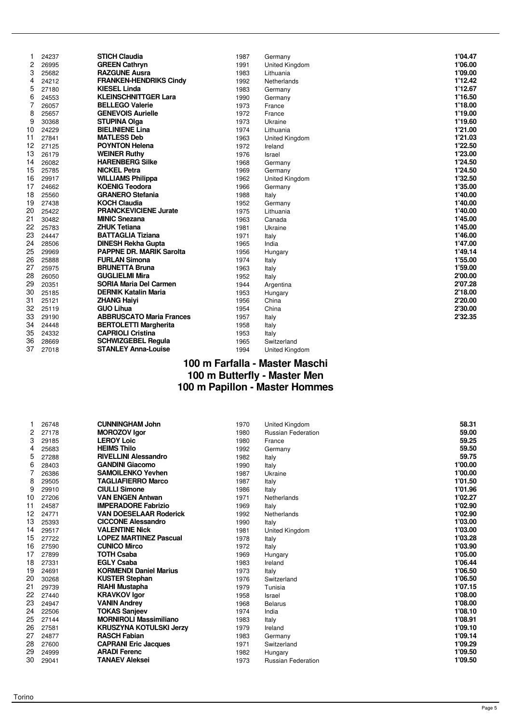|    | 24237 | <b>STICH Claudia</b>            | 1987 | Germany        | 1'04.47 |
|----|-------|---------------------------------|------|----------------|---------|
| 2  | 26995 | <b>GREEN Cathryn</b>            | 1991 | United Kingdom | 1'06.00 |
| 3  | 25682 | <b>RAZGUNE Ausra</b>            | 1983 | Lithuania      | 1'09.00 |
| 4  | 24212 | <b>FRANKEN-HENDRIKS Cindy</b>   | 1992 | Netherlands    | 1'12.42 |
| 5  | 27180 | <b>KIESEL Linda</b>             | 1983 | Germany        | 1'12.67 |
| 6  | 24553 | <b>KLEINSCHNITTGER Lara</b>     | 1990 | Germany        | 1'16.50 |
| 7  | 26057 | <b>BELLEGO Valerie</b>          | 1973 | France         | 1'18.00 |
| 8  | 25657 | <b>GENEVOIS Aurielle</b>        | 1972 | France         | 1'19.00 |
| 9  | 30368 | <b>STUPINA Olga</b>             | 1973 | Ukraine        | 1'19.60 |
| 10 | 24229 | <b>BIELINIENE Lina</b>          | 1974 | Lithuania      | 1'21.00 |
| 11 | 27841 | <b>MATLESS Deb</b>              | 1963 | United Kingdom | 1'21.03 |
| 12 | 27125 | <b>POYNTON Helena</b>           | 1972 | Ireland        | 1'22.50 |
| 13 | 26179 | <b>WEINER Ruthy</b>             | 1976 | Israel         | 1'23.00 |
| 14 | 26082 | <b>HARENBERG Silke</b>          | 1968 | Germany        | 1'24.50 |
| 15 | 25785 | <b>NICKEL Petra</b>             | 1969 | Germany        | 1'24.50 |
| 16 | 29917 | <b>WILLIAMS Philippa</b>        | 1962 | United Kingdom | 1'32.50 |
| 17 | 24662 | <b>KOENIG Teodora</b>           | 1966 | Germany        | 1'35.00 |
| 18 | 25560 | <b>GRANERO Stefania</b>         | 1988 | Italy          | 1'40.00 |
| 19 | 27438 | <b>KOCH Claudia</b>             | 1952 | Germany        | 1'40.00 |
| 20 | 25422 | <b>PRANCKEVICIENE Jurate</b>    | 1975 | Lithuania      | 1'40.00 |
| 21 | 30482 | <b>MINIC Snezana</b>            | 1963 | Canada         | 1'45.00 |
| 22 | 25783 | <b>ZHUK Tetiana</b>             | 1981 | Ukraine        | 1'45.00 |
| 23 | 24447 | <b>BATTAGLIA Tiziana</b>        | 1971 | Italy          | 1'46.00 |
| 24 | 28506 | <b>DINESH Rekha Gupta</b>       | 1965 | India          | 1'47.00 |
| 25 | 29969 | <b>PAPPNE DR. MARIK Sarolta</b> | 1956 | Hungary        | 1'49.14 |
| 26 | 25888 | <b>FURLAN Simona</b>            | 1974 | Italy          | 1'55.00 |
| 27 | 25975 | <b>BRUNETTA Bruna</b>           | 1963 | Italy          | 1'59.00 |
| 28 | 26050 | <b>GUGLIELMI Mira</b>           | 1952 | Italy          | 2'00.00 |
| 29 | 20351 | <b>SORIA Maria Del Carmen</b>   | 1944 | Argentina      | 2'07.28 |
| 30 | 25185 | <b>DERNIK Katalin Maria</b>     | 1953 | Hungary        | 2'18.00 |
| 31 | 25121 | <b>ZHANG Haivi</b>              | 1956 | China          | 2'20.00 |
| 32 | 25119 | <b>GUO Lihua</b>                | 1954 | China          | 2'30.00 |
| 33 | 29190 | <b>ABBRUSCATO Maria Frances</b> | 1957 | Italy          | 2'32.35 |
| 34 | 24448 | <b>BERTOLETTI Margherita</b>    | 1958 | Italy          |         |
| 35 | 24332 | <b>CAPRIOLI Cristina</b>        | 1953 | Italy          |         |
| 36 | 28669 | <b>SCHWIZGEBEL Regula</b>       | 1965 | Switzerland    |         |
| 37 | 27018 | <b>STANLEY Anna-Louise</b>      | 1994 | United Kingdom |         |
|    |       |                                 |      |                |         |

#### **100 m Farfalla - Master Maschi 100 m Butterfly - Master Men 100 m Papillon - Master Hommes**

| 26748 | <b>CUNNINGHAM John</b>                                      | 1970                                                                                                                                                                                                                                                                                                                                                                                              |                              | 58.31                                |
|-------|-------------------------------------------------------------|---------------------------------------------------------------------------------------------------------------------------------------------------------------------------------------------------------------------------------------------------------------------------------------------------------------------------------------------------------------------------------------------------|------------------------------|--------------------------------------|
| 27178 |                                                             | 1980                                                                                                                                                                                                                                                                                                                                                                                              | <b>Russian Federation</b>    | 59.00                                |
| 29185 | <b>LEROY Loic</b>                                           | 1980                                                                                                                                                                                                                                                                                                                                                                                              | France                       | 59.25                                |
| 25683 | <b>HEIMS Thilo</b>                                          | 1992                                                                                                                                                                                                                                                                                                                                                                                              |                              | 59.50                                |
| 27288 | <b>RIVELLINI Alessandro</b>                                 | 1982                                                                                                                                                                                                                                                                                                                                                                                              | Italy                        | 59.75                                |
| 28403 | <b>GANDINI Giacomo</b>                                      | 1990                                                                                                                                                                                                                                                                                                                                                                                              | Italy                        | 1'00.00                              |
| 26386 | <b>SAMOILENKO Yevhen</b>                                    | 1987                                                                                                                                                                                                                                                                                                                                                                                              | Ukraine                      | 1'00.00                              |
| 29505 | <b>TAGLIAFIERRO Marco</b>                                   | 1987                                                                                                                                                                                                                                                                                                                                                                                              | Italy                        | 1'01.50                              |
| 29910 | <b>CIULLI Simone</b>                                        | 1986                                                                                                                                                                                                                                                                                                                                                                                              | Italy                        | 1'01.96                              |
| 27206 | <b>VAN ENGEN Antwan</b>                                     | 1971                                                                                                                                                                                                                                                                                                                                                                                              | <b>Netherlands</b>           | 1'02.27                              |
| 24587 | <b>IMPERADORE Fabrizio</b>                                  | 1969                                                                                                                                                                                                                                                                                                                                                                                              | Italy                        | 1'02.90                              |
| 24771 | <b>VAN DOESELAAR Roderick</b>                               | 1992                                                                                                                                                                                                                                                                                                                                                                                              | Netherlands                  | 1'02.90                              |
| 25393 | <b>CICCONE Alessandro</b>                                   | 1990                                                                                                                                                                                                                                                                                                                                                                                              | Italy                        | 1'03.00                              |
| 29517 | <b>VALENTINE Nick</b>                                       | 1981                                                                                                                                                                                                                                                                                                                                                                                              | United Kingdom               | 1'03.00                              |
| 27722 |                                                             | 1978                                                                                                                                                                                                                                                                                                                                                                                              | Italy                        | 1'03.28                              |
| 27590 | <b>CUNICO Mirco</b>                                         | 1972                                                                                                                                                                                                                                                                                                                                                                                              | Italy                        | 1'03.90                              |
| 27899 |                                                             | 1969                                                                                                                                                                                                                                                                                                                                                                                              | Hungary                      | 1'05.00                              |
|       |                                                             | 1983                                                                                                                                                                                                                                                                                                                                                                                              | Ireland                      | 1'06.44                              |
| 24691 |                                                             | 1973                                                                                                                                                                                                                                                                                                                                                                                              | Italy                        | 1'06.50                              |
|       |                                                             |                                                                                                                                                                                                                                                                                                                                                                                                   | Switzerland                  | 1'06.50                              |
|       |                                                             | 1979                                                                                                                                                                                                                                                                                                                                                                                              |                              | 1'07.15                              |
|       |                                                             | 1958                                                                                                                                                                                                                                                                                                                                                                                              | Israel                       | 1'08.00                              |
|       |                                                             |                                                                                                                                                                                                                                                                                                                                                                                                   | <b>Belarus</b>               | 1'08.00                              |
|       |                                                             |                                                                                                                                                                                                                                                                                                                                                                                                   | India                        | 1'08.10                              |
| 27144 |                                                             | 1983                                                                                                                                                                                                                                                                                                                                                                                              | Italy                        | 1'08.91                              |
| 27581 |                                                             | 1979                                                                                                                                                                                                                                                                                                                                                                                              | Ireland                      | 1'09.10                              |
|       |                                                             |                                                                                                                                                                                                                                                                                                                                                                                                   | Germany                      | 1'09.14                              |
| 27600 | <b>CAPRANI Eric Jacques</b>                                 | 1971                                                                                                                                                                                                                                                                                                                                                                                              | Switzerland                  | 1'09.29                              |
| 24999 |                                                             | 1982                                                                                                                                                                                                                                                                                                                                                                                              | Hungary                      | 1'09.50                              |
| 29041 |                                                             | 1973                                                                                                                                                                                                                                                                                                                                                                                              | <b>Russian Federation</b>    | 1'09.50                              |
|       | 27331<br>30268<br>29739<br>27440<br>24947<br>22506<br>24877 | <b>MOROZOV Igor</b><br><b>LOPEZ MARTINEZ Pascual</b><br><b>TOTH Csaba</b><br><b>EGLY Csaba</b><br><b>KORMENDI Daniel Marius</b><br><b>KUSTER Stephan</b><br><b>RIAHI Mustapha</b><br><b>KRAVKOV Igor</b><br><b>VANIN Andrey</b><br><b>TOKAS Sanjeev</b><br><b>MORNIROLI Massimiliano</b><br><b>KRUSZYNA KOTULSKI Jerzy</b><br><b>RASCH Fabian</b><br><b>ARADI Ferenc</b><br><b>TANAEV Aleksei</b> | 1976<br>1968<br>1974<br>1983 | United Kingdom<br>Germany<br>Tunisia |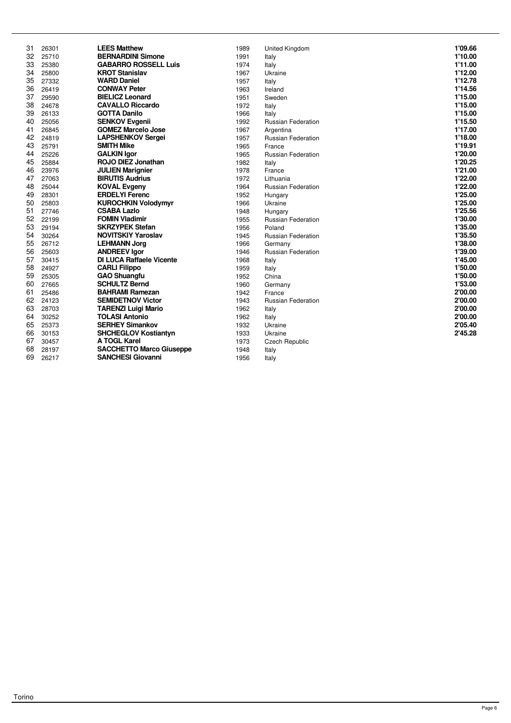| 31 | 26301 | <b>LEES Matthew</b>             | 1989 | United Kingdom            | 1'09.66 |
|----|-------|---------------------------------|------|---------------------------|---------|
| 32 | 25710 | <b>BERNARDINI Simone</b>        | 1991 | Italy                     | 1'10.00 |
| 33 | 25380 | <b>GABARRO ROSSELL Luis</b>     | 1974 | Italy                     | 1'11.00 |
| 34 | 25800 | <b>KROT Stanislav</b>           | 1967 | Ukraine                   | 1'12.00 |
| 35 | 27332 | <b>WARD Daniel</b>              | 1957 | Italy                     | 1'12.78 |
| 36 | 26419 | <b>CONWAY Peter</b>             | 1963 | Ireland                   | 1'14.56 |
| 37 | 29590 | <b>BIELICZ Leonard</b>          | 1951 | Sweden                    | 1'15.00 |
| 38 | 24678 | <b>CAVALLO Riccardo</b>         | 1972 | Italy                     | 1'15.00 |
| 39 | 26133 | <b>GOTTA Danilo</b>             | 1966 | Italy                     | 1'15.00 |
| 40 | 25056 | <b>SENKOV Evgenii</b>           | 1992 | <b>Russian Federation</b> | 1'15.50 |
| 41 | 26845 | <b>GOMEZ Marcelo Jose</b>       | 1967 | Argentina                 | 1'17.00 |
| 42 | 24819 | <b>LAPSHENKOV Sergei</b>        | 1957 | Russian Federation        | 1'18.00 |
| 43 | 25791 | <b>SMITH Mike</b>               | 1965 | France                    | 1'19.91 |
| 44 | 25226 | <b>GALKIN Igor</b>              | 1965 | <b>Russian Federation</b> | 1'20.00 |
| 45 | 25884 | <b>ROJO DIEZ Jonathan</b>       | 1982 | Italy                     | 1'20.25 |
| 46 | 23976 | <b>JULIEN Marignier</b>         | 1978 | France                    | 1'21.00 |
| 47 | 27063 | <b>BIRUTIS Audrius</b>          | 1972 | Lithuania                 | 1'22.00 |
| 48 | 25044 | <b>KOVAL Evgeny</b>             | 1964 | <b>Russian Federation</b> | 1'22.00 |
| 49 | 28301 | <b>ERDELYI Ferenc</b>           | 1952 | Hungary                   | 1'25.00 |
| 50 | 25803 | <b>KUROCHKIN Volodymyr</b>      | 1966 | Ukraine                   | 1'25.00 |
| 51 | 27746 | <b>CSABA Lazlo</b>              | 1948 | Hungary                   | 1'25.56 |
| 52 | 22199 | <b>FOMIN Vladimir</b>           | 1955 | <b>Russian Federation</b> | 1'30.00 |
| 53 | 29194 | <b>SKRZYPEK Stefan</b>          | 1956 | Poland                    | 1'35.00 |
| 54 | 30264 | <b>NOVITSKIY Yaroslav</b>       | 1945 | <b>Russian Federation</b> | 1'35.50 |
| 55 | 26712 | <b>LEHMANN Jorg</b>             | 1966 | Germany                   | 1'38.00 |
| 56 | 25603 | <b>ANDREEV lgor</b>             | 1946 | <b>Russian Federation</b> | 1'39.00 |
| 57 | 30415 | <b>DI LUCA Raffaele Vicente</b> | 1968 | Italy                     | 1'45.00 |
| 58 | 24927 | <b>CARLI Filippo</b>            | 1959 | Italy                     | 1'50.00 |
| 59 | 25305 | <b>GAO Shuangfu</b>             | 1952 | China                     | 1'50.00 |
| 60 | 27665 | <b>SCHULTZ Bernd</b>            | 1960 | Germany                   | 1'53.00 |
| 61 | 25486 | <b>BAHRAMI Ramezan</b>          | 1942 | France                    | 2'00.00 |
| 62 | 24123 | <b>SEMIDETNOV Victor</b>        | 1943 | <b>Russian Federation</b> | 2'00.00 |
| 63 | 28703 | <b>TARENZI Luigi Mario</b>      | 1962 | Italy                     | 2'00.00 |
| 64 | 30252 | <b>TOLASI Antonio</b>           | 1962 | Italy                     | 2'00.00 |
| 65 | 25373 | <b>SERHEY Simankov</b>          | 1932 | Ukraine                   | 2'05.40 |
| 66 | 30153 | <b>SHCHEGLOV Kostiantyn</b>     | 1933 | Ukraine                   | 2'45.28 |
| 67 | 30457 | A TOGL Karel                    | 1973 | <b>Czech Republic</b>     |         |
| 68 | 28197 | <b>SACCHETTO Marco Giuseppe</b> | 1948 | Italy                     |         |
| 69 | 26217 | <b>SANCHESI Giovanni</b>        | 1956 | Italy                     |         |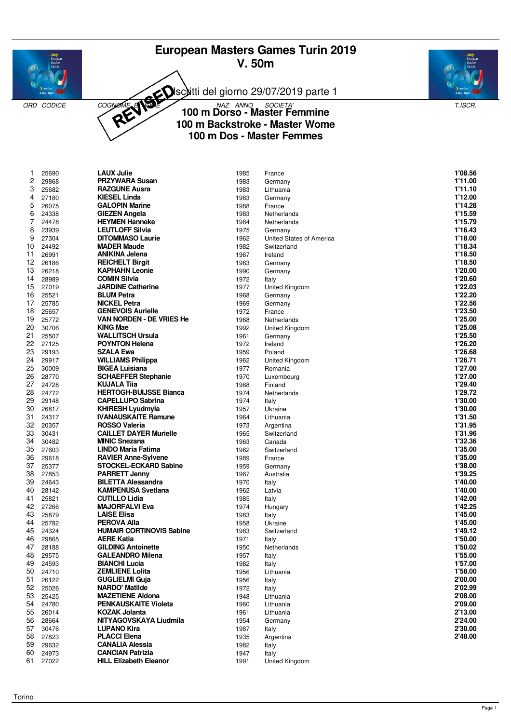# **European Masters Games Turin 2019 V. 50m**









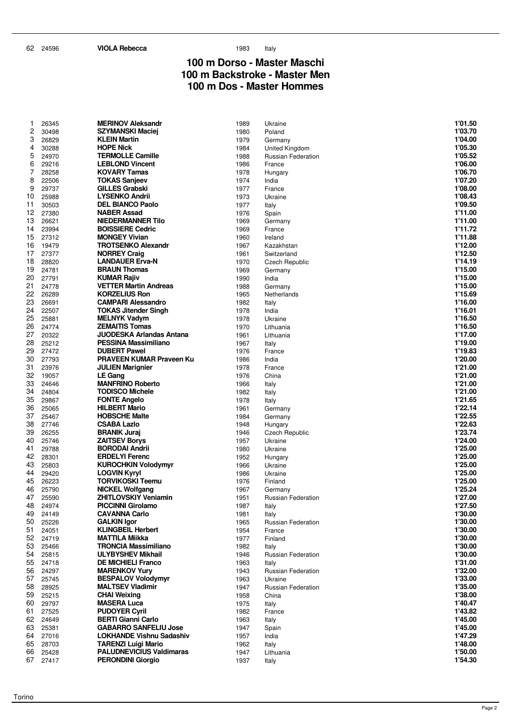#### **100 m Dorso - Master Maschi 100 m Backstroke - Master Men 100 m Dos - Master Hommes**

| 1        | 26345          | <b>MERINOV Aleksandr</b>                          | 1989         | Ukraine                      | 1'01.50            |
|----------|----------------|---------------------------------------------------|--------------|------------------------------|--------------------|
| 2        | 30498          | <b>SZYMANSKI Maciej</b>                           | 1980         | Poland                       | 1'03.70            |
| 3        | 26829          | <b>KLEIN Martin</b>                               | 1979         | Germany                      | 1'04.00            |
| 4        | 30288          | <b>HOPE Nick</b>                                  | 1984         | United Kingdom               | 1'05.30            |
| 5        | 24970          | <b>TERMOLLE Camille</b>                           | 1988         | Russian Federation           | 1'05.52            |
| 6        | 29216          | <b>LEBLOND Vincent</b>                            | 1986         | France                       | 1'06.00            |
| 7        | 28258          | <b>KOVARY Tamas</b>                               | 1978         | Hungary                      | 1'06.70            |
| 8        | 22506          | <b>TOKAS Sanjeev</b>                              | 1974         | India                        | 1'07.20            |
| 9        | 29737          | <b>GILLES Grabski</b>                             | 1977         | France                       | 1'08.00            |
| 10       | 25988          | <b>LYSENKO Andrii</b>                             | 1973         | Ukraine                      | 1'08.43            |
| 11       | 30503          | <b>DEL BIANCO Paolo</b>                           | 1977         | Italy                        | 1'09.50            |
| 12       | 27380          | <b>NABER Assad</b>                                | 1976         | Spain                        | 1'11.00            |
| 13       | 26621          | <b>NIEDERMANNER Tilo</b>                          | 1969         | Germany                      | 1'11.00            |
| 14       | 23994          | <b>BOISSIERE Cedric</b>                           | 1969         | France                       | 1'11.72<br>1'11.88 |
| 15<br>16 | 27312<br>19479 | <b>MONGEY Vivian</b><br><b>TROTSENKO Alexandr</b> | 1960<br>1967 | Ireland<br>Kazakhstan        | 1'12.00            |
| 17       | 27377          | <b>NORREY Craig</b>                               | 1961         | Switzerland                  | 1'12.50            |
| 18       | 28820          | <b>LANDAUER Erva-N</b>                            | 1970         | Czech Republic               | 1'14.19            |
| 19       | 24781          | <b>BRAUN Thomas</b>                               | 1969         | Germany                      | 1'15.00            |
| 20       | 27791          | <b>KUMAR Rajiv</b>                                | 1990         | India                        | 1'15.00            |
| 21       | 24778          | <b>VETTER Martin Andreas</b>                      | 1988         | Germany                      | 1'15.00            |
| 22       | 26289          | <b>KORZELIUS Ron</b>                              | 1965         | Netherlands                  | 1'15.69            |
| 23       | 26691          | <b>CAMPARI Alessandro</b>                         | 1982         | Italy                        | 1'16.00            |
| 24       | 22507          | <b>TOKAS Jitender Singh</b>                       | 1978         | India                        | 1'16.01            |
| 25       | 25881          | <b>MELNYK Vadym</b>                               | 1978         | Ukraine                      | 1'16.50            |
| 26       | 24774          | <b>ZEMAITIS Tomas</b>                             | 1970         | Lithuania                    | 1'16.50            |
| 27       | 20322          | <b>JUODESKA Arlandas Antana</b>                   | 1961         | Lithuania                    | 1'17.00            |
| 28       | 25212          | <b>PESSINA Massimiliano</b>                       | 1967         | Italy                        | 1'19.00            |
| 29       | 27472          | <b>DUBERT Pawel</b>                               | 1976         | France                       | 1'19.83            |
| 30       | 27793          | <b>PRAVEEN KUMAR Praveen Ku</b>                   | 1986         | India                        | 1'20.00            |
| 31       | 23976          | <b>JULIEN Marignier</b>                           | 1978         | France                       | 1'21.00            |
| 32       | 19057          | LE Gang                                           | 1976         | China                        | 1'21.00            |
| 33<br>34 | 24646          | <b>MANFRINO Roberto</b>                           | 1966         | Italy                        | 1'21.00<br>1'21.00 |
| 35       | 24804          | <b>TODISCO Michele</b>                            | 1982         | Italy                        | 1'21.65            |
| 36       | 29867<br>25065 | <b>FONTE Angelo</b><br><b>HILBERT Mario</b>       | 1978<br>1961 | Italy                        | 1'22.14            |
| 37       | 25467          | <b>HOBSCHE Malte</b>                              | 1984         | Germany<br>Germany           | 1'22.55            |
| 38       | 27746          | <b>CSABA Lazlo</b>                                | 1948         | Hungary                      | 1'22.63            |
| 39       | 26255          | <b>BRANIK Juraj</b>                               | 1946         | Czech Republic               | 1'23.74            |
| 40       | 25746          | <b>ZAITSEV Borys</b>                              | 1957         | Ukraine                      | 1'24.00            |
| 41       | 29788          | <b>BORODAI Andrii</b>                             | 1980         | Ukraine                      | 1'25.00            |
| 42       | 28301          | <b>ERDELYI Ferenc</b>                             | 1952         | Hungary                      | 1'25.00            |
| 43       | 25803          | <b>KUROCHKIN Volodymyr</b>                        | 1966         | Ukraine                      | 1'25.00            |
| 44       | 29420          | <b>LOGVIN Kyryl</b>                               | 1986         | Ukraine                      | 1'25.00            |
| 45       | 26223          | <b>TORVIKOSKI Teemu</b>                           | 1976         | Finland                      | 1'25.00            |
| 46       | 25790          | <b>NICKEL Wolfgang</b>                            | 1967         | Germany                      | 1'25.24            |
| 47       | 25590          | <b>ZHITLOVSKIY Veniamin</b>                       | 1951         | Russian Federation           | 1'27.00            |
| 48       | 24974          | <b>PICCINNI Girolamo</b>                          | 1987         | Italy                        | 1'27.50            |
| 49       | 24149          | <b>CAVANNA Carlo</b>                              | 1981         | Italy                        | 1'30.00            |
| 50<br>51 | 25226<br>24051 | <b>GALKIN</b> Igor<br><b>KLINGBEIL Herbert</b>    | 1965<br>1954 | Russian Federation<br>France | 1'30.00<br>1'30.00 |
| 52       | 24719          | <b>MATTILA Miikka</b>                             | 1977         |                              | 1'30.00            |
| 53       | 25466          | <b>TRONCIA Massimiliano</b>                       | 1982         | Finland<br>Italy             | 1'30.00            |
| 54       | 25815          | <b>ULYBYSHEV Mikhail</b>                          | 1946         | Russian Federation           | 1'30.00            |
| 55       | 24718          | <b>DE MICHIELI Franco</b>                         | 1963         | Italy                        | 1'31.00            |
| 56       | 24297          | <b>MARENKOV Yury</b>                              | 1943         | Russian Federation           | 1'32.00            |
| 57       | 25745          | <b>BESPALOV Volodymyr</b>                         | 1963         | Ukraine                      | 1'33.00            |
| 58       | 28925          | <b>MALTSEV Vladimir</b>                           | 1947         | Russian Federation           | 1'35.00            |
| 59       | 25215          | <b>CHAI Weixing</b>                               | 1958         | China                        | 1'38.00            |
| 60       | 29797          | <b>MASERA Luca</b>                                | 1975         | Italy                        | 1'40.47            |
| 61       | 27525          | <b>PUDOYER Cyril</b>                              | 1982         | France                       | 1'43.82            |
| 62       | 24649          | <b>BERTI Gianni Carlo</b>                         | 1963         | Italy                        | 1'45.00            |
| 63       | 25381          | <b>GABARRO SANFELIU Jose</b>                      | 1947         | Spain                        | 1'45.00            |
| 64       | 27016          | <b>LOKHANDE Vishnu Sadashiv</b>                   | 1957         | India                        | 1'47.29            |
| 65       | 28703          | <b>TARENZI Luigi Mario</b>                        | 1962         | Italy                        | 1'48.00            |
| 66       | 25428          | <b>PALUDNEVICIUS Valdimaras</b>                   | 1947         | Lithuania                    | 1'50.00            |
| 67       | 27417          | <b>PERONDINI Giorgio</b>                          | 1937         | Italy                        | 1'54.30            |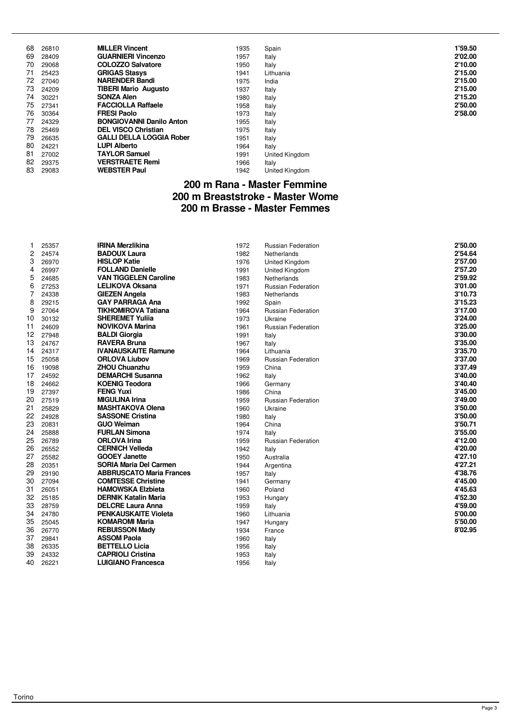| 68 | 26810 | <b>MILLER Vincent</b>           | 1935 | Spain          | 1'59.50 |
|----|-------|---------------------------------|------|----------------|---------|
| 69 | 28409 | <b>GUARNIERI Vincenzo</b>       | 1957 | Italy          | 2'02.00 |
| 70 | 29068 | <b>COLOZZO Salvatore</b>        | 1950 | Italy          | 2'10.00 |
| 71 | 25423 | <b>GRIGAS Stasys</b>            | 1941 | Lithuania      | 2'15.00 |
| 72 | 27040 | <b>NARENDER Bandi</b>           | 1975 | India          | 2'15.00 |
| 73 | 24209 | <b>TIBERI Mario Augusto</b>     | 1937 | Italy          | 2'15.00 |
| 74 | 30221 | <b>SONZA Alen</b>               | 1980 | Italy          | 2'15.20 |
| 75 | 27341 | <b>FACCIOLLA Raffaele</b>       | 1958 | Italy          | 2'50.00 |
| 76 | 30364 | <b>FRESI Paolo</b>              | 1973 | Italy          | 2'58.00 |
| 77 | 24329 | <b>BONGIOVANNI Danilo Anton</b> | 1955 | Italy          |         |
| 78 | 25469 | <b>DEL VISCO Christian</b>      | 1975 | Italy          |         |
| 79 | 26635 | <b>GALLI DELLA LOGGIA Rober</b> | 1951 | Italy          |         |
| 80 | 24221 | <b>LUPI Alberto</b>             | 1964 | Italy          |         |
| 81 | 27002 | <b>TAYLOR Samuel</b>            | 1991 | United Kingdom |         |
| 82 | 29375 | <b>VERSTRAETE Remi</b>          | 1966 | Italy          |         |
| 83 | 29083 | <b>WEBSTER Paul</b>             | 1942 | United Kingdom |         |

#### **200 m Rana - Master Femmine 200 m Breaststroke - Master Wome 200 m Brasse - Master Femmes**

| 1              | 25357 | <b>IRINA Merzlikina</b>         | 1972 | <b>Russian Federation</b> | 2'50.00 |
|----------------|-------|---------------------------------|------|---------------------------|---------|
| 2              | 24574 | <b>BADOUX Laura</b>             | 1982 | Netherlands               | 2'54.64 |
| 3              | 26970 | <b>HISLOP Katie</b>             | 1976 | United Kingdom            | 2'57.00 |
| 4              | 26997 | <b>FOLLAND Danielle</b>         | 1991 | United Kingdom            | 2'57.20 |
| 5              | 24685 | <b>VAN TIGGELEN Caroline</b>    | 1983 | Netherlands               | 2'59.92 |
| 6              | 27253 | <b>LELIKOVA Oksana</b>          | 1971 | <b>Russian Federation</b> | 3'01.00 |
| $\overline{7}$ | 24338 | <b>GIEZEN Angela</b>            | 1983 | <b>Netherlands</b>        | 3'10.73 |
| 8              | 29215 | <b>GAY PARRAGA Ana</b>          | 1992 | Spain                     | 3'15.23 |
| 9              | 27064 | <b>TIKHOMIROVA Tatiana</b>      | 1964 | <b>Russian Federation</b> | 3'17.00 |
| 10             | 30132 | <b>SHEREMET Yulija</b>          | 1973 | Ukraine                   | 3'24.00 |
| 11             | 24609 | <b>NOVIKOVA Marina</b>          | 1961 | <b>Russian Federation</b> | 3'25.00 |
| 12             | 27948 | <b>BALDI Giorgia</b>            | 1991 | Italy                     | 3'30.00 |
| 13             | 24767 | <b>RAVERA Bruna</b>             | 1967 | Italy                     | 3'35.00 |
| 14             | 24317 | <b>IVANAUSKAITE Ramune</b>      | 1964 | Lithuania                 | 3'35.70 |
| 15             | 25058 | <b>ORLOVA Liubov</b>            | 1969 | <b>Russian Federation</b> | 3'37.00 |
| 16             | 19098 | <b>ZHOU Chuanzhu</b>            | 1959 | China                     | 3'37.49 |
| 17             | 24592 | <b>DEMARCHI Susanna</b>         | 1962 | Italy                     | 3'40.00 |
| 18             | 24662 | <b>KOENIG Teodora</b>           | 1966 | Germany                   | 3'40.40 |
| 19             | 27397 | <b>FENG Yuxi</b>                | 1986 | China                     | 3'45.00 |
| 20             | 27519 | <b>MIGULINA Irina</b>           | 1959 | <b>Russian Federation</b> | 3'49.00 |
| 21             | 25829 | <b>MASHTAKOVA Olena</b>         | 1960 | Ukraine                   | 3'50.00 |
| 22             | 24928 | <b>SASSONE Cristina</b>         | 1980 | Italy                     | 3'50.00 |
| 23             | 20831 | <b>GUO Weiman</b>               | 1964 | China                     | 3'50.71 |
| 24             | 25888 | <b>FURLAN Simona</b>            | 1974 | Italy                     | 3'55.00 |
| 25             | 26789 | <b>ORLOVA Irina</b>             | 1959 | <b>Russian Federation</b> | 4'12.00 |
| 26             | 26552 | <b>CERNICH Velleda</b>          | 1942 | Italy                     | 4'20.00 |
| 27             | 25582 | <b>GOOEY Janette</b>            | 1950 | Australia                 | 4'27.10 |
| 28             | 20351 | <b>SORIA Maria Del Carmen</b>   | 1944 | Argentina                 | 4'27.21 |
| 29             | 29190 | <b>ABBRUSCATO Maria Frances</b> | 1957 | Italy                     | 4'38.76 |
| 30             | 27094 | <b>COMTESSE Christine</b>       | 1941 | Germany                   | 4'45.00 |
| 31             | 26051 | <b>HAMOWSKA Elzbieta</b>        | 1960 | Poland                    | 4'45.63 |
| 32             | 25185 | <b>DERNIK Katalin Maria</b>     | 1953 | Hungary                   | 4'52.30 |
| 33             | 28759 | <b>DELCRE Laura Anna</b>        | 1959 | Italy                     | 4'59.00 |
| 34             | 24780 | <b>PENKAUSKAITE Violeta</b>     | 1960 | Lithuania                 | 5'00.00 |
| 35             | 25045 | <b>KOMAROMI Maria</b>           | 1947 | Hungary                   | 5'50.00 |
| 36             | 26770 | <b>REBUISSON Mady</b>           | 1934 | France                    | 8'02.95 |
| 37             | 29841 | <b>ASSOM Paola</b>              | 1960 | Italy                     |         |
| 38             | 26335 | <b>BETTELLO Licia</b>           | 1956 | Italy                     |         |
| 39             | 24332 | <b>CAPRIOLI Cristina</b>        | 1953 | Italy                     |         |
| 40             | 26221 | <b>LUIGIANO Francesca</b>       | 1956 | Italy                     |         |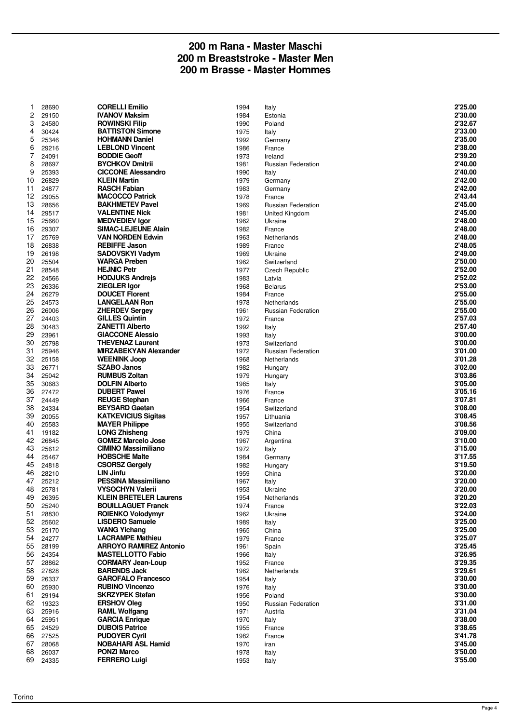#### **200 m Rana - Master Maschi 200 m Breaststroke - Master Men 200 m Brasse - Master Hommes**

| 1  | 28690 | <b>CORELLI Emilio</b>         | 1994 | Italy                     | 2'25.00        |
|----|-------|-------------------------------|------|---------------------------|----------------|
| 2  | 29150 | <b>IVANOV Maksim</b>          | 1984 | Estonia                   | 2'30.00        |
| 3  | 24580 | <b>ROWINSKI Filip</b>         | 1990 | Poland                    | 2'32.67        |
| 4  | 30424 | <b>BATTISTON Simone</b>       | 1975 | Italy                     | 2'33.00        |
| 5  | 25346 | <b>HOHMANN Daniel</b>         | 1992 |                           | 2'35.00        |
| 6  | 29216 | <b>LEBLOND Vincent</b>        | 1986 | Germany<br>France         | 2'38.00        |
| 7  |       | <b>BODDIE Geoff</b>           |      |                           | 2'39.20        |
|    | 24091 |                               | 1973 | Ireland                   | 2'40.00        |
| 8  | 28697 | <b>BYCHKOV Dmitrii</b>        | 1981 | <b>Russian Federation</b> |                |
| 9  | 25393 | <b>CICCONE Alessandro</b>     | 1990 | Italy                     | 2'40.00        |
| 10 | 26829 | <b>KLEIN Martin</b>           | 1979 | Germany                   | 2'42.00        |
| 11 | 24877 | <b>RASCH Fabian</b>           | 1983 | Germany                   | 2'42.00        |
| 12 | 29055 | <b>MACOCCO Patrick</b>        | 1978 | France                    | 2'43.44        |
| 13 | 28656 | <b>BAKHMETEV Pavel</b>        | 1969 | <b>Russian Federation</b> | 2'45.00        |
| 14 | 29517 | <b>VALENTINE Nick</b>         | 1981 | United Kingdom            | 2'45.00        |
| 15 | 25660 | <b>MEDVEDIEV Igor</b>         | 1962 | Ukraine                   | 2'48.00        |
| 16 | 29307 | <b>SIMAC-LEJEUNE Alain</b>    | 1982 | France                    | 2'48.00        |
| 17 | 25769 | <b>VAN NORDEN Edwin</b>       | 1963 | Netherlands               | 2'48.00        |
| 18 | 26838 | <b>REBIFFE Jason</b>          | 1989 | France                    | 2'48.05        |
| 19 | 26198 | SADOVSKYI Vadym               | 1969 | Ukraine                   | 2'49.00        |
| 20 | 25504 | <b>WARGA Preben</b>           | 1962 | Switzerland               | 2'50.00        |
| 21 | 28548 | <b>HEJNIC Petr</b>            | 1977 | <b>Czech Republic</b>     | 2'52.00        |
| 22 | 24566 | <b>HODJUKS Andrejs</b>        | 1983 | Latvia                    | 2'52.02        |
| 23 | 26336 | <b>ZIEGLER Igor</b>           | 1968 | <b>Belarus</b>            | 2'53.00        |
| 24 | 26279 | <b>DOUCET Florent</b>         | 1984 | France                    | 2'55.00        |
| 25 | 24573 | <b>LANGELAAN Ron</b>          | 1978 | Netherlands               | 2'55.00        |
| 26 | 26006 | <b>ZHERDEV Sergey</b>         | 1961 | <b>Russian Federation</b> | 2'55.00        |
| 27 | 24403 | <b>GILLES Quintin</b>         | 1972 | France                    | 2'57.03        |
| 28 | 30483 | <b>ZANETTI Alberto</b>        | 1992 | Italy                     | 2'57.40        |
| 29 | 23961 | <b>GIACCONE Alessio</b>       | 1993 | Italy                     | 3'00.00        |
| 30 | 25798 | <b>THEVENAZ Laurent</b>       | 1973 | Switzerland               | 3'00.00        |
| 31 | 25946 | <b>MIRZABEKYAN Alexander</b>  | 1972 | <b>Russian Federation</b> | 3'01.00        |
| 32 | 25158 | <b>WEENINK Joop</b>           | 1968 | Netherlands               | 3'01.28        |
| 33 | 26771 | <b>SZABO Janos</b>            | 1982 |                           | 3'02.00        |
| 34 |       | <b>RUMBUS Zoltan</b>          |      | Hungary                   | 3'03.86        |
| 35 | 25042 |                               | 1979 | Hungary                   | 3'05.00        |
|    | 30683 | <b>DOLFIN Alberto</b>         | 1985 | Italy                     |                |
| 36 | 27472 | <b>DUBERT Pawel</b>           | 1976 | France                    | 3'05.16        |
| 37 | 24449 | <b>REUGE Stephan</b>          | 1966 | France                    | 3'07.81        |
| 38 | 24334 | <b>BEYSARD Gaetan</b>         | 1954 | Switzerland               | 3'08.00        |
| 39 | 20055 | <b>KATKEVICIUS Sigitas</b>    | 1957 | Lithuania                 | 3'08.45        |
| 40 | 25583 | <b>MAYER Philippe</b>         | 1955 | Switzerland               | 3'08.56        |
| 41 | 19182 | <b>LONG Zhisheng</b>          | 1979 | China                     | 3'09.00        |
| 42 | 26845 | <b>GOMEZ Marcelo Jose</b>     | 1967 | Argentina                 | 3'10.00        |
| 43 | 25612 | <b>CIMINO Massimiliano</b>    | 1972 | Italy                     | 3'15.00        |
| 44 | 25467 | <b>HOBSCHE Malte</b>          | 1984 | Germany                   | 3'17.55        |
| 45 | 24818 | <b>CSORSZ Gergely</b>         | 1982 | Hungary                   | 3'19.50        |
| 46 | 28210 | <b>LIN Jinfu</b>              | 1959 | China                     | 3'20.00        |
| 47 | 25212 | <b>PESSINA Massimiliano</b>   | 1967 | Italy                     | 3'20.00        |
| 48 | 25781 | <b>VYSOCHYN Valerii</b>       | 1953 | Ukraine                   | <b>3'20.00</b> |
| 49 | 26395 | <b>KLEIN BRETELER Laurens</b> | 1954 | Netherlands               | 3'20.20        |
| 50 | 25240 | <b>BOUILLAGUET Franck</b>     | 1974 | France                    | 3'22.03        |
| 51 | 28830 | <b>ROIENKO Volodymyr</b>      | 1962 | Ukraine                   | 3'24.00        |
| 52 | 25602 | <b>LISDERO Samuele</b>        | 1989 | Italy                     | 3'25.00        |
| 53 | 25170 | <b>WANG Yichang</b>           | 1965 | China                     | 3'25.00        |
| 54 | 24277 | <b>LACRAMPE Mathieu</b>       | 1979 | France                    | 3'25.07        |
| 55 | 28199 | <b>ARROYO RAMIREZ Antonio</b> | 1961 | Spain                     | 3'25.45        |
| 56 | 24354 | <b>MASTELLOTTO Fabio</b>      | 1966 | Italy                     | 3'26.95        |
| 57 | 28862 | <b>CORMARY Jean-Loup</b>      | 1952 | France                    | 3'29.35        |
| 58 | 27828 | <b>BARENDS Jack</b>           | 1962 | Netherlands               | 3'29.61        |
| 59 | 26337 | <b>GAROFALO Francesco</b>     | 1954 | Italy                     | 3'30.00        |
| 60 | 25930 | <b>RUBINO Vincenzo</b>        | 1976 | Italy                     | 3'30.00        |
| 61 | 29194 | <b>SKRZYPEK Stefan</b>        | 1956 | Poland                    | 3'30.00        |
| 62 | 19323 | <b>ERSHOV Oleg</b>            | 1950 | <b>Russian Federation</b> | 3'31.00        |
| 63 | 25916 | <b>RAML Wolfgang</b>          | 1971 | Austria                   | 3'31.04        |
| 64 | 25951 | <b>GARCIA Enrique</b>         | 1970 | Italy                     | 3'38.00        |
| 65 | 24529 | <b>DUBOIS Patrice</b>         | 1955 | France                    | 3'38.65        |
| 66 | 27525 | <b>PUDOYER Cyril</b>          | 1982 | France                    | 3'41.78        |
| 67 |       | <b>NOBAHARI ASL Hamid</b>     |      |                           | 3'45.00        |
| 68 | 28068 | <b>PONZI Marco</b>            | 1970 | iran                      | 3'50.00        |
|    | 26037 | <b>FERRERO Luigi</b>          | 1978 | Italy                     | 3'55.00        |
| 69 | 24335 |                               | 1953 | Italy                     |                |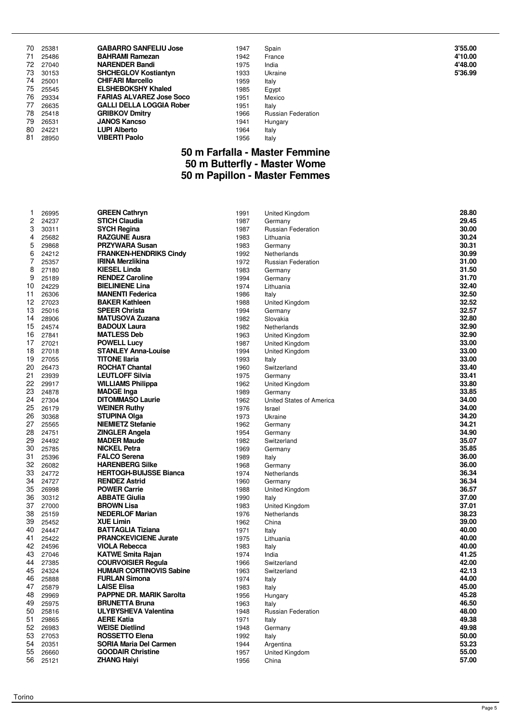| 70<br>71<br>72<br>73<br>74<br>75<br>76<br>77<br>78<br>79 | 25381<br>25486<br>27040<br>30153<br>25001<br>25545<br>29334<br>26635<br>25418<br>26531 | <b>GABARRO SANFELIU Jose</b><br><b>BAHRAMI Ramezan</b><br><b>NARENDER Bandi</b><br><b>SHCHEGLOV Kostiantyn</b><br><b>CHIFARI Marcello</b><br><b>ELSHEBOKSHY Khaled</b><br><b>FARIAS ALVAREZ Jose Soco</b><br><b>GALLI DELLA LOGGIA Rober</b><br><b>GRIBKOV Dmitry</b><br><b>JANOS Kancso</b> | 1947<br>1942<br>1975<br>1933<br>1959<br>1985<br>1951<br>1951<br>1966<br>1941 | Spain<br>France<br>India<br>Ukraine<br>Italy<br>Egypt<br>Mexico<br>Italy<br><b>Russian Federation</b><br>Hungary | 3'55.00<br>4'10.00<br>4'48.00<br>5'36.99 |
|----------------------------------------------------------|----------------------------------------------------------------------------------------|----------------------------------------------------------------------------------------------------------------------------------------------------------------------------------------------------------------------------------------------------------------------------------------------|------------------------------------------------------------------------------|------------------------------------------------------------------------------------------------------------------|------------------------------------------|
| 80                                                       | 24221                                                                                  | <b>LUPI Alberto</b>                                                                                                                                                                                                                                                                          | 1964                                                                         | Italy                                                                                                            |                                          |
| 81                                                       | 28950                                                                                  | <b>VIBERTI Paolo</b>                                                                                                                                                                                                                                                                         | 1956                                                                         | Italy                                                                                                            |                                          |

#### **50 m Farfalla - Master Femmine 50 m Butterfly - Master Wome 50 m Papillon - Master Femmes**

| 1  | 26995 | <b>GREEN Cathryn</b>            | 1991 | United Kingdom            | 28.80 |
|----|-------|---------------------------------|------|---------------------------|-------|
| 2  | 24237 | <b>STICH Claudia</b>            | 1987 | Germany                   | 29.45 |
| 3  | 30311 | <b>SYCH Regina</b>              | 1987 | <b>Russian Federation</b> | 30.00 |
| 4  | 25682 | <b>RAZGUNE Ausra</b>            | 1983 | Lithuania                 | 30.24 |
| 5  | 29868 | <b>PRZYWARA Susan</b>           | 1983 | Germany                   | 30.31 |
| 6  | 24212 | <b>FRANKEN-HENDRIKS Cindy</b>   | 1992 | Netherlands               | 30.99 |
| 7  | 25357 | <b>IRINA Merzlikina</b>         | 1972 | <b>Russian Federation</b> | 31.00 |
| 8  | 27180 | <b>KIESEL Linda</b>             | 1983 | Germany                   | 31.50 |
| 9  | 25189 | <b>RENDEZ Caroline</b>          | 1994 | Germany                   | 31.70 |
| 10 | 24229 | <b>BIELINIENE Lina</b>          | 1974 | Lithuania                 | 32.40 |
| 11 | 26306 | <b>MANENTI Federica</b>         | 1986 | Italy                     | 32.50 |
| 12 | 27023 | <b>BAKER Kathleen</b>           | 1988 | <b>United Kingdom</b>     | 32.52 |
| 13 | 25016 | <b>SPEER Christa</b>            | 1994 | Germany                   | 32.57 |
| 14 | 28906 | <b>MATUSOVA Zuzana</b>          | 1982 | Slovakia                  | 32.80 |
| 15 | 24574 | <b>BADOUX Laura</b>             | 1982 | Netherlands               | 32.90 |
| 16 | 27841 | <b>MATLESS Deb</b>              | 1963 | United Kingdom            | 32.90 |
| 17 | 27021 | <b>POWELL Lucy</b>              | 1987 | United Kingdom            | 33.00 |
| 18 | 27018 | <b>STANLEY Anna-Louise</b>      | 1994 | United Kingdom            | 33.00 |
| 19 | 27055 | <b>TITONE Ilaria</b>            | 1993 | Italy                     | 33.00 |
| 20 | 26473 | <b>ROCHAT Chantal</b>           | 1960 | Switzerland               | 33.40 |
| 21 | 23939 | <b>LEUTLOFF Silvia</b>          | 1975 | Germany                   | 33.41 |
| 22 | 29917 | <b>WILLIAMS Philippa</b>        | 1962 | United Kingdom            | 33.80 |
| 23 | 24878 | <b>MADGE Inga</b>               | 1989 | Germany                   | 33.85 |
| 24 | 27304 | <b>DITOMMASO Laurie</b>         | 1962 | United States of America  | 34.00 |
| 25 | 26179 | <b>WEINER Ruthy</b>             | 1976 | Israel                    | 34.00 |
| 26 | 30368 | STUPINA Olga                    | 1973 | Ukraine                   | 34.20 |
| 27 | 25565 | <b>NIEMIETZ Stefanie</b>        | 1962 | Germany                   | 34.21 |
| 28 | 24751 | <b>ZINGLER Angela</b>           | 1954 | Germany                   | 34.90 |
| 29 | 24492 | <b>MADER Maude</b>              | 1982 | Switzerland               | 35.07 |
| 30 | 25785 | <b>NICKEL Petra</b>             | 1969 | Germany                   | 35.85 |
| 31 | 25396 | <b>FALCO Serena</b>             | 1989 | Italy                     | 36.00 |
| 32 | 26082 | <b>HARENBERG Silke</b>          | 1968 | Germany                   | 36.00 |
| 33 | 24772 | <b>HERTOGH-BUIJSSE Bianca</b>   | 1974 | Netherlands               | 36.34 |
| 34 | 24727 | <b>RENDEZ Astrid</b>            | 1960 | Germany                   | 36.34 |
| 35 | 26998 | <b>POWER Carrie</b>             | 1988 | United Kingdom            | 36.57 |
| 36 | 30312 | <b>ABBATE Giulia</b>            | 1990 | Italy                     | 37.00 |
| 37 | 27000 | <b>BROWN Lisa</b>               | 1983 | United Kingdom            | 37.01 |
| 38 | 25159 | <b>NEDERLOF Marian</b>          | 1976 | Netherlands               | 38.23 |
| 39 | 25452 | <b>XUE Limin</b>                | 1962 | China                     | 39.00 |
| 40 | 24447 | <b>BATTAGLIA Tiziana</b>        | 1971 | Italy                     | 40.00 |
| 41 | 25422 | <b>PRANCKEVICIENE Jurate</b>    | 1975 | Lithuania                 | 40.00 |
| 42 | 24596 | <b>VIOLA Rebecca</b>            | 1983 | Italy                     | 40.00 |
| 43 | 27046 | <b>KATWE Smita Rajan</b>        | 1974 | India                     | 41.25 |
| 44 | 27385 | <b>COURVOISIER Regula</b>       | 1966 | Switzerland               | 42.00 |
| 45 | 24324 | <b>HUMAIR CORTINOVIS Sabine</b> | 1963 | Switzerland               | 42.13 |
| 46 | 25888 | <b>FURLAN Simona</b>            | 1974 | Italy                     | 44.00 |
| 47 | 25879 | <b>LAISE Elisa</b>              | 1983 | Italy                     | 45.00 |
| 48 | 29969 | <b>PAPPNE DR. MARIK Sarolta</b> | 1956 | Hungary                   | 45.28 |
| 49 | 25975 | <b>BRUNETTA Bruna</b>           | 1963 | Italy                     | 46.50 |
| 50 | 25816 | <b>ULYBYSHEVA Valentina</b>     | 1948 | <b>Russian Federation</b> | 48.00 |
| 51 | 29865 | <b>AERE Katia</b>               | 1971 | Italy                     | 49.38 |
| 52 | 26983 | <b>WEISE Dietlind</b>           | 1948 | Germany                   | 49.98 |
| 53 | 27053 | ROSSETTO Elena                  | 1992 | Italy                     | 50.00 |
| 54 | 20351 | <b>SORIA Maria Del Carmen</b>   | 1944 | Argentina                 | 53.23 |
| 55 | 26660 | <b>GOODAIR Christine</b>        | 1957 | United Kingdom            | 55.00 |
| 56 | 25121 | <b>ZHANG Haiyi</b>              | 1956 | China                     | 57.00 |
|    |       |                                 |      |                           |       |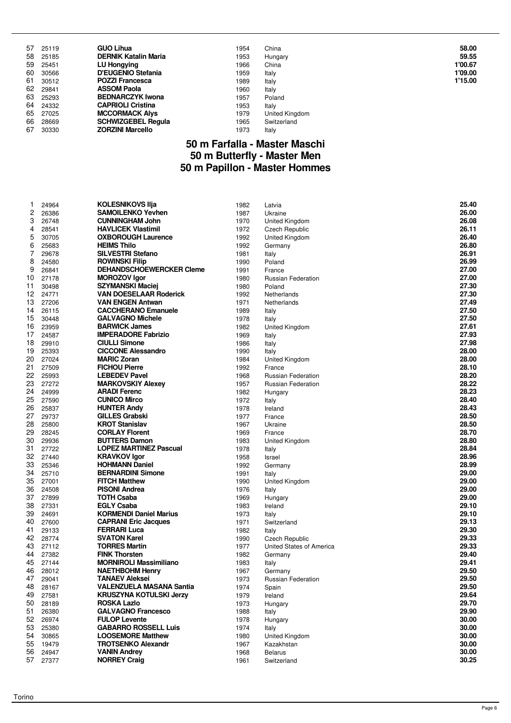| 57 | 25119 | <b>GUO Lihua</b>            | 1954 | China          | 58.00   |
|----|-------|-----------------------------|------|----------------|---------|
| 58 | 25185 | <b>DERNIK Katalin Maria</b> | 1953 | Hungary        | 59.55   |
| 59 | 25451 | <b>LU Hongying</b>          | 1966 | China          | 1'00.67 |
| 60 | 30566 | <b>D'EUGENIO Stefania</b>   | 1959 | Italy          | 1'09.00 |
| 61 | 30512 | <b>POZZI Francesca</b>      | 1989 | Italy          | 1'15.00 |
| 62 | 29841 | <b>ASSOM Paola</b>          | 1960 | Italy          |         |
| 63 | 25293 | <b>BEDNARCZYK Iwona</b>     | 1957 | Poland         |         |
| 64 | 24332 | <b>CAPRIOLI Cristina</b>    | 1953 | Italy          |         |
| 65 | 27025 | <b>MCCORMACK Alvs</b>       | 1979 | United Kingdom |         |
| 66 | 28669 | <b>SCHWIZGEBEL Regula</b>   | 1965 | Switzerland    |         |
| 67 | 30330 | <b>ZORZINI Marcello</b>     | 1973 | Italy          |         |

#### **50 m Farfalla - Master Maschi 50 m Butterfly - Master Men 50 m Papillon - Master Hommes**

| 1        | 24964          | <b>KOLESNIKOVS IIja</b>                           | 1982         | Latvia                    | 25.40          |
|----------|----------------|---------------------------------------------------|--------------|---------------------------|----------------|
| 2        | 26386          | <b>SAMOILENKO Yevhen</b>                          | 1987         | Ukraine                   | 26.00          |
| 3        | 26748          | <b>CUNNINGHAM John</b>                            | 1970         | United Kingdom            | 26.08          |
| 4        | 28541          | <b>HAVLICEK Vlastimil</b>                         | 1972         | Czech Republic            | 26.11          |
| 5        | 30705          | <b>OXBOROUGH Laurence</b>                         | 1992         | United Kingdom            | 26.40          |
| 6        | 25683          | <b>HEIMS Thilo</b>                                | 1992         | Germany                   | 26.80          |
| 7        | 29678          | <b>SILVESTRI Stefano</b>                          | 1981         | Italy                     | 26.91          |
| 8        | 24580          | <b>ROWINSKI Filip</b>                             | 1990         | Poland                    | 26.99          |
| 9        | 26841          | <b>DEHANDSCHOEWERCKER Cleme</b>                   | 1991         | France                    | 27.00          |
| 10       | 27178          | <b>MOROZOV Igor</b>                               | 1980         | <b>Russian Federation</b> | 27.00          |
| 11       | 30498          | <b>SZYMANSKI Maciej</b>                           | 1980         | Poland                    | 27.30          |
| 12       | 24771          | <b>VAN DOESELAAR Roderick</b>                     | 1992         | Netherlands               | 27.30          |
| 13       | 27206          | <b>VAN ENGEN Antwan</b>                           | 1971         | Netherlands               | 27.49          |
| 14       | 26115          | <b>CACCHERANO Emanuele</b>                        | 1989         | Italy                     | 27.50          |
| 15       | 30448          | <b>GALVAGNO Michele</b>                           | 1978         | Italy                     | 27.50          |
| 16       | 23959          | <b>BARWICK James</b>                              | 1982         | United Kingdom            | 27.61          |
| 17       | 24587          | <b>IMPERADORE Fabrizio</b>                        | 1969         | Italy                     | 27.93          |
| 18       | 29910          | <b>CIULLI Simone</b>                              | 1986         | Italy                     | 27.98          |
| 19       | 25393          | <b>CICCONE Alessandro</b>                         | 1990         | Italy                     | 28.00          |
| 20       | 27024          | <b>MARIC Zoran</b>                                | 1984         | United Kingdom            | 28.00          |
| 21       | 27509          | <b>FICHOU Pierre</b>                              | 1992         | France                    | 28.10          |
| 22       | 25993          | <b>LEBEDEV Pavel</b>                              | 1968         | <b>Russian Federation</b> | 28.20          |
| 23       | 27272          | <b>MARKOVSKIY Alexev</b>                          | 1957         | <b>Russian Federation</b> | 28.22          |
| 24       | 24999          | <b>ARADI Ferenc</b>                               | 1982         | Hungary                   | 28.23          |
| 25       | 27590          | <b>CUNICO Mirco</b>                               | 1972         |                           | 28.40          |
| 26       | 25837          | <b>HUNTER Andy</b>                                | 1978         | Italy                     | 28.43          |
| 27       | 29737          | <b>GILLES Grabski</b>                             | 1977         | Ireland<br>France         | 28.50          |
| 28       | 25800          | <b>KROT Stanislav</b>                             | 1967         |                           | 28.50          |
| 29       | 28245          | <b>CORLAY Florent</b>                             | 1969         | Ukraine                   | 28.70          |
| 30       |                | <b>BUTTERS Damon</b>                              |              | France                    | 28.80          |
| 31       | 29936<br>27722 | <b>LOPEZ MARTINEZ Pascual</b>                     | 1983<br>1978 | United Kingdom            | 28.84          |
| 32       | 27440          |                                                   |              | Italy                     | 28.96          |
| 33       |                | <b>KRAVKOV Igor</b>                               | 1958         | Israel                    | 28.99          |
| 34       | 25346          | <b>HOHMANN Daniel</b><br><b>BERNARDINI Simone</b> | 1992         | Germany                   | 29.00          |
|          | 25710          |                                                   | 1991         | Italy                     |                |
| 35       | 27001          | <b>FITCH Matthew</b>                              | 1990         | United Kingdom            | 29.00          |
| 36       | 24508          | <b>PISONI Andrea</b>                              | 1976         | Italy                     | 29.00          |
| 37<br>38 | 27899          | <b>TOTH Csaba</b>                                 | 1969         | Hungary                   | 29.00<br>29.10 |
|          | 27331          | <b>EGLY Csaba</b>                                 | 1983         | Ireland                   |                |
| 39       | 24691          | <b>KORMENDI Daniel Marius</b>                     | 1973         | Italy                     | 29.10          |
| 40       | 27600          | <b>CAPRANI Eric Jacques</b>                       | 1971         | Switzerland               | 29.13          |
| 41       | 29133          | <b>FERRARI Luca</b><br><b>SVATON Karel</b>        | 1982         | Italy                     | 29.30<br>29.33 |
| 42       | 28774          |                                                   | 1990         | Czech Republic            |                |
| 43       | 27112          | <b>TORRES Martin</b>                              | 1977         | United States of America  | 29.33          |
| 44       | 27382          | <b>FINK Thorsten</b>                              | 1982         | Germany                   | 29.40          |
| 45       | 27144          | <b>MORNIROLI Massimiliano</b>                     | 1983         | Italy                     | 29.41          |
| 46       | 28012          | <b>NAETHBOHM Henry</b>                            | 1967         | Germany                   | 29.50          |
| 47       | 29041          | <b>TANAEV Aleksei</b>                             | 1973         | <b>Russian Federation</b> | 29.50          |
| 48       | 28167          | VALENZUELA MASANA Santia                          | 1974         | Spain                     | 29.50          |
| 49       | 27581          | <b>KRUSZYNA KOTULSKI Jerzy</b>                    | 1979         | Ireland                   | 29.64          |
| 50       | 28189          | <b>ROSKA Lazlo</b>                                | 1973         | Hungary                   | 29.70          |
| 51       | 26380          | <b>GALVAGNO Francesco</b>                         | 1988         | Italy                     | 29.90          |
| 52       | 26974          | <b>FULOP Levente</b>                              | 1978         | Hungary                   | 30.00          |
| 53       | 25380          | <b>GABARRO ROSSELL Luis</b>                       | 1974         | Italy                     | 30.00          |
| 54       | 30865          | <b>LOOSEMORE Matthew</b>                          | 1980         | United Kingdom            | 30.00          |
| 55       | 19479          | <b>TROTSENKO Alexandr</b>                         | 1967         | Kazakhstan                | 30.00          |
| 56       | 24947          | <b>VANIN Andrey</b>                               | 1968         | <b>Belarus</b>            | 30.00          |
| 57       | 27377          | <b>NORREY Craig</b>                               | 1961         | Switzerland               | 30.25          |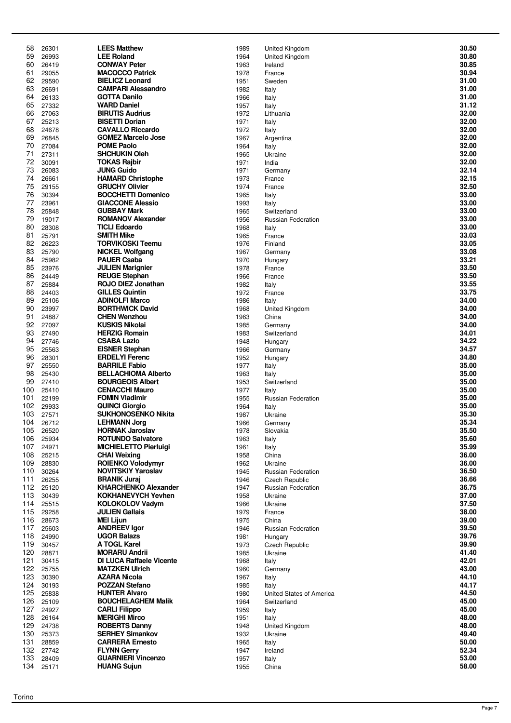| 58         | 26301          | <b>LEES Matthew</b>                               | 1989         | United Kingdom                              | 30.50          |
|------------|----------------|---------------------------------------------------|--------------|---------------------------------------------|----------------|
| 59         | 26993          | <b>LEE Roland</b>                                 | 1964         | United Kingdom                              | 30.80          |
| 60         | 26419          | <b>CONWAY Peter</b>                               | 1963         | Ireland                                     | 30.85          |
| 61         | 29055          | <b>MACOCCO Patrick</b>                            | 1978         | France                                      | 30.94          |
| 62         | 29590          | <b>BIELICZ Leonard</b>                            | 1951         | Sweden                                      | 31.00          |
| 63         | 26691          | <b>CAMPARI Alessandro</b>                         | 1982         | Italy                                       | 31.00          |
| 64<br>65   | 26133<br>27332 | <b>GOTTA Danilo</b><br><b>WARD Daniel</b>         | 1966<br>1957 | Italy                                       | 31.00<br>31.12 |
| 66         | 27063          | <b>BIRUTIS Audrius</b>                            | 1972         | Italy<br>Lithuania                          | 32.00          |
| 67         | 25213          | <b>BISETTI Dorian</b>                             | 1971         | Italy                                       | 32.00          |
| 68         | 24678          | <b>CAVALLO Riccardo</b>                           | 1972         | Italy                                       | 32.00          |
| 69         | 26845          | <b>GOMEZ Marcelo Jose</b>                         | 1967         | Argentina                                   | 32.00          |
| 70         | 27084          | <b>POME Paolo</b>                                 | 1964         | Italy                                       | 32.00          |
| 71         | 27311          | <b>SHCHUKIN Oleh</b>                              | 1965         | Ukraine                                     | 32.00          |
| 72         | 30091          | <b>TOKAS Rajbir</b>                               | 1971         | India                                       | 32.00          |
| 73<br>74   | 26083<br>26661 | <b>JUNG Guido</b><br><b>HAMARD Christophe</b>     | 1971<br>1973 | Germany<br>France                           | 32.14<br>32.15 |
| 75         | 29155          | <b>GRUCHY Olivier</b>                             | 1974         | France                                      | 32.50          |
| 76         | 30394          | <b>BOCCHETTI Domenico</b>                         | 1965         | Italy                                       | 33.00          |
| 77         | 23961          | <b>GIACCONE Alessio</b>                           | 1993         | Italy                                       | 33.00          |
| 78         | 25848          | <b>GUBBAY Mark</b>                                | 1965         | Switzerland                                 | 33.00          |
| 79         | 19017          | <b>ROMANOV Alexander</b>                          | 1956         | <b>Russian Federation</b>                   | 33.00          |
| 80         | 28308          | <b>TICLI Edoardo</b>                              | 1968         | Italy                                       | 33.00          |
| 81         | 25791          | <b>SMITH Mike</b>                                 | 1965         | France                                      | 33.03          |
| 82<br>83   | 26223          | <b>TORVIKOSKI Teemu</b>                           | 1976         | Finland                                     | 33.05<br>33.08 |
| 84         | 25790<br>25982 | <b>NICKEL Wolfgang</b><br><b>PAUER Csaba</b>      | 1967<br>1970 | Germany<br>Hungary                          | 33.21          |
| 85         | 23976          | <b>JULIEN Marignier</b>                           | 1978         | France                                      | 33.50          |
| 86         | 24449          | <b>REUGE Stephan</b>                              | 1966         | France                                      | 33.50          |
| 87         | 25884          | <b>ROJO DIEZ Jonathan</b>                         | 1982         | Italy                                       | 33.55          |
| 88         | 24403          | <b>GILLES Quintin</b>                             | 1972         | France                                      | 33.75          |
| 89         | 25106          | <b>ADINOLFI Marco</b>                             | 1986         | Italy                                       | 34.00          |
| 90         | 23997          | <b>BORTHWICK David</b>                            | 1968         | United Kingdom                              | 34.00          |
| 91         | 24887          | <b>CHEN Wenzhou</b>                               | 1963         | China                                       | 34.00          |
| 92<br>93   | 27097<br>27490 | <b>KUSKIS Nikolai</b><br><b>HERZIG Romain</b>     | 1985<br>1983 | Germany                                     | 34.00<br>34.01 |
| 94         | 27746          | <b>CSABA Lazlo</b>                                | 1948         | Switzerland<br>Hungary                      | 34.22          |
| 95         | 25563          | <b>EISNER Stephan</b>                             | 1966         | Germany                                     | 34.57          |
| 96         | 28301          | <b>ERDELYI Ferenc</b>                             | 1952         | Hungary                                     | 34.80          |
| 97         | 25550          | <b>BARRILE Fabio</b>                              | 1977         | Italy                                       | 35.00          |
| 98         | 25430          | <b>BELLACHIOMA Alberto</b>                        | 1963         | Italy                                       | 35.00          |
| 99         | 27410          | <b>BOURGEOIS Albert</b>                           | 1953         | Switzerland                                 | 35.00          |
| 100        | 25410          | <b>CENACCHI Mauro</b>                             | 1977         | Italy                                       | 35.00          |
| 101<br>102 | 22199<br>29933 | <b>FOMIN Vladimir</b><br><b>QUINCI Giorgio</b>    | 1955<br>1964 | Russian Federation<br>Italy                 | 35.00<br>35.00 |
| 103        | 27571          | <b>SUKHONOSENKO Nikita</b>                        | 1987         | Ukraine                                     | 35.30          |
| 104        | 26712          | <b>LEHMANN Jorg</b>                               | 1966         | Germany                                     | 35.34          |
| 105        | 26520          | <b>HORNAK Jaroslav</b>                            | 1978         | Slovakia                                    | 35.50          |
| 106        | 25934          | <b>ROTUNDO Salvatore</b>                          | 1963         | Italy                                       | 35.60          |
| 107        | 24971          | <b>MICHIELETTO Pierluigi</b>                      | 1961         | Italy                                       | 35.99          |
| 108        | 25215          | <b>CHAI Weixing</b>                               | 1958         | China                                       | 36.00          |
| 109        | 28830          | <b>ROIENKO Volodymyr</b>                          | 1962         | Ukraine                                     | 36.00          |
| 110<br>111 | 30264<br>26255 | <b>NOVITSKIY Yaroslav</b><br><b>BRANIK Juraj</b>  | 1945<br>1946 | <b>Russian Federation</b><br>Czech Republic | 36.50<br>36.66 |
| 112        | 25120          | <b>KHARCHENKO Alexander</b>                       | 1947         | <b>Russian Federation</b>                   | 36.75          |
| 113        | 30439          | <b>KOKHANEVYCH Yevhen</b>                         | 1958         | Ukraine                                     | 37.00          |
| 114        | 25515          | <b>KOLOKOLOV Vadym</b>                            | 1966         | Ukraine                                     | 37.50          |
| 115        | 29258          | <b>JULIEN Gallais</b>                             | 1979         | France                                      | 38.00          |
| 116        | 28673          | <b>MEI Lijun</b>                                  | 1975         | China                                       | 39.00          |
| 117        | 25603          | <b>ANDREEV lgor</b>                               | 1946         | Russian Federation                          | 39.50          |
| 118<br>119 | 24990<br>30457 | <b>UGOR Balazs</b><br>A TOGL Karel                | 1981<br>1973 | Hungary                                     | 39.76<br>39.90 |
| 120        | 28871          | <b>MORARU Andrii</b>                              | 1985         | Czech Republic<br>Ukraine                   | 41.40          |
| 121        | 30415          | <b>DI LUCA Raffaele Vicente</b>                   | 1968         | Italy                                       | 42.01          |
| 122        | 25755          | <b>MATZKEN Ulrich</b>                             | 1960         | Germany                                     | 43.00          |
| 123        | 30390          | <b>AZARA Nicola</b>                               | 1967         | Italy                                       | 44.10          |
| 124        | 30193          | <b>POZZAN Stefano</b>                             | 1985         | Italy                                       | 44.17          |
| 125        | 25838          | <b>HUNTER Alvaro</b>                              | 1980         | United States of America                    | 44.50          |
| 126<br>127 | 25109<br>24927 | <b>BOUCHELAGHEM Malik</b><br><b>CARLI Filippo</b> | 1964         | Switzerland                                 | 45.00<br>45.00 |
| 128        | 26164          | <b>MERIGHI Mirco</b>                              | 1959<br>1951 | Italy<br>Italy                              | 48.00          |
| 129        | 24738          | <b>ROBERTS Danny</b>                              | 1948         | <b>United Kingdom</b>                       | 48.00          |
| 130        | 25373          | <b>SERHEY Simankov</b>                            | 1932         | Ukraine                                     | 49.40          |
| 131        | 28859          | <b>CARRERA Ernesto</b>                            | 1965         | Italy                                       | 50.00          |
| 132        | 27742          | <b>FLYNN Gerry</b>                                | 1947         | Ireland                                     | 52.34          |
| 133        | 28409          | <b>GUARNIERI Vincenzo</b>                         | 1957         | Italy                                       | 53.00          |
| 134        | 25171          | <b>HUANG Sujun</b>                                | 1955         | China                                       | 58.00          |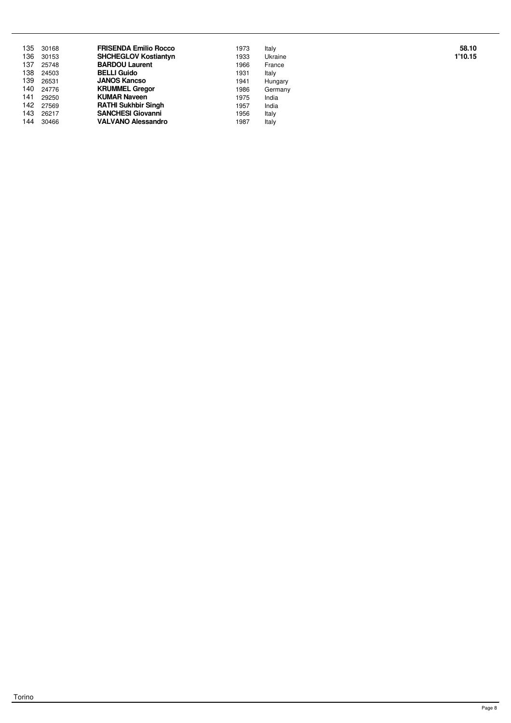| 135  | 30168 | <b>FRISENDA Emilio Rocco</b> | 1973 | Italy   | 58.10   |
|------|-------|------------------------------|------|---------|---------|
| 136  | 30153 | <b>SHCHEGLOV Kostiantyn</b>  | 1933 | Ukraine | 1'10.15 |
| 137  | 25748 | <b>BARDOU Laurent</b>        | 1966 | France  |         |
| 138  | 24503 | <b>BELLI Guido</b>           | 1931 | Italy   |         |
| 139  | 26531 | <b>JANOS Kancso</b>          | 1941 | Hungary |         |
| 140  | 24776 | <b>KRUMMEL Gregor</b>        | 1986 | Germany |         |
| 141  | 29250 | <b>KUMAR Naveen</b>          | 1975 | India   |         |
| 142. | 27569 | <b>RATHI Sukhbir Singh</b>   | 1957 | India   |         |
| 143  | 26217 | <b>SANCHESI Giovanni</b>     | 1956 | Italy   |         |
| 144  | 30466 | <b>VALVANO Alessandro</b>    | 1987 | Italy   |         |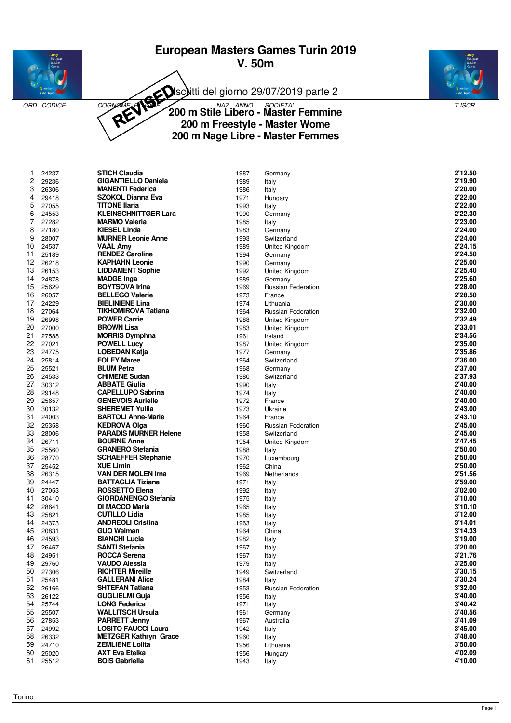# **European Masters Games Turin 2019 V. 50m**



Isciitti del giorno 29/07/2019 parte 2



ORD CODICE COGNOME **ANDE 200 m Stile Libero - Master Femmine** T.ISCR. **200 m Freestyle - Master Wome 200 m Nage Libre - Master Femmes**

| 1        | 24237          | <b>STICH Claudia</b>                          | 1987         | Germany                   | 2'12.50            |
|----------|----------------|-----------------------------------------------|--------------|---------------------------|--------------------|
| 2        | 29236          | <b>GIGANTIELLO Daniela</b>                    | 1989         | Italy                     | 2'19.90            |
| 3        | 26306          | <b>MANENTI Federica</b>                       | 1986         | Italy                     | 2'20.00            |
| 4        | 29418          | <b>SZOKOL Dianna Eva</b>                      | 1971         | Hungary                   | 2'22.00            |
| 5        | 27055          | <b>TITONE Ilaria</b>                          | 1993         | Italy                     | 2'22.00            |
| 6        | 24553          | <b>KLEINSCHNITTGER Lara</b>                   | 1990         | Germany                   | 2'22.30            |
| 7        | 27282          | <b>MARMO Valeria</b>                          | 1985         | Italy                     | 2'23.00            |
| 8        | 27180          | <b>KIESEL Linda</b>                           | 1983         | Germany                   | 2'24.00            |
| 9        | 28007          | <b>MURNER Leonie Anne</b>                     | 1993         | Switzerland               | 2'24.00            |
| 10       | 24537          | <b>VAAL Amy</b>                               | 1989         | United Kingdom            | 2'24.15            |
| 11       | 25189          | <b>RENDEZ Caroline</b>                        | 1994         | Germany                   | 2'24.50            |
| 12       | 26218          | <b>KAPHAHN Leonie</b>                         | 1990         | Germany                   | 2'25.00            |
| 13       | 26153          | <b>LIDDAMENT Sophie</b>                       | 1992         | United Kingdom            | 2'25.40            |
| 14       | 24878          | <b>MADGE Inga</b>                             | 1989         | Germany                   | 2'25.60            |
| 15       | 25629          | <b>BOYTSOVA Irina</b>                         | 1969         | <b>Russian Federation</b> | 2'28.00            |
| 16       | 26057          | <b>BELLEGO Valerie</b>                        | 1973         | France                    | 2'28.50            |
| 17       | 24229          | <b>BIELINIENE Lina</b>                        | 1974         | Lithuania                 | 2'30.00            |
| 18       | 27064          | <b>TIKHOMIROVA Tatiana</b>                    | 1964         | <b>Russian Federation</b> | 2'32.00            |
| 19       | 26998          | <b>POWER Carrie</b>                           | 1988         | United Kingdom            | 2'32.49            |
| 20       | 27000          | <b>BROWN Lisa</b>                             | 1983         | United Kingdom            | 2'33.01            |
| 21<br>22 | 27588          | <b>MORRIS Dymphna</b>                         | 1961         | Ireland                   | 2'34.56            |
| 23       | 27021          | <b>POWELL Lucy</b><br><b>LOBEDAN Katja</b>    | 1987         | United Kingdom            | 2'35.00            |
| 24       | 24775<br>25814 | <b>FOLEY Maree</b>                            | 1977<br>1964 | Germany                   | 2'35.86<br>2'36.00 |
| 25       | 25521          | <b>BLUM Petra</b>                             | 1968         | Switzerland<br>Germany    | 2'37.00            |
| 26       | 24533          | <b>CHIMENE Sudan</b>                          | 1980         | Switzerland               | 2'37.93            |
| 27       | 30312          | <b>ABBATE Giulia</b>                          | 1990         | Italy                     | 2'40.00            |
| 28       | 29148          | <b>CAPELLUPO Sabrina</b>                      | 1974         | Italy                     | 2'40.00            |
| 29       | 25657          | <b>GENEVOIS Aurielle</b>                      | 1972         | France                    | 2'40.00            |
| 30       | 30132          | <b>SHEREMET Yulija</b>                        | 1973         | Ukraine                   | 2'43.00            |
| 31       | 24003          | <b>BARTOLI Anne-Marie</b>                     | 1964         | France                    | 2'43.10            |
| 32       | 25358          | <b>KEDROVA Olga</b>                           | 1960         | <b>Russian Federation</b> | 2'45.00            |
| 33       | 28006          | <b>PARADIS MURNER Helene</b>                  | 1958         | Switzerland               | 2'45.00            |
| 34       | 26711          | <b>BOURNE Anne</b>                            | 1954         | United Kingdom            | 2'47.45            |
| 35       | 25560          | <b>GRANERO Stefania</b>                       | 1988         | Italy                     | 2'50.00            |
| 36       | 28770          | <b>SCHAEFFER Stephanie</b>                    | 1970         | Luxembourg                | 2'50.00            |
| 37       | 25452          | <b>XUE Limin</b>                              | 1962         | China                     | 2'50.00            |
| 38       | 26315          | <b>VAN DER MOLEN Irna</b>                     | 1969         | Netherlands               | 2'51.56            |
| 39       | 24447          | <b>BATTAGLIA Tiziana</b>                      | 1971         | Italy                     | 2'59.00            |
| 40       | 27053          | <b>ROSSETTO Elena</b>                         | 1992         | Italy                     | 3'02.00            |
| 41       | 30410          | <b>GIORDANENGO Stefania</b>                   | 1975         | Italy                     | 3'10.00            |
| 42       | 28641          | <b>DI MACCO Maria</b>                         | 1965         | Italy                     | 3'10.10            |
| 43       | 25821          | <b>CUTILLO Lidia</b>                          | 1985         | Italy                     | 3'12.00            |
| 44<br>45 | 24373<br>20831 | <b>ANDREOLI Cristina</b><br><b>GUO Weiman</b> | 1963         | Italy                     | 3'14.01<br>3'14.33 |
| 46       | 24593          | <b>BIANCHI Lucia</b>                          | 1964         | China                     | 3'19.00            |
| 47       | 26467          | <b>SANTI Stefania</b>                         | 1982<br>1967 | Italy<br>Italy            | 3'20.00            |
| 48       | 24951          | <b>ROCCA Serena</b>                           | 1967         | Italy                     | 3'21.76            |
| 49       | 29760          | <b>VAUDO Alessia</b>                          | 1979         | Italy                     | 3'25.00            |
| 50       | 27306          | <b>RICHTER Mireille</b>                       | 1949         | Switzerland               | 3'30.15            |
| 51       | 25481          | <b>GALLERANI Alice</b>                        | 1984         | Italy                     | 3'30.24            |
| 52       | 26166          | <b>SHTEFAN Tatiana</b>                        | 1953         | <b>Russian Federation</b> | 3'32.00            |
| 53       | 26122          | <b>GUGLIELMI Guja</b>                         | 1956         | Italy                     | 3'40.00            |
| 54       | 25744          | <b>LONG Federica</b>                          | 1971         | Italy                     | 3'40.42            |
|          | 55 25507       | <b>WALLITSCH Ursula</b>                       | 1961         | Germany                   | 3'40.56            |
| 56       | 27853          | <b>PARRETT Jenny</b>                          | 1967         | Australia                 | 3'41.09            |
| 57       | 24992          | <b>LOSITO FAUCCI Laura</b>                    | 1942         | Italy                     | 3'45.00            |
| 58       | 26332          | <b>METZGER Kathryn Grace</b>                  | 1960         | Italy                     | 3'48.00            |
| 59       | 24710          | <b>ZEMLIENE Lolita</b>                        | 1956         | Lithuania                 | 3'50.00            |
| 60       | 25020          | <b>AXT Eva Etelka</b>                         | 1956         | Hungary                   | 4'02.09            |
| 61       | 25512          | <b>BOIS Gabriella</b>                         | 1943         | Italy                     | 4'10.00            |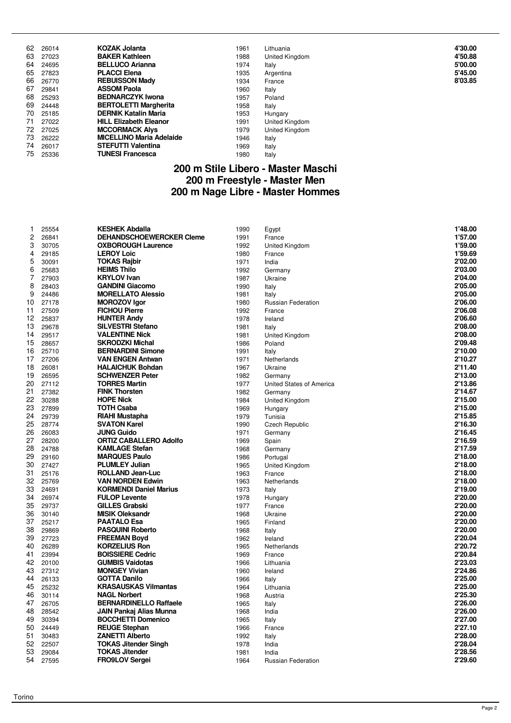| 62 | 26014 | <b>KOZAK Jolanta</b>            | 1961 | Lithuania      | 4'30.00 |
|----|-------|---------------------------------|------|----------------|---------|
| 63 | 27023 | <b>BAKER Kathleen</b>           | 1988 | United Kingdom | 4'50.88 |
| 64 | 24695 | <b>BELLUCO Arianna</b>          | 1974 | Italy          | 5'00.00 |
| 65 | 27823 | <b>PLACCI Elena</b>             | 1935 | Argentina      | 5'45.00 |
| 66 | 26770 | <b>REBUISSON Mady</b>           | 1934 | France         | 8'03.85 |
| 67 | 29841 | <b>ASSOM Paola</b>              | 1960 | Italy          |         |
| 68 | 25293 | <b>BEDNARCZYK Iwona</b>         | 1957 | Poland         |         |
| 69 | 24448 | <b>BERTOLETTI Margherita</b>    | 1958 | Italy          |         |
| 70 | 25185 | <b>DERNIK Katalin Maria</b>     | 1953 | Hungary        |         |
| 71 | 27022 | <b>HILL Elizabeth Eleanor</b>   | 1991 | United Kingdom |         |
| 72 | 27025 | <b>MCCORMACK Alvs</b>           | 1979 | United Kingdom |         |
| 73 | 26222 | <b>MICELLINO Maria Adelaide</b> | 1946 | Italy          |         |
| 74 | 26017 | <b>STEFUTTI Valentina</b>       | 1969 | Italy          |         |
| 75 | 25336 | <b>TUNESI Francesca</b>         | 1980 | Italy          |         |

#### **200 m Stile Libero - Master Maschi 200 m Freestyle - Master Men 200 m Nage Libre - Master Hommes**

| 1              | 25554          | <b>KESHEK Abdalla</b>                              | 1990         | Egypt                     | 1'48.00            |
|----------------|----------------|----------------------------------------------------|--------------|---------------------------|--------------------|
| $\overline{c}$ | 26841          | <b>DEHANDSCHOEWERCKER Cleme</b>                    | 1991         | France                    | 1'57.00            |
| 3              | 30705          | <b>OXBOROUGH Laurence</b>                          | 1992         | United Kingdom            | 1'59.00            |
| 4              | 29185          | <b>LEROY Loic</b>                                  | 1980         | France                    | 1'59.69            |
| 5              | 30091          | <b>TOKAS Rajbir</b>                                | 1971         | India                     | 2'02.00            |
| 6              | 25683          | <b>HEIMS Thilo</b>                                 | 1992         | Germany                   | 2'03.00            |
| 7              | 27903          | <b>KRYLOV Ivan</b>                                 | 1987         | Ukraine                   | 2'04.00            |
| 8              | 28403          | <b>GANDINI Giacomo</b>                             | 1990         | Italy                     | 2'05.00            |
| 9              | 24486          | <b>MORELLATO Alessio</b>                           | 1981         | Italy                     | 2'05.00            |
| 10             | 27178          | <b>MOROZOV Igor</b>                                | 1980         | Russian Federation        | 2'06.00            |
| 11             | 27509          | <b>FICHOU Pierre</b>                               | 1992         | France                    | 2'06.08            |
| 12             | 25837          | <b>HUNTER Andy</b>                                 | 1978         | Ireland                   | 2'06.60            |
| 13             | 29678          | <b>SILVESTRI Stefano</b>                           | 1981         | Italy                     | 2'08.00            |
| 14             | 29517          | <b>VALENTINE Nick</b>                              | 1981         | United Kingdom            | 2'08.00            |
| 15             | 28657          | <b>SKRODZKI Michal</b>                             | 1986         | Poland                    | 2'09.48            |
| 16             | 25710          | <b>BERNARDINI Simone</b>                           | 1991         | Italy                     | 2'10.00            |
| 17             | 27206          | <b>VAN ENGEN Antwan</b>                            | 1971         | Netherlands               | 2'10.27            |
| 18             | 26081          | <b>HALAICHUK Bohdan</b>                            | 1967         | Ukraine                   | 2'11.40            |
| 19             | 26595          | <b>SCHWENZER Peter</b>                             | 1982         | Germany                   | 2'13.00            |
| 20             | 27112          | <b>TORRES Martin</b>                               | 1977         | United States of America  | 2'13.86            |
| 21             | 27382          | <b>FINK Thorsten</b>                               | 1982         | Germany                   | 2'14.67            |
| 22             | 30288          | <b>HOPE Nick</b>                                   | 1984         | United Kingdom            | 2'15.00            |
| 23             | 27899          | <b>TOTH Csaba</b>                                  | 1969         | Hungary                   | 2'15.00            |
| 24             | 29739          | <b>RIAHI Mustapha</b>                              | 1979         | Tunisia                   | 2'15.85            |
| 25             | 28774          | <b>SVATON Karel</b>                                | 1990         | <b>Czech Republic</b>     | 2'16.30            |
| 26             | 26083          | <b>JUNG Guido</b>                                  | 1971         | Germany                   | 2'16.45            |
| 27             | 28200          | <b>ORTIZ CABALLERO Adolfo</b>                      | 1969         | Spain                     | 2'16.59            |
| 28             | 24788          | <b>KAMLAGE Stefan</b>                              | 1968         | Germany                   | 2'17.59            |
| 29             | 29160          | <b>MARQUES Paulo</b>                               | 1986         | Portugal                  | 2'18.00            |
| 30             | 27427          | <b>PLUMLEY Julian</b>                              | 1965         | United Kingdom            | 2'18.00            |
| 31             | 25176          | <b>ROLLAND Jean-Luc</b>                            | 1963         | France                    | 2'18.00            |
| 32             | 25769          | <b>VAN NORDEN Edwin</b>                            | 1963         | Netherlands               | 2'18.00            |
| 33             | 24691          | <b>KORMENDI Daniel Marius</b>                      | 1973         | Italy                     | 2'19.00            |
| 34             | 26974          | <b>FULOP Levente</b>                               | 1978         | Hungary                   | 2'20.00            |
| 35             | 29737          | <b>GILLES Grabski</b>                              | 1977         | France                    | 2'20.00            |
| 36             | 30140          | <b>MISIK Oleksandr</b>                             | 1968         | Ukraine                   | 2'20.00            |
| 37             | 25217          | <b>PAATALO Esa</b>                                 | 1965         | Finland                   | 2'20.00            |
| 38             | 29869          | <b>PASQUINI Roberto</b>                            | 1968         | Italy                     | 2'20.00            |
| 39             | 27723          | <b>FREEMAN Boyd</b>                                | 1962         | Ireland                   | 2'20.04            |
| 40             | 26289          | <b>KORZELIUS Ron</b>                               | 1965         | Netherlands               | 2'20.72            |
| 41             | 23994          | <b>BOISSIERE Cedric</b>                            | 1969         | France                    | 2'20.84            |
| 42             | 20100          | <b>GUMBIS Vaidotas</b><br><b>MONGEY Vivian</b>     | 1966         | Lithuania                 | 2'23.03            |
| 43<br>44       | 27312          |                                                    | 1960         | Ireland                   | 2'24.86<br>2'25.00 |
| 45             | 26133<br>25232 | <b>GOTTA Danilo</b><br><b>KRASAUSKAS Vilmantas</b> | 1966<br>1964 | Italy<br>Lithuania        | 2'25.00            |
| 46             | 30114          | <b>NAGL Norbert</b>                                | 1968         |                           | 2'25.30            |
| 47             | 26705          | <b>BERNARDINELLO Raffaele</b>                      | 1965         | Austria<br>Italy          | 2'26.00            |
| 48             | 28542          | <b>JAIN Pankaj Alias Munna</b>                     | 1968         | India                     | 2'26.00            |
| 49             | 30394          | <b>BOCCHETTI Domenico</b>                          | 1965         | Italy                     | 2'27.00            |
| 50             | 24449          | <b>REUGE Stephan</b>                               | 1966         | France                    | 2'27.10            |
| 51             | 30483          | <b>ZANETTI Alberto</b>                             | 1992         | Italy                     | 2'28.00            |
| 52             | 22507          | <b>TOKAS Jitender Singh</b>                        | 1978         | India                     | 2'28.04            |
| 53             | 29084          | <b>TOKAS Jitender</b>                              | 1981         | India                     | 2'28.56            |
| 54             | 27595          | <b>FRO9LOV Sergei</b>                              | 1964         | <b>Russian Federation</b> | 2'29.60            |
|                |                |                                                    |              |                           |                    |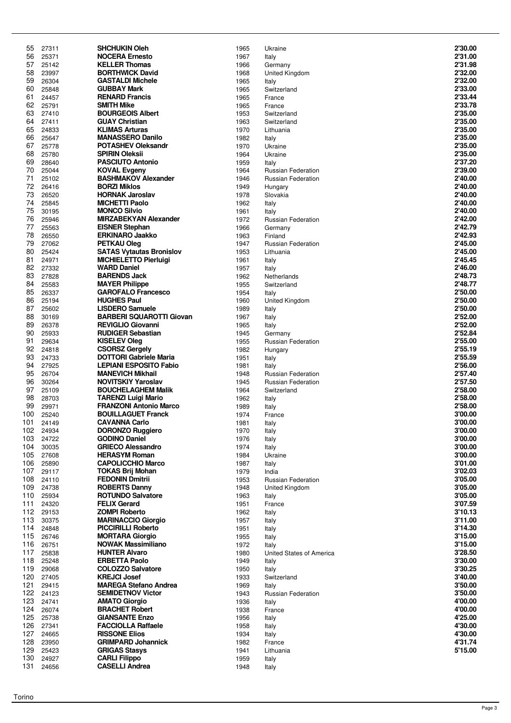| 55         | 27311          | SHCHUKIN Oleh                                                  | 1965         | Ukraine                            | 2'30.00            |
|------------|----------------|----------------------------------------------------------------|--------------|------------------------------------|--------------------|
| 56         | 25371          | <b>NOCERA Ernesto</b>                                          | 1967         | Italy                              | 2'31.00            |
| 57         | 25142          | <b>KELLER Thomas</b>                                           | 1966         | Germany                            | 2'31.98            |
| 58         | 23997          | <b>BORTHWICK David</b>                                         | 1968         | United Kingdom                     | 2'32.00            |
| 59         | 26304          | <b>GASTALDI Michele</b>                                        | 1965         | Italy                              | 2'32.00            |
| 60         | 25848          | <b>GUBBAY Mark</b>                                             | 1965         | Switzerland                        | 2'33.00            |
| 61         | 24457          | <b>RENARD Francis</b>                                          | 1965         | France                             | 2'33.44            |
| 62         | 25791          | <b>SMITH Mike</b>                                              | 1965         | France                             | 2'33.78            |
| 63         | 27410          | <b>BOURGEOIS Albert</b>                                        | 1953         | Switzerland                        | 2'35.00            |
| 64         | 27411          | <b>GUAY Christian</b>                                          | 1963         | Switzerland                        | 2'35.00            |
| 65         | 24833          | <b>KLIMAS Arturas</b>                                          | 1970         | Lithuania                          | 2'35.00            |
| 66         | 25647          | <b>MANASSERO Danilo</b><br><b>POTASHEV Oleksandr</b>           | 1982         | Italy                              | 2'35.00<br>2'35.00 |
| 67<br>68   | 25778          | <b>SPIRIN Oleksii</b>                                          | 1970         | Ukraine                            | 2'35.00            |
| 69         | 25780<br>28640 |                                                                | 1964<br>1959 | Ukraine                            | 2'37.20            |
| 70         | 25044          | <b>PASCIUTO Antonio</b><br><b>KOVAL Evgeny</b>                 | 1964         | Italy<br>Russian Federation        | 2'39.00            |
| 71         | 25102          | <b>BASHMAKOV Alexander</b>                                     | 1946         | <b>Russian Federation</b>          | 2'40.00            |
| 72         | 26416          | <b>BORZI Miklos</b>                                            | 1949         | Hungary                            | 2'40.00            |
| 73         | 26520          | <b>HORNAK Jaroslav</b>                                         | 1978         | Slovakia                           | 2'40.00            |
| 74         | 25845          | <b>MICHETTI Paolo</b>                                          | 1962         | Italy                              | 2'40.00            |
| 75         | 30195          | <b>MONCO Silvio</b>                                            | 1961         | Italy                              | 2'40.00            |
| 76         | 25946          | <b>MIRZABEKYAN Alexander</b>                                   | 1972         | Russian Federation                 | 2'42.00            |
| 77         | 25563          | <b>EISNER Stephan</b>                                          | 1966         | Germany                            | 2'42.79            |
| 78         | 26550          | <b>ERKINARO Jaakko</b>                                         | 1963         | Finland                            | 2'42.93            |
| 79         | 27062          | <b>PETKAU Oleg</b>                                             | 1947         | <b>Russian Federation</b>          | 2'45.00            |
| 80         | 25424          | <b>SATAS Vytautas Bronislov</b>                                | 1953         | Lithuania                          | 2'45.00            |
| 81         | 24971          | <b>MICHIELETTO Pierluigi</b>                                   | 1961         | Italy                              | 2'45.45            |
| 82         | 27332          | <b>WARD Daniel</b>                                             | 1957         | Italy                              | 2'46.00            |
| 83         | 27828          | <b>BARENDS Jack</b>                                            | 1962         | Netherlands                        | 2'48.73            |
| 84         | 25583          | <b>MAYER Philippe</b>                                          | 1955         | Switzerland                        | 2'48.77            |
| 85         | 26337          | <b>GAROFALO Francesco</b>                                      | 1954         | Italy                              | 2'50.00            |
| 86         | 25194          | <b>HUGHES Paul</b>                                             | 1960         | United Kingdom                     | 2'50.00            |
| 87         | 25602          | <b>LISDERO Samuele</b>                                         | 1989         | Italy                              | 2'50.00            |
| 88         | 30169          | <b>BARBERI SQUAROTTI Giovan</b>                                | 1967         | Italy                              | 2'52.00            |
| 89         | 26378          | <b>REVIGLIO Giovanni</b>                                       | 1965         | Italy                              | 2'52.00            |
| 90         | 25933          | <b>RUDIGER Sebastian</b>                                       | 1945         | Germany                            | 2'52.84            |
| 91         | 29634          | <b>KISELEV Oleg</b>                                            | 1955         | Russian Federation                 | 2'55.00            |
| 92         | 24818          | <b>CSORSZ Gergely</b>                                          | 1982         | Hungary                            | 2'55.19            |
| 93<br>94   | 24733<br>27925 | <b>DOTTORI Gabriele Maria</b><br><b>LEPIANI ESPOSITO Fabio</b> | 1951         | Italy                              | 2'55.59<br>2'56.00 |
| 95         | 26704          | <b>MANEVICH Mikhail</b>                                        | 1981<br>1948 | Italy<br><b>Russian Federation</b> | 2'57.40            |
| 96         | 30264          | <b>NOVITSKIY Yaroslav</b>                                      | 1945         | <b>Russian Federation</b>          | 2'57.50            |
| 97         | 25109          | <b>BOUCHELAGHEM Malik</b>                                      | 1964         | Switzerland                        | 2'58.00            |
| 98         | 28703          | <b>TARENZI Luigi Mario</b>                                     | 1962         | Italy                              | 2'58.00            |
| 99         | 29971          | <b>FRANZONI Antonio Marco</b>                                  | 1989         | Italy                              | 2'58.00            |
| 100        | 25240          | <b>BOUILLAGUET Franck</b>                                      | 1974         | France                             | 3'00.00            |
| 101        | 24149          | <b>CAVANNA Carlo</b>                                           | 1981         | Italy                              | 3'00.00            |
| 102        | 24934          | <b>DORONZO Ruggiero</b>                                        | 1970         | Italy                              | <b>3'00.00</b>     |
| 103        | 24722          | <b>GODINO Daniel</b>                                           | 1976         | Italy                              | 3'00.00            |
| 104        | 30035          | <b>GRIECO Alessandro</b>                                       | 1974         | Italy                              | 3'00.00            |
| 105        | 27608          | <b>HERASYM Roman</b>                                           | 1984         | Ukraine                            | 3'00.00            |
| 106        | 25890          | <b>CAPOLICCHIO Marco</b>                                       | 1987         | Italy                              | 3'01.00            |
| 107        | 29117          | <b>TOKAS Brij Mohan</b>                                        | 1979         | India                              | 3'02.03            |
| 108        | 24110          | <b>FEDONIN Dmitrii</b>                                         | 1953         | <b>Russian Federation</b>          | 3'05.00            |
| 109        | 24738          | <b>ROBERTS Danny</b>                                           | 1948         | United Kingdom                     | 3'05.00            |
| 110        | 25934          | <b>ROTUNDO Salvatore</b>                                       | 1963         | Italy                              | 3'05.00<br>3'07.59 |
| 111<br>112 | 24320          | <b>FELIX Gerard</b><br><b>ZOMPI Roberto</b>                    | 1951         | France                             | 3'10.13            |
| 113        | 29153<br>30375 | <b>MARINACCIO Giorgio</b>                                      | 1962<br>1957 | Italy<br>Italy                     | 3'11.00            |
| 114        | 24848          | <b>PICCIRILLI Roberto</b>                                      | 1951         | Italy                              | 3'14.30            |
| 115        | 26746          | <b>MORTARA Giorgio</b>                                         | 1955         | Italy                              | 3'15.00            |
| 116        | 26751          | <b>NOWAK Massimiliano</b>                                      | 1972         | Italy                              | 3'15.00            |
| 117        | 25838          | <b>HUNTER Alvaro</b>                                           | 1980         | United States of America           | 3'28.50            |
| 118        | 25248          | <b>ERBETTA Paolo</b>                                           | 1949         | Italy                              | 3'30.00            |
| 119        | 29068          | <b>COLOZZO Salvatore</b>                                       | 1950         | Italy                              | 3'30.25            |
| 120        | 27405          | <b>KREJCI Josef</b>                                            | 1933         | Switzerland                        | 3'40.00            |
| 121        | 29415          | <b>MAREGA Stefano Andrea</b>                                   | 1969         | Italy                              | 3'50.00            |
| 122        | 24123          | <b>SEMIDETNOV Victor</b>                                       | 1943         | Russian Federation                 | 3'50.00            |
| 123        | 24741          | <b>AMATO Giorgio</b>                                           | 1936         | Italy                              | 4'00.00            |
| 124        | 26074          | <b>BRACHET Robert</b>                                          | 1938         | France                             | 4'00.00            |
| 125        | 25738          | <b>GIANSANTE Enzo</b>                                          | 1956         | Italy                              | 4'25.00            |
| 126        | 27341          | <b>FACCIOLLA Raffaele</b>                                      | 1958         | Italy                              | 4'30.00            |
| 127        | 24665          | <b>RISSONE Elios</b>                                           | 1934         | Italy                              | 4'30.00            |
| 128<br>129 | 23950<br>25423 | <b>GRIMPARD Johannick</b><br><b>GRIGAS Stasys</b>              | 1982         | France                             | 4'31.74<br>5'15.00 |
| 130        | 24927          | <b>CARLI Filippo</b>                                           | 1941<br>1959 | Lithuania                          |                    |
| 131        | 24656          | <b>CASELLI Andrea</b>                                          | 1948         | Italy<br>Italy                     |                    |
|            |                |                                                                |              |                                    |                    |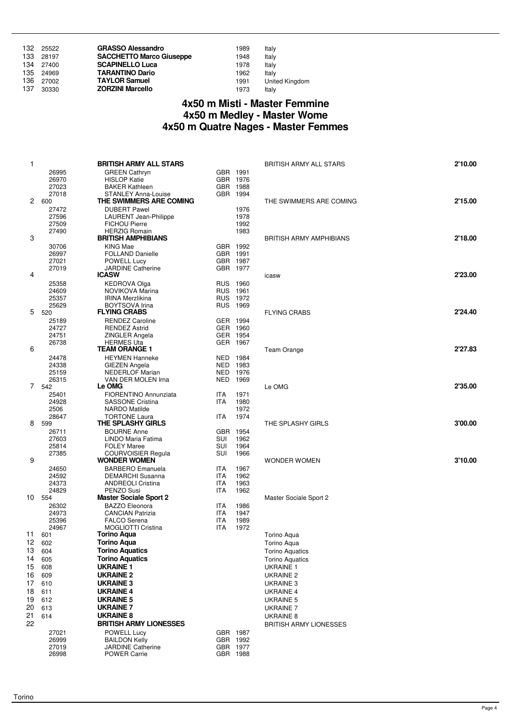| 132 | 25522     | <b>GRASSO Alessandro</b>        | 1989 | Italy                 |
|-----|-----------|---------------------------------|------|-----------------------|
|     | 133 28197 | <b>SACCHETTO Marco Giuseppe</b> | 1948 | Italy                 |
| 134 | 27400     | <b>SCAPINELLO Luca</b>          | 1978 | Italy                 |
|     | 135 24969 | <b>TARANTINO Dario</b>          | 1962 | Italy                 |
| 136 | 27002     | <b>TAYLOR Samuel</b>            | 1991 | <b>United Kingdom</b> |
| 137 | 30330     | <b>ZORZINI Marcello</b>         | 1973 | Italy                 |

#### **4x50 m Misti - Master Femmine 4x50 m Medley - Master Wome 4x50 m Quatre Nages - Master Femmes**

| 1        |                | <b>BRITISH ARMY ALL STARS</b>                         |                          |                      | <b>BRITISH ARMY ALL STARS</b>                    | 2'10.00 |
|----------|----------------|-------------------------------------------------------|--------------------------|----------------------|--------------------------------------------------|---------|
|          | 26995          | <b>GREEN Cathryn</b>                                  | GBR 1991                 |                      |                                                  |         |
|          | 26970          | <b>HISLOP Katie</b>                                   |                          | GBR 1976             |                                                  |         |
|          | 27023          | <b>BAKER Kathleen</b>                                 |                          | GBR 1988             |                                                  |         |
|          | 27018<br>2 600 | <b>STANLEY Anna-Louise</b><br>THE SWIMMERS ARE COMING |                          | GBR 1994             | THE SWIMMERS ARE COMING                          | 2'15.00 |
|          | 27472          | <b>DUBERT Pawel</b>                                   |                          | 1976                 |                                                  |         |
|          | 27596          | <b>LAURENT</b> Jean-Philippe                          |                          | 1978                 |                                                  |         |
|          | 27509          | <b>FICHOU Pierre</b>                                  |                          | 1992                 |                                                  |         |
|          | 27490          | <b>HERZIG Romain</b>                                  |                          | 1983                 |                                                  |         |
| 3        |                | <b>BRITISH AMPHIBIANS</b>                             |                          |                      | <b>BRITISH ARMY AMPHIBIANS</b>                   | 2'18.00 |
|          | 30706          | <b>KING Mae</b>                                       |                          | GBR 1992             |                                                  |         |
|          | 26997          | <b>FOLLAND Danielle</b>                               | GBR 1991                 |                      |                                                  |         |
|          | 27021<br>27019 | POWELL Lucy<br><b>JARDINE Catherine</b>               |                          | GBR 1987<br>GBR 1977 |                                                  |         |
| 4        |                | <b>ICASW</b>                                          |                          |                      | icasw                                            | 2'23.00 |
|          | 25358          | <b>KEDROVA Olga</b>                                   |                          | RUS 1960             |                                                  |         |
|          | 24609          | NOVIKOVA Marina                                       | RUS 1961                 |                      |                                                  |         |
|          | 25357          | <b>IRINA Merzlikina</b>                               |                          | RUS 1972             |                                                  |         |
|          | 25629          | <b>BOYTSOVA</b> Irina                                 |                          | RUS 1969             |                                                  |         |
| 5        | 520            | <b>FLYING CRABS</b>                                   |                          |                      | <b>FLYING CRABS</b>                              | 2'24.40 |
|          | 25189          | <b>RENDEZ Caroline</b>                                |                          | GER 1994             |                                                  |         |
|          | 24727          | <b>RENDEZ Astrid</b>                                  |                          | GER 1960             |                                                  |         |
|          | 24751<br>26738 | ZINGLER Angela                                        |                          | GER 1954<br>GER 1967 |                                                  |         |
| 6        |                | <b>HERMES Uta</b><br><b>TEAM ORANGE 1</b>             |                          |                      | Team Orange                                      | 2'27.83 |
|          | 24478          | <b>HEYMEN Hanneke</b>                                 |                          | NED 1984             |                                                  |         |
|          | 24338          | GIEZEN Angela                                         | NED 1983                 |                      |                                                  |         |
|          | 25159          | <b>NEDERLOF Marian</b>                                | NED 1976                 |                      |                                                  |         |
|          | 26315          | VAN DER MOLEN Irna                                    | NED 1969                 |                      |                                                  |         |
|          | 7 542          | Le OMG                                                |                          |                      | Le OMG                                           | 2'35.00 |
|          | 25401          | <b>FIORENTINO Annunziata</b>                          | <b>ITA</b>               | 1971                 |                                                  |         |
|          | 24928          | <b>SASSONE Cristina</b>                               | <b>ITA</b>               | 1980                 |                                                  |         |
|          | 2506<br>28647  | <b>NARDO</b> Matilde<br><b>TORTONE Laura</b>          | <b>ITA</b>               | 1972<br>1974         |                                                  |         |
| 8        | 599            | THE SPLASHY GIRLS                                     |                          |                      | THE SPLASHY GIRLS                                | 3'00.00 |
|          | 26711          | <b>BOURNE Anne</b>                                    |                          | GBR 1954             |                                                  |         |
|          | 27603          | LINDO Maria Fatima                                    | SUI                      | 1962                 |                                                  |         |
|          | 25814          | <b>FOLEY Maree</b>                                    | SUI                      | 1964                 |                                                  |         |
|          | 27385          | COURVOISIER Regula                                    | SUI                      | 1966                 |                                                  |         |
| 9        |                | <b>WONDER WOMEN</b>                                   |                          |                      | <b>WONDER WOMEN</b>                              | 3'10.00 |
|          | 24650          | <b>BARBERO</b> Emanuela                               | <b>ITA</b><br><b>ITA</b> | 1967<br>1962         |                                                  |         |
|          | 24592<br>24373 | <b>DEMARCHI Susanna</b><br><b>ANDREOLI Cristina</b>   | <b>ITA</b>               | 1963                 |                                                  |         |
|          | 24829          | PENZO Susi                                            | <b>ITA</b>               | 1962                 |                                                  |         |
| 10       | 554            | <b>Master Sociale Sport 2</b>                         |                          |                      | Master Sociale Sport 2                           |         |
|          | 26302          | <b>BAZZO Eleonora</b>                                 | ITA                      | 1986                 |                                                  |         |
|          | 24973          | <b>CANCIAN Patrizia</b>                               | <b>ITA</b>               | 1947                 |                                                  |         |
|          | 25396          | <b>FALCO Serena</b>                                   | <b>ITA</b>               | 1989                 |                                                  |         |
|          | 24967          | <b>MOGLIOTTI Cristina</b>                             | <b>ITA</b>               | 1972                 |                                                  |         |
| 11       | 601            | Torino Aqua                                           |                          |                      | Torino Aqua                                      |         |
|          | 12 602         | <b>Torino Aqua</b><br><b>Torino Aquatics</b>          |                          |                      | Torino Aqua                                      |         |
| 13<br>14 | 604<br>605     | <b>Torino Aquatics</b>                                |                          |                      | <b>Torino Aquatics</b><br><b>Torino Aquatics</b> |         |
| 15       | 608            | <b>UKRAINE 1</b>                                      |                          |                      | <b>UKRAINE 1</b>                                 |         |
| 16       | 609            | UKRAINE 2                                             |                          |                      | UKRAINE 2                                        |         |
| 17       | 610            | <b>UKRAINE 3</b>                                      |                          |                      | UKRAINE 3                                        |         |
| 18       | 611            | <b>UKRAINE 4</b>                                      |                          |                      | <b>UKRAINE 4</b>                                 |         |
| 19       | 612            | <b>UKRAINE 5</b>                                      |                          |                      | UKRAINE 5                                        |         |
| 20       | 613            | <b>UKRAINE 7</b>                                      |                          |                      | <b>UKRAINE 7</b>                                 |         |
| 21       | 614            | UKRAINE 8                                             |                          |                      | UKRAINE 8                                        |         |
| 22       |                | <b>BRITISH ARMY LIONESSES</b>                         |                          |                      | <b>BRITISH ARMY LIONESSES</b>                    |         |
|          | 27021          | POWELL Lucy                                           |                          | GBR 1987             |                                                  |         |
|          | 26999          | <b>BAILDON Kelly</b>                                  |                          | GBR 1992             |                                                  |         |
|          | 27019          | <b>JARDINE Catherine</b>                              |                          | GBR 1977             |                                                  |         |
|          | 26998          | <b>POWER Carrie</b>                                   |                          | GBR 1988             |                                                  |         |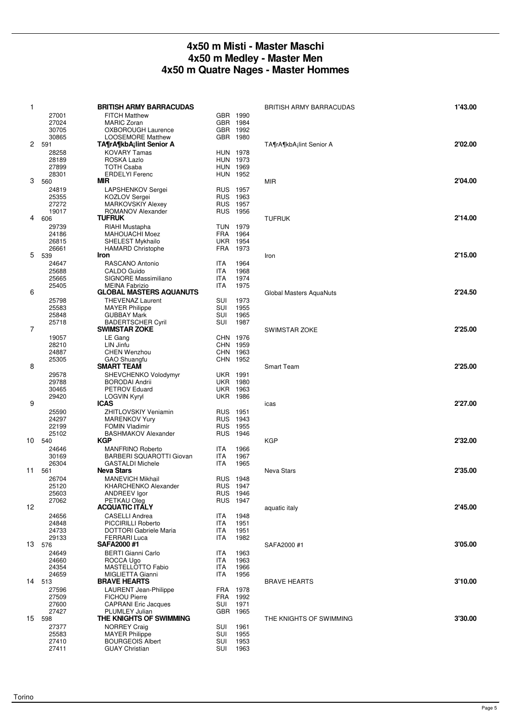#### **4x50 m Misti - Master Maschi 4x50 m Medley - Master Men 4x50 m Quatre Nages - Master Hommes**

| $\mathbf{1}$ |                 | <b>BRITISH ARMY BARRACUDAS</b>                      |            |                      |                                      | 1'43.00 |
|--------------|-----------------|-----------------------------------------------------|------------|----------------------|--------------------------------------|---------|
|              |                 |                                                     |            |                      | <b>BRITISH ARMY BARRACUDAS</b>       |         |
|              | 27001           | <b>FITCH Matthew</b><br><b>MARIC Zoran</b>          |            | GBR 1990             |                                      |         |
|              | 27024<br>30705  | <b>OXBOROUGH Laurence</b>                           |            | GBR 1984<br>GBR 1992 |                                      |         |
|              | 30865           |                                                     |            | GBR 1980             |                                      |         |
|              | 2 591           | <b>LOOSEMORE Matthew</b><br>TA¶rA¶kbA;lint Senior A |            |                      | TA¶rA¶kbA <sub>i</sub> lint Senior A | 2'02.00 |
|              | 28258           | <b>KOVARY Tamas</b>                                 |            | <b>HUN 1978</b>      |                                      |         |
|              | 28189           | ROSKA Lazlo                                         |            | <b>HUN 1973</b>      |                                      |         |
|              | 27899           | <b>TOTH Csaba</b>                                   |            | HUN 1969             |                                      |         |
|              | 28301           | <b>ERDELYI Ferenc</b>                               |            | <b>HUN 1952</b>      |                                      |         |
| 3            | 560             | MIR                                                 |            |                      | <b>MIR</b>                           | 2'04.00 |
|              | 24819           | LAPSHENKOV Sergei                                   |            | RUS 1957             |                                      |         |
|              | 25355           | <b>KOZLOV Sergei</b>                                |            | RUS 1963             |                                      |         |
|              | 27272           | <b>MARKOVSKIY Alexey</b>                            |            | RUS 1957             |                                      |         |
|              | 19017           | ROMANOV Alexander                                   |            | RUS 1956             |                                      |         |
| 4            | 606             | <b>TUFRUK</b>                                       |            |                      | <b>TUFRUK</b>                        | 2'14.00 |
|              | 29739           | RIAHI Mustapha                                      |            | TUN 1979             |                                      |         |
|              | 24186           | <b>MAHOUACHI Moez</b>                               |            | FRA 1964             |                                      |         |
|              | 26815           | <b>SHELEST Mykhailo</b>                             |            | <b>UKR 1954</b>      |                                      |         |
|              | 26661           | <b>HAMARD Christophe</b>                            | FRA        | 1973                 |                                      |         |
| 5            | 539             | Iron                                                |            |                      | Iron                                 | 2'15.00 |
|              | 24647           | RASCANO Antonio                                     | <b>ITA</b> | 1964                 |                                      |         |
|              | 25688           | CALDO Guido                                         | <b>ITA</b> | 1968                 |                                      |         |
|              | 25665           | SIGNORE Massimiliano                                | <b>ITA</b> | 1974                 |                                      |         |
|              | 25405           | <b>MEINA Fabrizio</b>                               | <b>ITA</b> | 1975                 |                                      |         |
| 6            |                 | <b>GLOBAL MASTERS AQUANUTS</b>                      |            |                      | <b>Global Masters AquaNuts</b>       | 2'24.50 |
|              | 25798           | <b>THEVENAZ Laurent</b>                             | <b>SUI</b> | 1973                 |                                      |         |
|              | 25583           | <b>MAYER Philippe</b>                               | SUI        | 1955                 |                                      |         |
|              | 25848           | <b>GUBBAY Mark</b>                                  | SUI        | 1965                 |                                      |         |
|              | 25718           | <b>BADERTSCHER Cyril</b>                            | SUI        | 1987                 |                                      |         |
| 7            |                 | <b>SWIMSTAR ZOKE</b>                                |            |                      | <b>SWIMSTAR ZOKE</b>                 | 2'25.00 |
|              | 19057           | LE Gang                                             |            | CHN 1976             |                                      |         |
|              | 28210           | LIN Jinfu                                           |            | CHN 1959             |                                      |         |
|              | 24887           | <b>CHEN Wenzhou</b>                                 |            | CHN 1963             |                                      |         |
|              | 25305           | GAO Shuangfu                                        |            | CHN 1952             |                                      |         |
| 8            |                 | <b>SMART TEAM</b>                                   |            |                      | <b>Smart Team</b>                    | 2'25.00 |
|              | 29578           | SHEVCHENKO Volodymyr                                |            | <b>UKR 1991</b>      |                                      |         |
|              | 29788           | <b>BORODAI Andrii</b>                               |            | <b>UKR 1980</b>      |                                      |         |
|              | 30465           | <b>PETROV Eduard</b>                                |            | <b>UKR 1963</b>      |                                      |         |
|              | 29420           | <b>LOGVIN Kyryl</b>                                 |            | <b>UKR 1986</b>      |                                      |         |
| 9            |                 | ICAS                                                |            |                      | icas                                 | 2'27.00 |
|              | 25590           | <b>ZHITLOVSKIY Veniamin</b>                         |            | RUS 1951             |                                      |         |
|              | 24297           | <b>MARENKOV Yury</b>                                |            | RUS 1943             |                                      |         |
|              | 22199           | <b>FOMIN Vladimir</b>                               |            | RUS 1955             |                                      |         |
|              | 25102           | <b>BASHMAKOV Alexander</b>                          |            | RUS 1946             |                                      |         |
| 10           | 540             | KGP                                                 |            |                      | <b>KGP</b>                           | 2'32.00 |
|              | 24646           | <b>MANFRINO Roberto</b>                             | ITA        | 1966                 |                                      |         |
|              | 30169           | <b>BARBERI SQUAROTTI Giovan</b>                     | <b>ITA</b> | 1967                 |                                      |         |
|              | 26304           | <b>GASTALDI Michele</b>                             | <b>ITA</b> | 1965                 |                                      |         |
| 11           | 561             | <b>Neva Stars</b>                                   |            |                      | <b>Neva Stars</b>                    | 2'35.00 |
|              | 26704           | <b>MANEVICH Mikhail</b>                             |            | <b>RUS</b> 1948      |                                      |         |
|              | 25120           | KHARCHENKO Alexander                                |            | RUS 1947             |                                      |         |
|              | 25603           | ANDREEV Igor                                        |            | RUS 1946             |                                      |         |
|              | 27062           | PETKAU Oleg                                         |            | <b>RUS 1947</b>      |                                      |         |
| 12           |                 | <b>ACQUATIC ITALY</b>                               |            |                      | aquatic italy                        | 2'45.00 |
|              | 24656           | <b>CASELLI Andrea</b>                               | <b>ITA</b> | 1948                 |                                      |         |
|              | 24848           | PICCIRILLI Roberto                                  | <b>ITA</b> | 1951                 |                                      |         |
|              | 24733           | <b>DOTTORI Gabriele Maria</b>                       | <b>ITA</b> | 1951                 |                                      |         |
|              | 29133           | <b>FERRARI Luca</b>                                 | <b>ITA</b> | 1982                 |                                      |         |
|              | 13 576          | <b>SAFA2000#1</b>                                   |            |                      | SAFA2000 #1                          | 3'05.00 |
|              | 24649           | <b>BERTI Gianni Carlo</b>                           | <b>ITA</b> | 1963                 |                                      |         |
|              | 24660           | ROCCA Ugo                                           | <b>ITA</b> | 1963                 |                                      |         |
|              | 24354           | MASTELLOTTO Fabio                                   | <b>ITA</b> | 1966                 |                                      |         |
|              | 24659<br>14 513 | MIGLIETTA Gianni<br><b>BRAVE HEARTS</b>             | <b>ITA</b> | 1956                 |                                      | 3'10.00 |
|              |                 |                                                     |            |                      | <b>BRAVE HEARTS</b>                  |         |
|              | 27596           | <b>LAURENT Jean-Philippe</b>                        |            | FRA 1978             |                                      |         |
|              | 27509           | <b>FICHOU Pierre</b>                                |            | FRA 1992             |                                      |         |
|              | 27600           | <b>CAPRANI</b> Eric Jacques                         | SUI        | 1971<br>GBR 1965     |                                      |         |
| 15           | 27427<br>598    | <b>PLUMLEY Julian</b><br>THE KNIGHTS OF SWIMMING    |            |                      | THE KNIGHTS OF SWIMMING              | 3'30.00 |
|              |                 |                                                     |            |                      |                                      |         |
|              | 27377           | <b>NORREY Craig</b>                                 | SUI        | 1961                 |                                      |         |
|              | 25583<br>27410  | <b>MAYER Philippe</b><br><b>BOURGEOIS Albert</b>    | SUI<br>SUI | 1955<br>1953         |                                      |         |
|              | 27411           | <b>GUAY Christian</b>                               | SUI        | 1963                 |                                      |         |
|              |                 |                                                     |            |                      |                                      |         |

| BRITISH ARMY BARRACUDAS              | 1'43.00 |
|--------------------------------------|---------|
| TA¶rA¶kbA <sub>i</sub> lint Senior A | 2'02.00 |
| <b>MIR</b>                           | 2'04.00 |
| <b>TUFRUK</b>                        | 2'14.00 |
| Iron                                 | 2'15.00 |
| Global Masters AquaNuts              | 2'24.50 |
| SWIMSTAR ZOKE                        | 2'25.00 |
| Smart Team                           | 2'25.00 |
| icas                                 | 2'27.00 |
| <b>KGP</b>                           | 2'32.00 |
| Neva Stars                           | 2'35.00 |
| aquatic italy                        | 2'45.00 |
| SAFA2000 #1                          | 3'05.00 |
| <b>BRAVE HEARTS</b>                  | 3'10.00 |
| THE KNIGHTS OF SWIMMING              | 3'30.00 |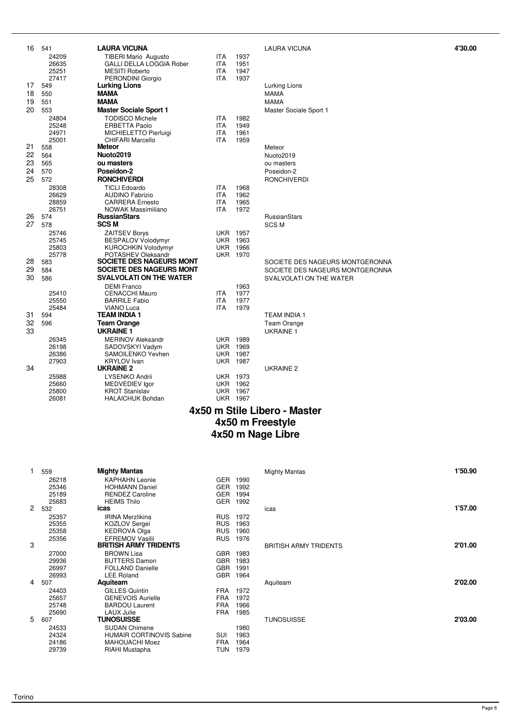| 16 | 541            | <b>LAURA VICUNA</b>                              |                          |                         | <b>LAURA VICUNA</b>             | 4'30.00 |
|----|----------------|--------------------------------------------------|--------------------------|-------------------------|---------------------------------|---------|
|    | 24209          | TIBERI Mario Augusto                             | <b>ITA</b>               | 1937                    |                                 |         |
|    | 26635          | <b>GALLI DELLA LOGGIA Rober</b>                  | <b>ITA</b>               | 1951                    |                                 |         |
|    | 25251          | <b>MESITI Roberto</b>                            | <b>ITA</b>               | 1947                    |                                 |         |
|    | 27417          | PERONDINI Giorgio                                | <b>ITA</b>               | 1937                    |                                 |         |
| 17 | 549            | <b>Lurking Lions</b>                             |                          |                         | Lurking Lions                   |         |
| 18 | 550            | <b>MAMA</b>                                      |                          |                         | <b>MAMA</b>                     |         |
| 19 | 551            | <b>MAMA</b>                                      |                          |                         | <b>MAMA</b>                     |         |
| 20 | 553            | <b>Master Sociale Sport 1</b>                    |                          |                         | Master Sociale Sport 1          |         |
|    | 24804          | <b>TODISCO Michele</b>                           | <b>ITA</b>               | 1982                    |                                 |         |
|    | 25248          | <b>ERBETTA Paolo</b>                             | <b>ITA</b>               | 1949<br>1961            |                                 |         |
|    | 24971<br>25001 | MICHIELETTO Pierluigi<br><b>CHIFARI Marcello</b> | <b>ITA</b><br><b>ITA</b> | 1959                    |                                 |         |
| 21 | 558            | Meteor                                           |                          |                         | Meteor                          |         |
| 22 | 564            | Nuoto2019                                        |                          |                         | Nuoto2019                       |         |
| 23 | 565            | ou masters                                       |                          |                         | ou masters                      |         |
| 24 | 570            | Poseidon-2                                       |                          |                         | Poseidon-2                      |         |
| 25 | 572            | <b>RONCHIVERDI</b>                               |                          |                         | <b>RONCHIVERDI</b>              |         |
|    | 28308          | <b>TICLI Edoardo</b>                             | <b>ITA</b>               | 1968                    |                                 |         |
|    | 26629          | <b>AUDINO Fabrizio</b>                           | <b>ITA</b>               | 1962                    |                                 |         |
|    | 28859          | <b>CARRERA</b> Ernesto                           | <b>ITA</b>               | 1965                    |                                 |         |
|    | 26751          | <b>NOWAK Massimiliano</b>                        | <b>ITA</b>               | 1972                    |                                 |         |
| 26 | 574            | <b>RussianStars</b>                              |                          |                         | RussianStars                    |         |
| 27 | 578            | <b>SCS M</b>                                     |                          |                         | <b>SCSM</b>                     |         |
|    | 25746          | <b>ZAITSEV Borys</b>                             |                          | <b>UKR 1957</b>         |                                 |         |
|    | 25745          | <b>BESPALOV Volodymyr</b>                        |                          | <b>UKR 1963</b>         |                                 |         |
|    | 25803          | KUROCHKIN Volodymyr                              |                          | <b>UKR 1966</b>         |                                 |         |
|    | 25778          | POTASHEV Oleksandr                               |                          | <b>UKR 1970</b>         |                                 |         |
| 28 | 583            | SOCIETE DES NAGEURS MONT                         |                          |                         | SOCIETE DES NAGEURS MONTGERONNA |         |
| 29 | 584            | SOCIETE DES NAGEURS MONT                         |                          |                         | SOCIETE DES NAGEURS MONTGERONNA |         |
| 30 | 586            | <b>SVALVOLATI ON THE WATER</b>                   |                          |                         | SVALVOLATI ON THE WATER         |         |
|    |                | <b>DEMI</b> Franco                               |                          | 1963                    |                                 |         |
|    | 25410          | <b>CENACCHI Mauro</b>                            | <b>ITA</b>               | 1977                    |                                 |         |
|    | 25550<br>25484 | <b>BARRILE Fabio</b><br><b>VIANO Luca</b>        | <b>ITA</b><br><b>ITA</b> | 1977<br>1979            |                                 |         |
| 31 | 594            | <b>TEAM INDIA 1</b>                              |                          |                         | <b>TEAM INDIA 1</b>             |         |
| 32 | 596            | <b>Team Orange</b>                               |                          |                         | Team Orange                     |         |
| 33 |                | <b>UKRAINE 1</b>                                 |                          |                         | <b>UKRAINE 1</b>                |         |
|    | 26345          | <b>MERINOV Aleksandr</b>                         |                          | <b>UKR 1989</b>         |                                 |         |
|    | 26198          | SADOVSKYI Vadym                                  |                          | <b>UKR 1969</b>         |                                 |         |
|    | 26386          | SAMOILENKO Yevhen                                |                          | <b>UKR 1987</b>         |                                 |         |
|    | 27903          | <b>KRYLOV</b> Ivan                               | UKR                      | 1987                    |                                 |         |
| 34 |                | <b>UKRAINE 2</b>                                 |                          |                         | UKRAINE 2                       |         |
|    | 25988          | LYSENKO Andrii                                   |                          | <b>UKR 1973</b>         |                                 |         |
|    | 25660          | MEDVEDIEV lgor                                   | <b>UKR</b>               | 1962                    |                                 |         |
|    | 25800<br>26081 | <b>KROT Stanislav</b><br><b>HALAICHUK Bohdan</b> | UKR                      | 1967<br><b>UKR 1967</b> |                                 |         |
|    |                |                                                  |                          |                         |                                 |         |

| Lurking Lions<br><b>MAMA</b><br><b>MAMA</b><br>Master Sociale Sport 1                   |
|-----------------------------------------------------------------------------------------|
| Meteor<br>Nuoto2019<br>ou masters<br>Poseidon-2<br><b>RONCHIVERDI</b>                   |
| RussianStars<br><b>SCSM</b>                                                             |
| SOCIETE DES NAGEURS MONTGERO<br>SOCIETE DES NAGEURS MONTGERO<br>SVALVOLATI ON THE WATER |
| <b>TEAM INDIA 1</b><br><b>Team Orange</b><br><b>IJKRAINF1</b>                           |

#### **4x50 m Stile Libero - Master 4x50 m Freestyle 4x50 m Nage Libre**

| 1            | 559   | <b>Mighty Mantas</b>            |            |      | <b>Mighty Mantas</b>         | 1'50.90 |
|--------------|-------|---------------------------------|------------|------|------------------------------|---------|
|              | 26218 | <b>KAPHAHN Leonie</b>           | <b>GER</b> | 1990 |                              |         |
|              | 25346 | <b>HOHMANN Daniel</b>           | <b>GER</b> | 1992 |                              |         |
|              | 25189 | <b>RENDEZ Caroline</b>          | <b>GER</b> | 1994 |                              |         |
|              | 25683 | <b>HEIMS Thilo</b>              | <b>GER</b> | 1992 |                              |         |
| $\mathbf{2}$ | 532   | icas                            |            |      | icas                         | 1'57.00 |
|              | 25357 | <b>IRINA Merzlikina</b>         | <b>RUS</b> | 1972 |                              |         |
|              | 25355 | <b>KOZLOV Sergei</b>            | <b>RUS</b> | 1963 |                              |         |
|              | 25358 | <b>KEDROVA Olga</b>             | <b>RUS</b> | 1960 |                              |         |
|              | 25356 | <b>EFREMOV Vasilii</b>          | <b>RUS</b> | 1976 |                              |         |
| 3            |       | <b>BRITISH ARMY TRIDENTS</b>    |            |      | <b>BRITISH ARMY TRIDENTS</b> | 2'01.00 |
|              | 27000 | <b>BROWN Lisa</b>               | <b>GBR</b> | 1983 |                              |         |
|              | 29936 | <b>BUTTERS Damon</b>            | <b>GBR</b> | 1983 |                              |         |
|              | 26997 | <b>FOLLAND Danielle</b>         | <b>GBR</b> | 1991 |                              |         |
|              | 26993 | <b>LEE Roland</b>               | <b>GBR</b> | 1964 |                              |         |
| 4            | 507   | Aquiteam                        |            |      | Aquiteam                     | 2'02.00 |
|              | 24403 | <b>GILLES Quintin</b>           | <b>FRA</b> | 1972 |                              |         |
|              | 25657 | <b>GENEVOIS Aurielle</b>        | <b>FRA</b> | 1972 |                              |         |
|              | 25748 | <b>BARDOU Laurent</b>           | <b>FRA</b> | 1966 |                              |         |
|              | 25690 | <b>LAUX Julie</b>               | <b>FRA</b> | 1985 |                              |         |
| 5            | 607   | <b>TUNOSUISSE</b>               |            |      | <b>TUNOSUISSE</b>            | 2'03.00 |
|              | 24533 | <b>SUDAN Chimene</b>            |            | 1980 |                              |         |
|              | 24324 | <b>HUMAIR CORTINOVIS Sabine</b> | SUI        | 1963 |                              |         |
|              | 24186 | <b>MAHOUACHI Moez</b>           | <b>FRA</b> | 1964 |                              |         |
|              | 29739 | RIAHI Mustapha                  | TUN        | 1979 |                              |         |

| <b>Mighty Mantas</b>         | 1'50.90 |
|------------------------------|---------|
| icas                         | 1'57.00 |
| <b>BRITISH ARMY TRIDENTS</b> | 2'01.00 |
| Aquiteam                     | 2'02.00 |
| <b>TUNOSUISSE</b>            | 2'03.00 |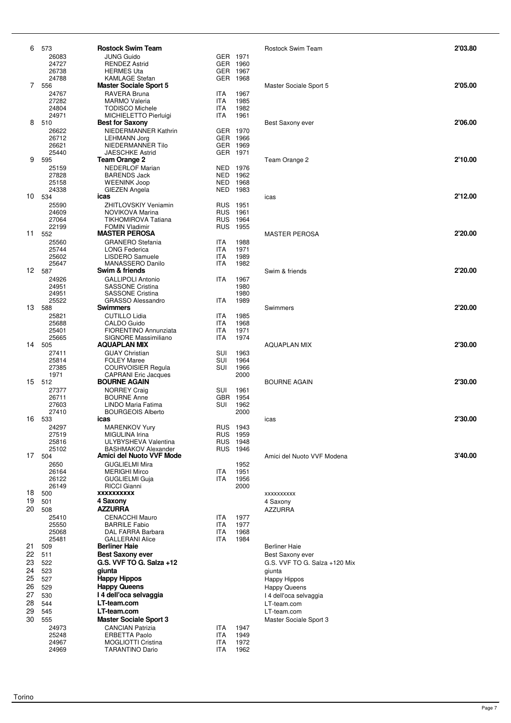| 6        | 573             | <b>Rostock Swim Team</b>                            |                          |                  | <b>Rostock Swim Team</b>                 | 2'03.80 |
|----------|-----------------|-----------------------------------------------------|--------------------------|------------------|------------------------------------------|---------|
|          | 26083           | <b>JUNG Guido</b>                                   |                          | GER 1971         |                                          |         |
|          | 24727<br>26738  | <b>RENDEZ Astrid</b><br><b>HERMES Uta</b>           | <b>GER</b>               | GER 1960<br>1967 |                                          |         |
|          | 24788           | KAMLAGE Stefan                                      | GER                      | 1968             |                                          |         |
|          | 7 556           | <b>Master Sociale Sport 5</b>                       |                          |                  | Master Sociale Sport 5                   | 2'05.00 |
|          | 24767           | RAVERA Bruna                                        | ITA                      | 1967             |                                          |         |
|          | 27282<br>24804  | <b>MARMO Valeria</b><br><b>TODISCO Michele</b>      | <b>ITA</b><br><b>ITA</b> | 1985<br>1982     |                                          |         |
|          | 24971           | MICHIELETTO Pierluigi                               | <b>ITA</b>               | 1961             |                                          |         |
| 8        | 510             | <b>Best for Saxony</b>                              |                          |                  | Best Saxony ever                         | 2'06.00 |
|          | 26622           | NIEDERMANNER Kathrin                                |                          | GER 1970         |                                          |         |
|          | 26712<br>26621  | <b>LEHMANN Jorg</b><br>NIEDERMANNER Tilo            | <b>GER</b>               | GER 1966<br>1969 |                                          |         |
|          | 25440           | <b>JAESCHKE Astrid</b>                              |                          | GER 1971         |                                          |         |
| 9        | 595             | Team Orange 2                                       |                          |                  | Team Orange 2                            | 2'10.00 |
|          | 25159           | <b>NEDERLOF Marian</b>                              |                          | NED 1976         |                                          |         |
|          | 27828<br>25158  | <b>BARENDS Jack</b><br><b>WEENINK Joop</b>          | NED                      | 1962<br>NED 1968 |                                          |         |
|          | 24338           | GIEZEN Angela                                       |                          | NED 1983         |                                          |         |
| 10       | 534             | icas                                                |                          |                  | icas                                     | 2'12.00 |
|          | 25590<br>24609  | <b>ZHITLOVSKIY Veniamin</b><br>NOVIKOVA Marina      | <b>RUS</b>               | RUS 1951<br>1961 |                                          |         |
|          | 27064           | <b>TIKHOMIROVA Tatiana</b>                          | <b>RUS</b>               | 1964             |                                          |         |
|          | 22199           | <b>FOMIN Vladimir</b>                               | <b>RUS</b>               | 1955             |                                          |         |
| 11       | 552             | <b>MASTER PEROSA</b>                                |                          |                  | <b>MASTER PEROSA</b>                     | 2'20.00 |
|          | 25560<br>25744  | <b>GRANERO</b> Stefania<br><b>LONG Federica</b>     | ITA<br><b>ITA</b>        | 1988<br>1971     |                                          |         |
|          | 25602           | <b>LISDERO Samuele</b>                              | <b>ITA</b>               | 1989             |                                          |         |
|          | 25647           | MANASSERO Danilo                                    | <b>ITA</b>               | 1982             |                                          |         |
|          | 12 587          | Swim & friends<br><b>GALLIPOLI Antonio</b>          | <b>ITA</b>               |                  | Swim & friends                           | 2'20.00 |
|          | 24926<br>24951  | <b>SASSONE Cristina</b>                             |                          | 1967<br>1980     |                                          |         |
|          | 24951           | <b>SASSONE Cristina</b>                             |                          | 1980             |                                          |         |
|          | 25522<br>13 588 | <b>GRASSO Alessandro</b><br>Swimmers                | <b>ITA</b>               | 1989             |                                          | 2'20.00 |
|          | 25821           | <b>CUTILLO Lidia</b>                                | <b>ITA</b>               | 1985             | Swimmers                                 |         |
|          | 25688           | CALDO Guido                                         | <b>ITA</b>               | 1968             |                                          |         |
|          | 25401           | <b>FIORENTINO Annunziata</b>                        | <b>ITA</b>               | 1971             |                                          |         |
| 14       | 25665<br>505    | <b>SIGNORE Massimiliano</b><br><b>AQUAPLAN MIX</b>  | <b>ITA</b>               | 1974             | <b>AQUAPLAN MIX</b>                      | 2'30.00 |
|          | 27411           | <b>GUAY Christian</b>                               | SUI                      | 1963             |                                          |         |
|          | 25814           | <b>FOLEY Maree</b>                                  | SUI                      | 1964             |                                          |         |
|          | 27385<br>1971   | <b>COURVOISIER Regula</b>                           | SUI                      | 1966             |                                          |         |
|          | 15 512          | <b>CAPRANI Eric Jacques</b><br><b>BOURNE AGAIN</b>  |                          | 2000             | <b>BOURNE AGAIN</b>                      | 2'30.00 |
|          | 27377           | <b>NORREY Craig</b>                                 | SUI                      | 1961             |                                          |         |
|          | 26711           | <b>BOURNE Anne</b>                                  | GBR                      | 1954             |                                          |         |
|          | 27603<br>27410  | LINDO Maria Fatima<br><b>BOURGEOIS Alberto</b>      | SUI                      | 1962<br>2000     |                                          |         |
| 16       | 533             | icas                                                |                          |                  | icas                                     | 2'30.00 |
|          | 24297           | MARENKOV Yury                                       |                          | RUS 1943         |                                          |         |
|          | 27519           | MIGULINA Irina<br>ULYBYSHEVA Valentina              |                          | RUS 1959         |                                          |         |
|          | 25816<br>25102  | <b>BASHMAKOV Alexander</b>                          | <b>RUS</b>               | RUS 1948<br>1946 |                                          |         |
| 17       | 504             | Amici del Nuoto VVF Mode                            |                          |                  | Amici del Nuoto VVF Modena               | 3'40.00 |
|          | 2650            | <b>GUGLIELMI Mira</b>                               |                          | 1952             |                                          |         |
|          | 26164<br>26122  | <b>MERIGHI Mirco</b><br>GUGLIELMI Guja              | <b>ITA</b><br><b>ITA</b> | 1951<br>1956     |                                          |         |
|          | 26149           | <b>RICCI Gianni</b>                                 |                          | 2000             |                                          |         |
| 18       | 500             | XXXXXXXXXX                                          |                          |                  | XXXXXXXXX                                |         |
| 19       | 501             | 4 Saxony                                            |                          |                  | 4 Saxony                                 |         |
| 20       | 508<br>25410    | <b>AZZURRA</b><br><b>CENACCHI Mauro</b>             | <b>ITA</b>               | 1977             | <b>AZZURRA</b>                           |         |
|          | 25550           | <b>BARRILE Fabio</b>                                | <b>ITA</b>               | 1977             |                                          |         |
|          | 25068           | DAL FARRA Barbara                                   | <b>ITA</b>               | 1968             |                                          |         |
| 21       | 25481           | <b>GALLERANI Alice</b>                              | <b>ITA</b>               | 1984             |                                          |         |
| 22       | 509<br>511      | <b>Berliner Haie</b><br><b>Best Saxony ever</b>     |                          |                  | <b>Berliner Haie</b><br>Best Saxony ever |         |
| 23       | 522             | G.S. VVF TO G. Salza +12                            |                          |                  | G.S. VVF TO G. Salza +120 Mix            |         |
| 24       | 523             | giunta                                              |                          |                  | giunta                                   |         |
| 25       | 527             | <b>Happy Hippos</b>                                 |                          |                  | Happy Hippos                             |         |
| 26       | 529             | <b>Happy Queens</b>                                 |                          |                  | <b>Happy Queens</b>                      |         |
| 27<br>28 | 530<br>544      | I 4 dell'oca selvaggia<br>LT-team.com               |                          |                  | I 4 dell'oca selvaggia<br>LT-team.com    |         |
| 29       | 545             | LT-team.com                                         |                          |                  | LT-team.com                              |         |
| 30       | 555             | <b>Master Sociale Sport 3</b>                       |                          |                  | Master Sociale Sport 3                   |         |
|          | 24973           | <b>CANCIAN Patrizia</b>                             | <b>ITA</b>               | 1947             |                                          |         |
|          | 25248           | <b>ERBETTA Paolo</b>                                | <b>ITA</b>               | 1949             |                                          |         |
|          | 24967<br>24969  | <b>MOGLIOTTI Cristina</b><br><b>TARANTINO Dario</b> | <b>ITA</b><br><b>ITA</b> | 1972<br>1962     |                                          |         |
|          |                 |                                                     |                          |                  |                                          |         |

| Rostock Swim Team                                                                                                                                    | 2'03.80 |
|------------------------------------------------------------------------------------------------------------------------------------------------------|---------|
| Master Sociale Sport 5                                                                                                                               | 2'05.00 |
| Best Saxony ever                                                                                                                                     | 2'06.00 |
| Team Orange 2                                                                                                                                        | 2'10.00 |
| icas                                                                                                                                                 | 2'12.00 |
| <b>MASTER PEROSA</b>                                                                                                                                 | 2'20.00 |
| Swim & friends                                                                                                                                       | 2'20.00 |
| Swimmers                                                                                                                                             | 2'20.00 |
| <b>AQUAPLAN MIX</b>                                                                                                                                  | 2'30.00 |
| <b>BOURNE AGAIN</b>                                                                                                                                  | 2'30.00 |
| icas                                                                                                                                                 | 2'30.00 |
| Amici del Nuoto VVF Modena                                                                                                                           | 3'40.00 |
| XXXXXXXXXX<br>4 Saxony<br><b>AZZURRA</b>                                                                                                             |         |
| <b>Berliner Haie</b><br>Best Saxony ever<br>G.S. VVF TO G. Salza +120 Mix<br>giunta<br>Happy Hippos<br><b>Happy Queens</b><br>I 4 dell'oca selvaggia |         |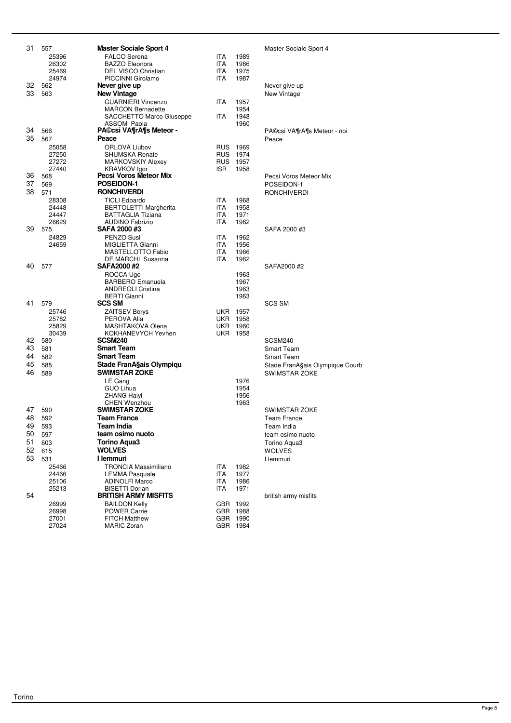| 31       | 557            | <b>Master Sociale Sport 4</b>                        |                          |              | Master S             |
|----------|----------------|------------------------------------------------------|--------------------------|--------------|----------------------|
|          | 25396          | <b>FALCO</b> Serena                                  | <b>ITA</b>               | 1989         |                      |
|          | 26302          | <b>BAZZO Eleonora</b><br>DEL VISCO Christian         | <b>ITA</b>               | 1986         |                      |
|          | 25469<br>24974 | PICCINNI Girolamo                                    | <b>ITA</b><br><b>ITA</b> | 1975<br>1987 |                      |
| 32       | 562            | Never give up                                        |                          |              | Never gi             |
| 33       | 563            | <b>New Vintage</b>                                   |                          |              | New Vin              |
|          |                | <b>GUARNIERI Vincenzo</b>                            | ITA.                     | 1957         |                      |
|          |                | <b>MARCON Bernadette</b>                             |                          | 1954         |                      |
|          |                | SACCHETTO Marco Giuseppe<br>ASSOM Paola              | ITA.                     | 1948<br>1960 |                      |
| 34       | 566            | <b>PA©csi VA¶rA¶s Meteor -</b>                       |                          |              | PA©csi \             |
| 35       | 567            | Peace                                                |                          |              | Peace                |
|          | 25058          | <b>ORLOVA Liubov</b>                                 | <b>RUS</b>               | 1969         |                      |
|          | 27250          | <b>SHUMSKA Renate</b>                                | <b>RUS</b>               | 1974         |                      |
|          | 27272          | <b>MARKOVSKIY Alexey</b>                             | <b>RUS</b>               | 1957         |                      |
| 36       | 27440<br>568   | <b>KRAVKOV Igor</b><br>Pecsi Voros Meteor Mix        | ISR.                     | 1958         | Pecsi Vo             |
| 37       | 569            | POSEIDON-1                                           |                          |              | <b>POSEID</b>        |
| 38       | 571            | <b>RONCHIVERDI</b>                                   |                          |              | RONCHI               |
|          | 28308          | <b>TICLI Edoardo</b>                                 | ITA.                     | 1968         |                      |
|          | 24448          | <b>BERTOLETTI Margherita</b>                         | <b>ITA</b>               | 1958         |                      |
|          | 24447<br>26629 | <b>BATTAGLIA Tiziana</b><br><b>AUDINO Fabrizio</b>   | ITA.<br><b>ITA</b>       | 1971<br>1962 |                      |
| 39       | 575            | SAFA 2000 #3                                         |                          |              | SAFA 20              |
|          | 24829          | PENZO Susi                                           | ITA.                     | 1962         |                      |
|          | 24659          | MIGLIETTA Gianni                                     | ITA.                     | 1956         |                      |
|          |                | MASTELLOTTO Fabio                                    | <b>ITA</b>               | 1966         |                      |
| 40       | 577            | DE MARCHI Susanna<br>SAFA2000#2                      | <b>ITA</b>               | 1962         | SAFA20               |
|          |                | ROCCA Ugo                                            |                          | 1963         |                      |
|          |                | <b>BARBERO</b> Emanuela                              |                          | 1967         |                      |
|          |                | <b>ANDREOLI Cristina</b>                             |                          | 1963         |                      |
| 41       |                | <b>BERTI</b> Gianni<br><b>SCS SM</b>                 |                          | 1963         | <b>SCS SM</b>        |
|          | 579<br>25746   | <b>ZAITSEV Borys</b>                                 | UKR                      | 1957         |                      |
|          | 25782          | PEROVA Alla                                          | <b>UKR</b>               | 1958         |                      |
|          | 25829          | MASHTAKOVA Olena                                     | UKR                      | 1960         |                      |
|          | 30439          | KOKHANEVYCH Yevhen                                   | UKR                      | 1958         |                      |
| 42<br>43 | 580            | <b>SCSM240</b><br><b>Smart Team</b>                  |                          |              | SCSM24               |
| 44       | 581<br>582     | <b>Smart Team</b>                                    |                          |              | Smart Te<br>Smart Te |
| 45       | 585            | Stade FranA§ais Olympiqu                             |                          |              | Stade Fr             |
| 46       | 589            | <b>SWIMSTAR ZOKE</b>                                 |                          |              | <b>SWIMST</b>        |
|          |                | LE Gang                                              |                          | 1976         |                      |
|          |                | GUO Lihua                                            |                          | 1954         |                      |
|          |                | <b>ZHANG Haiyi</b>                                   |                          | 1956         |                      |
| 47       | 590            | <b>CHEN Wenzhou</b><br><b>SWIMSTAR ZOKE</b>          |                          | 1963         | SWIMST               |
| 48       | 592            | <b>Team France</b>                                   |                          |              | Team Fr              |
|          | 49 593         | <b>Team India</b>                                    |                          |              | Team In              |
| 50       | 597            | team osimo nuoto                                     |                          |              | team osi             |
| 51       | 603            | <b>Torino Aqua3</b>                                  |                          |              | Torino A             |
| 52       | 615            | <b>WOLVES</b>                                        |                          |              | WOLVE:               |
| 53       | 531            | I lemmuri                                            |                          |              | I lemmur             |
|          | 25466          | <b>TRONCIA Massimiliano</b><br><b>LEMMA Pasquale</b> | ITA<br><b>ITA</b>        | 1982<br>1977 |                      |
|          | 24466<br>25106 | <b>ADINOLFI Marco</b>                                | ITA                      | 1986         |                      |
|          | 25213          | <b>BISETTI Dorian</b>                                | ITA                      | 1971         |                      |
| 54       |                | <b>BRITISH ARMY MISFITS</b>                          |                          |              | british ar           |
|          | 26999          | <b>BAILDON Kelly</b>                                 | <b>GBR</b>               | 1992         |                      |
|          | 26998<br>27001 | <b>POWER Carrie</b><br><b>FITCH Matthew</b>          | <b>GBR</b><br><b>GBR</b> | 1988<br>1990 |                      |
|          | 27024          | <b>MARIC Zoran</b>                                   | <b>GBR</b>               | 1984         |                      |
|          |                |                                                      |                          |              |                      |

#### **Master Sociale Sport 4**

Never give up New Vintage<sup>1</sup> 34 566 **PA©csi VA¶rA¶s Meteor -** PA©csi VA¶rA¶s Meteor - noi Pecsi Voros Meteor Mix 37 569 **POSEIDON-1** POSEIDON-1 38 571 **RONCHIVERDI** RONCHIVERDI 39 575 **SAFA 2000 #3** SAFA 2000 #3 40 577 **SAFA2000 #2** SAFA2000 #2 42 580 **SCSM240** SCSM240 **Smart Team Smart Team** Stade FranA§ais Olympique Courb SWIMSTAR ZOKE SWIMSTAR ZOKE **Team France** Team India team osimo nuoto

british army misfits

Torino Aqua3 52 615 **WOLVES** WOLVES 53 531 **I lemmuri** I lemmuri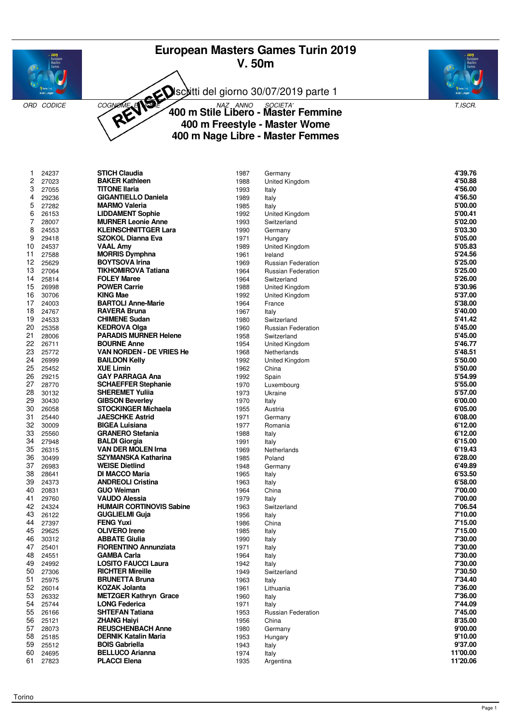# **European Masters Games Turin 2019 V. 50m**



Isciitti del giorno 30/07/2019 parte 1



ORD CODICE COGNOMENT COGNOMED CONTROLLER CONTROLLER COMPUTER COGNOMED AND SOCIETA' COGNOMETRY T.ISCR. **400 m Stile Libero - Master Femmine 400 m Freestyle - Master Wome 400 m Nage Libre - Master Femmes**

| 1  | 24237 | <b>STICH Claudia</b>            | 1987 | Germany                   | 4'39.76  |
|----|-------|---------------------------------|------|---------------------------|----------|
| 2  | 27023 | <b>BAKER Kathleen</b>           | 1988 | <b>United Kingdom</b>     | 4'50.88  |
| 3  | 27055 | <b>TITONE Ilaria</b>            | 1993 | Italy                     | 4'56.00  |
| 4  | 29236 | <b>GIGANTIELLO Daniela</b>      | 1989 | Italy                     | 4'56.50  |
| 5  | 27282 | <b>MARMO Valeria</b>            | 1985 | Italy                     | 5'00.00  |
| 6  | 26153 | <b>LIDDAMENT Sophie</b>         | 1992 | United Kingdom            | 5'00.41  |
| 7  | 28007 | <b>MURNER Leonie Anne</b>       | 1993 | Switzerland               | 5'02.00  |
| 8  | 24553 | <b>KLEINSCHNITTGER Lara</b>     | 1990 | Germany                   | 5'03.30  |
| 9  | 29418 | SZOKOL Dianna Eva               | 1971 | Hungary                   | 5'05.00  |
| 10 | 24537 | <b>VAAL Amy</b>                 | 1989 | United Kingdom            | 5'05.83  |
| 11 | 27588 | <b>MORRIS Dymphna</b>           | 1961 | Ireland                   | 5'24.56  |
| 12 | 25629 | <b>BOYTSOVA Irina</b>           | 1969 | Russian Federation        | 5'25.00  |
| 13 | 27064 | <b>TIKHOMIROVA Tatiana</b>      | 1964 | Russian Federation        | 5'25.00  |
| 14 | 25814 | <b>FOLEY Maree</b>              | 1964 | Switzerland               | 5'26.00  |
| 15 | 26998 | <b>POWER Carrie</b>             | 1988 | United Kingdom            | 5'30.96  |
| 16 | 30706 | <b>KING Mae</b>                 | 1992 | United Kingdom            | 5'37.00  |
| 17 | 24003 | <b>BARTOLI Anne-Marie</b>       | 1964 | France                    | 5'38.00  |
| 18 | 24767 | <b>RAVERA Bruna</b>             | 1967 | Italy                     | 5'40.00  |
| 19 | 24533 | <b>CHIMENE Sudan</b>            | 1980 | Switzerland               | 5'41.42  |
| 20 | 25358 | <b>KEDROVA Olga</b>             | 1960 | Russian Federation        | 5'45.00  |
| 21 | 28006 | <b>PARADIS MURNER Helene</b>    | 1958 | Switzerland               | 5'45.00  |
| 22 | 26711 | <b>BOURNE Anne</b>              | 1954 | United Kingdom            | 5'46.77  |
| 23 | 25772 | VAN NORDEN - DE VRIES He        | 1968 | Netherlands               | 5'48.51  |
| 24 | 26999 | <b>BAILDON Kelly</b>            | 1992 | United Kingdom            | 5'50.00  |
| 25 | 25452 | <b>XUE Limin</b>                | 1962 | China                     | 5'50.00  |
| 26 | 29215 | <b>GAY PARRAGA Ana</b>          | 1992 | Spain                     | 5'54.99  |
| 27 | 28770 | <b>SCHAEFFER Stephanie</b>      | 1970 | Luxembourg                | 5'55.00  |
| 28 | 30132 | <b>SHEREMET Yulija</b>          | 1973 | Ukraine                   | 5'57.00  |
| 29 | 30430 | <b>GIBSON Beverley</b>          | 1970 | Italy                     | 6'00.00  |
| 30 | 26058 | <b>STOCKINGER Michaela</b>      | 1955 | Austria                   | 6'05.00  |
| 31 | 25440 | <b>JAESCHKE Astrid</b>          | 1971 | Germany                   | 6'08.00  |
| 32 | 30009 | <b>BIGEA Luisiana</b>           | 1977 | Romania                   | 6'12.00  |
| 33 | 25560 | <b>GRANERO Stefania</b>         | 1988 | Italy                     | 6'12.00  |
| 34 | 27948 | <b>BALDI Giorgia</b>            | 1991 | Italy                     | 6'15.00  |
| 35 | 26315 | <b>VAN DER MOLEN Irna</b>       | 1969 | Netherlands               | 6'19.43  |
| 36 | 30499 | SZYMANSKA Katharina             | 1985 | Poland                    | 6'28.00  |
| 37 | 26983 | <b>WEISE Dietlind</b>           | 1948 | Germany                   | 6'49.89  |
| 38 | 28641 | <b>DI MACCO Maria</b>           | 1965 | Italy                     | 6'53.50  |
| 39 | 24373 | <b>ANDREOLI Cristina</b>        | 1963 | Italy                     | 6'58.00  |
| 40 | 20831 | <b>GUO Weiman</b>               | 1964 | China                     | 7'00.00  |
| 41 | 29760 | VAUDO Alessia                   | 1979 | Italy                     | 7'00.00  |
| 42 | 24324 | <b>HUMAIR CORTINOVIS Sabine</b> | 1963 | Switzerland               | 7'06.54  |
| 43 | 26122 | <b>GUGLIELMI Guja</b>           | 1956 | Italy                     | 7'10.00  |
| 44 | 27397 | <b>FENG Yuxi</b>                | 1986 | China                     | 7'15.00  |
| 45 | 29625 | <b>OLIVERO</b> Irene            | 1985 | Italy                     | 7'15.00  |
| 46 | 30312 | <b>ABBATE Giulia</b>            | 1990 | Italy                     | 7'30.00  |
| 47 | 25401 | <b>FIORENTINO Annunziata</b>    | 1971 | Italy                     | 7'30.00  |
| 48 | 24551 | GAMBA Carla                     | 1964 | Italy                     | 7'30.00  |
| 49 | 24992 | <b>LOSITO FAUCCI Laura</b>      | 1942 | Italy                     | 7'30.00  |
| 50 | 27306 | <b>RICHTER Mireille</b>         | 1949 | Switzerland               | 7'30.50  |
| 51 | 25975 | <b>BRUNETTA Bruna</b>           | 1963 | Italy                     | 7'34.40  |
| 52 | 26014 | <b>KOZAK Jolanta</b>            | 1961 | Lithuania                 | 7'36.00  |
| 53 | 26332 | <b>METZGER Kathryn Grace</b>    | 1960 | Italy                     | 7'36.00  |
| 54 | 25744 | <b>LONG Federica</b>            | 1971 | Italy                     | 7'44.09  |
| 55 | 26166 | <b>SHTEFAN Tatiana</b>          | 1953 | <b>Russian Federation</b> | 7'45.00  |
| 56 | 25121 | <b>ZHANG Haivi</b>              | 1956 | China                     | 8'35.00  |
| 57 | 28073 | <b>REUSCHENBACH Anne</b>        | 1980 | Germany                   | 9'00.00  |
| 58 | 25185 | <b>DERNIK Katalin Maria</b>     | 1953 | Hungary                   | 9'10.00  |
| 59 | 25512 | <b>BOIS Gabriella</b>           | 1943 | Italy                     | 9'37.00  |
| 60 | 24695 | <b>BELLUCO Arianna</b>          | 1974 | Italy                     | 11'00.00 |
| 61 | 27823 | <b>PLACCI Elena</b>             | 1935 | Argentina                 | 11'20.06 |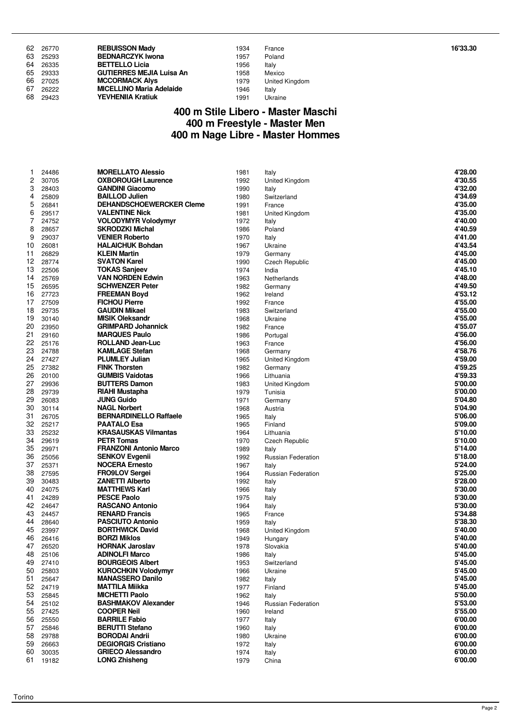|    | 62 26770 | <b>REBUISSON Madv</b>           | 1934 | France         | 16'33.30 |
|----|----------|---------------------------------|------|----------------|----------|
|    | 63 25293 | <b>BEDNARCZYK Iwona</b>         | 1957 | Poland         |          |
|    | 64 26335 | <b>BETTELLO Licia</b>           | 1956 | Italy          |          |
|    | 65 29333 | <b>GUTIERRES MEJIA Luisa An</b> | 1958 | Mexico         |          |
|    | 66 27025 | <b>MCCORMACK Alvs</b>           | 1979 | United Kingdom |          |
| 67 | 26222    | <b>MICELLINO Maria Adelaide</b> | 1946 | Italy          |          |
| 68 | 29423    | <b>YEVHENIIA Kratiuk</b>        | 1991 | Ukraine        |          |

| 1 | France        |
|---|---------------|
| 7 | Poland        |
| ĉ | Italy         |
| 3 | Mexico        |
| Ę | United Kingdo |
| ĉ | Italy         |
| 1 | Ukraine       |
|   |               |

#### **400 m Stile Libero - Master Maschi 400 m Freestyle - Master Men 400 m Nage Libre - Master Hommes**

| 1  | 24486    | <b>MORELLATO Alessio</b>        | 1981 | Italy                 | 4'28.00 |
|----|----------|---------------------------------|------|-----------------------|---------|
| 2  | 30705    | <b>OXBOROUGH Laurence</b>       | 1992 | United Kingdom        | 4'30.55 |
| 3  | 28403    | <b>GANDINI Giacomo</b>          | 1990 | Italy                 | 4'32.00 |
| 4  | 25809    | <b>BAILLOD Julien</b>           | 1980 | Switzerland           | 4'34.69 |
| 5  | 26841    | <b>DEHANDSCHOEWERCKER Cleme</b> | 1991 | France                | 4'35.00 |
| 6  | 29517    | <b>VALENTINE Nick</b>           | 1981 | United Kingdom        | 4'35.00 |
| 7  | 24752    | <b>VOLODYMYR Volodymyr</b>      | 1972 | Italy                 | 4'40.00 |
| 8  | 28657    | <b>SKRODZKI Michal</b>          | 1986 | Poland                | 4'40.59 |
| 9  | 29037    | <b>VENIER Roberto</b>           | 1970 | Italy                 | 4'41.00 |
| 10 | 26081    | <b>HALAICHUK Bohdan</b>         | 1967 | Ukraine               | 4'43.54 |
| 11 | 26829    | <b>KLEIN Martin</b>             | 1979 | Germany               | 4'45.00 |
| 12 | 28774    | <b>SVATON Karel</b>             | 1990 | Czech Republic        | 4'45.00 |
| 13 | 22506    | <b>TOKAS Sanjeev</b>            | 1974 | India                 | 4'45.10 |
| 14 | 25769    | <b>VAN NORDEN Edwin</b>         | 1963 | Netherlands           | 4'48.00 |
| 15 | 26595    | <b>SCHWENZER Peter</b>          | 1982 | Germany               | 4'49.50 |
| 16 | 27723    | <b>FREEMAN Boyd</b>             | 1962 | Ireland               | 4'53.12 |
| 17 | 27509    | <b>FICHOU Pierre</b>            | 1992 | France                | 4'55.00 |
| 18 | 29735    | <b>GAUDIN Mikael</b>            | 1983 | Switzerland           | 4'55.00 |
| 19 | 30140    | <b>MISIK Oleksandr</b>          | 1968 | Ukraine               | 4'55.00 |
| 20 | 23950    | <b>GRIMPARD Johannick</b>       | 1982 | France                | 4'55.07 |
| 21 | 29160    | <b>MARQUES Paulo</b>            | 1986 | Portugal              | 4'56.00 |
| 22 | 25176    | ROLLAND Jean-Luc                | 1963 | France                | 4'56.00 |
| 23 | 24788    | <b>KAMLAGE Stefan</b>           | 1968 | Germany               | 4'58.76 |
| 24 | 27427    | <b>PLUMLEY Julian</b>           | 1965 | United Kingdom        | 4'59.00 |
| 25 | 27382    | <b>FINK Thorsten</b>            | 1982 | Germany               | 4'59.25 |
| 26 | 20100    | <b>GUMBIS Vaidotas</b>          | 1966 | Lithuania             | 4'59.33 |
| 27 | 29936    | <b>BUTTERS Damon</b>            | 1983 | United Kingdom        | 5'00.00 |
| 28 | 29739    | RIAHI Mustapha                  | 1979 | Tunisia               | 5'00.00 |
| 29 | 26083    | <b>JUNG Guido</b>               | 1971 | Germany               | 5'04.80 |
| 30 | 30114    | <b>NAGL Norbert</b>             | 1968 | Austria               | 5'04.90 |
| 31 | 26705    | <b>BERNARDINELLO Raffaele</b>   | 1965 | Italy                 | 5'06.00 |
| 32 | 25217    | <b>PAATALO Esa</b>              | 1965 | Finland               | 5'09.00 |
| 33 | 25232    | <b>KRASAUSKAS Vilmantas</b>     | 1964 | Lithuania             | 5'10.00 |
| 34 | 29619    | <b>PETR Tomas</b>               | 1970 | Czech Republic        | 5'10.00 |
| 35 | 29971    | <b>FRANZONI Antonio Marco</b>   | 1989 | Italy                 | 5'14.00 |
| 36 | 25056    | <b>SENKOV Evgenii</b>           | 1992 | Russian Federation    | 5'18.00 |
| 37 | 25371    | <b>NOCERA Ernesto</b>           | 1967 | Italy                 | 5'24.00 |
| 38 | 27595    | <b>FRO9LOV Sergei</b>           | 1964 | Russian Federation    | 5'25.00 |
| 39 | 30483    | <b>ZANETTI Alberto</b>          | 1992 | Italy                 | 5'28.00 |
| 40 | 24075    | <b>MATTHEWS Karl</b>            | 1966 | Italy                 | 5'30.00 |
| 41 | 24289    | <b>PESCE Paolo</b>              | 1975 | Italy                 | 5'30.00 |
| 42 | 24647    | <b>RASCANO Antonio</b>          | 1964 | Italy                 | 5'30.00 |
| 43 | 24457    | <b>RENARD Francis</b>           | 1965 | France                | 5'34.88 |
| 44 | 28640    | <b>PASCIUTO Antonio</b>         | 1959 | Italy                 | 5'38.30 |
| 45 | 23997    | <b>BORTHWICK David</b>          | 1968 | <b>United Kingdom</b> | 5'40.00 |
| 46 | 26416    | <b>BORZI Miklos</b>             | 1949 | Hungary               | 5'40.00 |
| 47 | 26520    | <b>HORNAK Jaroslav</b>          | 1978 | Slovakia              | 5'40.00 |
|    | 48 25106 | <b>ADINOLFI Marco</b>           | 1986 | Italy                 | 5'45.00 |
|    | 49 27410 | <b>BOURGEOIS Albert</b>         | 1953 | Switzerland           | 5'45.00 |
|    | 50 25803 | <b>KUROCHKIN Volodymyr</b>      | 1966 | Ukraine               | 5'45.00 |
| 51 | 25647    | <b>MANASSERO Danilo</b>         | 1982 | Italy                 | 5'45.00 |
| 52 | 24719    | <b>MATTILA Miikka</b>           | 1977 | Finland               | 5'45.00 |
| 53 | 25845    | <b>MICHETTI Paolo</b>           | 1962 | Italy                 | 5'50.00 |
| 54 | 25102    | <b>BASHMAKOV Alexander</b>      | 1946 | Russian Federation    | 5'53.00 |
| 55 | 27425    | <b>COOPER Neil</b>              | 1960 | Ireland               | 5'55.00 |
| 56 | 25550    | <b>BARRILE Fabio</b>            | 1977 | Italy                 | 6'00.00 |
| 57 | 25846    | <b>BERUTTI Stefano</b>          | 1960 | Italy                 | 6'00.00 |
| 58 | 29788    | <b>BORODAI Andrii</b>           | 1980 | Ukraine               | 6'00.00 |
| 59 | 26663    | <b>DEGIORGIS Cristiano</b>      | 1972 | Italy                 | 6'00.00 |
| 60 | 30035    | <b>GRIECO Alessandro</b>        | 1974 | Italy                 | 6'00.00 |
| 61 | 19182    | <b>LONG Zhisheng</b>            | 1979 | China                 | 6'00.00 |
|    |          |                                 |      |                       |         |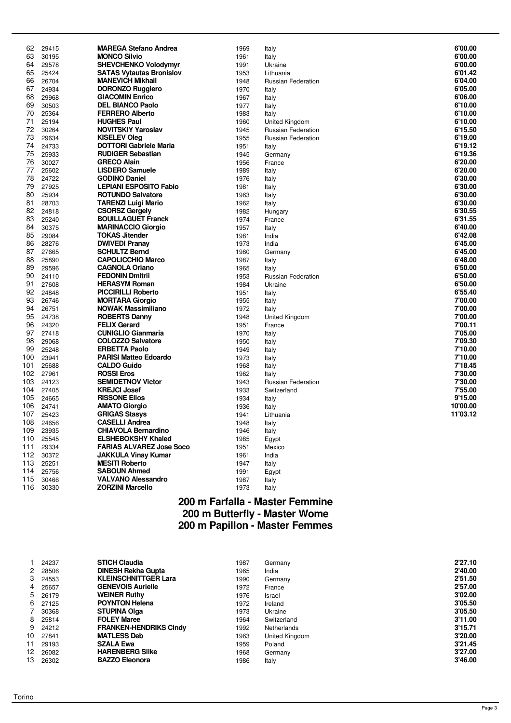| 62         | 29415          | <b>MAREGA Stefano Andrea</b>                 | 1969 | Italy                     | 6'00.00  |
|------------|----------------|----------------------------------------------|------|---------------------------|----------|
| 63         | 30195          | <b>MONCO Silvio</b>                          | 1961 | Italy                     | 6'00.00  |
| 64         | 29578          | <b>SHEVCHENKO Volodymyr</b>                  | 1991 | Ukraine                   | 6'00.00  |
| 65         | 25424          | <b>SATAS Vytautas Bronislov</b>              | 1953 | Lithuania                 | 6'01.42  |
| 66         | 26704          | <b>MANEVICH Mikhail</b>                      | 1948 | <b>Russian Federation</b> | 6'04.00  |
| 67         | 24934          | <b>DORONZO Ruggiero</b>                      | 1970 | Italy                     | 6'05.00  |
| 68         | 29968          | <b>GIACOMIN Enrico</b>                       | 1967 | Italy                     | 6'06.00  |
| 69         | 30503          | <b>DEL BIANCO Paolo</b>                      | 1977 | Italy                     | 6'10.00  |
| 70         | 25364          | <b>FERRERO Alberto</b>                       | 1983 | Italy                     | 6'10.00  |
| 71         | 25194          | <b>HUGHES Paul</b>                           | 1960 | United Kingdom            | 6'10.00  |
| 72         | 30264          | <b>NOVITSKIY Yaroslav</b>                    | 1945 | <b>Russian Federation</b> | 6'15.50  |
| 73         | 29634          | <b>KISELEV Oleg</b>                          | 1955 | <b>Russian Federation</b> | 6'19.00  |
| 74         | 24733          | <b>DOTTORI Gabriele Maria</b>                | 1951 | Italy                     | 6'19.12  |
| 75         | 25933          | <b>RUDIGER Sebastian</b>                     | 1945 | Germany                   | 6'19.36  |
| 76         | 30027          | <b>GRECO Alain</b>                           | 1956 | France                    | 6'20.00  |
| 77         | 25602          | <b>LISDERO Samuele</b>                       | 1989 | Italy                     | 6'20.00  |
| 78         | 24722          | <b>GODINO Daniel</b>                         | 1976 | Italy                     | 6'30.00  |
| 79         | 27925          | <b>LEPIANI ESPOSITO Fabio</b>                | 1981 | Italy                     | 6'30.00  |
| 80         | 25934          | <b>ROTUNDO Salvatore</b>                     | 1963 | Italy                     | 6'30.00  |
| 81         | 28703          | <b>TARENZI Luigi Mario</b>                   | 1962 | Italy                     | 6'30.00  |
| 82         | 24818          | <b>CSORSZ Gergely</b>                        | 1982 | Hungary                   | 6'30.55  |
| 83         | 25240          | <b>BOUILLAGUET Franck</b>                    | 1974 | France                    | 6'31.55  |
| 84         | 30375          | <b>MARINACCIO Giorgio</b>                    | 1957 | Italy                     | 6'40.00  |
| 85         | 29084          | <b>TOKAS Jitender</b>                        | 1981 | India                     | 6'42.08  |
| 86         | 28276          | <b>DWIVEDI Pranay</b>                        | 1973 | India                     | 6'45.00  |
| 87         | 27665          | <b>SCHULTZ Bernd</b>                         | 1960 | Germany                   | 6'45.00  |
| 88         | 25890          | <b>CAPOLICCHIO Marco</b>                     | 1987 | Italy                     | 6'48.00  |
| 89         | 29596          | <b>CAGNOLA Oriano</b>                        | 1965 | Italy                     | 6'50.00  |
| 90         | 24110          | <b>FEDONIN Dmitrii</b>                       | 1953 | Russian Federation        | 6'50.00  |
| 91         | 27608          | <b>HERASYM Roman</b>                         | 1984 | Ukraine                   | 6'50.00  |
| 92         | 24848          | <b>PICCIRILLI Roberto</b>                    | 1951 | Italy                     | 6'55.40  |
| 93         | 26746          | <b>MORTARA Giorgio</b>                       | 1955 | Italy                     | 7'00.00  |
| 94         | 26751          | <b>NOWAK Massimiliano</b>                    | 1972 | Italy                     | 7'00.00  |
| 95         | 24738          | <b>ROBERTS Danny</b>                         | 1948 | United Kingdom            | 7'00.00  |
| 96         | 24320          | <b>FELIX Gerard</b>                          | 1951 | France                    | 7'00.11  |
| 97         | 27418          | <b>CUNIGLIO Gianmaria</b>                    | 1970 | Italy                     | 7'05.00  |
| 98         | 29068          | <b>COLOZZO Salvatore</b>                     | 1950 | Italy                     | 7'09.30  |
| 99         | 25248          | <b>ERBETTA Paolo</b>                         | 1949 | Italy                     | 7'10.00  |
| 100        | 23941          | <b>PARISI Matteo Edoardo</b>                 | 1973 | Italy                     | 7'10.00  |
| 101        | 25688          | <b>CALDO Guido</b>                           | 1968 | Italy                     | 7'18.45  |
| 102        | 27961          | <b>ROSSI Eros</b>                            | 1962 | Italy                     | 7'30.00  |
| 103        | 24123          | <b>SEMIDETNOV Victor</b>                     | 1943 | <b>Russian Federation</b> | 7'30.00  |
| 104        | 27405          | <b>KREJCI Josef</b>                          | 1933 | Switzerland               | 7'55.00  |
| 105        | 24665          | <b>RISSONE Elios</b>                         | 1934 | Italy                     | 9'15.00  |
| 106        | 24741          | <b>AMATO Giorgio</b>                         | 1936 | Italy                     | 10'00.00 |
| 107        | 25423          | <b>GRIGAS Stasys</b>                         | 1941 | Lithuania                 | 11'03.12 |
| 108        | 24656          | <b>CASELLI Andrea</b>                        | 1948 |                           |          |
| 109        | 23935          | <b>CHIAVOLA Bernardino</b>                   | 1946 | Italy<br>Italy            |          |
| 110        | 25545          | <b>ELSHEBOKSHY Khaled</b>                    | 1985 |                           |          |
| 111        | 29334          | <b>FARIAS ALVAREZ Jose Soco</b>              |      | Egypt                     |          |
| 112        | 30372          | <b>JAKKULA Vinay Kumar</b>                   | 1951 | Mexico                    |          |
|            |                |                                              | 1961 | India                     |          |
| 113<br>114 | 25251<br>25756 | <b>MESITI Roberto</b><br><b>SABOUN Ahmed</b> | 1947 | Italy                     |          |
| 115        | 30466          | <b>VALVANO Alessandro</b>                    | 1991 | Egypt                     |          |
|            |                | <b>ZORZINI Marcello</b>                      | 1987 | Italy                     |          |
| 116        | 30330          |                                              | 1973 | Italy                     |          |

## **200 m Farfalla - Master Femmine 200 m Butterfly - Master Wome 200 m Papillon - Master Femmes**

|    | 24237 | <b>STICH Claudia</b>          | 1987 | Germany        | 2'27.10 |
|----|-------|-------------------------------|------|----------------|---------|
| 2  | 28506 | <b>DINESH Rekha Gupta</b>     | 1965 | India          | 2'40.00 |
| 3  | 24553 | <b>KLEINSCHNITTGER Lara</b>   | 1990 | Germany        | 2'51.50 |
| 4  | 25657 | <b>GENEVOIS Aurielle</b>      | 1972 | France         | 2'57.00 |
| 5  | 26179 | <b>WEINER Ruthy</b>           | 1976 | Israel         | 3'02.00 |
| 6  | 27125 | <b>POYNTON Helena</b>         | 1972 | Ireland        | 3'05.50 |
|    | 30368 | <b>STUPINA Olga</b>           | 1973 | Ukraine        | 3'05.50 |
| 8  | 25814 | <b>FOLEY Maree</b>            | 1964 | Switzerland    | 3'11.00 |
| 9  | 24212 | <b>FRANKEN-HENDRIKS Cindy</b> | 1992 | Netherlands    | 3'15.71 |
| 10 | 27841 | <b>MATLESS Deb</b>            | 1963 | United Kingdom | 3'20.00 |
| 11 | 29193 | <b>SZALA Ewa</b>              | 1959 | Poland         | 3'21.45 |
| 12 | 26082 | <b>HARENBERG Silke</b>        | 1968 | Germany        | 3'27.00 |
| 13 | 26302 | <b>BAZZO Eleonora</b>         | 1986 | Italy          | 3'46.00 |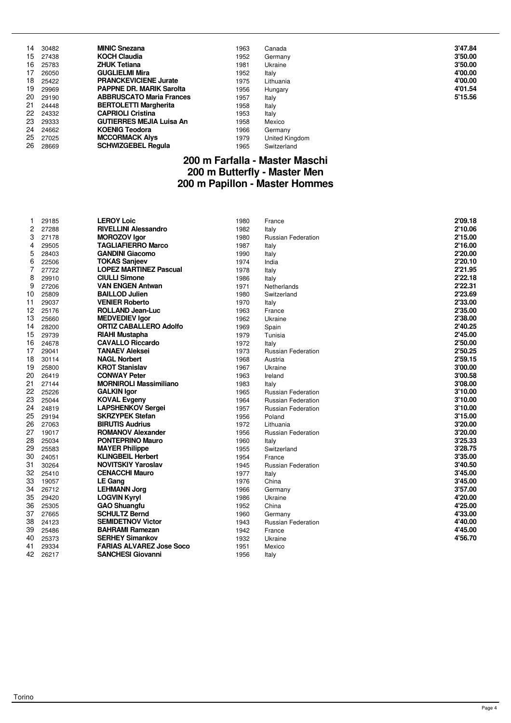| 14  | 30482 | <b>MINIC Snezana</b>            | 1963 | Canada         | 3'47.84 |
|-----|-------|---------------------------------|------|----------------|---------|
| 15. | 27438 | <b>KOCH Claudia</b>             | 1952 | Germany        | 3'50.00 |
| 16. | 25783 | <b>ZHUK Tetiana</b>             | 1981 | Ukraine        | 3'50.00 |
| 17  | 26050 | <b>GUGLIELMI Mira</b>           | 1952 | Italy          | 4'00.00 |
| 18  | 25422 | <b>PRANCKEVICIENE Jurate</b>    | 1975 | Lithuania      | 4'00.00 |
| 19  | 29969 | <b>PAPPNE DR. MARIK Sarolta</b> | 1956 | Hungary        | 4'01.54 |
| 20  | 29190 | <b>ABBRUSCATO Maria Frances</b> | 1957 | Italy          | 5'15.56 |
| 21  | 24448 | <b>BERTOLETTI Margherita</b>    | 1958 | Italy          |         |
| 22  | 24332 | <b>CAPRIOLI Cristina</b>        | 1953 | Italy          |         |
| 23  | 29333 | <b>GUTIERRES MEJIA Luisa An</b> | 1958 | Mexico         |         |
| 24  | 24662 | <b>KOENIG Teodora</b>           | 1966 | Germany        |         |
| 25  | 27025 | <b>MCCORMACK Alys</b>           | 1979 | United Kingdom |         |
| 26  | 28669 | <b>SCHWIZGEBEL Regula</b>       | 1965 | Switzerland    |         |

#### **200 m Farfalla - Master Maschi 200 m Butterfly - Master Men 200 m Papillon - Master Hommes**

| 1  | 29185 | <b>LEROY Loic</b>               | 1980 | France                    | 2'09.18 |
|----|-------|---------------------------------|------|---------------------------|---------|
| 2  | 27288 | <b>RIVELLINI Alessandro</b>     | 1982 | Italy                     | 2'10.06 |
| 3  | 27178 | <b>MOROZOV Igor</b>             | 1980 | <b>Russian Federation</b> | 2'15.00 |
| 4  | 29505 | <b>TAGLIAFIERRO Marco</b>       | 1987 | Italy                     | 2'16.00 |
| 5  | 28403 | <b>GANDINI Giacomo</b>          | 1990 | Italy                     | 2'20.00 |
| 6  | 22506 | <b>TOKAS Sanjeev</b>            | 1974 | India                     | 2'20.10 |
| 7  | 27722 | <b>LOPEZ MARTINEZ Pascual</b>   | 1978 | Italy                     | 2'21.95 |
| 8  | 29910 | <b>CIULLI Simone</b>            | 1986 | Italy                     | 2'22.18 |
| 9  | 27206 | <b>VAN ENGEN Antwan</b>         | 1971 | Netherlands               | 2'22.31 |
| 10 | 25809 | <b>BAILLOD Julien</b>           | 1980 | Switzerland               | 2'23.69 |
| 11 | 29037 | <b>VENIER Roberto</b>           | 1970 | Italy                     | 2'33.00 |
| 12 | 25176 | <b>ROLLAND Jean-Luc</b>         | 1963 | France                    | 2'35.00 |
| 13 | 25660 | <b>MEDVEDIEV lgor</b>           | 1962 | Ukraine                   | 2'38.00 |
| 14 | 28200 | <b>ORTIZ CABALLERO Adolfo</b>   | 1969 | Spain                     | 2'40.25 |
| 15 | 29739 | <b>RIAHI Mustapha</b>           | 1979 | Tunisia                   | 2'45.00 |
| 16 | 24678 | <b>CAVALLO Riccardo</b>         | 1972 | Italy                     | 2'50.00 |
| 17 | 29041 | <b>TANAEV Aleksei</b>           | 1973 | Russian Federation        | 2'50.25 |
| 18 | 30114 | <b>NAGL Norbert</b>             | 1968 | Austria                   | 2'59.15 |
| 19 | 25800 | <b>KROT Stanislav</b>           | 1967 | Ukraine                   | 3'00.00 |
| 20 | 26419 | <b>CONWAY Peter</b>             | 1963 | Ireland                   | 3'00.58 |
| 21 | 27144 | <b>MORNIROLI Massimiliano</b>   | 1983 | Italy                     | 3'08.00 |
| 22 | 25226 | <b>GALKIN Igor</b>              | 1965 | <b>Russian Federation</b> | 3'10.00 |
| 23 | 25044 | <b>KOVAL Evgeny</b>             | 1964 | <b>Russian Federation</b> | 3'10.00 |
| 24 | 24819 | <b>LAPSHENKOV Sergei</b>        | 1957 | <b>Russian Federation</b> | 3'10.00 |
| 25 | 29194 | <b>SKRZYPEK Stefan</b>          | 1956 | Poland                    | 3'15.00 |
| 26 | 27063 | <b>BIRUTIS Audrius</b>          | 1972 | Lithuania                 | 3'20.00 |
| 27 | 19017 | <b>ROMANOV Alexander</b>        | 1956 | <b>Russian Federation</b> | 3'20.00 |
| 28 | 25034 | <b>PONTEPRINO Mauro</b>         | 1960 | Italy                     | 3'25.33 |
| 29 | 25583 | <b>MAYER Philippe</b>           | 1955 | Switzerland               | 3'28.75 |
| 30 | 24051 | <b>KLINGBEIL Herbert</b>        | 1954 | France                    | 3'35.00 |
| 31 | 30264 | <b>NOVITSKIY Yaroslav</b>       | 1945 | <b>Russian Federation</b> | 3'40.50 |
| 32 | 25410 | <b>CENACCHI Mauro</b>           | 1977 | Italy                     | 3'45.00 |
| 33 | 19057 | <b>LE Gang</b>                  | 1976 | China                     | 3'45.00 |
| 34 | 26712 | <b>LEHMANN Jorg</b>             | 1966 | Germany                   | 3'57.00 |
| 35 | 29420 | <b>LOGVIN Kyryl</b>             | 1986 | Ukraine                   | 4'20.00 |
| 36 | 25305 | <b>GAO Shuangfu</b>             | 1952 | China                     | 4'25.00 |
| 37 | 27665 | <b>SCHULTZ Bernd</b>            | 1960 | Germany                   | 4'33.00 |
| 38 | 24123 | <b>SEMIDETNOV Victor</b>        | 1943 | <b>Russian Federation</b> | 4'40.00 |
| 39 | 25486 | <b>BAHRAMI Ramezan</b>          | 1942 | France                    | 4'45.00 |
| 40 | 25373 | <b>SERHEY Simankov</b>          | 1932 | Ukraine                   | 4'56.70 |
| 41 | 29334 | <b>FARIAS ALVAREZ Jose Soco</b> | 1951 | Mexico                    |         |
| 42 | 26217 | <b>SANCHESI Giovanni</b>        | 1956 | Italy                     |         |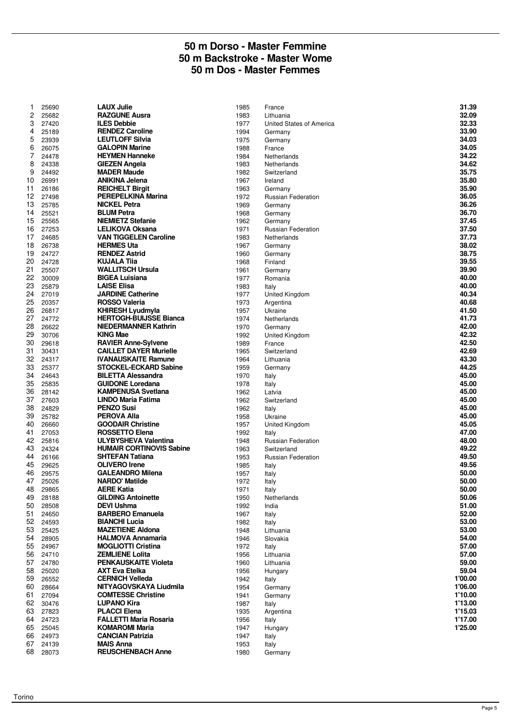#### **50 m Dorso - Master Femmine 50 m Backstroke - Master Wome 50 m Dos - Master Femmes**

| 1  | 25690    | <b>LAUX Julie</b>               | 1985 | France                    | 31.39   |
|----|----------|---------------------------------|------|---------------------------|---------|
| 2  | 25682    | <b>RAZGUNE Ausra</b>            | 1983 | Lithuania                 | 32.09   |
| 3  | 27420    | <b>ILES Debbie</b>              | 1977 | United States of America  | 32.33   |
| 4  |          | <b>RENDEZ Caroline</b>          |      |                           | 33.90   |
|    | 25189    |                                 | 1994 | Germany                   |         |
| 5  | 23939    | <b>LEUTLOFF Silvia</b>          | 1975 | Germany                   | 34.03   |
| 6  | 26075    | <b>GALOPIN Marine</b>           | 1988 | France                    | 34.05   |
| 7  | 24478    | <b>HEYMEN Hanneke</b>           | 1984 | Netherlands               | 34.22   |
| 8  | 24338    | <b>GIEZEN Angela</b>            | 1983 | Netherlands               | 34.62   |
| 9  | 24492    | <b>MADER Maude</b>              | 1982 | Switzerland               | 35.75   |
|    |          |                                 |      |                           |         |
| 10 | 26991    | <b>ANIKINA Jelena</b>           | 1967 | Ireland                   | 35.80   |
| 11 | 26186    | <b>REICHELT Birgit</b>          | 1963 | Germany                   | 35.90   |
| 12 | 27498    | <b>PEREPELKINA Marina</b>       | 1972 | <b>Russian Federation</b> | 36.05   |
| 13 | 25785    | <b>NICKEL Petra</b>             | 1969 | Germany                   | 36.26   |
| 14 | 25521    | <b>BLUM Petra</b>               | 1968 | Germany                   | 36.70   |
|    |          |                                 |      |                           |         |
| 15 | 25565    | <b>NIEMIETZ Stefanie</b>        | 1962 | Germany                   | 37.45   |
| 16 | 27253    | LELIKOVA Oksana                 | 1971 | Russian Federation        | 37.50   |
| 17 | 24685    | <b>VAN TIGGELEN Caroline</b>    | 1983 | Netherlands               | 37.73   |
| 18 | 26738    | <b>HERMES Uta</b>               | 1967 | Germany                   | 38.02   |
| 19 | 24727    | <b>RENDEZ Astrid</b>            | 1960 |                           | 38.75   |
|    |          |                                 |      | Germany                   |         |
| 20 | 24728    | <b>KUJALA Tija</b>              | 1968 | Finland                   | 39.55   |
| 21 | 25507    | <b>WALLITSCH Ursula</b>         | 1961 | Germany                   | 39.90   |
| 22 | 30009    | <b>BIGEA Luisiana</b>           | 1977 | Romania                   | 40.00   |
| 23 | 25879    | <b>LAISE Elisa</b>              | 1983 | Italy                     | 40.00   |
| 24 | 27019    | <b>JARDINE Catherine</b>        | 1977 | United Kingdom            | 40.34   |
|    |          |                                 |      |                           |         |
| 25 | 20357    | <b>ROSSO Valeria</b>            | 1973 | Argentina                 | 40.68   |
| 26 | 26817    | <b>KHIRESH Lyudmyla</b>         | 1957 | Ukraine                   | 41.50   |
| 27 | 24772    | <b>HERTOGH-BUIJSSE Bianca</b>   | 1974 | Netherlands               | 41.73   |
| 28 | 26622    | <b>NIEDERMANNER Kathrin</b>     | 1970 | Germany                   | 42.00   |
| 29 | 30706    | <b>KING Mae</b>                 | 1992 | United Kingdom            | 42.32   |
|    |          | <b>RAVIER Anne-Sylvene</b>      |      |                           | 42.50   |
| 30 | 29618    |                                 | 1989 | France                    |         |
| 31 | 30431    | <b>CAILLET DAYER Murielle</b>   | 1965 | Switzerland               | 42.69   |
| 32 | 24317    | <b>IVANAUSKAITE Ramune</b>      | 1964 | Lithuania                 | 43.30   |
| 33 | 25377    | <b>STOCKEL-ECKARD Sabine</b>    | 1959 | Germany                   | 44.25   |
| 34 | 24643    | <b>BILETTA Alessandra</b>       | 1970 | Italy                     | 45.00   |
| 35 |          | <b>GUIDONE Loredana</b>         |      |                           | 45.00   |
|    | 25835    |                                 | 1978 | Italy                     |         |
| 36 | 28142    | <b>KAMPENUSA Svetlana</b>       | 1962 | Latvia                    | 45.00   |
| 37 | 27603    | LINDO Maria Fatima              | 1962 | Switzerland               | 45.00   |
| 38 | 24829    | <b>PENZO Susi</b>               | 1962 | Italy                     | 45.00   |
| 39 | 25782    | <b>PEROVA Alla</b>              | 1958 | Ukraine                   | 45.00   |
| 40 |          | <b>GOODAIR Christine</b>        | 1957 |                           | 45.05   |
|    | 26660    |                                 |      | United Kingdom            |         |
| 41 | 27053    | ROSSETTO Elena                  | 1992 | Italy                     | 47.00   |
| 42 | 25816    | <b>ULYBYSHEVA Valentina</b>     | 1948 | <b>Russian Federation</b> | 48.00   |
| 43 | 24324    | <b>HUMAIR CORTINOVIS Sabine</b> | 1963 | Switzerland               | 49.22   |
| 44 | 26166    | <b>SHTEFAN Tatiana</b>          | 1953 | <b>Russian Federation</b> | 49.50   |
|    |          | <b>OLIVERO</b> Irene            |      |                           | 49.56   |
| 45 | 29625    |                                 | 1985 | Italy                     |         |
| 46 | 29575    | <b>GALEANDRO Milena</b>         | 1957 | Italy                     | 50.00   |
| 47 | 25026    | <b>NARDO' Matilde</b>           | 1972 | Italy                     | 50.00   |
| 48 | 29865    | <b>AERE Katia</b>               | 1971 | Italy                     | 50.00   |
| 49 | 28188    | <b>GILDING Antoinette</b>       | 1950 | Netherlands               | 50.06   |
| 50 | 28508    | <b>DEVI Ushma</b>               | 1992 | India                     | 51.00   |
|    |          |                                 |      |                           |         |
| 51 | 24650    | <b>BARBERO Emanuela</b>         | 1967 | Italy                     | 52.00   |
| 52 | 24593    | <b>BIANCHI Lucia</b>            | 1982 | Italy                     | 53.00   |
| 53 | 25425    | <b>MAZETIENE Aldona</b>         | 1948 | Lithuania                 | 53.00   |
| 54 | 28905    | <b>HALMOVA Annamaria</b>        | 1946 | Slovakia                  | 54.00   |
| 55 | 24967    | <b>MOGLIOTTI Cristina</b>       | 1972 | Italy                     | 57.00   |
| 56 | 24710    | <b>ZEMLIENE Lolita</b>          | 1956 | Lithuania                 | 57.00   |
|    |          |                                 |      |                           |         |
| 57 | 24780    | <b>PENKAUSKAITE Violeta</b>     | 1960 | Lithuania                 | 59.00   |
| 58 | 25020    | <b>AXT Eva Etelka</b>           | 1956 | Hungary                   | 59.04   |
| 59 | 26552    | <b>CERNICH Velleda</b>          | 1942 | Italy                     | 1'00.00 |
| 60 | 28664    | NITYAGOVSKAYA Liudmila          | 1954 | Germany                   | 1'06.00 |
| 61 | 27094    | <b>COMTESSE Christine</b>       | 1941 | Germany                   | 1'10.00 |
|    |          |                                 |      |                           |         |
| 62 | 30476    | <b>LUPANO Kira</b>              | 1987 | Italy                     | 1'13.00 |
| 63 | 27823    | <b>PLACCI Elena</b>             | 1935 | Argentina                 | 1'15.03 |
| 64 | 24723    | <b>FALLETTI Maria Rosaria</b>   | 1956 | Italy                     | 1'17.00 |
| 65 | 25045    | <b>KOMAROMI Maria</b>           | 1947 | Hungary                   | 1'25.00 |
| 66 | 24973    | <b>CANCIAN Patrizia</b>         | 1947 | Italy                     |         |
| 67 | 24139    | <b>MAIS Anna</b>                | 1953 | Italy                     |         |
|    |          |                                 |      |                           |         |
|    | 68 28073 | <b>REUSCHENBACH Anne</b>        | 1980 | Germany                   |         |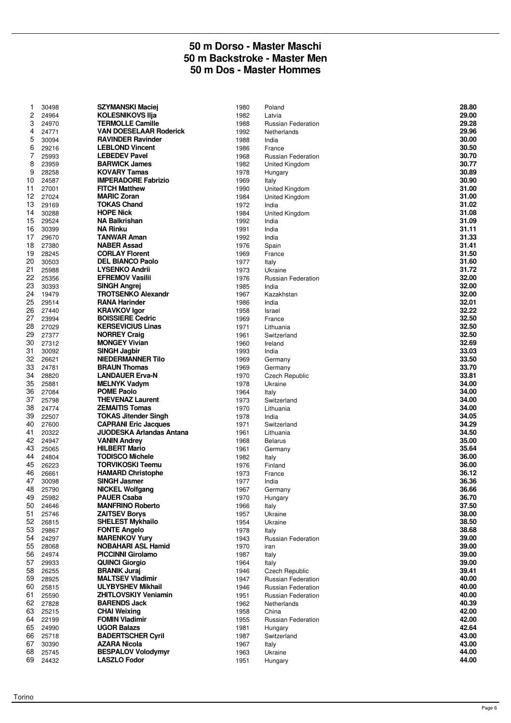#### **50 m Dorso - Master Maschi 50 m Backstroke - Master Men 50 m Dos - Master Hommes**

| 1        | 30498          | <b>SZYMANSKI Maciej</b>         | 1980         | Poland                    | 28.80 |
|----------|----------------|---------------------------------|--------------|---------------------------|-------|
| 2        | 24964          | <b>KOLESNIKOVS IIja</b>         | 1982         | Latvia                    | 29.00 |
| 3        | 24970          | <b>TERMOLLE Camille</b>         | 1988         | <b>Russian Federation</b> | 29.28 |
| 4        | 24771          | <b>VAN DOESELAAR Roderick</b>   | 1992         | Netherlands               | 29.96 |
| 5        | 30094          | <b>RAVINDER Ravinder</b>        | 1988         | India                     | 30.00 |
| 6        | 29216          | <b>LEBLOND Vincent</b>          | 1986         | France                    | 30.50 |
| 7        | 25993          | <b>LEBEDEV Pavel</b>            | 1968         | <b>Russian Federation</b> | 30.70 |
| 8        | 23959          | <b>BARWICK James</b>            | 1982         | United Kingdom            | 30.77 |
| 9        | 28258          | <b>KOVARY Tamas</b>             | 1978         | Hungary                   | 30.89 |
| 10       | 24587          | <b>IMPERADORE Fabrizio</b>      | 1969         | Italy                     | 30.90 |
| 11       | 27001          | <b>FITCH Matthew</b>            | 1990         | United Kingdom            | 31.00 |
| 12       | 27024          | <b>MARIC Zoran</b>              | 1984         | United Kingdom            | 31.00 |
| 13       | 29169          | <b>TOKAS Chand</b>              | 1972         | India                     | 31.02 |
| 14       | 30288          | <b>HOPE Nick</b>                | 1984         | United Kingdom            | 31.08 |
| 15       | 29524          | <b>NA Balkrishan</b>            | 1992         | India                     | 31.09 |
| 16       | 30399          | <b>NA Rinku</b>                 | 1991         | India                     | 31.11 |
| 17       | 29670          | <b>TANWAR Aman</b>              | 1992         | India                     | 31.33 |
| 18       | 27380          | <b>NABER Assad</b>              | 1976         | Spain                     | 31.41 |
| 19       | 28245          | <b>CORLAY Florent</b>           | 1969         | France                    | 31.50 |
| 20       | 30503          | <b>DEL BIANCO Paolo</b>         | 1977         | Italy                     | 31.60 |
| 21       | 25988          | <b>LYSENKO Andrii</b>           | 1973         | Ukraine                   | 31.72 |
| 22       | 25356          | <b>EFREMOV Vasilii</b>          | 1976         | <b>Russian Federation</b> | 32.00 |
| 23       | 30393          | <b>SINGH Angrej</b>             | 1985         | India                     | 32.00 |
| 24       | 19479          | <b>TROTSENKO Alexandr</b>       | 1967         | Kazakhstan                | 32.00 |
| 25       |                | <b>RANA Harinder</b>            |              |                           | 32.01 |
| 26       | 29514<br>27440 | <b>KRAVKOV Igor</b>             | 1986<br>1958 | India<br>Israel           | 32.22 |
|          |                | <b>BOISSIERE Cedric</b>         |              |                           | 32.50 |
| 27<br>28 | 23994          | <b>KERSEVICIUS Linas</b>        | 1969         | France                    | 32.50 |
|          | 27029          |                                 | 1971         | Lithuania                 |       |
| 29       | 27377          | <b>NORREY Craig</b>             | 1961         | Switzerland               | 32.50 |
| 30       | 27312          | <b>MONGEY Vivian</b>            | 1960         | Ireland                   | 32.69 |
| 31       | 30092          | <b>SINGH Jagbir</b>             | 1993         | India                     | 33.03 |
| 32       | 26621          | <b>NIEDERMANNER Tilo</b>        | 1969         | Germany                   | 33.50 |
| 33       | 24781          | <b>BRAUN Thomas</b>             | 1969         | Germany                   | 33.70 |
| 34       | 28820          | <b>LANDAUER Erva-N</b>          | 1970         | <b>Czech Republic</b>     | 33.81 |
| 35       | 25881          | <b>MELNYK Vadym</b>             | 1978         | Ukraine                   | 34.00 |
| 36       | 27084          | <b>POME Paolo</b>               | 1964         | Italy                     | 34.00 |
| 37       | 25798          | <b>THEVENAZ Laurent</b>         | 1973         | Switzerland               | 34.00 |
| 38       | 24774          | <b>ZEMAITIS Tomas</b>           | 1970         | Lithuania                 | 34.00 |
| 39       | 22507          | <b>TOKAS Jitender Singh</b>     | 1978         | India                     | 34.05 |
| 40       | 27600          | <b>CAPRANI Eric Jacques</b>     | 1971         | Switzerland               | 34.29 |
| 41       | 20322          | <b>JUODESKA Arlandas Antana</b> | 1961         | Lithuania                 | 34.50 |
| 42       | 24947          | <b>VANIN Andrey</b>             | 1968         | <b>Belarus</b>            | 35.00 |
| 43       | 25065          | <b>HILBERT Mario</b>            | 1961         | Germany                   | 35.64 |
| 44       | 24804          | <b>TODISCO Michele</b>          | 1982         | Italy                     | 36.00 |
| 45       | 26223          | <b>TORVIKOSKI Teemu</b>         | 1976         | Finland                   | 36.00 |
| 46       | 26661          | <b>HAMARD Christophe</b>        | 1973         | France                    | 36.12 |
| 47       | 30098          | <b>SINGH Jasmer</b>             | 1977         | India                     | 36.36 |
| 48       | 25790          | <b>NICKEL Wolfgang</b>          | 1967         | Germany                   | 36.66 |
| 49       | 25982          | <b>PAUER Csaba</b>              | 1970         | Hungary                   | 36.70 |
| 50       | 24646          | <b>MANFRINO Roberto</b>         | 1966         | Italy                     | 37.50 |
| 51       | 25746          | <b>ZAITSEV Borys</b>            | 1957         | Ukraine                   | 38.00 |
| 52       | 26815          | <b>SHELEST Mykhailo</b>         | 1954         | Ukraine                   | 38.50 |
| 53       | 29867          | <b>FONTE Angelo</b>             | 1978         | Italy                     | 38.68 |
| 54       | 24297          | <b>MARENKOV Yury</b>            | 1943         | <b>Russian Federation</b> | 39.00 |
| 55       | 28068          | <b>NOBAHARI ASL Hamid</b>       | 1970         | iran                      | 39.00 |
| 56       | 24974          | <b>PICCINNI Girolamo</b>        | 1987         | Italy                     | 39.00 |
| 57       | 29933          | <b>QUINCI Giorgio</b>           | 1964         | Italy                     | 39.00 |
| 58       | 26255          | <b>BRANIK Juraj</b>             | 1946         | Czech Republic            | 39.41 |
| 59       | 28925          | <b>MALTSEV Vladimir</b>         | 1947         | <b>Russian Federation</b> | 40.00 |
| 60       | 25815          | <b>ULYBYSHEV Mikhail</b>        | 1946         | <b>Russian Federation</b> | 40.00 |
| 61       | 25590          | <b>ZHITLOVSKIY Venjamin</b>     | 1951         | <b>Russian Federation</b> | 40.00 |
| 62       | 27828          | <b>BARENDS Jack</b>             | 1962         | Netherlands               | 40.39 |
| 63       | 25215          | <b>CHAI Weixing</b>             | 1958         | China                     | 42.00 |
| 64       | 22199          | <b>FOMIN Vladimir</b>           | 1955         | <b>Russian Federation</b> | 42.00 |
| 65       | 24990          | <b>UGOR Balazs</b>              | 1981         | Hungary                   | 42.64 |
| 66       | 25718          | <b>BADERTSCHER Cyril</b>        | 1987         | Switzerland               | 43.00 |
| 67       | 30390          | <b>AZARA Nicola</b>             | 1967         | Italy                     | 43.00 |
| 68       | 25745          | <b>BESPALOV Volodymyr</b>       | 1963         | Ukraine                   | 44.00 |
| 69       | 24432          | <b>LASZLO Fodor</b>             | 1951         | Hungary                   | 44.00 |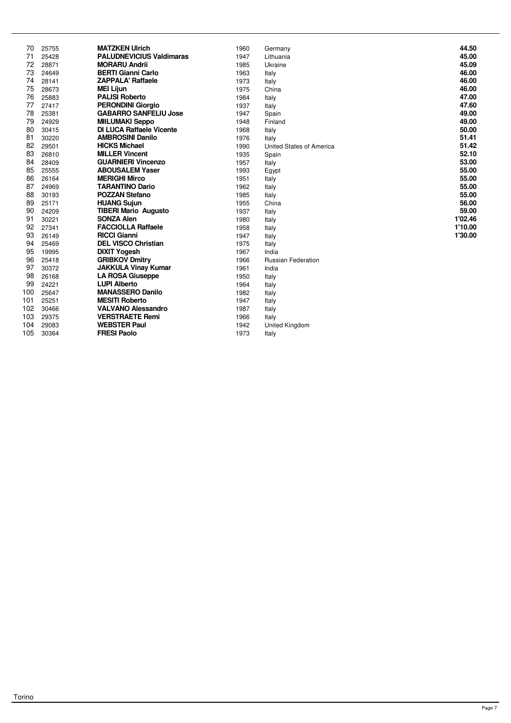| 70  | 25755 | <b>MATZKEN Ulrich</b>           | 1960 | Germany                   | 44.50   |
|-----|-------|---------------------------------|------|---------------------------|---------|
| 71  | 25428 | <b>PALUDNEVICIUS Valdimaras</b> | 1947 | Lithuania                 | 45.00   |
| 72  | 28871 | <b>MORARU Andrii</b>            | 1985 | Ukraine                   | 45.09   |
| 73  | 24649 | <b>BERTI Gianni Carlo</b>       | 1963 | Italy                     | 46.00   |
| 74  | 28141 | <b>ZAPPALA' Raffaele</b>        | 1973 | Italy                     | 46.00   |
| 75  | 28673 | <b>MEI Lijun</b>                | 1975 | China                     | 46.00   |
| 76  | 25883 | <b>PALISI Roberto</b>           | 1984 | Italy                     | 47.00   |
| 77  | 27417 | <b>PERONDINI Giorgio</b>        | 1937 | Italy                     | 47.60   |
| 78  | 25381 | <b>GABARRO SANFELIU Jose</b>    | 1947 | Spain                     | 49.00   |
| 79  | 24929 | <b>MIILUMAKI Seppo</b>          | 1948 | Finland                   | 49.00   |
| 80  | 30415 | <b>DI LUCA Raffaele Vicente</b> | 1968 | Italy                     | 50.00   |
| 81  | 30220 | <b>AMBROSINI Danilo</b>         | 1976 | Italy                     | 51.41   |
| 82  | 29501 | <b>HICKS Michael</b>            | 1990 | United States of America  | 51.42   |
| 83  | 26810 | <b>MILLER Vincent</b>           | 1935 | Spain                     | 52.10   |
| 84  | 28409 | <b>GUARNIERI Vincenzo</b>       | 1957 | Italy                     | 53.00   |
| 85  | 25555 | <b>ABOUSALEM Yaser</b>          | 1993 | Egypt                     | 55.00   |
| 86  | 26164 | <b>MERIGHI Mirco</b>            | 1951 | Italy                     | 55.00   |
| 87  | 24969 | <b>TARANTINO Dario</b>          | 1962 | Italy                     | 55.00   |
| 88  | 30193 | <b>POZZAN Stefano</b>           | 1985 | Italy                     | 55.00   |
| 89  | 25171 | <b>HUANG Sujun</b>              | 1955 | China                     | 56.00   |
| 90  | 24209 | <b>TIBERI Mario Augusto</b>     | 1937 | Italy                     | 59.00   |
| 91  | 30221 | <b>SONZA Alen</b>               | 1980 | Italy                     | 1'02.46 |
| 92  | 27341 | <b>FACCIOLLA Raffaele</b>       | 1958 | Italy                     | 1'10.00 |
| 93  | 26149 | <b>RICCI Gianni</b>             | 1947 | Italy                     | 1'30.00 |
| 94  | 25469 | <b>DEL VISCO Christian</b>      | 1975 | Italy                     |         |
| 95  | 19995 | <b>DIXIT Yogesh</b>             | 1967 | India                     |         |
| 96  | 25418 | <b>GRIBKOV Dmitry</b>           | 1966 | <b>Russian Federation</b> |         |
| 97  | 30372 | <b>JAKKULA Vinay Kumar</b>      | 1961 | India                     |         |
| 98  | 26168 | <b>LA ROSA Giuseppe</b>         | 1950 | Italy                     |         |
| 99  | 24221 | <b>LUPI Alberto</b>             | 1964 | Italy                     |         |
| 100 | 25647 | <b>MANASSERO Danilo</b>         | 1982 | Italy                     |         |
| 101 | 25251 | <b>MESITI Roberto</b>           | 1947 | Italy                     |         |
| 102 | 30466 | <b>VALVANO Alessandro</b>       | 1987 | Italy                     |         |
| 103 | 29375 | <b>VERSTRAETE Remi</b>          | 1966 | Italy                     |         |
| 104 | 29083 | <b>WEBSTER Paul</b>             | 1942 | United Kingdom            |         |
| 105 | 30364 | <b>FRESI Paolo</b>              | 1973 | Italy                     |         |
|     |       |                                 |      |                           |         |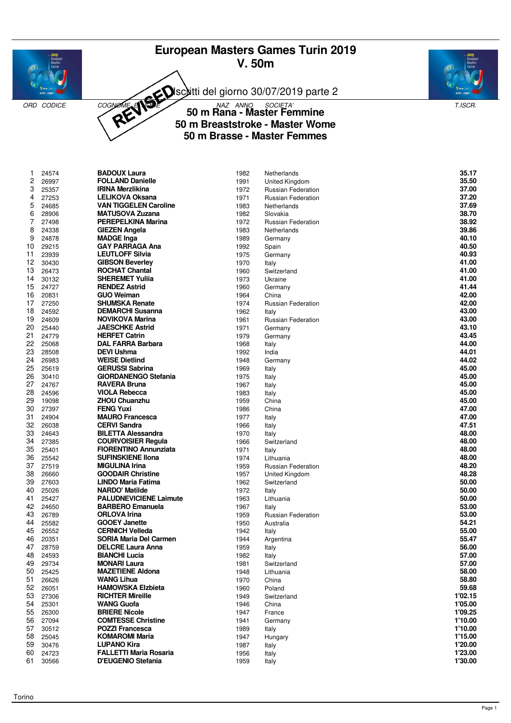# **European Masters Games Turin 2019 V. 50m**





Isciitti del giorno 30/07/2019 parte 2



ORD CODICE COGNOME **E NOME 50 M Rana - Master Femmine** T.ISCR. **50 m Breaststroke - Master Wome 50 m Brasse - Master Femmes**

| -1 | 24574 | <b>DADUUA Laura</b>           | 1982 | <b>Netherlands</b>        | JJ.I <i>I</i> |
|----|-------|-------------------------------|------|---------------------------|---------------|
| 2  | 26997 | <b>FOLLAND Danielle</b>       | 1991 | United Kingdom            | 35.50         |
| 3  | 25357 | <b>IRINA Merzlikina</b>       | 1972 | <b>Russian Federation</b> | 37.00         |
| 4  | 27253 | <b>LELIKOVA Oksana</b>        | 1971 | <b>Russian Federation</b> | 37.20         |
|    |       |                               |      |                           |               |
| 5  | 24685 | <b>VAN TIGGELEN Caroline</b>  | 1983 | Netherlands               | 37.69         |
| 6  | 28906 | <b>MATUSOVA Zuzana</b>        | 1982 | Slovakia                  | 38.70         |
| 7  | 27498 | <b>PEREPELKINA Marina</b>     | 1972 | <b>Russian Federation</b> | 38.92         |
| 8  | 24338 | <b>GIEZEN Angela</b>          | 1983 | Netherlands               | 39.86         |
| 9  | 24878 | <b>MADGE Inga</b>             | 1989 | Germany                   | 40.10         |
| 10 | 29215 | <b>GAY PARRAGA Ana</b>        | 1992 | Spain                     | 40.50         |
| 11 | 23939 | <b>LEUTLOFF Silvia</b>        | 1975 | Germany                   | 40.93         |
| 12 |       |                               |      |                           | 41.00         |
|    | 30430 | <b>GIBSON Beverley</b>        | 1970 | Italy                     |               |
| 13 | 26473 | <b>ROCHAT Chantal</b>         | 1960 | Switzerland               | 41.00         |
| 14 | 30132 | <b>SHEREMET Yulija</b>        | 1973 | Ukraine                   | 41.00         |
| 15 | 24727 | <b>RENDEZ Astrid</b>          | 1960 | Germany                   | 41.44         |
| 16 | 20831 | <b>GUO Weiman</b>             | 1964 | China                     | 42.00         |
| 17 | 27250 | <b>SHUMSKA Renate</b>         | 1974 | <b>Russian Federation</b> | 42.00         |
| 18 | 24592 | <b>DEMARCHI Susanna</b>       | 1962 | Italy                     | 43.00         |
| 19 | 24609 | NOVIKOVA Marina               | 1961 | <b>Russian Federation</b> | 43.00         |
| 20 | 25440 | <b>JAESCHKE Astrid</b>        | 1971 |                           | 43.10         |
|    |       |                               |      | Germany                   |               |
| 21 | 24779 | <b>HERFET Catrin</b>          | 1979 | Germany                   | 43.45         |
| 22 | 25068 | <b>DAL FARRA Barbara</b>      | 1968 | Italy                     | 44.00         |
| 23 | 28508 | <b>DEVI Ushma</b>             | 1992 | India                     | 44.01         |
| 24 | 26983 | <b>WEISE Dietlind</b>         | 1948 | Germany                   | 44.02         |
| 25 | 25619 | <b>GERUSSI Sabrina</b>        | 1969 | Italy                     | 45.00         |
| 26 | 30410 | <b>GIORDANENGO Stefania</b>   | 1975 | Italy                     | 45.00         |
| 27 | 24767 | <b>RAVERA Bruna</b>           | 1967 | Italy                     | 45.00         |
| 28 | 24596 | <b>VIOLA Rebecca</b>          | 1983 | Italy                     | 45.00         |
| 29 | 19098 | <b>ZHOU Chuanzhu</b>          | 1959 | China                     | 45.00         |
| 30 |       |                               | 1986 |                           |               |
|    | 27397 | <b>FENG Yuxi</b>              |      | China                     | 47.00         |
| 31 | 24904 | <b>MAURO Francesca</b>        | 1977 | Italy                     | 47.00         |
| 32 | 26038 | <b>CERVI Sandra</b>           | 1966 | Italy                     | 47.51         |
| 33 | 24643 | <b>BILETTA Alessandra</b>     | 1970 | Italy                     | 48.00         |
| 34 | 27385 | <b>COURVOISIER Regula</b>     | 1966 | Switzerland               | 48.00         |
| 35 | 25401 | <b>FIORENTINO Annunziata</b>  | 1971 | Italy                     | 48.00         |
| 36 | 25542 | <b>SUFINSKIENE IIona</b>      | 1974 | Lithuania                 | 48.00         |
| 37 | 27519 | <b>MIGULINA Irina</b>         | 1959 | Russian Federation        | 48.20         |
| 38 | 26660 | <b>GOODAIR Christine</b>      | 1957 | United Kingdom            | 48.28         |
| 39 | 27603 | LINDO Maria Fatima            | 1962 | Switzerland               | 50.00         |
|    |       |                               |      |                           |               |
| 40 | 25026 | <b>NARDO' Matilde</b>         | 1972 | Italy                     | 50.00         |
| 41 | 25427 | <b>PALUDNEVICIENE Laimute</b> | 1963 | Lithuania                 | 50.00         |
| 42 | 24650 | <b>BARBERO Emanuela</b>       | 1967 | Italy                     | 53.00         |
| 43 | 26789 | <b>ORLOVA Irina</b>           | 1959 | <b>Russian Federation</b> | 53.00         |
| 44 | 25582 | <b>GOOEY Janette</b>          | 1950 | Australia                 | 54.21         |
| 45 | 26552 | <b>CERNICH Velleda</b>        | 1942 | Italy                     | 55.00         |
| 46 | 20351 | <b>SORIA Maria Del Carmen</b> | 1944 | Argentina                 | 55.47         |
| 47 | 28759 | <b>DELCRE Laura Anna</b>      | 1959 | Italy                     | 56.00         |
| 48 | 24593 | <b>BIANCHI Lucia</b>          | 1982 | Italy                     | 57.00         |
| 49 | 29734 | <b>MONARI Laura</b>           | 1981 | Switzerland               | 57.00         |
| 50 | 25425 | <b>MAZETIENE Aldona</b>       |      |                           | 58.00         |
|    |       |                               | 1948 | Lithuania                 |               |
| 51 | 26626 | <b>WANG Lihua</b>             | 1970 | China                     | 58.80         |
| 52 | 26051 | <b>HAMOWSKA Elzbieta</b>      | 1960 | Poland                    | 59.68         |
| 53 | 27306 | <b>RICHTER Mireille</b>       | 1949 | Switzerland               | 1'02.15       |
| 54 | 25301 | <b>WANG Guofa</b>             | 1946 | China                     | 1'05.00       |
| 55 | 26300 | <b>BRIERE Nicole</b>          | 1947 | France                    | 1'09.25       |
| 56 | 27094 | <b>COMTESSE Christine</b>     | 1941 | Germany                   | 1'10.00       |
| 57 | 30512 | <b>POZZI Francesca</b>        | 1989 | Italy                     | 1'10.00       |
| 58 | 25045 | <b>KOMAROMI Maria</b>         | 1947 | Hungary                   | 1'15.00       |
| 59 |       | <b>LUPANO Kira</b>            | 1987 |                           | 1'20.00       |
|    | 30476 |                               |      | Italy                     |               |
| 60 | 24723 | <b>FALLETTI Maria Rosaria</b> | 1956 | Italy                     | 1'23.00       |
| 61 | 30566 | D'EUGENIO Stefania            | 1959 | Italy                     | 1'30.00       |

| 1. | 24574 | <b>BADOUX Laura</b>           | 1982 | Netherlands               | 35.17   |
|----|-------|-------------------------------|------|---------------------------|---------|
| 2  | 26997 | <b>FOLLAND Danielle</b>       | 1991 | United Kingdom            | 35.50   |
| 3  | 25357 | <b>IRINA Merzlikina</b>       | 1972 | <b>Russian Federation</b> | 37.00   |
| 4  | 27253 | <b>LELIKOVA Oksana</b>        | 1971 | <b>Russian Federation</b> | 37.20   |
| 5  | 24685 | <b>VAN TIGGELEN Caroline</b>  | 1983 | Netherlands               | 37.69   |
| 6  | 28906 | <b>MATUSOVA Zuzana</b>        | 1982 | Slovakia                  | 38.70   |
| 7  | 27498 | <b>PEREPELKINA Marina</b>     | 1972 | <b>Russian Federation</b> | 38.92   |
| 8  | 24338 | <b>GIEZEN Angela</b>          | 1983 | Netherlands               | 39.86   |
| 9  | 24878 | <b>MADGE Inga</b>             | 1989 | Germany                   | 40.10   |
| 0  | 29215 | <b>GAY PARRAGA Ana</b>        | 1992 | Spain                     | 40.50   |
| 1  | 23939 | <b>LEUTLOFF Silvia</b>        | 1975 | Germany                   | 40.93   |
| 2  | 30430 | <b>GIBSON Beverley</b>        | 1970 | Italy                     | 41.00   |
| 3  | 26473 | <b>ROCHAT Chantal</b>         | 1960 | Switzerland               | 41.00   |
| 4  | 30132 | <b>SHEREMET Yuliia</b>        | 1973 | Ukraine                   | 41.00   |
| 5  | 24727 | <b>RENDEZ Astrid</b>          | 1960 | Germany                   | 41.44   |
| 6  | 20831 | <b>GUO Weiman</b>             | 1964 | China                     | 42.00   |
| 7  | 27250 | <b>SHUMSKA Renate</b>         | 1974 | Russian Federation        | 42.00   |
| 8  | 24592 | <b>DEMARCHI Susanna</b>       | 1962 | Italy                     | 43.00   |
| 9  | 24609 | NOVIKOVA Marina               | 1961 | <b>Russian Federation</b> | 43.00   |
| 0  | 25440 | <b>JAESCHKE Astrid</b>        | 1971 | Germany                   | 43.10   |
| 1  | 24779 | <b>HERFET Catrin</b>          | 1979 | Germany                   | 43.45   |
| 2  | 25068 | <b>DAL FARRA Barbara</b>      | 1968 | Italy                     | 44.00   |
| 3  | 28508 | <b>DEVI Ushma</b>             | 1992 | India                     | 44.01   |
| 4  | 26983 | <b>WEISE Dietlind</b>         | 1948 | Germany                   | 44.02   |
| 5  | 25619 | <b>GERUSSI Sabrina</b>        | 1969 | Italy                     | 45.00   |
| 6  | 30410 | <b>GIORDANENGO Stefania</b>   | 1975 | Italy                     | 45.00   |
| 7  | 24767 | <b>RAVERA Bruna</b>           | 1967 | Italy                     | 45.00   |
| 8  | 24596 | <b>VIOLA Rebecca</b>          | 1983 | Italy                     | 45.00   |
| 9  | 19098 | <b>ZHOU Chuanzhu</b>          | 1959 | China                     | 45.00   |
| 0  | 27397 | <b>FENG Yuxi</b>              | 1986 | China                     | 47.00   |
| 1. | 24904 | <b>MAURO Francesca</b>        | 1977 | Italy                     | 47.00   |
| 2  | 26038 | <b>CERVI Sandra</b>           | 1966 | Italy                     | 47.51   |
| 3  | 24643 | <b>BILETTA Alessandra</b>     | 1970 | Italy                     | 48.00   |
| 4  | 27385 | <b>COURVOISIER Regula</b>     | 1966 | Switzerland               | 48.00   |
| 5  | 25401 | <b>FIORENTINO Annunziata</b>  | 1971 | Italy                     | 48.00   |
| 6  | 25542 | <b>SUFINSKIENE IIona</b>      | 1974 | Lithuania                 | 48.00   |
| 7  | 27519 | <b>MIGULINA Irina</b>         | 1959 | <b>Russian Federation</b> | 48.20   |
| 8  | 26660 | <b>GOODAIR Christine</b>      | 1957 | United Kingdom            | 48.28   |
| 9  | 27603 | LINDO Maria Fatima            | 1962 | Switzerland               | 50.00   |
| 0  | 25026 | <b>NARDO' Matilde</b>         | 1972 | Italy                     | 50.00   |
| 1. | 25427 | <b>PALUDNEVICIENE Laimute</b> | 1963 | Lithuania                 | 50.00   |
| 2  | 24650 | <b>BARBERO Emanuela</b>       | 1967 | Italy                     | 53.00   |
| 3  | 26789 | <b>ORLOVA Irina</b>           | 1959 | <b>Russian Federation</b> | 53.00   |
| 4  | 25582 | <b>GOOEY Janette</b>          | 1950 | Australia                 | 54.21   |
| 5  | 26552 | <b>CERNICH Velleda</b>        | 1942 | Italy                     | 55.00   |
| 6  | 20351 | <b>SORIA Maria Del Carmen</b> | 1944 | Argentina                 | 55.47   |
| 7  | 28759 | <b>DELCRE Laura Anna</b>      | 1959 | Italy                     | 56.00   |
| 8  | 24593 | <b>BIANCHI Lucia</b>          | 1982 | Italy                     | 57.00   |
| 9  | 29734 | <b>MONARI Laura</b>           | 1981 | Switzerland               | 57.00   |
| 0  | 25425 | <b>MAZETIENE Aldona</b>       | 1948 | Lithuania                 | 58.00   |
| 1  | 26626 | <b>WANG Lihua</b>             | 1970 | China                     | 58.80   |
| 2  | 26051 | <b>HAMOWSKA Elzbieta</b>      | 1960 | Poland                    | 59.68   |
| 3  | 27306 | <b>RICHTER Mireille</b>       | 1949 | Switzerland               | 1'02.15 |
| 4  | 25301 | <b>WANG Guofa</b>             | 1946 | China                     | 1'05.00 |
| 5  | 26300 | <b>BRIERE Nicole</b>          | 1947 | France                    | 1'09.25 |
| 6  | 27094 | <b>COMTESSE Christine</b>     | 1941 | Germany                   | 1'10.00 |
| 7  | 30512 | <b>POZZI Francesca</b>        | 1989 | Italy                     | 1'10.00 |
| 8  | 25045 | <b>KOMAROMI Maria</b>         | 1947 | Hungary                   | 1'15.00 |
| 9  | 30476 | <b>LUPANO Kira</b>            | 1987 | Italy                     | 1'20.00 |
| 0  | 24723 | <b>FALLETTI Maria Rosaria</b> | 1956 | Italy                     | 1'23.00 |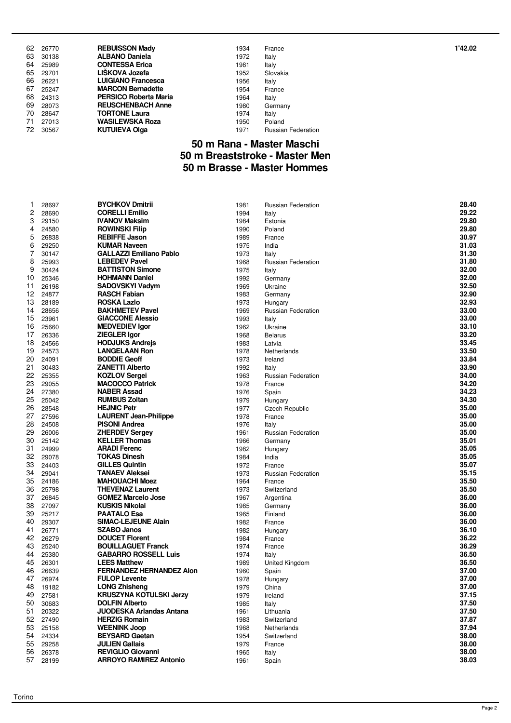|      | 62 26770 | <b>REBUISSON Mady</b>        | 1934 | France                    | 1'42.02 |
|------|----------|------------------------------|------|---------------------------|---------|
|      | 63 30138 | <b>ALBANO Daniela</b>        | 1972 | Italy                     |         |
| 64   | 25989    | <b>CONTESSA Erica</b>        | 1981 | Italy                     |         |
|      | 65 29701 | LIŠKOVA Jozefa               | 1952 | Slovakia                  |         |
| 66   | 26221    | <b>LUIGIANO Francesca</b>    | 1956 | Italy                     |         |
| 67 - | 25247    | <b>MARCON Bernadette</b>     | 1954 | France                    |         |
|      | 68 24313 | <b>PERSICO Roberta Maria</b> | 1964 | Italy                     |         |
|      | 69 28073 | <b>REUSCHENBACH Anne</b>     | 1980 | Germany                   |         |
| 70   | 28647    | <b>TORTONE Laura</b>         | 1974 | Italy                     |         |
| 71   | 27013    | <b>WASILEWSKA Roza</b>       | 1950 | Poland                    |         |
| 72.  | 30567    | <b>KUTUIEVA Olga</b>         | 1971 | <b>Russian Federation</b> |         |

## **50 m Rana - Master Maschi 50 m Breaststroke - Master Men 50 m Brasse - Master Hommes**

| 1        | 28697          | <b>BYCHKOV Dmitrii</b>                                   | 1981         | Russian Federation        | 28.40          |
|----------|----------------|----------------------------------------------------------|--------------|---------------------------|----------------|
| 2        | 28690          | <b>CORELLI Emilio</b>                                    | 1994         | Italy                     | 29.22          |
| 3        | 29150          | <b>IVANOV Maksim</b>                                     | 1984         | Estonia                   | 29.80          |
| 4        | 24580          | <b>ROWINSKI Filip</b>                                    | 1990         | Poland                    | 29.80          |
| 5        | 26838          | <b>REBIFFE Jason</b>                                     | 1989         | France                    | 30.97          |
| 6        | 29250          | <b>KUMAR Naveen</b>                                      | 1975         | India                     | 31.03          |
| 7        | 30147          | <b>GALLAZZI Emiliano Pablo</b>                           | 1973         | Italy                     | 31.30          |
| 8        | 25993          | <b>LEBEDEV Pavel</b>                                     | 1968         | <b>Russian Federation</b> | 31.80          |
| 9        | 30424          | <b>BATTISTON Simone</b>                                  | 1975         | Italy                     | 32.00          |
| 10       | 25346          | <b>HOHMANN Daniel</b>                                    | 1992         | Germany                   | 32.00          |
| 11       | 26198          | <b>SADOVSKYI Vadym</b>                                   | 1969         | Ukraine                   | 32.50          |
| 12       | 24877          | <b>RASCH Fabian</b>                                      | 1983         | Germany                   | 32.90          |
| 13       | 28189          | <b>ROSKA Lazlo</b>                                       | 1973         | Hungary                   | 32.93          |
| 14       | 28656          | <b>BAKHMETEV Pavel</b>                                   | 1969         | <b>Russian Federation</b> | 33.00          |
| 15       | 23961          | <b>GIACCONE Alessio</b>                                  | 1993         | Italy                     | 33.00          |
| 16       | 25660          | <b>MEDVEDIEV Igor</b>                                    | 1962         | Ukraine                   | 33.10          |
| 17       | 26336          | <b>ZIEGLER Igor</b>                                      | 1968         | <b>Belarus</b>            | 33.20          |
| 18       | 24566          | <b>HODJUKS Andrejs</b>                                   | 1983         | Latvia                    | 33.45          |
| 19       | 24573          | <b>LANGELAAN Ron</b>                                     | 1978         | Netherlands               | 33.50          |
| 20       | 24091          | <b>BODDIE Geoff</b>                                      | 1973         | Ireland                   | 33.84          |
| 21       | 30483          | <b>ZANETTI Alberto</b>                                   | 1992         | Italy                     | 33.90          |
| 22       | 25355          | <b>KOZLOV Sergei</b>                                     | 1963         | <b>Russian Federation</b> | 34.00          |
| 23       | 29055          | <b>MACOCCO Patrick</b>                                   | 1978         | France                    | 34.20          |
| 24       | 27380          | <b>NABER Assad</b>                                       | 1976         | Spain                     | 34.23          |
| 25       | 25042          | <b>RUMBUS Zoltan</b>                                     | 1979         | Hungary                   | 34.30          |
| 26       | 28548          | <b>HEJNIC Petr</b>                                       | 1977         | Czech Republic            | 35.00          |
| 27       | 27596          | <b>LAURENT Jean-Philippe</b>                             | 1978         | France                    | 35.00          |
| 28       | 24508          | <b>PISONI Andrea</b>                                     | 1976         | Italy                     | 35.00          |
| 29       | 26006          | <b>ZHERDEV Sergev</b>                                    | 1961         | <b>Russian Federation</b> | 35.00          |
| 30       | 25142          | <b>KELLER Thomas</b>                                     | 1966         | Germany                   | 35.01          |
| 31       | 24999          | <b>ARADI Ferenc</b>                                      | 1982         | Hungary                   | 35.05          |
| 32       | 29078          | <b>TOKAS Dinesh</b>                                      | 1984         | India                     | 35.05          |
| 33       | 24403          | <b>GILLES Quintin</b>                                    | 1972         | France                    | 35.07          |
| 34       | 29041          | <b>TANAEV Aleksei</b>                                    | 1973         | <b>Russian Federation</b> | 35.15          |
| 35       | 24186          | <b>MAHOUACHI Moez</b>                                    | 1964         | France                    | 35.50          |
| 36       | 25798          | <b>THEVENAZ Laurent</b>                                  | 1973         | Switzerland               | 35.50          |
| 37       | 26845          | <b>GOMEZ Marcelo Jose</b>                                | 1967         | Argentina                 | 36.00          |
| 38       | 27097          | <b>KUSKIS Nikolai</b>                                    | 1985         | Germany                   | 36.00          |
| 39       | 25217          | <b>PAATALO Esa</b>                                       | 1965         | Finland                   | 36.00          |
| 40       | 29307          | <b>SIMAC-LEJEUNE Alain</b>                               | 1982         | France                    | 36.00          |
| 41       | 26771          | <b>SZABO Janos</b>                                       | 1982         | Hungary                   | 36.10          |
| 42       | 26279          | <b>DOUCET Florent</b>                                    | 1984         | France                    | 36.22          |
| 43       | 25240          | <b>BOUILLAGUET Franck</b><br><b>GABARRO ROSSELL Luis</b> | 1974         | France                    | 36.29          |
| 44       | 25380          |                                                          | 1974         | Italy                     | 36.50<br>36.50 |
| 45       | 26301          | <b>LEES Matthew</b><br><b>FERNANDEZ HERNANDEZ Alon</b>   | 1989         | United Kingdom            | 37.00          |
| 46<br>47 | 26639<br>26974 | <b>FULOP Levente</b>                                     | 1960<br>1978 | Spain                     | 37.00          |
|          |                |                                                          |              | Hungary                   | 37.00          |
| 48<br>49 | 19182          | <b>LONG Zhisheng</b><br><b>KRUSZYNA KOTULSKI Jerzy</b>   | 1979<br>1979 | China                     | 37.15          |
| 50       | 27581<br>30683 | <b>DOLFIN Alberto</b>                                    | 1985         | Ireland                   | 37.50          |
| 51       | 20322          | <b>JUODESKA Arlandas Antana</b>                          | 1961         | Italy<br>Lithuania        | 37.50          |
| 52       | 27490          | <b>HERZIG Romain</b>                                     | 1983         | Switzerland               | 37.87          |
| 53       | 25158          | <b>WEENINK Joop</b>                                      | 1968         | Netherlands               | 37.94          |
| 54       | 24334          | <b>BEYSARD Gaetan</b>                                    | 1954         | Switzerland               | 38.00          |
| 55       | 29258          | <b>JULIEN Gallais</b>                                    | 1979         | France                    | 38.00          |
| 56       | 26378          | <b>REVIGLIO Giovanni</b>                                 | 1965         | Italy                     | 38.00          |
| 57       | 28199          | <b>ARROYO RAMIREZ Antonio</b>                            | 1961         | Spain                     | 38.03          |
|          |                |                                                          |              |                           |                |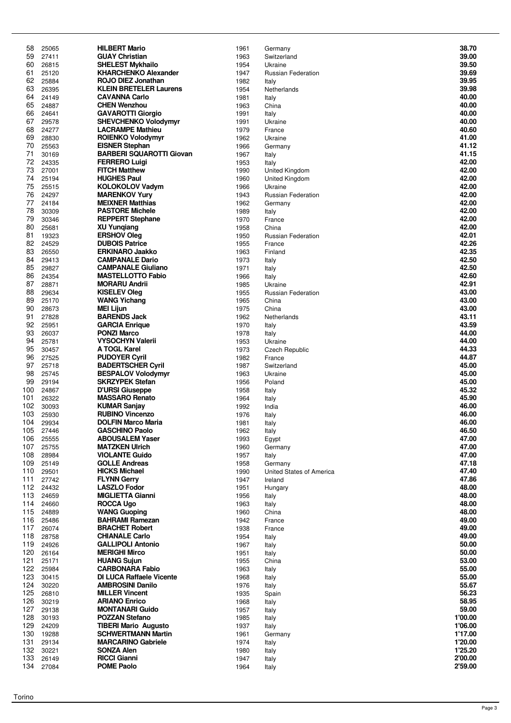| 58  | 25065 | <b>HILBERT Mario</b>                            | 1961 | Germany                   | 38.70   |
|-----|-------|-------------------------------------------------|------|---------------------------|---------|
| 59  | 27411 | <b>GUAY Christian</b>                           | 1963 | Switzerland               | 39.00   |
| 60  | 26815 | <b>SHELEST Mykhailo</b>                         | 1954 | Ukraine                   | 39.50   |
| 61  | 25120 | <b>KHARCHENKO Alexander</b>                     | 1947 | <b>Russian Federation</b> | 39.69   |
| 62  | 25884 | ROJO DIEZ Jonathan                              | 1982 | Italy                     | 39.95   |
| 63  | 26395 | <b>KLEIN BRETELER Laurens</b>                   | 1954 | Netherlands               | 39.98   |
| 64  | 24149 | <b>CAVANNA Carlo</b>                            | 1981 | Italy                     | 40.00   |
| 65  | 24887 | <b>CHEN Wenzhou</b>                             | 1963 | China                     | 40.00   |
| 66  | 24641 | <b>GAVAROTTI Giorgio</b>                        | 1991 | Italy                     | 40.00   |
| 67  | 29578 | <b>SHEVCHENKO Volodymyr</b>                     | 1991 | Ukraine                   | 40.00   |
| 68  | 24277 | <b>LACRAMPE Mathieu</b>                         | 1979 | France                    | 40.60   |
| 69  | 28830 | <b>ROIENKO Volodymyr</b>                        | 1962 | Ukraine                   | 41.00   |
| 70  | 25563 | <b>EISNER Stephan</b>                           | 1966 | Germany                   | 41.12   |
| 71  | 30169 | <b>BARBERI SQUAROTTI Giovan</b>                 | 1967 | Italy                     | 41.15   |
| 72  | 24335 | <b>FERRERO Luigi</b>                            | 1953 | Italy                     | 42.00   |
| 73  | 27001 | <b>FITCH Matthew</b>                            | 1990 | United Kingdom            | 42.00   |
| 74  | 25194 | <b>HUGHES Paul</b>                              | 1960 | United Kingdom            | 42.00   |
| 75  | 25515 | <b>KOLOKOLOV Vadym</b>                          | 1966 | Ukraine                   | 42.00   |
| 76  | 24297 |                                                 |      |                           | 42.00   |
| 77  |       | <b>MARENKOV Yury</b><br><b>MEIXNER Matthias</b> | 1943 | <b>Russian Federation</b> | 42.00   |
| 78  | 24184 |                                                 | 1962 | Germany                   | 42.00   |
|     | 30309 | <b>PASTORE Michele</b>                          | 1989 | Italy                     |         |
| 79  | 30346 | <b>REPPERT Stephane</b>                         | 1970 | France                    | 42.00   |
| 80  | 25681 | <b>XU Yungiang</b>                              | 1958 | China                     | 42.00   |
| 81  | 19323 | <b>ERSHOV Oleg</b>                              | 1950 | <b>Russian Federation</b> | 42.01   |
| 82  | 24529 | <b>DUBOIS Patrice</b>                           | 1955 | France                    | 42.26   |
| 83  | 26550 | <b>ERKINARO Jaakko</b>                          | 1963 | Finland                   | 42.35   |
| 84  | 29413 | <b>CAMPANALE Dario</b>                          | 1973 | Italy                     | 42.50   |
| 85  | 29827 | <b>CAMPANALE Giuliano</b>                       | 1971 | Italy                     | 42.50   |
| 86  | 24354 | <b>MASTELLOTTO Fabio</b>                        | 1966 | Italy                     | 42.60   |
| 87  | 28871 | <b>MORARU Andrii</b>                            | 1985 | Ukraine                   | 42.91   |
| 88  | 29634 | <b>KISELEV Oleg</b>                             | 1955 | <b>Russian Federation</b> | 43.00   |
| 89  | 25170 | <b>WANG Yichang</b>                             | 1965 | China                     | 43.00   |
| 90  | 28673 | <b>MEI Lijun</b>                                | 1975 | China                     | 43.00   |
| 91  | 27828 | <b>BARENDS Jack</b>                             | 1962 | Netherlands               | 43.11   |
| 92  | 25951 | <b>GARCIA Enrique</b>                           | 1970 | Italy                     | 43.59   |
| 93  | 26037 | <b>PONZI Marco</b>                              | 1978 | Italy                     | 44.00   |
| 94  | 25781 | <b>VYSOCHYN Valerii</b>                         | 1953 | Ukraine                   | 44.00   |
| 95  | 30457 | A TOGL Karel                                    | 1973 | Czech Republic            | 44.33   |
| 96  | 27525 | <b>PUDOYER Cyril</b>                            | 1982 | France                    | 44.87   |
| 97  | 25718 | <b>BADERTSCHER Cyril</b>                        | 1987 | Switzerland               | 45.00   |
| 98  | 25745 | <b>BESPALOV Volodymyr</b>                       | 1963 | Ukraine                   | 45.00   |
| 99  | 29194 | <b>SKRZYPEK Stefan</b>                          | 1956 | Poland                    | 45.00   |
|     |       |                                                 |      |                           |         |
| 100 | 24867 | <b>D'URSI Giuseppe</b><br><b>MASSARO Renato</b> | 1958 | Italy                     | 45.32   |
| 101 | 26322 |                                                 | 1964 | Italy                     | 45.90   |
| 102 | 30093 | <b>KUMAR Sanjay</b>                             | 1992 | India                     | 46.00   |
| 103 | 25930 | <b>RUBINO Vincenzo</b>                          | 1976 | Italy                     | 46.00   |
| 104 | 29934 | <b>DOLFIN Marco Maria</b>                       | 1981 | Italy                     | 46.00   |
| 105 | 27446 | <b>GASCHINO Paolo</b>                           | 1962 | Italy                     | 46.50   |
| 106 | 25555 | <b>ABOUSALEM Yaser</b>                          | 1993 | Egypt                     | 47.00   |
| 107 | 25755 | <b>MATZKEN Ulrich</b>                           | 1960 | Germany                   | 47.00   |
| 108 | 28984 | <b>VIOLANTE Guido</b>                           | 1957 | Italy                     | 47.00   |
| 109 | 25149 | <b>GOLLE Andreas</b>                            | 1958 | Germany                   | 47.18   |
| 110 | 29501 | <b>HICKS Michael</b>                            | 1990 | United States of America  | 47.40   |
| 111 | 27742 | <b>FLYNN Gerry</b>                              | 1947 | Ireland                   | 47.86   |
| 112 | 24432 | <b>LASZLO Fodor</b>                             | 1951 | Hungary                   | 48.00   |
| 113 | 24659 | <b>MIGLIETTA Gianni</b>                         | 1956 | Italy                     | 48.00   |
| 114 | 24660 | <b>ROCCA Ugo</b>                                | 1963 | Italy                     | 48.00   |
| 115 | 24889 | <b>WANG Guoping</b>                             | 1960 | China                     | 48.00   |
| 116 | 25486 | <b>BAHRAMI Ramezan</b>                          | 1942 | France                    | 49.00   |
| 117 | 26074 | <b>BRACHET Robert</b>                           | 1938 | France                    | 49.00   |
| 118 | 28758 | <b>CHIANALE Carlo</b>                           | 1954 | Italy                     | 49.00   |
| 119 | 24926 | <b>GALLIPOLI Antonio</b>                        | 1967 | Italy                     | 50.00   |
| 120 | 26164 | <b>MERIGHI Mirco</b>                            | 1951 | Italy                     | 50.00   |
| 121 | 25171 | <b>HUANG Sujun</b>                              | 1955 | China                     | 53.00   |
| 122 | 25984 | <b>CARBONARA Fabio</b>                          | 1963 | Italy                     | 55.00   |
| 123 | 30415 | <b>DI LUCA Raffaele Vicente</b>                 | 1968 | Italy                     | 55.00   |
| 124 | 30220 | <b>AMBROSINI Danilo</b>                         | 1976 | Italy                     | 55.67   |
| 125 | 26810 | <b>MILLER Vincent</b>                           | 1935 | Spain                     | 56.23   |
| 126 | 30219 | <b>ARIANO Enrico</b>                            | 1968 | Italy                     | 58.95   |
| 127 | 29138 | <b>MONTANARI Guido</b>                          | 1957 | Italy                     | 59.00   |
| 128 | 30193 | <b>POZZAN Stefano</b>                           | 1985 | Italy                     | 1'00.00 |
| 129 | 24209 | <b>TIBERI Mario Augusto</b>                     | 1937 |                           | 1'06.00 |
| 130 |       | <b>SCHWERTMANN Martin</b>                       |      | Italy                     | 1'17.00 |
|     | 19288 |                                                 | 1961 | Germany                   |         |
| 131 | 29134 | <b>MARCARINO Gabriele</b>                       | 1974 | Italy                     | 1'20.00 |
| 132 | 30221 | <b>SONZA Alen</b>                               | 1980 | Italy                     | 1'25.20 |
| 133 | 26149 | <b>RICCI Gianni</b>                             | 1947 | Italy                     | 2'00.00 |
| 134 | 27084 | <b>POME Paolo</b>                               | 1964 | Italy                     | 2'59.00 |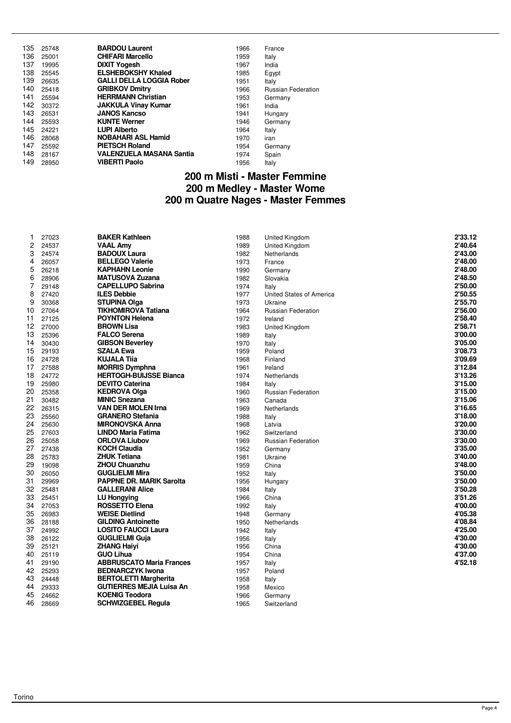| 135 | 25748 | <b>BARDOU Laurent</b>           | 1966 | France                    |
|-----|-------|---------------------------------|------|---------------------------|
| 136 | 25001 | <b>CHIFARI Marcello</b>         | 1959 | Italy                     |
| 137 | 19995 | <b>DIXIT Yogesh</b>             | 1967 | India                     |
| 138 | 25545 | <b>ELSHEBOKSHY Khaled</b>       | 1985 | Egypt                     |
| 139 | 26635 | <b>GALLI DELLA LOGGIA Rober</b> | 1951 | Italy                     |
| 140 | 25418 | <b>GRIBKOV Dmitry</b>           | 1966 | <b>Russian Federation</b> |
| 141 | 25594 | <b>HERRMANN Christian</b>       | 1953 | Germany                   |
| 142 | 30372 | <b>JAKKULA Vinay Kumar</b>      | 1961 | India                     |
| 143 | 26531 | <b>JANOS Kancso</b>             | 1941 | Hungary                   |
| 144 | 25593 | <b>KUNTE Werner</b>             | 1946 | Germany                   |
| 145 | 24221 | <b>LUPI Alberto</b>             | 1964 | Italy                     |
| 146 | 28068 | <b>NOBAHARI ASL Hamid</b>       | 1970 | iran                      |
| 147 | 25592 | <b>PIETSCH Roland</b>           | 1954 | Germany                   |
| 148 | 28167 | <b>VALENZUELA MASANA Santia</b> | 1974 | Spain                     |
| 149 | 28950 | <b>VIBERTI Paolo</b>            | 1956 | Italy                     |

#### **200 m Misti - Master Femmine 200 m Medley - Master Wome 200 m Quatre Nages - Master Femmes**

| 1               | 27023 | <b>BAKER Kathleen</b>           | 1988 | <b>United Kingdom</b>     | 2'33.12 |
|-----------------|-------|---------------------------------|------|---------------------------|---------|
| 2               | 24537 | <b>VAAL Amy</b>                 | 1989 | United Kingdom            | 2'40.64 |
| 3               | 24574 | <b>BADOUX Laura</b>             | 1982 | Netherlands               | 2'43.00 |
| 4               | 26057 | <b>BELLEGO Valerie</b>          | 1973 | France                    | 2'48.00 |
| 5               | 26218 | <b>KAPHAHN Leonie</b>           | 1990 | Germany                   | 2'48.00 |
| 6               | 28906 | <b>MATUSOVA Zuzana</b>          | 1982 | Slovakia                  | 2'48.50 |
| 7               | 29148 | <b>CAPELLUPO Sabrina</b>        | 1974 | Italy                     | 2'50.00 |
| 8               | 27420 | <b>ILES Debbie</b>              | 1977 | United States of America  | 2'50.55 |
| 9               | 30368 | <b>STUPINA Olga</b>             | 1973 | Ukraine                   | 2'55.70 |
| 10              | 27064 | <b>TIKHOMIROVA Tatiana</b>      | 1964 | <b>Russian Federation</b> | 2'56.00 |
| 11              | 27125 | <b>POYNTON Helena</b>           | 1972 | Ireland                   | 2'58.40 |
| 12 <sub>2</sub> | 27000 | <b>BROWN Lisa</b>               | 1983 | United Kingdom            | 2'58.71 |
| 13              | 25396 | <b>FALCO Serena</b>             | 1989 | Italy                     | 3'00.00 |
| 14              | 30430 | <b>GIBSON Beverley</b>          | 1970 | Italy                     | 3'05.00 |
| 15              | 29193 | <b>SZALA Ewa</b>                | 1959 | Poland                    | 3'08.73 |
| 16              | 24728 | <b>KUJALA Tiia</b>              | 1968 | Finland                   | 3'09.69 |
| 17              | 27588 | <b>MORRIS Dymphna</b>           | 1961 | Ireland                   | 3'12.84 |
| 18              | 24772 | <b>HERTOGH-BUIJSSE Bianca</b>   | 1974 | Netherlands               | 3'13.26 |
| 19              | 25980 | <b>DEVITO Caterina</b>          | 1984 | Italy                     | 3'15.00 |
| 20              | 25358 | <b>KEDROVA Olga</b>             | 1960 | <b>Russian Federation</b> | 3'15.00 |
| 21              | 30482 | <b>MINIC Snezana</b>            | 1963 | Canada                    | 3'15.06 |
| 22              | 26315 | <b>VAN DER MOLEN Irna</b>       | 1969 | Netherlands               | 3'16.65 |
| 23              | 25560 | <b>GRANERO Stefania</b>         | 1988 | Italy                     | 3'18.00 |
| 24              | 25630 | MIRONOVSKA Anna                 | 1968 | Latvia                    | 3'20.00 |
| 25              | 27603 | LINDO Maria Fatima              | 1962 | Switzerland               | 3'30.00 |
| 26              | 25058 | <b>ORLOVA Liubov</b>            | 1969 | <b>Russian Federation</b> | 3'30.00 |
| 27              | 27438 | <b>KOCH Claudia</b>             | 1952 | Germany                   | 3'35.00 |
| 28              | 25783 | <b>ZHUK Tetiana</b>             | 1981 | Ukraine                   | 3'40.00 |
| 29              | 19098 | <b>ZHOU Chuanzhu</b>            | 1959 | China                     | 3'48.00 |
| 30              | 26050 | <b>GUGLIELMI Mira</b>           | 1952 | Italy                     | 3'50.00 |
| 31              | 29969 | <b>PAPPNE DR. MARIK Sarolta</b> | 1956 | Hungary                   | 3'50.00 |
| 32              | 25481 | <b>GALLERANI Alice</b>          | 1984 | Italy                     | 3'50.28 |
| 33              | 25451 | <b>LU Hongving</b>              | 1966 | China                     | 3'51.26 |
| 34              | 27053 | <b>ROSSETTO Elena</b>           | 1992 | Italy                     | 4'00.00 |
| 35              | 26983 | <b>WEISE Dietlind</b>           | 1948 | Germany                   | 4'05.38 |
| 36              | 28188 | <b>GILDING Antoinette</b>       | 1950 | Netherlands               | 4'08.84 |
| 37              | 24992 | <b>LOSITO FAUCCI Laura</b>      | 1942 | Italy                     | 4'25.00 |
| 38              | 26122 | <b>GUGLIELMI Guja</b>           | 1956 | Italy                     | 4'30.00 |
| 39              | 25121 | <b>ZHANG Haivi</b>              | 1956 | China                     | 4'30.00 |
| 40              | 25119 | <b>GUO Lihua</b>                | 1954 | China                     | 4'37.00 |
| 41              | 29190 | <b>ABBRUSCATO Maria Frances</b> | 1957 | Italy                     | 4'52.18 |
| 42              | 25293 | <b>BEDNARCZYK Iwona</b>         | 1957 | Poland                    |         |
| 43              | 24448 | <b>BERTOLETTI Margherita</b>    | 1958 | Italy                     |         |
| 44              | 29333 | GUTIERRES MEJIA Luisa An        | 1958 | Mexico                    |         |
| 45              | 24662 | <b>KOENIG Teodora</b>           | 1966 | Germany                   |         |
| 46              | 28669 | <b>SCHWIZGEBEL Regula</b>       | 1965 | Switzerland               |         |
|                 |       |                                 |      |                           |         |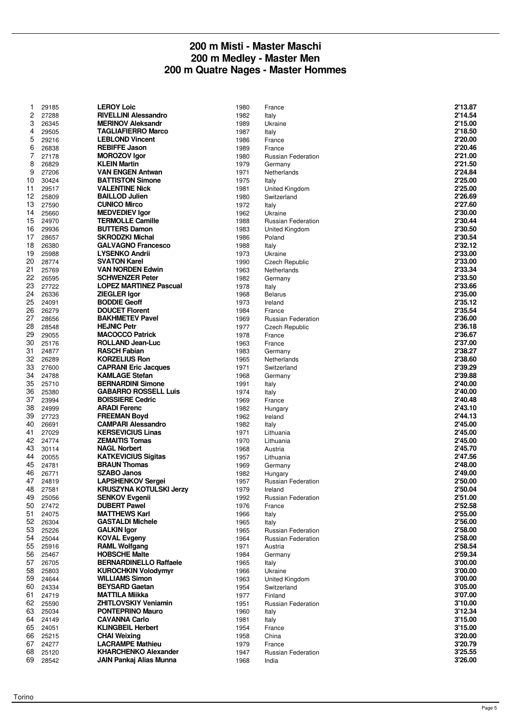#### **200 m Misti - Master Maschi 200 m Medley - Master Men 200 m Quatre Nages - Master Hommes**

| 1              | 29185          | <b>LEROY Loic</b>                                       | 1980         | France                               | 2'13.87            |
|----------------|----------------|---------------------------------------------------------|--------------|--------------------------------------|--------------------|
| 2              | 27288          | <b>RIVELLINI Alessandro</b>                             | 1982         | Italy                                | 2'14.54            |
| 3              | 26345          | <b>MERINOV Aleksandr</b>                                | 1989         | Ukraine                              | 2'15.00            |
| 4              | 29505          | <b>TAGLIAFIERRO Marco</b>                               | 1987         | Italy                                | 2'18.50            |
| 5              | 29216          | <b>LEBLOND Vincent</b>                                  | 1986         | France                               | 2'20.00            |
| 6              | 26838          | <b>REBIFFE Jason</b>                                    | 1989         | France                               | 2'20.46            |
| $\overline{7}$ | 27178          | <b>MOROZOV Igor</b>                                     | 1980         | <b>Russian Federation</b>            | 2'21.00            |
| 8              | 26829          | <b>KLEIN Martin</b>                                     | 1979         | Germany                              | 2'21.50            |
| 9<br>10        | 27206<br>30424 | <b>VAN ENGEN Antwan</b><br><b>BATTISTON Simone</b>      | 1971<br>1975 | Netherlands                          | 2'24.84<br>2'25.00 |
| 11             | 29517          | <b>VALENTINE Nick</b>                                   | 1981         | Italy<br>United Kingdom              | 2'25.00            |
| 12             | 25809          | <b>BAILLOD Julien</b>                                   | 1980         | Switzerland                          | 2'26.69            |
| 13             | 27590          | <b>CUNICO Mirco</b>                                     | 1972         | Italy                                | 2'27.60            |
| 14             | 25660          | <b>MEDVEDIEV Igor</b>                                   | 1962         | Ukraine                              | 2'30.00            |
| 15             | 24970          | <b>TERMOLLE Camille</b>                                 | 1988         | Russian Federation                   | 2'30.44            |
| 16             | 29936          | <b>BUTTERS Damon</b>                                    | 1983         | United Kingdom                       | 2'30.50            |
| 17             | 28657          | <b>SKRODZKI Michal</b>                                  | 1986         | Poland                               | 2'30.54            |
| 18             | 26380          | <b>GALVAGNO Francesco</b>                               | 1988         | Italy                                | 2'32.12            |
| 19             | 25988          | <b>LYSENKO Andrii</b>                                   | 1973         | Ukraine                              | 2'33.00            |
| 20             | 28774          | <b>SVATON Karel</b>                                     | 1990         | Czech Republic                       | 2'33.00            |
| 21             | 25769          | <b>VAN NORDEN Edwin</b>                                 | 1963         | Netherlands                          | 2'33.34            |
| 22<br>23       | 26595<br>27722 | <b>SCHWENZER Peter</b><br><b>LOPEZ MARTINEZ Pascual</b> | 1982<br>1978 | Germany                              | 2'33.50<br>2'33.66 |
| 24             | 26336          | <b>ZIEGLER Igor</b>                                     | 1968         | Italy<br><b>Belarus</b>              | 2'35.00            |
| 25             | 24091          | <b>BODDIE Geoff</b>                                     | 1973         | Ireland                              | 2'35.12            |
| 26             | 26279          | <b>DOUCET Florent</b>                                   | 1984         | France                               | 2'35.54            |
| 27             | 28656          | <b>BAKHMETEV Pavel</b>                                  | 1969         | <b>Russian Federation</b>            | 2'36.00            |
| 28             | 28548          | <b>HEJNIC Petr</b>                                      | 1977         | Czech Republic                       | 2'36.18            |
| 29             | 29055          | <b>MACOCCO Patrick</b>                                  | 1978         | France                               | 2'36.67            |
| 30             | 25176          | <b>ROLLAND Jean-Luc</b>                                 | 1963         | France                               | 2'37.00            |
| 31             | 24877          | <b>RASCH Fabian</b>                                     | 1983         | Germany                              | 2'38.27            |
| 32             | 26289          | <b>KORZELIUS Ron</b>                                    | 1965         | Netherlands                          | 2'38.60            |
| 33             | 27600          | <b>CAPRANI Eric Jacques</b>                             | 1971         | Switzerland                          | 2'39.29            |
| 34             | 24788          | <b>KAMLAGE Stefan</b>                                   | 1968         | Germany                              | 2'39.88            |
| 35             | 25710          | <b>BERNARDINI Simone</b>                                | 1991         | Italy                                | 2'40.00            |
| 36<br>37       | 25380<br>23994 | <b>GABARRO ROSSELL Luis</b><br><b>BOISSIERE Cedric</b>  | 1974<br>1969 | Italy<br>France                      | 2'40.00<br>2'40.48 |
| 38             | 24999          | <b>ARADI Ferenc</b>                                     | 1982         | Hungary                              | 2'43.10            |
| 39             | 27723          | <b>FREEMAN Boyd</b>                                     | 1962         | Ireland                              | 2'44.13            |
| 40             | 26691          | <b>CAMPARI Alessandro</b>                               | 1982         | Italy                                | 2'45.00            |
| 41             | 27029          | <b>KERSEVICIUS Linas</b>                                | 1971         | Lithuania                            | 2'45.00            |
| 42             | 24774          | <b>ZEMAITIS Tomas</b>                                   | 1970         | Lithuania                            | 2'45.00            |
| 43             | 30114          | <b>NAGL Norbert</b>                                     | 1968         | Austria                              | 2'45.70            |
| 44             | 20055          | <b>KATKEVICIUS Sigitas</b>                              | 1957         | Lithuania                            | 2'47.56            |
| 45             | 24781          | <b>BRAUN Thomas</b>                                     | 1969         | Germany                              | 2'48.00            |
| 46             | 26771          | <b>SZABO Janos</b>                                      | 1982         | Hungary                              | 2'49.00            |
| 47             | 24819          | <b>LAPSHENKOV Sergei</b>                                | 1957         | <b>Russian Federation</b>            | 2'50.00            |
| 48<br>49       | 27581          | <b>KRUSZYNA KOTULSKI Jerzy</b><br><b>SENKOV Evgenii</b> | 1979         | Ireland                              | 2'50.04<br>2'51.00 |
| 50             | 25056<br>27472 | <b>DUBERT Pawel</b>                                     | 1992<br>1976 | Russian Federation<br>France         | 2'52.58            |
| 51             | 24075          | <b>MATTHEWS Karl</b>                                    | 1966         | Italy                                | 2'55.00            |
| 52             | 26304          | <b>GASTALDI Michele</b>                                 | 1965         | Italy                                | 2'56.00            |
| 53             | 25226          | <b>GALKIN Igor</b>                                      | 1965         | Russian Federation                   | 2'58.00            |
| 54             | 25044          | <b>KOVAL Evgeny</b>                                     | 1964         | Russian Federation                   | 2'58.00            |
| 55             | 25916          | <b>RAML Wolfgang</b>                                    | 1971         | Austria                              | 2'58.54            |
| 56             | 25467          | <b>HOBSCHE Malte</b>                                    | 1984         | Germany                              | 2'59.34            |
| 57             | 26705          | <b>BERNARDINELLO Raffaele</b>                           | 1965         | Italy                                | 3'00.00            |
| 58             | 25803          | <b>KUROCHKIN Volodymyr</b>                              | 1966         | Ukraine                              | 3'00.00            |
| 59             | 24644          | <b>WILLIAMS Simon</b>                                   | 1963         | United Kingdom                       | 3'00.00            |
| 60             | 24334          | <b>BEYSARD Gaetan</b>                                   | 1954         | Switzerland                          | 3'05.00<br>3'07.00 |
| 61<br>62       | 24719<br>25590 | <b>MATTILA Miikka</b><br><b>ZHITLOVSKIY Veniamin</b>    | 1977<br>1951 | Finland<br><b>Russian Federation</b> | 3'10.00            |
| 63             | 25034          | <b>PONTEPRINO Mauro</b>                                 | 1960         | Italy                                | 3'12.34            |
| 64             | 24149          | <b>CAVANNA Carlo</b>                                    | 1981         | Italy                                | 3'15.00            |
| 65             | 24051          | <b>KLINGBEIL Herbert</b>                                | 1954         | France                               | 3'15.00            |
| 66             | 25215          | <b>CHAI Weixing</b>                                     | 1958         | China                                | 3'20.00            |
| 67             | 24277          | <b>LACRAMPE Mathieu</b>                                 | 1979         | France                               | 3'20.79            |
| 68             | 25120          | <b>KHARCHENKO Alexander</b>                             | 1947         | Russian Federation                   | 3'25.55            |
| 69             | 28542          | <b>JAIN Pankaj Alias Munna</b>                          | 1968         | India                                | 3'26.00            |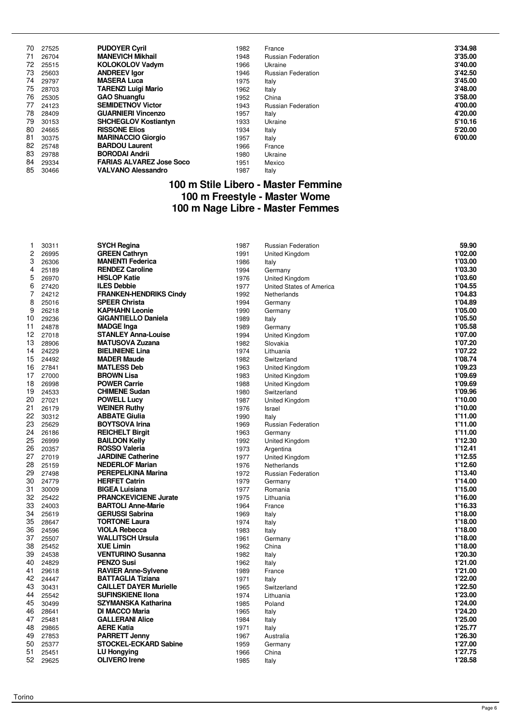| 70 | 27525 | <b>PUDOYER Cyril</b>            | 1982 | France                    | 3'34.98 |
|----|-------|---------------------------------|------|---------------------------|---------|
| 71 | 26704 | <b>MANEVICH Mikhail</b>         | 1948 | <b>Russian Federation</b> | 3'35.00 |
| 72 | 25515 | <b>KOLOKOLOV Vadym</b>          | 1966 | Ukraine                   | 3'40.00 |
| 73 | 25603 | <b>ANDREEV Igor</b>             | 1946 | <b>Russian Federation</b> | 3'42.50 |
| 74 | 29797 | <b>MASERA Luca</b>              | 1975 | Italy                     | 3'45.00 |
| 75 | 28703 | <b>TARENZI Luigi Mario</b>      | 1962 | Italy                     | 3'48.00 |
| 76 | 25305 | <b>GAO Shuangfu</b>             | 1952 | China                     | 3'58.00 |
| 77 | 24123 | <b>SEMIDETNOV Victor</b>        | 1943 | <b>Russian Federation</b> | 4'00.00 |
| 78 | 28409 | <b>GUARNIERI Vincenzo</b>       | 1957 | Italy                     | 4'20.00 |
| 79 | 30153 | <b>SHCHEGLOV Kostiantyn</b>     | 1933 | Ukraine                   | 5'10.16 |
| 80 | 24665 | <b>RISSONE Elios</b>            | 1934 | Italy                     | 5'20.00 |
| 81 | 30375 | <b>MARINACCIO Giorgio</b>       | 1957 | Italy                     | 6'00.00 |
| 82 | 25748 | <b>BARDOU Laurent</b>           | 1966 | France                    |         |
| 83 | 29788 | <b>BORODAI Andrii</b>           | 1980 | Ukraine                   |         |
| 84 | 29334 | <b>FARIAS ALVAREZ Jose Soco</b> | 1951 | Mexico                    |         |
| 85 | 30466 | <b>VALVANO Alessandro</b>       | 1987 | Italy                     |         |

#### **100 m Stile Libero - Master Femmine 100 m Freestyle - Master Wome 100 m Nage Libre - Master Femmes**

| 1  | 30311 | <b>SYCH Regina</b>            | 1987 | Russian Federation        | 59.90   |
|----|-------|-------------------------------|------|---------------------------|---------|
| 2  | 26995 | <b>GREEN Cathryn</b>          | 1991 | United Kingdom            | 1'02.00 |
| 3  | 26306 | <b>MANENTI Federica</b>       | 1986 | Italy                     | 1'03.00 |
| 4  | 25189 | <b>RENDEZ Caroline</b>        | 1994 | Germany                   | 1'03.30 |
| 5  | 26970 | <b>HISLOP Katie</b>           | 1976 | <b>United Kingdom</b>     | 1'03.60 |
| 6  | 27420 | <b>ILES Debbie</b>            | 1977 | United States of America  | 1'04.55 |
| 7  | 24212 | <b>FRANKEN-HENDRIKS Cindy</b> | 1992 | Netherlands               | 1'04.83 |
| 8  | 25016 | <b>SPEER Christa</b>          | 1994 | Germany                   | 1'04.89 |
| 9  | 26218 | <b>KAPHAHN Leonie</b>         | 1990 | Germany                   | 1'05.00 |
| 10 | 29236 | <b>GIGANTIELLO Daniela</b>    | 1989 | Italy                     | 1'05.50 |
| 11 | 24878 | <b>MADGE Inga</b>             | 1989 | Germany                   | 1'05.58 |
| 12 | 27018 | <b>STANLEY Anna-Louise</b>    | 1994 | <b>United Kingdom</b>     | 1'07.00 |
| 13 | 28906 | <b>MATUSOVA Zuzana</b>        | 1982 | Slovakia                  | 1'07.20 |
| 14 | 24229 | <b>BIELINIENE Lina</b>        | 1974 | Lithuania                 | 1'07.22 |
| 15 | 24492 | <b>MADER Maude</b>            | 1982 | Switzerland               | 1'08.74 |
| 16 | 27841 | <b>MATLESS Deb</b>            | 1963 | United Kingdom            | 1'09.23 |
| 17 | 27000 | <b>BROWN Lisa</b>             | 1983 | United Kingdom            | 1'09.69 |
| 18 | 26998 | <b>POWER Carrie</b>           | 1988 | United Kingdom            | 1'09.69 |
| 19 | 24533 | <b>CHIMENE Sudan</b>          | 1980 | Switzerland               | 1'09.96 |
| 20 | 27021 | <b>POWELL Lucy</b>            | 1987 | United Kingdom            | 1'10.00 |
| 21 | 26179 | <b>WEINER Ruthy</b>           | 1976 | Israel                    | 1'10.00 |
| 22 | 30312 | <b>ABBATE Giulia</b>          | 1990 | Italy                     | 1'11.00 |
| 23 | 25629 | <b>BOYTSOVA Irina</b>         | 1969 | <b>Russian Federation</b> | 1'11.00 |
| 24 | 26186 | <b>REICHELT Birgit</b>        | 1963 | Germany                   | 1'11.00 |
| 25 | 26999 | <b>BAILDON Kelly</b>          | 1992 | United Kingdom            | 1'12.30 |
| 26 | 20357 | <b>ROSSO Valeria</b>          | 1973 | Argentina                 | 1'12.41 |
| 27 | 27019 | <b>JARDINE Catherine</b>      | 1977 | <b>United Kingdom</b>     | 1'12.55 |
| 28 | 25159 | <b>NEDERLOF Marian</b>        | 1976 | Netherlands               | 1'12.60 |
| 29 | 27498 | <b>PEREPELKINA Marina</b>     | 1972 | Russian Federation        | 1'13.40 |
| 30 | 24779 | <b>HERFET Catrin</b>          | 1979 | Germany                   | 1'14.00 |
| 31 | 30009 | <b>BIGEA Luisiana</b>         | 1977 | Romania                   | 1'15.00 |
| 32 | 25422 | <b>PRANCKEVICIENE Jurate</b>  | 1975 | Lithuania                 | 1'16.00 |
| 33 | 24003 | <b>BARTOLI Anne-Marie</b>     | 1964 | France                    | 1'16.33 |
| 34 | 25619 | <b>GERUSSI Sabrina</b>        | 1969 | Italy                     | 1'18.00 |
| 35 | 28647 | <b>TORTONE Laura</b>          | 1974 | Italy                     | 1'18.00 |
| 36 | 24596 | <b>VIOLA Rebecca</b>          | 1983 | Italy                     | 1'18.00 |
| 37 | 25507 | <b>WALLITSCH Ursula</b>       | 1961 | Germany                   | 1'18.00 |
| 38 | 25452 | <b>XUE Limin</b>              | 1962 | China                     | 1'18.00 |
| 39 | 24538 | <b>VENTURINO Susanna</b>      | 1982 | Italy                     | 1'20.30 |
| 40 | 24829 | <b>PENZO Susi</b>             | 1962 | Italy                     | 1'21.00 |
| 41 | 29618 | <b>RAVIER Anne-Sylvene</b>    | 1989 | France                    | 1'21.00 |
| 42 | 24447 | <b>BATTAGLIA Tiziana</b>      | 1971 | Italy                     | 1'22.00 |
| 43 | 30431 | <b>CAILLET DAYER Murielle</b> | 1965 | Switzerland               | 1'22.50 |
| 44 | 25542 | <b>SUFINSKIENE IIona</b>      | 1974 | Lithuania                 | 1'23.00 |
| 45 | 30499 | <b>SZYMANSKA Katharina</b>    | 1985 | Poland                    | 1'24.00 |
| 46 | 28641 | <b>DI MACCO Maria</b>         | 1965 | Italy                     | 1'24.20 |
| 47 | 25481 | <b>GALLERANI Alice</b>        | 1984 | Italy                     | 1'25.00 |
| 48 | 29865 | <b>AERE Katia</b>             | 1971 | Italy                     | 1'25.77 |
| 49 | 27853 | <b>PARRETT Jenny</b>          | 1967 | Australia                 | 1'26.30 |
| 50 | 25377 | <b>STOCKEL-ECKARD Sabine</b>  | 1959 | Germany                   | 1'27.00 |
| 51 | 25451 | <b>LU Hongying</b>            | 1966 | China                     | 1'27.75 |
| 52 | 29625 | <b>OLIVERO</b> Irene          | 1985 | Italy                     | 1'28.58 |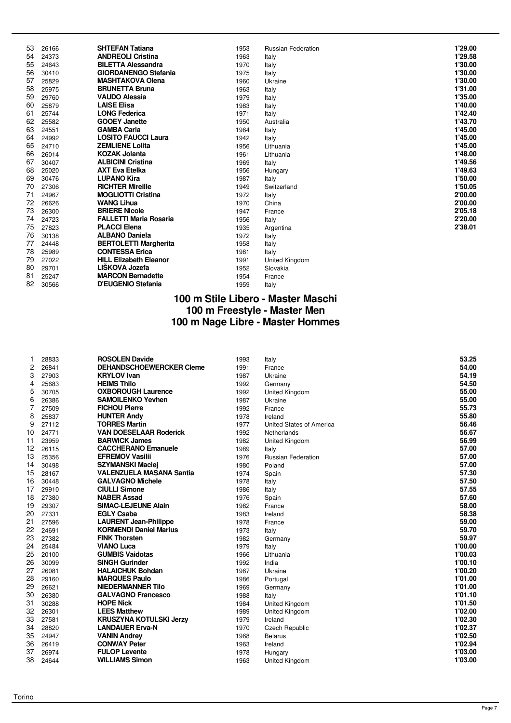| 53 | 26166 | <b>SHTEFAN Tatiana</b>        | 1953 | <b>Russian Federation</b> | 1'29.00 |
|----|-------|-------------------------------|------|---------------------------|---------|
| 54 | 24373 | <b>ANDREOLI Cristina</b>      | 1963 | Italy                     | 1'29.58 |
| 55 | 24643 | <b>BILETTA Alessandra</b>     | 1970 | Italy                     | 1'30.00 |
| 56 | 30410 | <b>GIORDANENGO Stefania</b>   | 1975 | Italy                     | 1'30.00 |
| 57 | 25829 | <b>MASHTAKOVA Olena</b>       | 1960 | Ukraine                   | 1'30.00 |
| 58 | 25975 | <b>BRUNETTA Bruna</b>         | 1963 | Italy                     | 1'31.00 |
| 59 | 29760 | <b>VAUDO Alessia</b>          | 1979 | Italy                     | 1'35.00 |
| 60 | 25879 | <b>LAISE Elisa</b>            | 1983 | Italy                     | 1'40.00 |
| 61 | 25744 | <b>LONG Federica</b>          | 1971 | Italy                     | 1'42.40 |
| 62 | 25582 | <b>GOOEY Janette</b>          | 1950 | Australia                 | 1'43.70 |
| 63 | 24551 | <b>GAMBA Carla</b>            | 1964 | Italy                     | 1'45.00 |
| 64 | 24992 | <b>LOSITO FAUCCI Laura</b>    | 1942 | Italy                     | 1'45.00 |
| 65 | 24710 | <b>ZEMLIENE Lolita</b>        | 1956 | Lithuania                 | 1'45.00 |
| 66 | 26014 | <b>KOZAK Jolanta</b>          | 1961 | Lithuania                 | 1'48.00 |
| 67 | 30407 | <b>ALBICINI Cristina</b>      | 1969 | Italy                     | 1'49.56 |
| 68 | 25020 | <b>AXT Eva Etelka</b>         | 1956 | Hungary                   | 1'49.63 |
| 69 | 30476 | <b>LUPANO Kira</b>            | 1987 | Italy                     | 1'50.00 |
| 70 | 27306 | <b>RICHTER Mireille</b>       | 1949 | Switzerland               | 1'50.05 |
| 71 | 24967 | <b>MOGLIOTTI Cristina</b>     | 1972 | Italy                     | 2'00.00 |
| 72 | 26626 | <b>WANG Lihua</b>             | 1970 | China                     | 2'00.00 |
| 73 | 26300 | <b>BRIERE Nicole</b>          | 1947 | France                    | 2'05.18 |
| 74 | 24723 | <b>FALLETTI Maria Rosaria</b> | 1956 | Italy                     | 2'20.00 |
| 75 | 27823 | <b>PLACCI Elena</b>           | 1935 | Argentina                 | 2'38.01 |
| 76 | 30138 | <b>ALBANO Daniela</b>         | 1972 | Italy                     |         |
| 77 | 24448 | <b>BERTOLETTI Margherita</b>  | 1958 | Italy                     |         |
| 78 | 25989 | <b>CONTESSA Erica</b>         | 1981 | Italy                     |         |
| 79 | 27022 | <b>HILL Elizabeth Eleanor</b> | 1991 | <b>United Kingdom</b>     |         |
| 80 | 29701 | LIŠKOVA Jozefa                | 1952 | Slovakia                  |         |
| 81 | 25247 | <b>MARCON Bernadette</b>      | 1954 | France                    |         |
| 82 | 30566 | D'EUGENIO Stefania            | 1959 | Italy                     |         |

## **100 m Stile Libero - Master Maschi 100 m Freestyle - Master Men 100 m Nage Libre - Master Hommes**

|    | 28833 | <b>ROSOLEN Davide</b>           | 1993 | Italy                    | 53.25   |
|----|-------|---------------------------------|------|--------------------------|---------|
| 2  | 26841 | <b>DEHANDSCHOEWERCKER Cleme</b> | 1991 | France                   | 54.00   |
| 3  | 27903 | <b>KRYLOV</b> Ivan              | 1987 | Ukraine                  | 54.19   |
| 4  | 25683 | <b>HEIMS Thilo</b>              | 1992 | Germany                  | 54.50   |
| 5  | 30705 | <b>OXBOROUGH Laurence</b>       | 1992 | United Kingdom           | 55.00   |
| 6  | 26386 | <b>SAMOILENKO Yevhen</b>        | 1987 | Ukraine                  | 55.00   |
| 7  | 27509 | <b>FICHOU Pierre</b>            | 1992 | France                   | 55.73   |
| 8  | 25837 | <b>HUNTER Andy</b>              | 1978 | Ireland                  | 55.80   |
| 9  | 27112 | <b>TORRES Martin</b>            | 1977 | United States of America | 56.46   |
| 10 | 24771 | <b>VAN DOESELAAR Roderick</b>   | 1992 | Netherlands              | 56.67   |
| 11 | 23959 | <b>BARWICK James</b>            | 1982 | United Kingdom           | 56.99   |
| 12 | 26115 | <b>CACCHERANO Emanuele</b>      | 1989 | Italy                    | 57.00   |
| 13 | 25356 | <b>EFREMOV Vasilii</b>          | 1976 | Russian Federation       | 57.00   |
| 14 | 30498 | <b>SZYMANSKI Maciej</b>         | 1980 | Poland                   | 57.00   |
| 15 | 28167 | <b>VALENZUELA MASANA Santia</b> | 1974 | Spain                    | 57.30   |
| 16 | 30448 | <b>GALVAGNO Michele</b>         | 1978 | Italy                    | 57.50   |
| 17 | 29910 | <b>CIULLI Simone</b>            | 1986 | Italy                    | 57.55   |
| 18 | 27380 | <b>NABER Assad</b>              | 1976 | Spain                    | 57.60   |
| 19 | 29307 | <b>SIMAC-LEJEUNE Alain</b>      | 1982 | France                   | 58.00   |
| 20 | 27331 | <b>EGLY Csaba</b>               | 1983 | Ireland                  | 58.38   |
| 21 | 27596 | <b>LAURENT Jean-Philippe</b>    | 1978 | France                   | 59.00   |
| 22 | 24691 | <b>KORMENDI Daniel Marius</b>   | 1973 | Italy                    | 59.70   |
| 23 | 27382 | <b>FINK Thorsten</b>            | 1982 | Germany                  | 59.97   |
| 24 | 25484 | <b>VIANO Luca</b>               | 1979 | Italy                    | 1'00.00 |
| 25 | 20100 | <b>GUMBIS Vaidotas</b>          | 1966 | Lithuania                | 1'00.03 |
| 26 | 30099 | <b>SINGH Gurinder</b>           | 1992 | India                    | 1'00.10 |
| 27 | 26081 | <b>HALAICHUK Bohdan</b>         | 1967 | Ukraine                  | 1'00.20 |
| 28 | 29160 | <b>MARQUES Paulo</b>            | 1986 | Portugal                 | 1'01.00 |
| 29 | 26621 | <b>NIEDERMANNER Tilo</b>        | 1969 | Germany                  | 1'01.00 |
| 30 | 26380 | <b>GALVAGNO Francesco</b>       | 1988 | Italy                    | 1'01.10 |
| 31 | 30288 | <b>HOPE Nick</b>                | 1984 | United Kingdom           | 1'01.50 |
| 32 | 26301 | <b>LEES Matthew</b>             | 1989 | United Kingdom           | 1'02.00 |
| 33 | 27581 | <b>KRUSZYNA KOTULSKI Jerzy</b>  | 1979 | Ireland                  | 1'02.30 |
| 34 | 28820 | <b>LANDAUER Erva-N</b>          | 1970 | <b>Czech Republic</b>    | 1'02.37 |
| 35 | 24947 | <b>VANIN Andrey</b>             | 1968 | <b>Belarus</b>           | 1'02.50 |
| 36 | 26419 | <b>CONWAY Peter</b>             | 1963 | Ireland                  | 1'02.94 |
| 37 | 26974 | <b>FULOP Levente</b>            | 1978 | Hungary                  | 1'03.00 |
| 38 | 24644 | <b>WILLIAMS Simon</b>           | 1963 | United Kingdom           | 1'03.00 |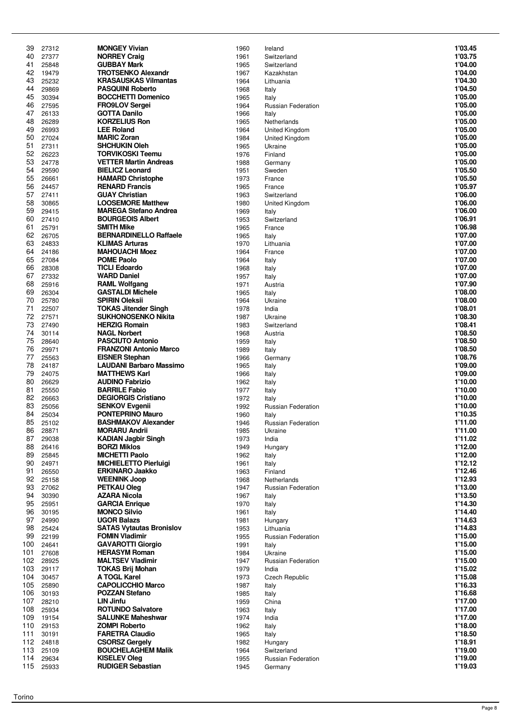| 39         | 27312          | <b>MONGEY Vivian</b>                               | 1960         | Ireland                   | 1'03.45            |
|------------|----------------|----------------------------------------------------|--------------|---------------------------|--------------------|
| 40         | 27377          | <b>NORREY Craig</b>                                | 1961         | Switzerland               | 1'03.75            |
| 41         | 25848          | <b>GUBBAY Mark</b>                                 | 1965         | Switzerland               | 1'04.00            |
| 42         | 19479          | <b>TROTSENKO Alexandr</b>                          | 1967         | Kazakhstan                | 1'04.00            |
| 43         | 25232          | <b>KRASAUSKAS Vilmantas</b>                        | 1964         | Lithuania                 | 1'04.30            |
| 44         | 29869          | <b>PASQUINI Roberto</b>                            | 1968         | Italy                     | 1'04.50            |
| 45         | 30394          | <b>BOCCHETTI Domenico</b>                          | 1965         | Italy                     | 1'05.00            |
| 46         | 27595          | <b>FRO9LOV Sergei</b>                              | 1964         | <b>Russian Federation</b> | 1'05.00            |
| 47         | 26133          | <b>GOTTA Danilo</b>                                | 1966         | Italy                     | 1'05.00            |
| 48         | 26289          | <b>KORZELIUS Ron</b>                               | 1965         | Netherlands               | 1'05.00            |
| 49         | 26993          | <b>LEE Roland</b><br><b>MARIC Zoran</b>            | 1964         | United Kingdom            | 1'05.00<br>1'05.00 |
| 50<br>51   | 27024<br>27311 | <b>SHCHUKIN Oleh</b>                               | 1984<br>1965 | United Kingdom            | 1'05.00            |
| 52         | 26223          | <b>TORVIKOSKI Teemu</b>                            | 1976         | Ukraine<br>Finland        | 1'05.00            |
| 53         | 24778          | <b>VETTER Martin Andreas</b>                       | 1988         | Germany                   | 1'05.00            |
| 54         | 29590          | <b>BIELICZ Leonard</b>                             | 1951         | Sweden                    | 1'05.50            |
| 55         | 26661          | <b>HAMARD Christophe</b>                           | 1973         | France                    | 1'05.50            |
| 56         | 24457          | <b>RENARD Francis</b>                              | 1965         | France                    | 1'05.97            |
| 57         | 27411          | <b>GUAY Christian</b>                              | 1963         | Switzerland               | 1'06.00            |
| 58         | 30865          | <b>LOOSEMORE Matthew</b>                           | 1980         | United Kingdom            | 1'06.00            |
| 59         | 29415          | <b>MAREGA Stefano Andrea</b>                       | 1969         | Italy                     | 1'06.00            |
| 60         | 27410          | <b>BOURGEOIS Albert</b>                            | 1953         | Switzerland               | 1'06.91            |
| 61         | 25791          | <b>SMITH Mike</b>                                  | 1965         | France                    | 1'06.98            |
| 62         | 26705          | <b>BERNARDINELLO Raffaele</b>                      | 1965         | Italy                     | 1'07.00            |
| 63         | 24833          | <b>KLIMAS Arturas</b>                              | 1970         | Lithuania                 | 1'07.00            |
| 64         | 24186          | <b>MAHOUACHI Moez</b>                              | 1964         | France                    | 1'07.00            |
| 65         | 27084          | <b>POME Paolo</b>                                  | 1964         | Italy                     | 1'07.00            |
| 66         | 28308          | <b>TICLI Edoardo</b>                               | 1968         | Italy                     | 1'07.00            |
| 67         | 27332          | <b>WARD Daniel</b>                                 | 1957         | Italy                     | 1'07.00<br>1'07.90 |
| 68<br>69   | 25916<br>26304 | <b>RAML Wolfgang</b><br><b>GASTALDI Michele</b>    | 1971<br>1965 | Austria                   | 1'08.00            |
| 70         | 25780          | <b>SPIRIN Oleksii</b>                              | 1964         | Italy<br>Ukraine          | 1'08.00            |
| 71         | 22507          | <b>TOKAS Jitender Singh</b>                        | 1978         | India                     | 1'08.01            |
| 72         | 27571          | <b>SUKHONOSENKO Nikita</b>                         | 1987         | Ukraine                   | 1'08.30            |
| 73         | 27490          | <b>HERZIG Romain</b>                               | 1983         | Switzerland               | 1'08.41            |
| 74         | 30114          | <b>NAGL Norbert</b>                                | 1968         | Austria                   | 1'08.50            |
| 75         | 28640          | <b>PASCIUTO Antonio</b>                            | 1959         | Italy                     | 1'08.50            |
| 76         | 29971          | <b>FRANZONI Antonio Marco</b>                      | 1989         | Italy                     | 1'08.50            |
| 77         | 25563          | <b>EISNER Stephan</b>                              | 1966         | Germany                   | 1'08.76            |
| 78         | 24187          | <b>LAUDANI Barbaro Massimo</b>                     | 1965         | Italy                     | 1'09.00            |
| 79         | 24075          | <b>MATTHEWS Karl</b>                               | 1966         | Italy                     | 1'09.00            |
| 80         | 26629          | <b>AUDINO Fabrizio</b>                             | 1962         | Italy                     | 1'10.00            |
| 81         | 25550          | <b>BARRILE Fabio</b>                               | 1977         | Italy                     | 1'10.00            |
| 82         | 26663          | <b>DEGIORGIS Cristiano</b>                         | 1972         | Italy                     | 1'10.00            |
| 83         | 25056          | <b>SENKOV Evgenii</b>                              | 1992         | <b>Russian Federation</b> | 1'10.00            |
| 84         | 25034          | <b>PONTEPRINO Mauro</b>                            | 1960         | Italy                     | 1'10.35            |
| 85         | 25102          | <b>BASHMAKOV Alexander</b>                         | 1946         | <b>Russian Federation</b> | 1'11.00            |
| 86<br>87   | 28871<br>29038 | <b>MORARU Andrii</b><br><b>KADIAN Jagbir Singh</b> | 1985<br>1973 | Ukraine<br>India          | 1'11.00<br>1'11.02 |
| 88         | 26416          | <b>BORZI Miklos</b>                                | 1949         | Hungary                   | 1'12.00            |
| 89         | 25845          | <b>MICHETTI Paolo</b>                              | 1962         | Italy                     | 1'12.00            |
| 90         | 24971          | <b>MICHIELETTO Pierluigi</b>                       | 1961         | Italy                     | 1'12.12            |
| 91         | 26550          | <b>ERKINARO Jaakko</b>                             | 1963         | Finland                   | 1'12.46            |
| 92         | 25158          | <b>WEENINK Joop</b>                                | 1968         | Netherlands               | 1'12.93            |
| 93         | 27062          | <b>PETKAU Oleg</b>                                 | 1947         | <b>Russian Federation</b> | 1'13.00            |
| 94         | 30390          | <b>AZARA Nicola</b>                                | 1967         | Italy                     | 1'13.50            |
| 95         | 25951          | <b>GARCIA Enrique</b>                              | 1970         | Italy                     | 1'14.30            |
| 96         | 30195          | <b>MONCO Silvio</b>                                | 1961         | Italy                     | 1'14.40            |
| 97         | 24990          | <b>UGOR Balazs</b>                                 | 1981         | Hungary                   | 1'14.63            |
| 98         | 25424          | <b>SATAS Vytautas Bronislov</b>                    | 1953         | Lithuania                 | 1'14.83            |
| 99         | 22199          | <b>FOMIN Vladimir</b>                              | 1955         | Russian Federation        | 1'15.00            |
| 100        | 24641          | <b>GAVAROTTI Giorgio</b>                           | 1991         | Italy                     | 1'15.00            |
| 101        | 27608          | <b>HERASYM Roman</b>                               | 1984         | Ukraine                   | 1'15.00            |
| 102        | 28925          | <b>MALTSEV Vladimir</b>                            | 1947         | <b>Russian Federation</b> | 1'15.00            |
| 103<br>104 | 29117<br>30457 | <b>TOKAS Brij Mohan</b><br>A TOGL Karel            | 1979<br>1973 | India<br>Czech Republic   | 1'15.02<br>1'15.08 |
| 105        | 25890          | <b>CAPOLICCHIO Marco</b>                           | 1987         | Italy                     | 1'16.33            |
| 106        | 30193          | <b>POZZAN Stefano</b>                              | 1985         | Italy                     | 1'16.68            |
| 107        | 28210          | <b>LIN Jinfu</b>                                   | 1959         | China                     | 1'17.00            |
| 108        | 25934          | <b>ROTUNDO Salvatore</b>                           | 1963         | Italy                     | 1'17.00            |
| 109        | 19154          | <b>SALUNKE Maheshwar</b>                           | 1974         | India                     | 1'17.00            |
| 110        | 29153          | <b>ZOMPI Roberto</b>                               | 1962         | Italy                     | 1'18.00            |
| 111        | 30191          | <b>FARETRA Claudio</b>                             | 1965         | Italy                     | 1'18.50            |
| 112        | 24818          | <b>CSORSZ Gergely</b>                              | 1982         | Hungary                   | 1'18.91            |
| 113        | 25109          | <b>BOUCHELAGHEM Malik</b>                          | 1964         | Switzerland               | 1'19.00            |
| 114        | 29634          | <b>KISELEV Oleg</b>                                | 1955         | Russian Federation        | 1'19.00            |
| 115        | 25933          | <b>RUDIGER Sebastian</b>                           | 1945         | Germany                   | 1'19.03            |